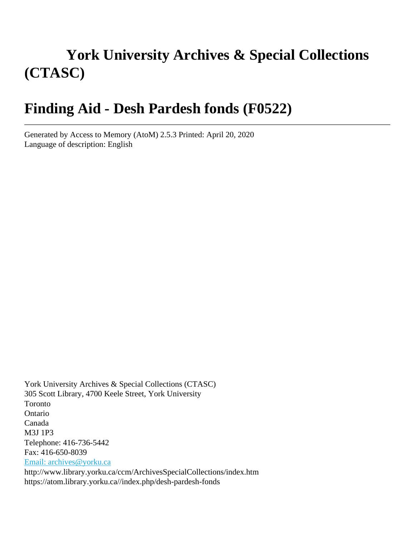# **York University Archives & Special Collections (CTASC)**

# **Finding Aid - Desh Pardesh fonds (F0522)**

Generated by Access to Memory (AtoM) 2.5.3 Printed: April 20, 2020 Language of description: English

York University Archives & Special Collections (CTASC) 305 Scott Library, 4700 Keele Street, York University Toronto Ontario Canada M3J 1P3 Telephone: 416-736-5442 Fax: 416-650-8039 [Email: archives@yorku.ca](mailto:Email: archives@yorku.ca) http://www.library.yorku.ca/ccm/ArchivesSpecialCollections/index.htm https://atom.library.yorku.ca//index.php/desh-pardesh-fonds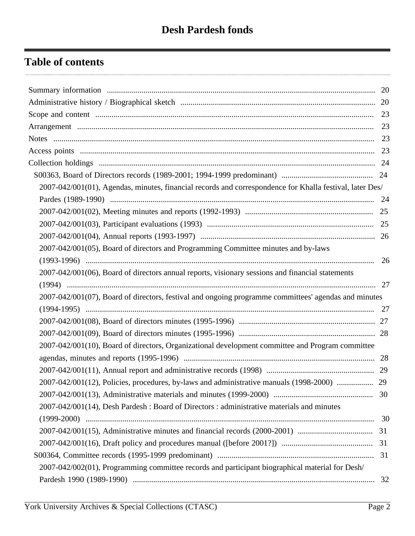# **Table of contents**

| 2007-042/001(01), Agendas, minutes, financial records and correspondence for Khalla festival, later Des/ |    |
|----------------------------------------------------------------------------------------------------------|----|
|                                                                                                          |    |
|                                                                                                          |    |
|                                                                                                          |    |
|                                                                                                          |    |
| 2007-042/001(05), Board of directors and Programming Committee minutes and by-laws                       |    |
|                                                                                                          | 26 |
| 2007-042/001(06), Board of directors annual reports, visionary sessions and financial statements         |    |
|                                                                                                          |    |
| 2007-042/001(07), Board of directors, festival and ongoing programme committees' agendas and minutes     |    |
|                                                                                                          |    |
|                                                                                                          |    |
|                                                                                                          |    |
| 2007-042/001(10), Board of directors, Organizational development committee and Program committee         |    |
|                                                                                                          |    |
|                                                                                                          |    |
| 2007-042/001(12), Policies, procedures, by-laws and administrative manuals (1998-2000)  29               |    |
|                                                                                                          |    |
| 2007-042/001(14), Desh Pardesh : Board of Directors : administrative materials and minutes               |    |
|                                                                                                          | 30 |
|                                                                                                          |    |
|                                                                                                          |    |
|                                                                                                          | 31 |
| 2007-042/002(01), Programming committee records and participant biographical material for Desh/          |    |
|                                                                                                          | 32 |
|                                                                                                          |    |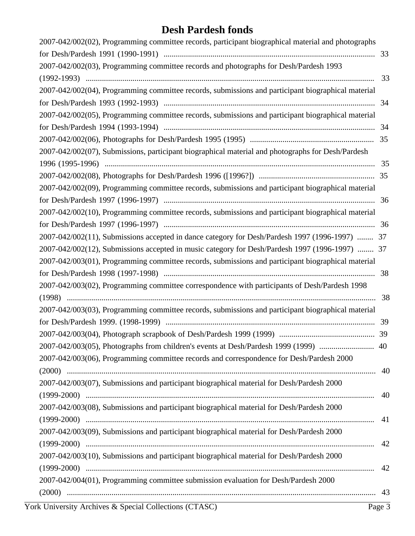| 2007-042/002(02), Programming committee records, participant biographical material and photographs |    |
|----------------------------------------------------------------------------------------------------|----|
|                                                                                                    | 33 |
| 2007-042/002(03), Programming committee records and photographs for Desh/Pardesh 1993              |    |
|                                                                                                    | 33 |
| 2007-042/002(04), Programming committee records, submissions and participant biographical material |    |
|                                                                                                    | 34 |
| 2007-042/002(05), Programming committee records, submissions and participant biographical material |    |
|                                                                                                    | 34 |
|                                                                                                    |    |
| 2007-042/002(07), Submissions, participant biographical material and photographs for Desh/Pardesh  |    |
|                                                                                                    | 35 |
|                                                                                                    |    |
| 2007-042/002(09), Programming committee records, submissions and participant biographical material |    |
|                                                                                                    | 36 |
| 2007-042/002(10), Programming committee records, submissions and participant biographical material |    |
|                                                                                                    | 36 |
| 2007-042/002(11), Submissions accepted in dance category for Desh/Pardesh 1997 (1996-1997)  37     |    |
| 2007-042/002(12), Submissions accepted in music category for Desh/Pardesh 1997 (1996-1997)  37     |    |
| 2007-042/003(01), Programming committee records, submissions and participant biographical material |    |
|                                                                                                    | 38 |
| 2007-042/003(02), Programming committee correspondence with participants of Desh/Pardesh 1998      |    |
|                                                                                                    | 38 |
| 2007-042/003(03), Programming committee records, submissions and participant biographical material |    |
|                                                                                                    | 39 |
|                                                                                                    |    |
|                                                                                                    |    |
| 2007-042/003(06), Programming committee records and correspondence for Desh/Pardesh 2000           |    |
|                                                                                                    |    |
| 2007-042/003(07), Submissions and participant biographical material for Desh/Pardesh 2000          |    |
|                                                                                                    | 40 |
| 2007-042/003(08), Submissions and participant biographical material for Desh/Pardesh 2000          |    |
|                                                                                                    | 41 |
| 2007-042/003(09), Submissions and participant biographical material for Desh/Pardesh 2000          |    |
|                                                                                                    | 42 |
| 2007-042/003(10), Submissions and participant biographical material for Desh/Pardesh 2000          |    |
|                                                                                                    | 42 |
| 2007-042/004(01), Programming committee submission evaluation for Desh/Pardesh 2000                |    |
|                                                                                                    |    |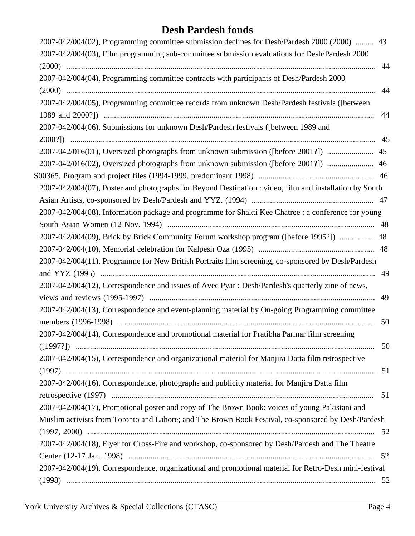| 2007-042/004(02), Programming committee submission declines for Desh/Pardesh 2000 (2000)  43            |
|---------------------------------------------------------------------------------------------------------|
|                                                                                                         |
| 44                                                                                                      |
|                                                                                                         |
| 44                                                                                                      |
|                                                                                                         |
| 44                                                                                                      |
|                                                                                                         |
|                                                                                                         |
| 2007-042/016(01), Oversized photographs from unknown submission ([before 2001?])  45                    |
| 2007-042/016(02), Oversized photographs from unknown submission ([before 2001?])  46                    |
|                                                                                                         |
| 2007-042/004(07), Poster and photographs for Beyond Destination : video, film and installation by South |
|                                                                                                         |
| 2007-042/004(08), Information package and programme for Shakti Kee Chatree : a conference for young     |
|                                                                                                         |
| 2007-042/004(09), Brick by Brick Community Forum workshop program ([before 1995?])  48                  |
|                                                                                                         |
|                                                                                                         |
| 49                                                                                                      |
|                                                                                                         |
| 49                                                                                                      |
|                                                                                                         |
| 50                                                                                                      |
|                                                                                                         |
| 50                                                                                                      |
|                                                                                                         |
|                                                                                                         |
|                                                                                                         |
| 51                                                                                                      |
|                                                                                                         |
| Muslim activists from Toronto and Lahore; and The Brown Book Festival, co-sponsored by Desh/Pardesh     |
| 52                                                                                                      |
|                                                                                                         |
|                                                                                                         |
| 2007-042/004(19), Correspondence, organizational and promotional material for Retro-Desh mini-festival  |
|                                                                                                         |
|                                                                                                         |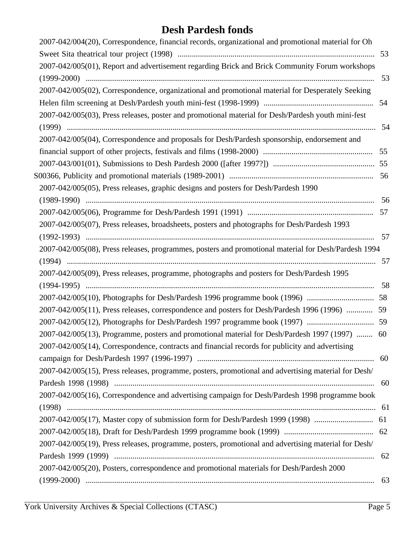| 2007-042/004(20), Correspondence, financial records, organizational and promotional material for Oh  |      |
|------------------------------------------------------------------------------------------------------|------|
|                                                                                                      |      |
| 2007-042/005(01), Report and advertisement regarding Brick and Brick Community Forum workshops       |      |
|                                                                                                      |      |
| 2007-042/005(02), Correspondence, organizational and promotional material for Desperately Seeking    |      |
|                                                                                                      |      |
| 2007-042/005(03), Press releases, poster and promotional material for Desh/Pardesh youth mini-fest   |      |
|                                                                                                      | -54  |
| 2007-042/005(04), Correspondence and proposals for Desh/Pardesh sponsorship, endorsement and         |      |
|                                                                                                      |      |
|                                                                                                      |      |
|                                                                                                      |      |
| 2007-042/005(05), Press releases, graphic designs and posters for Desh/Pardesh 1990                  |      |
|                                                                                                      | - 56 |
|                                                                                                      |      |
| 2007-042/005(07), Press releases, broadsheets, posters and photographs for Desh/Pardesh 1993         |      |
|                                                                                                      |      |
| 2007-042/005(08), Press releases, programmes, posters and promotional material for Desh/Pardesh 1994 |      |
|                                                                                                      |      |
| 2007-042/005(09), Press releases, programme, photographs and posters for Desh/Pardesh 1995           |      |
|                                                                                                      |      |
|                                                                                                      |      |
| 2007-042/005(11), Press releases, correspondence and posters for Desh/Pardesh 1996 (1996)  59        |      |
|                                                                                                      |      |
| 2007-042/005(13), Programme, posters and promotional material for Desh/Pardesh 1997 (1997)  60       |      |
| 2007-042/005(14), Correspondence, contracts and financial records for publicity and advertising      |      |
|                                                                                                      |      |
| 2007-042/005(15), Press releases, programme, posters, promotional and advertising material for Desh/ |      |
|                                                                                                      | 60   |
| 2007-042/005(16), Correspondence and advertising campaign for Desh/Pardesh 1998 programme book       |      |
|                                                                                                      |      |
| 2007-042/005(17), Master copy of submission form for Desh/Pardesh 1999 (1998)                        | 61   |
|                                                                                                      |      |
| 2007-042/005(19), Press releases, programme, posters, promotional and advertising material for Desh/ |      |
|                                                                                                      | 62   |
| 2007-042/005(20), Posters, correspondence and promotional materials for Desh/Pardesh 2000            |      |
|                                                                                                      | 63   |
|                                                                                                      |      |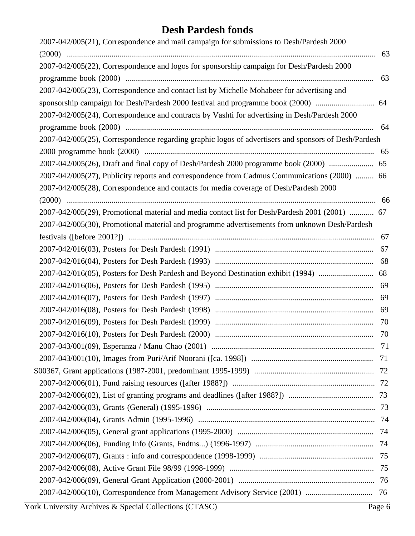| 2007-042/005(21), Correspondence and mail campaign for submissions to Desh/Pardesh 2000              |    |
|------------------------------------------------------------------------------------------------------|----|
|                                                                                                      |    |
| 2007-042/005(22), Correspondence and logos for sponsorship campaign for Desh/Pardesh 2000            |    |
|                                                                                                      | 63 |
| 2007-042/005(23), Correspondence and contact list by Michelle Mohabeer for advertising and           |    |
| sponsorship campaign for Desh/Pardesh 2000 festival and programme book (2000)  64                    |    |
| 2007-042/005(24), Correspondence and contracts by Vashti for advertising in Desh/Pardesh 2000        |    |
|                                                                                                      |    |
| 2007-042/005(25), Correspondence regarding graphic logos of advertisers and sponsors of Desh/Pardesh |    |
|                                                                                                      |    |
| 2007-042/005(26), Draft and final copy of Desh/Pardesh 2000 programme book (2000)  65                |    |
| 2007-042/005(27), Publicity reports and correspondence from Cadmus Communications (2000)  66         |    |
| 2007-042/005(28), Correspondence and contacts for media coverage of Desh/Pardesh 2000                |    |
|                                                                                                      |    |
| 2007-042/005(29), Promotional material and media contact list for Desh/Pardesh 2001 (2001)  67       |    |
| 2007-042/005(30), Promotional material and programme advertisements from unknown Desh/Pardesh        |    |
|                                                                                                      |    |
|                                                                                                      | 67 |
|                                                                                                      |    |
|                                                                                                      |    |
|                                                                                                      |    |
|                                                                                                      | 69 |
|                                                                                                      |    |
|                                                                                                      |    |
|                                                                                                      |    |
|                                                                                                      |    |
|                                                                                                      |    |
|                                                                                                      |    |
|                                                                                                      |    |
|                                                                                                      |    |
|                                                                                                      |    |
|                                                                                                      |    |
|                                                                                                      |    |
|                                                                                                      |    |
|                                                                                                      |    |
|                                                                                                      |    |
|                                                                                                      |    |
|                                                                                                      |    |
|                                                                                                      |    |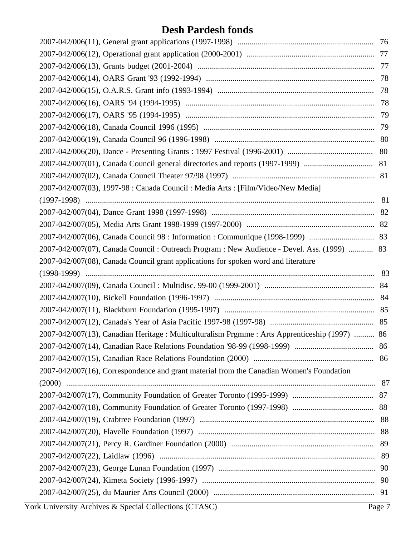| 2007-042/007(03), 1997-98 : Canada Council : Media Arts : [Film/Video/New Media]               |    |
|------------------------------------------------------------------------------------------------|----|
|                                                                                                |    |
|                                                                                                |    |
|                                                                                                |    |
|                                                                                                |    |
| 2007-042/007(07), Canada Council : Outreach Program : New Audience - Devel. Ass. (1999)  83    |    |
| 2007-042/007(08), Canada Council grant applications for spoken word and literature             |    |
|                                                                                                |    |
|                                                                                                |    |
|                                                                                                |    |
|                                                                                                |    |
|                                                                                                |    |
| 2007-042/007(13), Canadian Heritage : Multiculturalism Prgmme : Arts Apprenticeship (1997)  86 |    |
|                                                                                                |    |
|                                                                                                |    |
| 2007-042/007(16), Correspondence and grant material from the Canadian Women's Foundation       |    |
|                                                                                                |    |
|                                                                                                |    |
|                                                                                                |    |
|                                                                                                |    |
|                                                                                                |    |
|                                                                                                | 89 |
|                                                                                                |    |
|                                                                                                |    |
|                                                                                                |    |
|                                                                                                |    |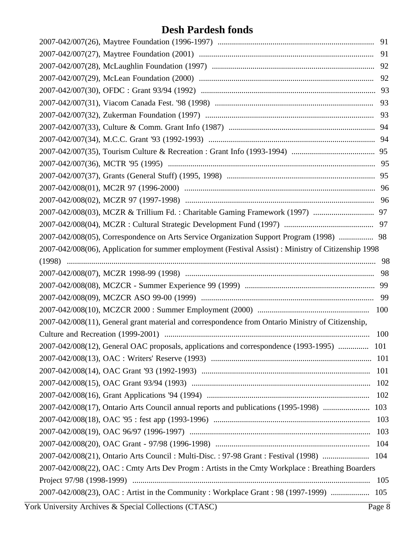| 2007-042/008(05), Correspondence on Arts Service Organization Support Program (1998)  98             |     |
|------------------------------------------------------------------------------------------------------|-----|
| 2007-042/008(06), Application for summer employment (Festival Assist) : Ministry of Citizenship 1998 |     |
|                                                                                                      |     |
|                                                                                                      | 98  |
|                                                                                                      |     |
|                                                                                                      |     |
|                                                                                                      |     |
| 2007-042/008(11), General grant material and correspondence from Ontario Ministry of Citizenship,    |     |
|                                                                                                      | 100 |
| 2007-042/008(12), General OAC proposals, applications and correspondence (1993-1995)  101            |     |
|                                                                                                      |     |
|                                                                                                      | 101 |
|                                                                                                      | 102 |
|                                                                                                      | 102 |
| 2007-042/008(17), Ontario Arts Council annual reports and publications (1995-1998)  103              |     |
|                                                                                                      | 103 |
|                                                                                                      | 103 |
|                                                                                                      | 104 |
| 2007-042/008(21), Ontario Arts Council: Multi-Disc.: 97-98 Grant: Festival (1998)  104               |     |
| 2007-042/008(22), OAC : Cmty Arts Dev Progm : Artists in the Cmty Workplace : Breathing Boarders     |     |
|                                                                                                      |     |
|                                                                                                      | 105 |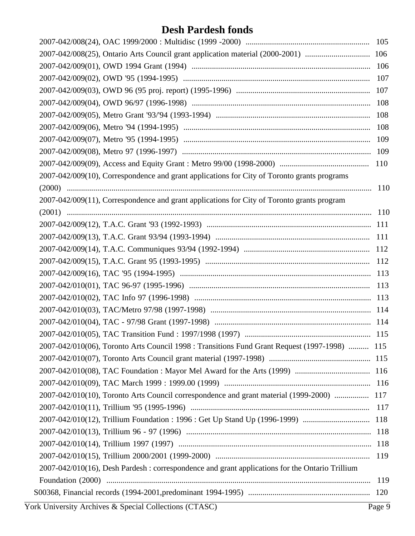| 2007-042/008(25), Ontario Arts Council grant application material (2000-2001)  106              |     |
|-------------------------------------------------------------------------------------------------|-----|
|                                                                                                 |     |
|                                                                                                 | 107 |
|                                                                                                 |     |
|                                                                                                 |     |
|                                                                                                 |     |
|                                                                                                 | 108 |
|                                                                                                 |     |
|                                                                                                 |     |
|                                                                                                 |     |
| 2007-042/009(10), Correspondence and grant applications for City of Toronto grants programs     |     |
|                                                                                                 |     |
| 2007-042/009(11), Correspondence and grant applications for City of Toronto grants program      |     |
|                                                                                                 |     |
|                                                                                                 |     |
|                                                                                                 |     |
|                                                                                                 |     |
|                                                                                                 |     |
|                                                                                                 |     |
|                                                                                                 |     |
|                                                                                                 |     |
|                                                                                                 |     |
|                                                                                                 |     |
|                                                                                                 |     |
| 2007-042/010(06), Toronto Arts Council 1998 : Transitions Fund Grant Request (1997-1998)  115   |     |
|                                                                                                 |     |
|                                                                                                 |     |
|                                                                                                 |     |
| 2007-042/010(10), Toronto Arts Council correspondence and grant material (1999-2000)  117       |     |
|                                                                                                 | 117 |
|                                                                                                 |     |
|                                                                                                 |     |
|                                                                                                 | 118 |
|                                                                                                 | 119 |
| 2007-042/010(16), Desh Pardesh : correspondence and grant applications for the Ontario Trillium |     |
|                                                                                                 | 119 |
|                                                                                                 |     |
|                                                                                                 |     |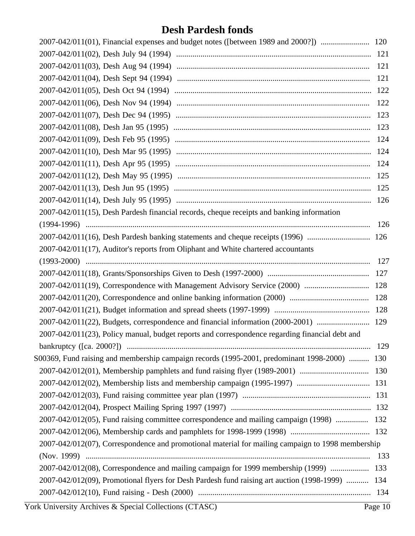|                                                                                                   | 121 |
|---------------------------------------------------------------------------------------------------|-----|
|                                                                                                   | 121 |
|                                                                                                   |     |
|                                                                                                   | 122 |
|                                                                                                   |     |
|                                                                                                   | 123 |
|                                                                                                   |     |
|                                                                                                   |     |
|                                                                                                   |     |
|                                                                                                   |     |
|                                                                                                   |     |
|                                                                                                   |     |
| 2007-042/011(15), Desh Pardesh financial records, cheque receipts and banking information         |     |
|                                                                                                   | 126 |
| 2007-042/011(16), Desh Pardesh banking statements and cheque receipts (1996)  126                 |     |
| 2007-042/011(17), Auditor's reports from Oliphant and White chartered accountants                 |     |
|                                                                                                   | 127 |
|                                                                                                   | 127 |
|                                                                                                   |     |
|                                                                                                   |     |
|                                                                                                   |     |
| 2007-042/011(22), Budgets, correspondence and financial information (2000-2001)  129              |     |
| 2007-042/011(23), Policy manual, budget reports and correspondence regarding financial debt and   |     |
|                                                                                                   | 129 |
| S00369, Fund raising and membership campaign records (1995-2001, predominant 1998-2000)  130      |     |
|                                                                                                   |     |
|                                                                                                   |     |
|                                                                                                   |     |
|                                                                                                   |     |
| 2007-042/012(05), Fund raising committee correspondence and mailing campaign (1998)  132          |     |
|                                                                                                   |     |
| 2007-042/012(07), Correspondence and promotional material for mailing campaign to 1998 membership |     |
|                                                                                                   |     |
| 2007-042/012(08), Correspondence and mailing campaign for 1999 membership (1999)  133             |     |
| 2007-042/012(09), Promotional flyers for Desh Pardesh fund raising art auction (1998-1999)  134   |     |
|                                                                                                   |     |
|                                                                                                   |     |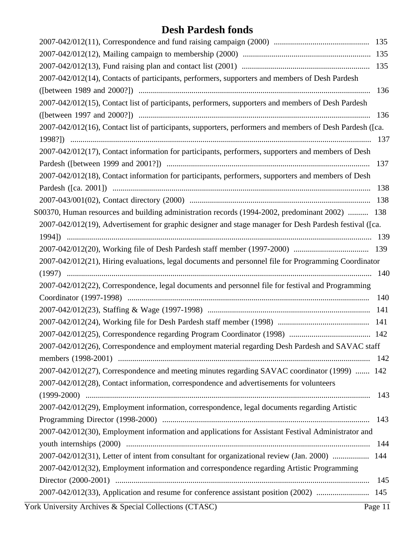| 2007-042/012(14), Contacts of participants, performers, supporters and members of Desh Pardesh           |         |
|----------------------------------------------------------------------------------------------------------|---------|
|                                                                                                          | 136     |
| 2007-042/012(15), Contact list of participants, performers, supporters and members of Desh Pardesh       |         |
|                                                                                                          | 136     |
| 2007-042/012(16), Contact list of participants, supporters, performers and members of Desh Pardesh ([ca. |         |
|                                                                                                          |         |
| 2007-042/012(17), Contact information for participants, performers, supporters and members of Desh       |         |
|                                                                                                          | 137     |
| 2007-042/012(18), Contact information for participants, performers, supporters and members of Desh       |         |
|                                                                                                          | 138     |
|                                                                                                          |         |
| S00370, Human resources and building administration records (1994-2002, predominant 2002)  138           |         |
| 2007-042/012(19), Advertisement for graphic designer and stage manager for Desh Pardesh festival ([ca.   |         |
|                                                                                                          |         |
|                                                                                                          |         |
| 2007-042/012(21), Hiring evaluations, legal documents and personnel file for Programming Coordinator     |         |
|                                                                                                          | 140     |
| 2007-042/012(22), Correspondence, legal documents and personnel file for festival and Programming        |         |
|                                                                                                          | 140     |
|                                                                                                          |         |
|                                                                                                          |         |
|                                                                                                          |         |
| 2007-042/012(26), Correspondence and employment material regarding Desh Pardesh and SAVAC staff          |         |
|                                                                                                          |         |
| 2007-042/012(27), Correspondence and meeting minutes regarding SAVAC coordinator (1999)  142             |         |
| 2007-042/012(28), Contact information, correspondence and advertisements for volunteers                  |         |
|                                                                                                          | 143     |
| 2007-042/012(29), Employment information, correspondence, legal documents regarding Artistic             |         |
|                                                                                                          | 143     |
| 2007-042/012(30), Employment information and applications for Assistant Festival Administrator and       |         |
|                                                                                                          | 144     |
| 2007-042/012(31), Letter of intent from consultant for organizational review (Jan. 2000)  144            |         |
| 2007-042/012(32), Employment information and correspondence regarding Artistic Programming               |         |
|                                                                                                          | 145     |
| 2007-042/012(33), Application and resume for conference assistant position (2002)  145                   |         |
| York University Archives & Special Collections (CTASC)                                                   | Page 11 |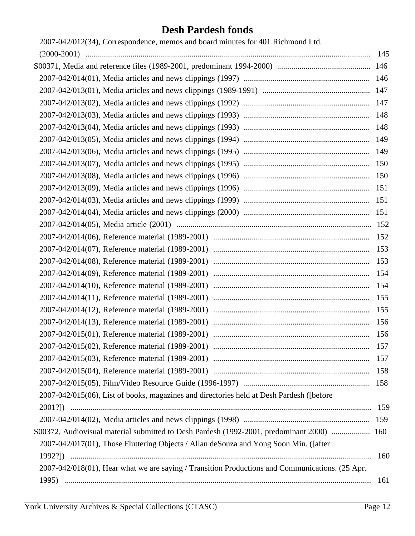| 2007-042/012(34), Correspondence, memos and board minutes for 401 Richmond Ltd.                 |     |
|-------------------------------------------------------------------------------------------------|-----|
|                                                                                                 | 145 |
|                                                                                                 |     |
|                                                                                                 |     |
|                                                                                                 |     |
|                                                                                                 |     |
|                                                                                                 |     |
|                                                                                                 |     |
|                                                                                                 |     |
|                                                                                                 |     |
|                                                                                                 |     |
|                                                                                                 |     |
|                                                                                                 |     |
|                                                                                                 |     |
|                                                                                                 |     |
|                                                                                                 |     |
|                                                                                                 | 152 |
|                                                                                                 | 153 |
|                                                                                                 | 153 |
|                                                                                                 | 154 |
|                                                                                                 | 154 |
|                                                                                                 | 155 |
|                                                                                                 | 155 |
|                                                                                                 | 156 |
|                                                                                                 | 156 |
|                                                                                                 |     |
|                                                                                                 | 157 |
|                                                                                                 | 158 |
|                                                                                                 |     |
| 2007-042/015(06), List of books, magazines and directories held at Desh Pardesh ([before        |     |
|                                                                                                 |     |
|                                                                                                 |     |
| S00372, Audiovisual material submitted to Desh Pardesh (1992-2001, predominant 2000)  160       |     |
| 2007-042/017(01), Those Fluttering Objects / Allan deSouza and Yong Soon Min. ([after           |     |
|                                                                                                 | 160 |
| 2007-042/018(01), Hear what we are saying / Transition Productions and Communications. (25 Apr. |     |
|                                                                                                 | 161 |
|                                                                                                 |     |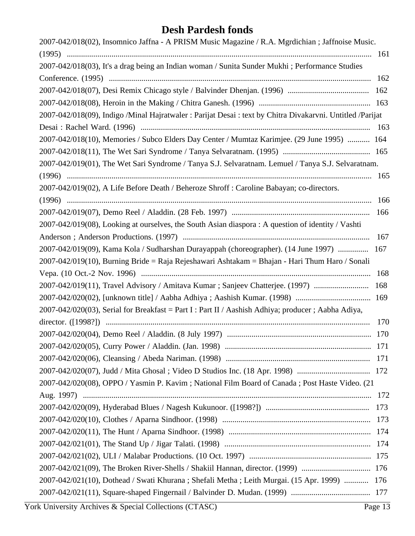| 2007-042/018(02), Insomnico Jaffna - A PRISM Music Magazine / R.A. Mgrdichian ; Jaffnoise Music.           |     |
|------------------------------------------------------------------------------------------------------------|-----|
|                                                                                                            |     |
| 2007-042/018(03), It's a drag being an Indian woman / Sunita Sunder Mukhi ; Performance Studies            |     |
|                                                                                                            |     |
|                                                                                                            |     |
|                                                                                                            |     |
| 2007-042/018(09), Indigo /Minal Hajratwaler : Parijat Desai : text by Chitra Divakarvni. Untitled /Parijat |     |
|                                                                                                            |     |
| 2007-042/018(10), Memories / Subco Elders Day Center / Mumtaz Karimjee. (29 June 1995)  164                |     |
|                                                                                                            |     |
| 2007-042/019(01), The Wet Sari Syndrome / Tanya S.J. Selvaratnam. Lemuel / Tanya S.J. Selvaratnam.         |     |
|                                                                                                            |     |
| 2007-042/019(02), A Life Before Death / Beheroze Shroff : Caroline Babayan; co-directors.                  |     |
|                                                                                                            | 166 |
|                                                                                                            |     |
| 2007-042/019(08), Looking at ourselves, the South Asian diaspora: A question of identity / Vashti          |     |
|                                                                                                            | 167 |
| 2007-042/019(09), Kama Kola / Sudharshan Durayappah (choreographer). (14 June 1997)  167                   |     |
| 2007-042/019(10), Burning Bride = Raja Rejeshawari Ashtakam = Bhajan - Hari Thum Haro / Sonali             |     |
|                                                                                                            | 168 |
| 2007-042/019(11), Travel Advisory / Amitava Kumar; Sanjeev Chatterjee. (1997)                              | 168 |
|                                                                                                            |     |
| 2007-042/020(03), Serial for Breakfast = Part I : Part II / Aashish Adhiya; producer; Aabha Adiya,         |     |
|                                                                                                            | 170 |
|                                                                                                            |     |
|                                                                                                            |     |
|                                                                                                            |     |
|                                                                                                            |     |
| 2007-042/020(08), OPPO / Yasmin P. Kavim; National Film Board of Canada; Post Haste Video. (21             |     |
|                                                                                                            |     |
|                                                                                                            |     |
|                                                                                                            |     |
|                                                                                                            |     |
|                                                                                                            |     |
|                                                                                                            |     |
|                                                                                                            |     |
| 2007-042/021(10), Dothead / Swati Khurana; Shefali Metha; Leith Murgai. (15 Apr. 1999)  176                |     |
|                                                                                                            |     |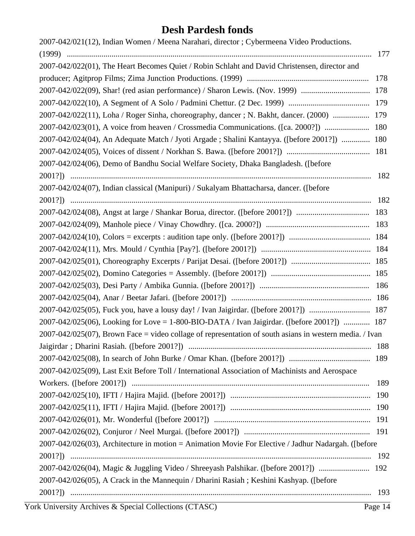| 2007-042/021(12), Indian Women / Meena Narahari, director ; Cybermeena Video Productions.                    |     |
|--------------------------------------------------------------------------------------------------------------|-----|
|                                                                                                              |     |
| 2007-042/022(01), The Heart Becomes Quiet / Robin Schlaht and David Christensen, director and                |     |
|                                                                                                              |     |
|                                                                                                              |     |
|                                                                                                              |     |
| 2007-042/022(11), Loha / Roger Sinha, choreography, dancer; N. Bakht, dancer. (2000)  179                    |     |
| 2007-042/023(01), A voice from heaven / Crossmedia Communications. ([ca. 2000?])  180                        |     |
| 2007-042/024(04), An Adequate Match / Jyoti Argade; Shalini Kantayya. ([before 2001?])  180                  |     |
|                                                                                                              |     |
| 2007-042/024(06), Demo of Bandhu Social Welfare Society, Dhaka Bangladesh. ([before                          |     |
|                                                                                                              | 182 |
| 2007-042/024(07), Indian classical (Manipuri) / Sukalyam Bhattacharsa, dancer. ([before                      |     |
|                                                                                                              |     |
|                                                                                                              |     |
|                                                                                                              |     |
|                                                                                                              |     |
|                                                                                                              |     |
|                                                                                                              |     |
|                                                                                                              |     |
|                                                                                                              |     |
|                                                                                                              |     |
|                                                                                                              |     |
| 2007-042/025(06), Looking for Love = 1-800-BIO-DATA / Ivan Jaigirdar. ([before 2001?])  187                  |     |
| $2007 - 042/025(07)$ , Brown Face = video collage of representation of south asians in western media. / Ivan |     |
|                                                                                                              |     |
|                                                                                                              |     |
| 2007-042/025(09), Last Exit Before Toll / International Association of Machinists and Aerospace              |     |
|                                                                                                              | 189 |
|                                                                                                              |     |
|                                                                                                              |     |
|                                                                                                              |     |
|                                                                                                              |     |
| 2007-042/026(03), Architecture in motion = Animation Movie For Elective / Jadhur Nadargah. ([before          |     |
|                                                                                                              |     |
| 2007-042/026(04), Magic & Juggling Video / Shreeyash Palshikar. ([before 2001?])  192                        |     |
| 2007-042/026(05), A Crack in the Mannequin / Dharini Rasiah; Keshini Kashyap. ([before                       |     |
|                                                                                                              | 193 |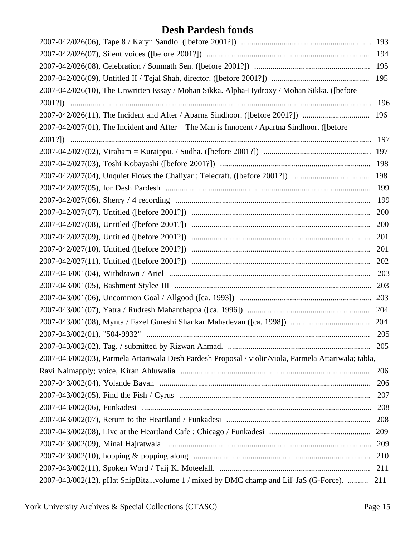|                                                                                                       | 195 |
|-------------------------------------------------------------------------------------------------------|-----|
| 2007-042/026(10), The Unwritten Essay / Mohan Sikka. Alpha-Hydroxy / Mohan Sikka. ([before            |     |
|                                                                                                       | 196 |
|                                                                                                       |     |
| $2007-042/027(01)$ , The Incident and After = The Man is Innocent / Apartna Sindhoor. ([before        |     |
|                                                                                                       | 197 |
|                                                                                                       |     |
|                                                                                                       |     |
|                                                                                                       |     |
|                                                                                                       | 199 |
|                                                                                                       | 199 |
|                                                                                                       |     |
|                                                                                                       |     |
|                                                                                                       |     |
|                                                                                                       | 201 |
|                                                                                                       |     |
|                                                                                                       |     |
|                                                                                                       |     |
|                                                                                                       |     |
|                                                                                                       |     |
|                                                                                                       |     |
|                                                                                                       | 205 |
|                                                                                                       | 205 |
| 2007-043/002(03), Parmela Attariwala Desh Pardesh Proposal / violin/viola, Parmela Attariwala; tabla, |     |
|                                                                                                       | 206 |
|                                                                                                       | 206 |
|                                                                                                       | 207 |
|                                                                                                       | 208 |
|                                                                                                       | 208 |
|                                                                                                       |     |
|                                                                                                       |     |
|                                                                                                       | 210 |
|                                                                                                       |     |
| 2007-043/002(12), pHat SnipBitzvolume 1 / mixed by DMC champ and Lil' JaS (G-Force).  211             |     |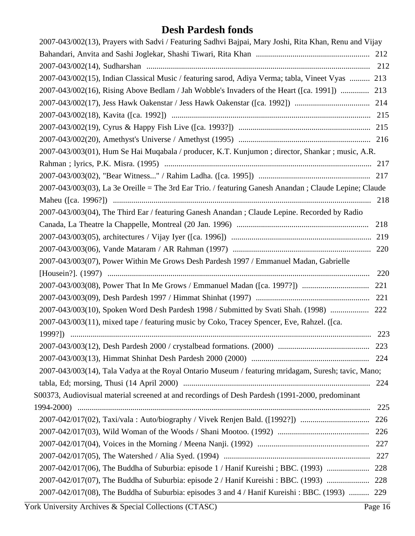| 2007-043/002(13), Prayers with Sadvi / Featuring Sadhvi Bajpai, Mary Joshi, Rita Khan, Renu and Vijay |     |
|-------------------------------------------------------------------------------------------------------|-----|
|                                                                                                       |     |
|                                                                                                       |     |
| 2007-043/002(15), Indian Classical Music / featuring sarod, Adiya Verma; tabla, Vineet Vyas  213      |     |
| 2007-043/002(16), Rising Above Bedlam / Jah Wobble's Invaders of the Heart ([ca. 1991])  213          |     |
|                                                                                                       |     |
|                                                                                                       |     |
|                                                                                                       |     |
|                                                                                                       |     |
| 2007-043/003(01), Hum Se Hai Muqabala / producer, K.T. Kunjumon ; director, Shankar ; music, A.R.     |     |
|                                                                                                       |     |
|                                                                                                       |     |
| 2007-043/003(03), La 3e Oreille = The 3rd Ear Trio. / featuring Ganesh Anandan; Claude Lepine; Claude |     |
|                                                                                                       |     |
| 2007-043/003(04), The Third Ear / featuring Ganesh Anandan; Claude Lepine. Recorded by Radio          |     |
|                                                                                                       | 218 |
|                                                                                                       |     |
|                                                                                                       |     |
| 2007-043/003(07), Power Within Me Grows Desh Pardesh 1997 / Emmanuel Madan, Gabrielle                 |     |
|                                                                                                       | 220 |
|                                                                                                       | 221 |
|                                                                                                       |     |
| 2007-043/003(10), Spoken Word Desh Pardesh 1998 / Submitted by Svati Shah. (1998)  222                |     |
| 2007-043/003(11), mixed tape / featuring music by Coko, Tracey Spencer, Eve, Rahzel. ([ca.            |     |
|                                                                                                       |     |
|                                                                                                       | 223 |
|                                                                                                       |     |
| 2007-043/003(14), Tala Vadya at the Royal Ontario Museum / featuring mridagam, Suresh; tavic, Mano;   |     |
|                                                                                                       |     |
| S00373, Audiovisual material screened at and recordings of Desh Pardesh (1991-2000, predominant       |     |
|                                                                                                       | 225 |
| 2007-042/017(02), Taxi/vala: Auto/biography / Vivek Renjen Bald. ([1992?])                            | 226 |
|                                                                                                       | 226 |
|                                                                                                       | 227 |
|                                                                                                       |     |
| 2007-042/017(06), The Buddha of Suburbia: episode 1 / Hanif Kureishi; BBC. (1993)  228                |     |
|                                                                                                       |     |
| 2007-042/017(08), The Buddha of Suburbia: episodes 3 and 4 / Hanif Kureishi : BBC. (1993)  229        |     |
|                                                                                                       |     |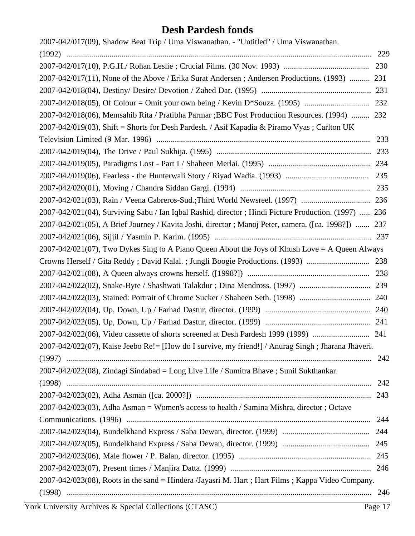| 2007-042/017(09), Shadow Beat Trip / Uma Viswanathan. - "Untitled" / Uma Viswanathan.                |     |
|------------------------------------------------------------------------------------------------------|-----|
|                                                                                                      |     |
|                                                                                                      |     |
| 2007-042/017(11), None of the Above / Erika Surat Andersen; Andersen Productions. (1993)  231        |     |
|                                                                                                      |     |
|                                                                                                      |     |
| 2007-042/018(06), Memsahib Rita / Pratibha Parmar ; BBC Post Production Resources. (1994)  232       |     |
| 2007-042/019(03), Shift = Shorts for Desh Pardesh. / Asif Kapadia & Piramo Vyas; Carlton UK          |     |
|                                                                                                      |     |
|                                                                                                      |     |
|                                                                                                      |     |
|                                                                                                      |     |
|                                                                                                      |     |
|                                                                                                      |     |
| 2007-042/021(04), Surviving Sabu / Ian Iqbal Rashid, director; Hindi Picture Production. (1997)  236 |     |
| 2007-042/021(05), A Brief Journey / Kavita Joshi, director ; Manoj Peter, camera. ([ca. 1998?])  237 |     |
|                                                                                                      |     |
| $2007 - 042/021(07)$ , Two Dykes Sing to A Piano Queen About the Joys of Khush Love = A Queen Always |     |
| Crowns Herself / Gita Reddy; David Kalal.; Jungli Boogie Productions. (1993)  238                    |     |
|                                                                                                      |     |
|                                                                                                      |     |
|                                                                                                      |     |
|                                                                                                      |     |
|                                                                                                      |     |
|                                                                                                      |     |
| 2007-042/022(07), Kaise Jeebo Re!= [How do I survive, my friend!] / Anurag Singh; Jharana Jhaveri.   |     |
|                                                                                                      | 242 |
| 2007-042/022(08), Zindagi Sindabad = Long Live Life / Sumitra Bhave ; Sunil Sukthankar.              |     |
|                                                                                                      |     |
|                                                                                                      |     |
| 2007-042/023(03), Adha Asman = Women's access to health / Samina Mishra, director; Octave            |     |
|                                                                                                      |     |
|                                                                                                      |     |
|                                                                                                      |     |
|                                                                                                      |     |
|                                                                                                      |     |
| 2007-042/023(08), Roots in the sand = Hindera /Jayasri M. Hart ; Hart Films ; Kappa Video Company.   |     |
|                                                                                                      |     |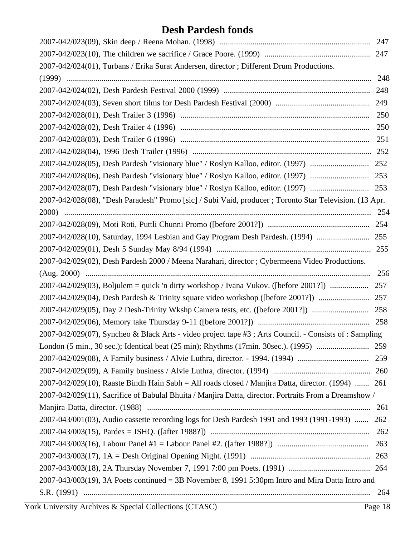| 2007-042/024(01), Turbans / Erika Surat Andersen, director; Different Drum Productions.                 |     |
|---------------------------------------------------------------------------------------------------------|-----|
|                                                                                                         |     |
|                                                                                                         |     |
|                                                                                                         |     |
|                                                                                                         |     |
|                                                                                                         |     |
|                                                                                                         |     |
|                                                                                                         |     |
|                                                                                                         |     |
|                                                                                                         |     |
|                                                                                                         |     |
| 2007-042/028(08), "Desh Paradesh" Promo [sic] / Subi Vaid, producer ; Toronto Star Television. (13 Apr. |     |
|                                                                                                         |     |
|                                                                                                         |     |
| 2007-042/028(10), Saturday, 1994 Lesbian and Gay Program Desh Pardesh. (1994)  255                      |     |
|                                                                                                         |     |
| 2007-042/029(02), Desh Pardesh 2000 / Meena Narahari, director ; Cybermeena Video Productions.          |     |
|                                                                                                         | 256 |
|                                                                                                         | 257 |
|                                                                                                         |     |
|                                                                                                         |     |
|                                                                                                         |     |
|                                                                                                         |     |
| 2007-042/029(07), Syncheo & Black Arts - video project tape #3; Arts Council. - Consists of: Sampling   |     |
|                                                                                                         |     |
|                                                                                                         |     |
|                                                                                                         |     |
| 2007-042/029(10), Raaste Bindh Hain Sabh = All roads closed / Manjira Datta, director. (1994)  261      |     |
| 2007-042/029(11), Sacrifice of Babulal Bhuita / Manjira Datta, director. Portraits From a Dreamshow /   |     |
|                                                                                                         | 261 |
| 2007-043/001(03), Audio cassette recording logs for Desh Pardesh 1991 and 1993 (1991-1993)  262         |     |
|                                                                                                         | 262 |
|                                                                                                         |     |
|                                                                                                         |     |
|                                                                                                         |     |
| $2007-043/003(19)$ , 3A Poets continued = 3B November 8, 1991 5:30pm Intro and Mira Datta Intro and     |     |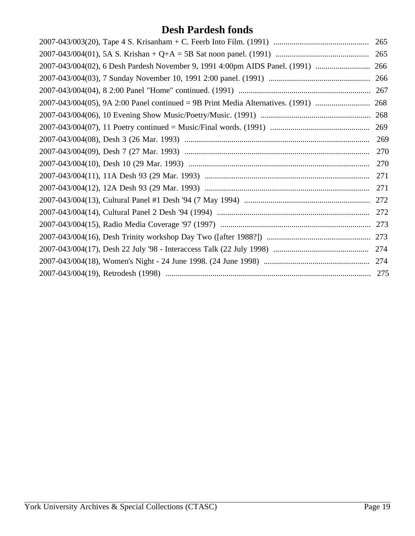| 265 |
|-----|
| 265 |
| 266 |
|     |
|     |
|     |
| 268 |
| 269 |
| 269 |
| 270 |
|     |
| 271 |
| 271 |
| 272 |
| 272 |
| 273 |
| 273 |
|     |
|     |
| 275 |
|     |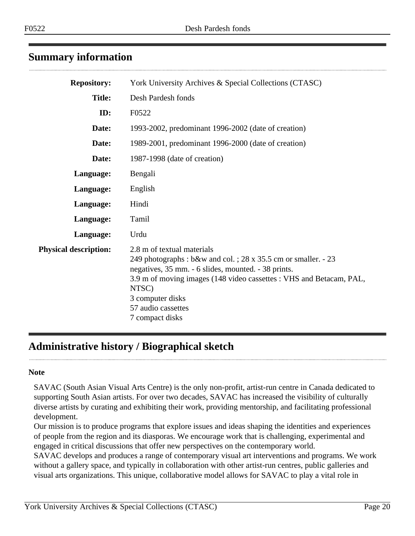# <span id="page-19-0"></span>**Summary information**

| <b>Repository:</b>           | York University Archives & Special Collections (CTASC)                                                                                                                                                                                                                                           |
|------------------------------|--------------------------------------------------------------------------------------------------------------------------------------------------------------------------------------------------------------------------------------------------------------------------------------------------|
| <b>Title:</b>                | Desh Pardesh fonds                                                                                                                                                                                                                                                                               |
| ID:                          | F0522                                                                                                                                                                                                                                                                                            |
| Date:                        | 1993-2002, predominant 1996-2002 (date of creation)                                                                                                                                                                                                                                              |
| Date:                        | 1989-2001, predominant 1996-2000 (date of creation)                                                                                                                                                                                                                                              |
| Date:                        | 1987-1998 (date of creation)                                                                                                                                                                                                                                                                     |
| Language:                    | Bengali                                                                                                                                                                                                                                                                                          |
| Language:                    | English                                                                                                                                                                                                                                                                                          |
| Language:                    | Hindi                                                                                                                                                                                                                                                                                            |
| Language:                    | Tamil                                                                                                                                                                                                                                                                                            |
| Language:                    | Urdu                                                                                                                                                                                                                                                                                             |
| <b>Physical description:</b> | 2.8 m of textual materials<br>249 photographs : b&w and col. ; 28 x 35.5 cm or smaller. - 23<br>negatives, 35 mm. - 6 slides, mounted. - 38 prints.<br>3.9 m of moving images (148 video cassettes : VHS and Betacam, PAL,<br>NTSC)<br>3 computer disks<br>57 audio cassettes<br>7 compact disks |

# <span id="page-19-1"></span>**Administrative history / Biographical sketch**

#### **Note**

SAVAC (South Asian Visual Arts Centre) is the only non-profit, artist-run centre in Canada dedicated to supporting South Asian artists. For over two decades, SAVAC has increased the visibility of culturally diverse artists by curating and exhibiting their work, providing mentorship, and facilitating professional development.

Our mission is to produce programs that explore issues and ideas shaping the identities and experiences of people from the region and its diasporas. We encourage work that is challenging, experimental and engaged in critical discussions that offer new perspectives on the contemporary world.

SAVAC develops and produces a range of contemporary visual art interventions and programs. We work without a gallery space, and typically in collaboration with other artist-run centres, public galleries and visual arts organizations. This unique, collaborative model allows for SAVAC to play a vital role in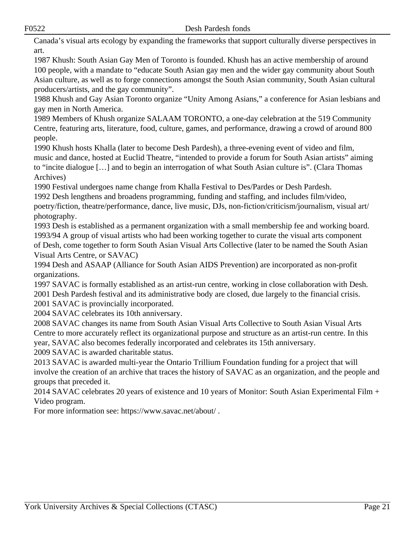F0522 Desh Pardesh fonds

Canada's visual arts ecology by expanding the frameworks that support culturally diverse perspectives in art.

1987 Khush: South Asian Gay Men of Toronto is founded. Khush has an active membership of around 100 people, with a mandate to "educate South Asian gay men and the wider gay community about South Asian culture, as well as to forge connections amongst the South Asian community, South Asian cultural producers/artists, and the gay community".

1988 Khush and Gay Asian Toronto organize "Unity Among Asians," a conference for Asian lesbians and gay men in North America.

1989 Members of Khush organize SALAAM TORONTO, a one-day celebration at the 519 Community Centre, featuring arts, literature, food, culture, games, and performance, drawing a crowd of around 800 people.

1990 Khush hosts Khalla (later to become Desh Pardesh), a three-evening event of video and film, music and dance, hosted at Euclid Theatre, "intended to provide a forum for South Asian artists" aiming to "incite dialogue […] and to begin an interrogation of what South Asian culture is". (Clara Thomas Archives)

1990 Festival undergoes name change from Khalla Festival to Des/Pardes or Desh Pardesh.

1992 Desh lengthens and broadens programming, funding and staffing, and includes film/video, poetry/fiction, theatre/performance, dance, live music, DJs, non-fiction/criticism/journalism, visual art/ photography.

1993 Desh is established as a permanent organization with a small membership fee and working board. 1993/94 A group of visual artists who had been working together to curate the visual arts component of Desh, come together to form South Asian Visual Arts Collective (later to be named the South Asian Visual Arts Centre, or SAVAC)

1994 Desh and ASAAP (Alliance for South Asian AIDS Prevention) are incorporated as non-profit organizations.

1997 SAVAC is formally established as an artist-run centre, working in close collaboration with Desh. 2001 Desh Pardesh festival and its administrative body are closed, due largely to the financial crisis.

2001 SAVAC is provincially incorporated.

2004 SAVAC celebrates its 10th anniversary.

2008 SAVAC changes its name from South Asian Visual Arts Collective to South Asian Visual Arts Centre to more accurately reflect its organizational purpose and structure as an artist-run centre. In this year, SAVAC also becomes federally incorporated and celebrates its 15th anniversary.

2009 SAVAC is awarded charitable status.

2013 SAVAC is awarded multi-year the Ontario Trillium Foundation funding for a project that will involve the creation of an archive that traces the history of SAVAC as an organization, and the people and groups that preceded it.

2014 SAVAC celebrates 20 years of existence and 10 years of Monitor: South Asian Experimental Film + Video program.

For more information see: https://www.savac.net/about/ .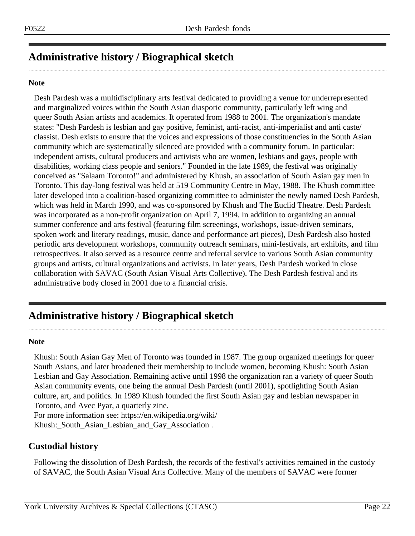# **Administrative history / Biographical sketch**

#### **Note**

Desh Pardesh was a multidisciplinary arts festival dedicated to providing a venue for underrepresented and marginalized voices within the South Asian diasporic community, particularly left wing and queer South Asian artists and academics. It operated from 1988 to 2001. The organization's mandate states: "Desh Pardesh is lesbian and gay positive, feminist, anti-racist, anti-imperialist and anti caste/ classist. Desh exists to ensure that the voices and expressions of those constituencies in the South Asian community which are systematically silenced are provided with a community forum. In particular: independent artists, cultural producers and activists who are women, lesbians and gays, people with disabilities, working class people and seniors." Founded in the late 1989, the festival was originally conceived as "Salaam Toronto!" and administered by Khush, an association of South Asian gay men in Toronto. This day-long festival was held at 519 Community Centre in May, 1988. The Khush committee later developed into a coalition-based organizing committee to administer the newly named Desh Pardesh, which was held in March 1990, and was co-sponsored by Khush and The Euclid Theatre. Desh Pardesh was incorporated as a non-profit organization on April 7, 1994. In addition to organizing an annual summer conference and arts festival (featuring film screenings, workshops, issue-driven seminars, spoken work and literary readings, music, dance and performance art pieces), Desh Pardesh also hosted periodic arts development workshops, community outreach seminars, mini-festivals, art exhibits, and film retrospectives. It also served as a resource centre and referral service to various South Asian community groups and artists, cultural organizations and activists. In later years, Desh Pardesh worked in close collaboration with SAVAC (South Asian Visual Arts Collective). The Desh Pardesh festival and its administrative body closed in 2001 due to a financial crisis.

# **Administrative history / Biographical sketch**

#### **Note**

Khush: South Asian Gay Men of Toronto was founded in 1987. The group organized meetings for queer South Asians, and later broadened their membership to include women, becoming Khush: South Asian Lesbian and Gay Association. Remaining active until 1998 the organization ran a variety of queer South Asian community events, one being the annual Desh Pardesh (until 2001), spotlighting South Asian culture, art, and politics. In 1989 Khush founded the first South Asian gay and lesbian newspaper in Toronto, and Avec Pyar, a quarterly zine.

For more information see: https://en.wikipedia.org/wiki/ Khush:\_South\_Asian\_Lesbian\_and\_Gay\_Association .

### **Custodial history**

Following the dissolution of Desh Pardesh, the records of the festival's activities remained in the custody of SAVAC, the South Asian Visual Arts Collective. Many of the members of SAVAC were former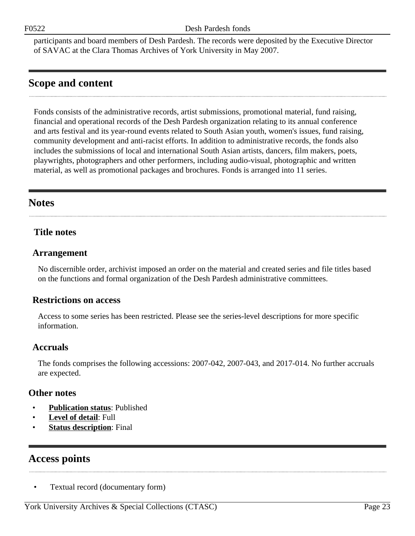participants and board members of Desh Pardesh. The records were deposited by the Executive Director of SAVAC at the Clara Thomas Archives of York University in May 2007.

# <span id="page-22-0"></span>**Scope and content**

Fonds consists of the administrative records, artist submissions, promotional material, fund raising, financial and operational records of the Desh Pardesh organization relating to its annual conference and arts festival and its year-round events related to South Asian youth, women's issues, fund raising, community development and anti-racist efforts. In addition to administrative records, the fonds also includes the submissions of local and international South Asian artists, dancers, film makers, poets, playwrights, photographers and other performers, including audio-visual, photographic and written material, as well as promotional packages and brochures. Fonds is arranged into 11 series.

# <span id="page-22-2"></span>**Notes**

### **Title notes**

### <span id="page-22-1"></span>**Arrangement**

No discernible order, archivist imposed an order on the material and created series and file titles based on the functions and formal organization of the Desh Pardesh administrative committees.

### **Restrictions on access**

Access to some series has been restricted. Please see the series-level descriptions for more specific information.

### **Accruals**

The fonds comprises the following accessions: 2007-042, 2007-043, and 2017-014. No further accruals are expected.

#### **Other notes**

- **Publication status**: Published
- **Level of detail**: Full
- **Status description:** Final

# <span id="page-22-3"></span>**Access points**

• Textual record (documentary form)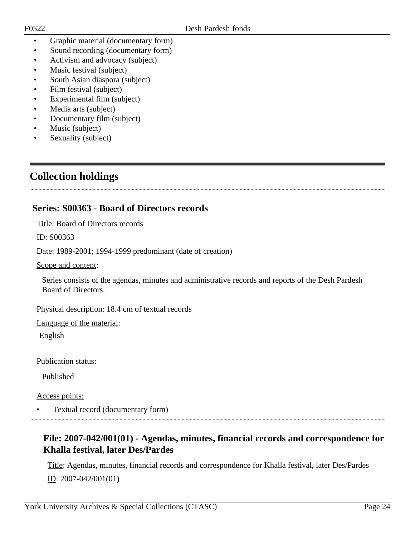- Graphic material (documentary form)
- Sound recording (documentary form)
- Activism and advocacy (subject)
- Music festival (subject)
- South Asian diaspora (subject)
- Film festival (subject)
- Experimental film (subject)
- Media arts (subject)
- Documentary film (subject)
- Music (subject)
- Sexuality (subject)

# <span id="page-23-0"></span>**Collection holdings**

### <span id="page-23-1"></span>**Series: S00363 - Board of Directors records**

Title: Board of Directors records

ID: S00363

Date: 1989-2001; 1994-1999 predominant (date of creation)

Scope and content:

Series consists of the agendas, minutes and administrative records and reports of the Desh Pardesh Board of Directors.

Physical description: 18.4 cm of textual records

Language of the material:

English

Publication status:

Published

Access points:

• Textual record (documentary form)

### <span id="page-23-2"></span>**File: 2007-042/001(01) - Agendas, minutes, financial records and correspondence for Khalla festival, later Des/Pardes**

Title: Agendas, minutes, financial records and correspondence for Khalla festival, later Des/Pardes ID: 2007-042/001(01)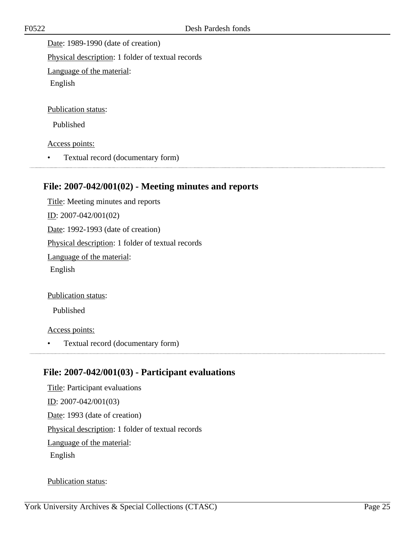Date: 1989-1990 (date of creation) Physical description: 1 folder of textual records Language of the material: English Publication status:

Published

Access points:

• Textual record (documentary form)

# <span id="page-24-0"></span>**File: 2007-042/001(02) - Meeting minutes and reports**

Title: Meeting minutes and reports ID: 2007-042/001(02) Date: 1992-1993 (date of creation) Physical description: 1 folder of textual records Language of the material: English

Publication status:

Published

Access points:

• Textual record (documentary form)

# <span id="page-24-1"></span>**File: 2007-042/001(03) - Participant evaluations**

Title: Participant evaluations ID: 2007-042/001(03) Date: 1993 (date of creation) Physical description: 1 folder of textual records Language of the material: English

Publication status: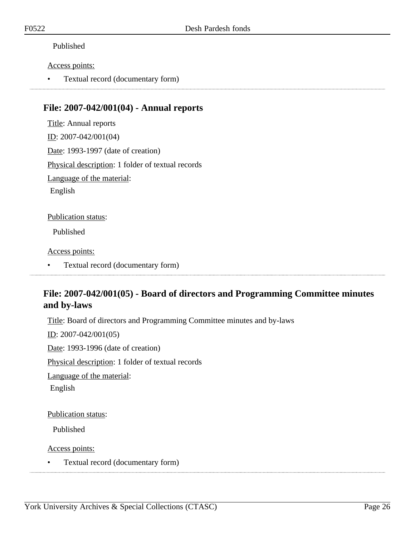#### Published

#### Access points:

• Textual record (documentary form)

### <span id="page-25-0"></span>**File: 2007-042/001(04) - Annual reports**

Title: Annual reports ID: 2007-042/001(04) Date: 1993-1997 (date of creation) Physical description: 1 folder of textual records Language of the material: English Publication status: Published

#### Access points:

• Textual record (documentary form)

### <span id="page-25-1"></span>**File: 2007-042/001(05) - Board of directors and Programming Committee minutes and by-laws**

Title: Board of directors and Programming Committee minutes and by-laws

ID: 2007-042/001(05) Date: 1993-1996 (date of creation) Physical description: 1 folder of textual records Language of the material: English

Publication status:

Published

Access points:

• Textual record (documentary form)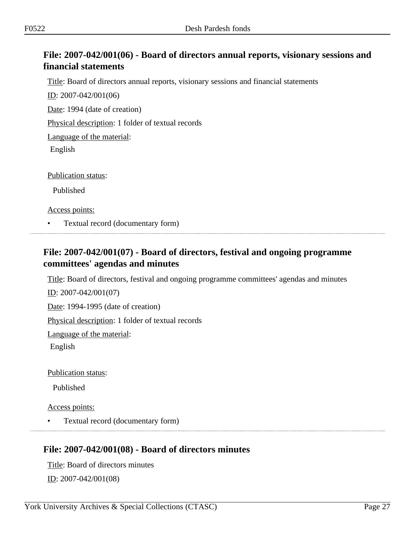# <span id="page-26-0"></span>**File: 2007-042/001(06) - Board of directors annual reports, visionary sessions and financial statements**

Title: Board of directors annual reports, visionary sessions and financial statements

ID: 2007-042/001(06)

Date: 1994 (date of creation)

Physical description: 1 folder of textual records

Language of the material:

English

Publication status:

Published

Access points:

• Textual record (documentary form)

### <span id="page-26-1"></span>**File: 2007-042/001(07) - Board of directors, festival and ongoing programme committees' agendas and minutes**

Title: Board of directors, festival and ongoing programme committees' agendas and minutes

ID: 2007-042/001(07)

Date: 1994-1995 (date of creation)

Physical description: 1 folder of textual records

Language of the material:

English

Publication status:

Published

Access points:

• Textual record (documentary form)

### <span id="page-26-2"></span>**File: 2007-042/001(08) - Board of directors minutes**

Title: Board of directors minutes <u>ID</u>: 2007-042/001(08)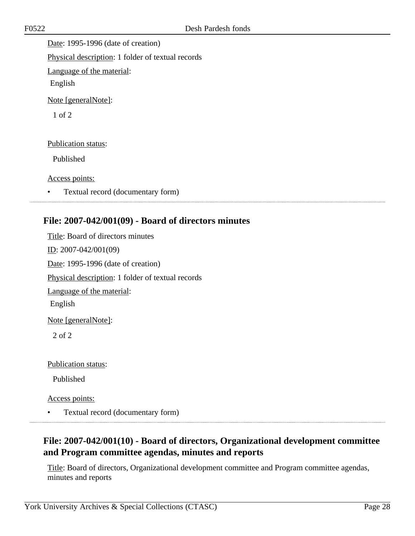Date: 1995-1996 (date of creation) Physical description: 1 folder of textual records Language of the material: English Note [generalNote]: 1 of 2 Publication status: Published

Access points:

• Textual record (documentary form)

# <span id="page-27-0"></span>**File: 2007-042/001(09) - Board of directors minutes**

Title: Board of directors minutes ID: 2007-042/001(09) Date: 1995-1996 (date of creation) Physical description: 1 folder of textual records Language of the material: English Note [generalNote]: 2 of 2

Publication status:

Published

Access points:

• Textual record (documentary form)

### <span id="page-27-1"></span>**File: 2007-042/001(10) - Board of directors, Organizational development committee and Program committee agendas, minutes and reports**

Title: Board of directors, Organizational development committee and Program committee agendas, minutes and reports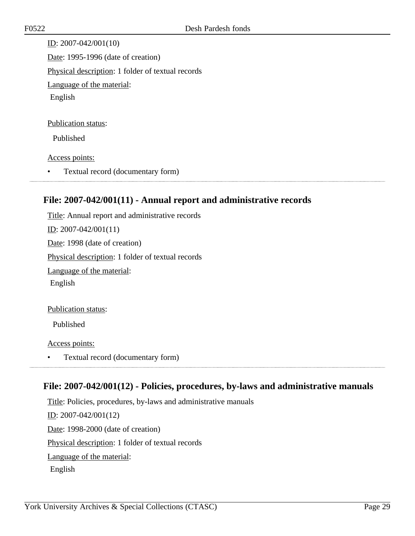ID: 2007-042/001(10) Date: 1995-1996 (date of creation) Physical description: 1 folder of textual records Language of the material: English

#### Publication status:

Published

#### Access points:

• Textual record (documentary form)

### <span id="page-28-0"></span>**File: 2007-042/001(11) - Annual report and administrative records**

Title: Annual report and administrative records ID: 2007-042/001(11) Date: 1998 (date of creation) Physical description: 1 folder of textual records Language of the material: English Publication status:

Published

Access points:

• Textual record (documentary form)

### <span id="page-28-1"></span>**File: 2007-042/001(12) - Policies, procedures, by-laws and administrative manuals**

Title: Policies, procedures, by-laws and administrative manuals ID: 2007-042/001(12) Date: 1998-2000 (date of creation) Physical description: 1 folder of textual records Language of the material: English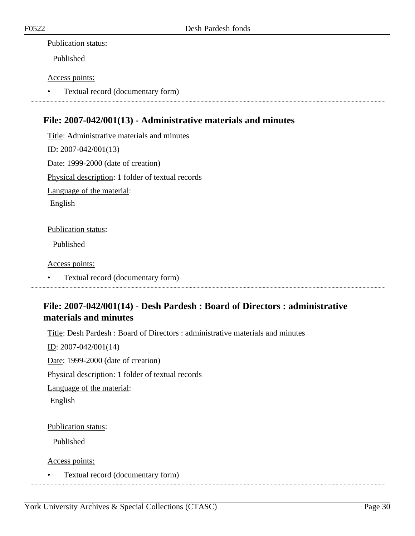#### Publication status:

Published

#### Access points:

• Textual record (documentary form)

# <span id="page-29-0"></span>**File: 2007-042/001(13) - Administrative materials and minutes**

Title: Administrative materials and minutes ID: 2007-042/001(13) Date: 1999-2000 (date of creation) Physical description: 1 folder of textual records Language of the material: English

#### Publication status:

Published

Access points:

• Textual record (documentary form)

# <span id="page-29-1"></span>**File: 2007-042/001(14) - Desh Pardesh : Board of Directors : administrative materials and minutes**

Title: Desh Pardesh : Board of Directors : administrative materials and minutes

 $ID: 2007-042/001(14)$ 

Date: 1999-2000 (date of creation)

Physical description: 1 folder of textual records

Language of the material:

English

#### Publication status:

Published

Access points:

• Textual record (documentary form)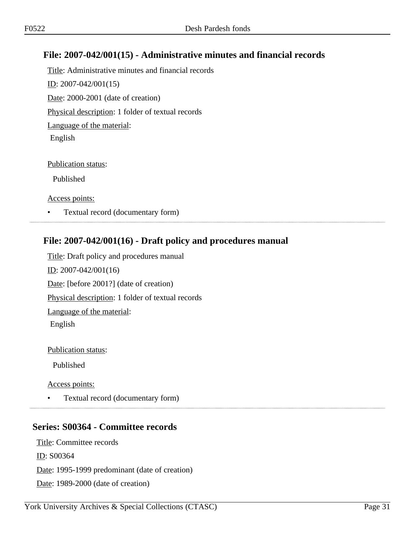# <span id="page-30-0"></span>**File: 2007-042/001(15) - Administrative minutes and financial records**

Title: Administrative minutes and financial records <u>ID</u>: 2007-042/001(15) Date: 2000-2001 (date of creation) Physical description: 1 folder of textual records Language of the material: English

Publication status:

Published

Access points:

• Textual record (documentary form)

# <span id="page-30-1"></span>**File: 2007-042/001(16) - Draft policy and procedures manual**

Title: Draft policy and procedures manual ID: 2007-042/001(16) Date: [before 2001?] (date of creation) Physical description: 1 folder of textual records Language of the material: English

Publication status:

Published

Access points:

• Textual record (documentary form)

# <span id="page-30-2"></span>**Series: S00364 - Committee records**

Title: Committee records

ID: S00364

Date: 1995-1999 predominant (date of creation)

Date: 1989-2000 (date of creation)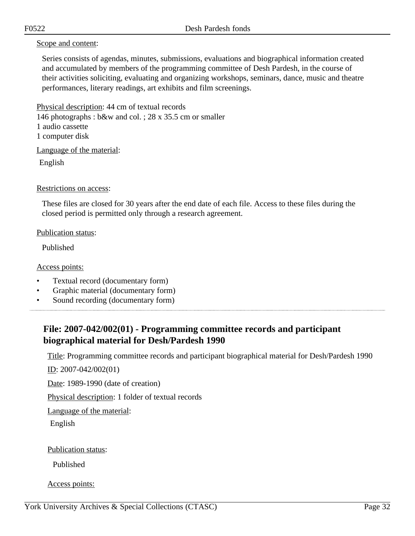#### Scope and content:

Series consists of agendas, minutes, submissions, evaluations and biographical information created and accumulated by members of the programming committee of Desh Pardesh, in the course of their activities soliciting, evaluating and organizing workshops, seminars, dance, music and theatre performances, literary readings, art exhibits and film screenings.

Physical description: 44 cm of textual records 146 photographs : b&w and col. ; 28 x 35.5 cm or smaller 1 audio cassette 1 computer disk

Language of the material:

English

#### Restrictions on access:

These files are closed for 30 years after the end date of each file. Access to these files during the closed period is permitted only through a research agreement.

#### Publication status:

Published

Access points:

- Textual record (documentary form)
- Graphic material (documentary form)
- Sound recording (documentary form)

# <span id="page-31-0"></span>**File: 2007-042/002(01) - Programming committee records and participant biographical material for Desh/Pardesh 1990**

Title: Programming committee records and participant biographical material for Desh/Pardesh 1990

ID: 2007-042/002(01)

Date: 1989-1990 (date of creation)

Physical description: 1 folder of textual records

Language of the material:

English

Publication status:

Published

Access points: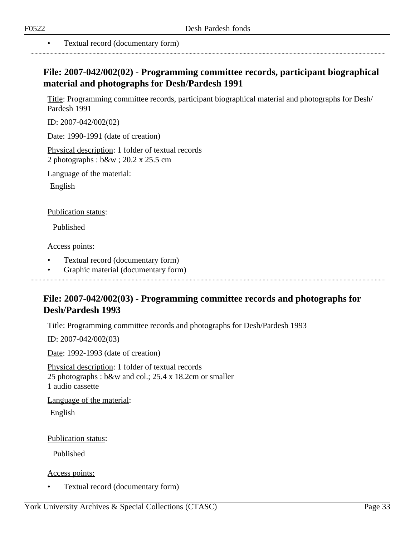<span id="page-32-0"></span>

• Textual record (documentary form)

# **File: 2007-042/002(02) - Programming committee records, participant biographical material and photographs for Desh/Pardesh 1991**

Title: Programming committee records, participant biographical material and photographs for Desh/ Pardesh 1991

ID: 2007-042/002(02)

Date: 1990-1991 (date of creation)

Physical description: 1 folder of textual records 2 photographs : b&w ; 20.2 x 25.5 cm

Language of the material:

English

Publication status:

Published

Access points:

- Textual record (documentary form)
- Graphic material (documentary form)

### <span id="page-32-1"></span>**File: 2007-042/002(03) - Programming committee records and photographs for Desh/Pardesh 1993**

Title: Programming committee records and photographs for Desh/Pardesh 1993

ID: 2007-042/002(03)

Date: 1992-1993 (date of creation)

Physical description: 1 folder of textual records 25 photographs : b&w and col.; 25.4 x 18.2cm or smaller 1 audio cassette

Language of the material:

English

Publication status:

Published

Access points:

• Textual record (documentary form)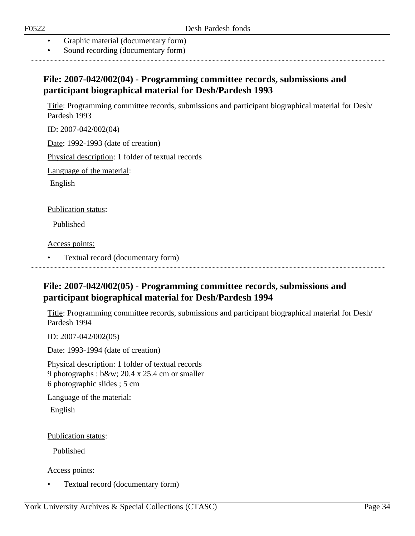- Graphic material (documentary form)
- Sound recording (documentary form)

### <span id="page-33-0"></span>**File: 2007-042/002(04) - Programming committee records, submissions and participant biographical material for Desh/Pardesh 1993**

Title: Programming committee records, submissions and participant biographical material for Desh/ Pardesh 1993

ID: 2007-042/002(04)

Date: 1992-1993 (date of creation)

Physical description: 1 folder of textual records

Language of the material:

English

Publication status:

Published

Access points:

### <span id="page-33-1"></span>**File: 2007-042/002(05) - Programming committee records, submissions and participant biographical material for Desh/Pardesh 1994**

Title: Programming committee records, submissions and participant biographical material for Desh/ Pardesh 1994

ID: 2007-042/002(05)

Date: 1993-1994 (date of creation)

Physical description: 1 folder of textual records 9 photographs : b&w; 20.4 x 25.4 cm or smaller 6 photographic slides ; 5 cm

Language of the material:

English

Publication status:

Published

Access points:

• Textual record (documentary form)

<sup>•</sup> Textual record (documentary form)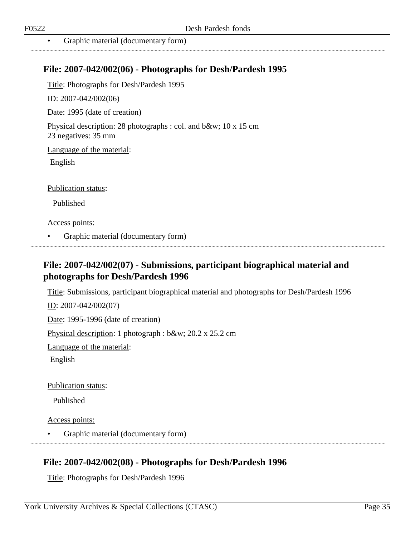### <span id="page-34-0"></span>**File: 2007-042/002(06) - Photographs for Desh/Pardesh 1995**

Title: Photographs for Desh/Pardesh 1995

ID: 2007-042/002(06)

Date: 1995 (date of creation)

Physical description: 28 photographs : col. and b&w; 10 x 15 cm 23 negatives: 35 mm

Language of the material:

English

Publication status:

Published

Access points:

• Graphic material (documentary form)

### <span id="page-34-1"></span>**File: 2007-042/002(07) - Submissions, participant biographical material and photographs for Desh/Pardesh 1996**

Title: Submissions, participant biographical material and photographs for Desh/Pardesh 1996 ID: 2007-042/002(07)

Date: 1995-1996 (date of creation)

Physical description: 1 photograph : b&w; 20.2 x 25.2 cm

Language of the material:

English

Publication status:

Published

Access points:

• Graphic material (documentary form)

### <span id="page-34-2"></span>**File: 2007-042/002(08) - Photographs for Desh/Pardesh 1996**

Title: Photographs for Desh/Pardesh 1996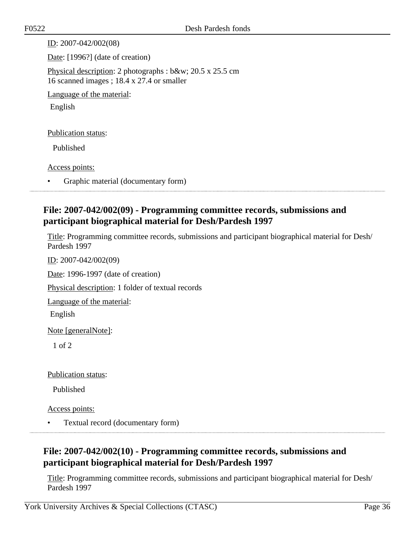| ID: $2007 - 042/002(08)$                                                                                 |
|----------------------------------------------------------------------------------------------------------|
| Date: [1996?] (date of creation)                                                                         |
| Physical description: 2 photographs : $b$ &w 20.5 x 25.5 cm<br>16 scanned images; 18.4 x 27.4 or smaller |
| Language of the material:                                                                                |
| English                                                                                                  |
|                                                                                                          |
| <b>Publication status:</b>                                                                               |
| Published                                                                                                |
|                                                                                                          |
| Access points:                                                                                           |
| Graphic material (documentary form)                                                                      |

# <span id="page-35-0"></span>**File: 2007-042/002(09) - Programming committee records, submissions and participant biographical material for Desh/Pardesh 1997**

Title: Programming committee records, submissions and participant biographical material for Desh/ Pardesh 1997

ID: 2007-042/002(09)

Date: 1996-1997 (date of creation)

Physical description: 1 folder of textual records

Language of the material:

English

Note [generalNote]:

1 of 2

Publication status:

Published

Access points:

• Textual record (documentary form)

# <span id="page-35-1"></span>**File: 2007-042/002(10) - Programming committee records, submissions and participant biographical material for Desh/Pardesh 1997**

Title: Programming committee records, submissions and participant biographical material for Desh/ Pardesh 1997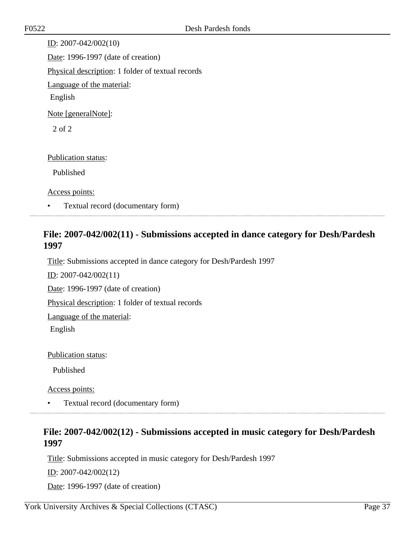ID: 2007-042/002(10) Date: 1996-1997 (date of creation) Physical description: 1 folder of textual records Language of the material: English Note [generalNote]: 2 of 2 Publication status: Published Access points:

• Textual record (documentary form)

### **File: 2007-042/002(11) - Submissions accepted in dance category for Desh/Pardesh 1997**

Title: Submissions accepted in dance category for Desh/Pardesh 1997

ID: 2007-042/002(11)

Date: 1996-1997 (date of creation)

Physical description: 1 folder of textual records

Language of the material:

English

Publication status:

Published

Access points:

• Textual record (documentary form)

### **File: 2007-042/002(12) - Submissions accepted in music category for Desh/Pardesh 1997**

Title: Submissions accepted in music category for Desh/Pardesh 1997

ID: 2007-042/002(12)

Date: 1996-1997 (date of creation)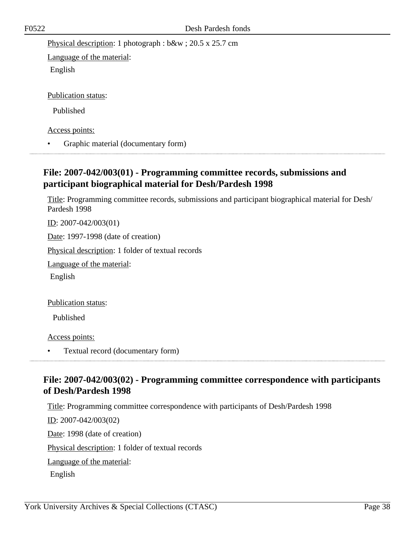Physical description: 1 photograph : b&w ; 20.5 x 25.7 cm

Language of the material: English

Publication status:

Published

Access points:

• Graphic material (documentary form)

### **File: 2007-042/003(01) - Programming committee records, submissions and participant biographical material for Desh/Pardesh 1998**

Title: Programming committee records, submissions and participant biographical material for Desh/ Pardesh 1998

ID: 2007-042/003(01)

Date: 1997-1998 (date of creation)

Physical description: 1 folder of textual records

Language of the material:

English

Publication status:

Published

Access points:

• Textual record (documentary form)

## **File: 2007-042/003(02) - Programming committee correspondence with participants of Desh/Pardesh 1998**

Title: Programming committee correspondence with participants of Desh/Pardesh 1998

ID: 2007-042/003(02) Date: 1998 (date of creation) Physical description: 1 folder of textual records Language of the material:

English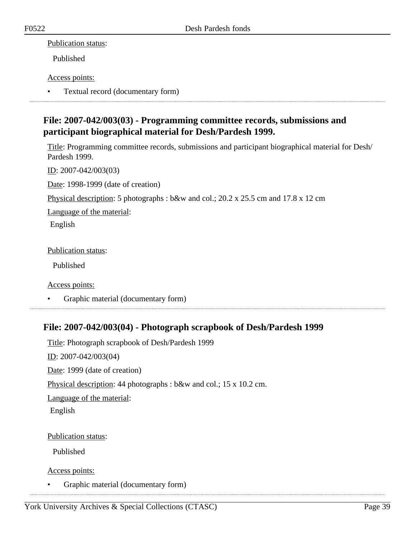### Publication status:

Published

### Access points:

• Textual record (documentary form)

# **File: 2007-042/003(03) - Programming committee records, submissions and participant biographical material for Desh/Pardesh 1999.**

Title: Programming committee records, submissions and participant biographical material for Desh/ Pardesh 1999.

ID: 2007-042/003(03)

Date: 1998-1999 (date of creation)

Physical description: 5 photographs : b&w and col.; 20.2 x 25.5 cm and 17.8 x 12 cm

Language of the material:

English

Publication status:

Published

Access points:

• Graphic material (documentary form)

## **File: 2007-042/003(04) - Photograph scrapbook of Desh/Pardesh 1999**

Title: Photograph scrapbook of Desh/Pardesh 1999 ID: 2007-042/003(04) Date: 1999 (date of creation) Physical description: 44 photographs : b&w and col.; 15 x 10.2 cm. Language of the material: English

Publication status:

Published

Access points:

• Graphic material (documentary form)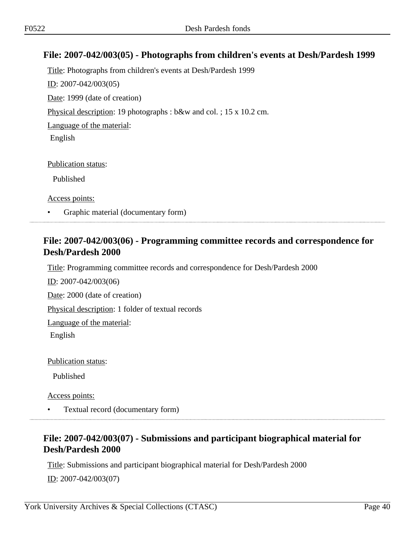### **File: 2007-042/003(05) - Photographs from children's events at Desh/Pardesh 1999**

Title: Photographs from children's events at Desh/Pardesh 1999 ID: 2007-042/003(05) Date: 1999 (date of creation) Physical description: 19 photographs : b&w and col. ; 15 x 10.2 cm. Language of the material: English

Publication status:

Published

Access points:

• Graphic material (documentary form)

### **File: 2007-042/003(06) - Programming committee records and correspondence for Desh/Pardesh 2000**

Title: Programming committee records and correspondence for Desh/Pardesh 2000

ID: 2007-042/003(06)

Date: 2000 (date of creation)

Physical description: 1 folder of textual records

Language of the material:

English

Publication status:

Published

Access points:

• Textual record (documentary form)

# **File: 2007-042/003(07) - Submissions and participant biographical material for Desh/Pardesh 2000**

Title: Submissions and participant biographical material for Desh/Pardesh 2000

ID: 2007-042/003(07)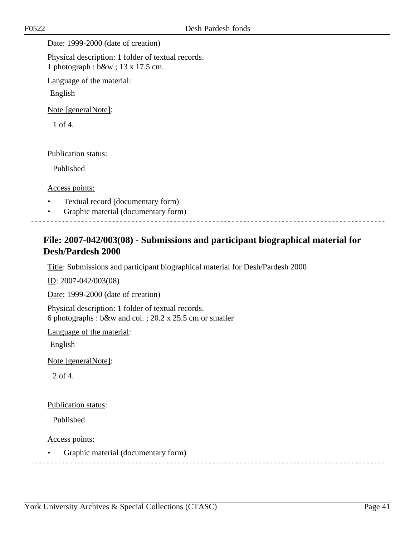Date: 1999-2000 (date of creation)

Physical description: 1 folder of textual records. 1 photograph : b&w ; 13 x 17.5 cm.

Language of the material:

English

Note [generalNote]:

1 of 4.

Publication status:

Published

Access points:

- Textual record (documentary form)
- Graphic material (documentary form)

## **File: 2007-042/003(08) - Submissions and participant biographical material for Desh/Pardesh 2000**

Title: Submissions and participant biographical material for Desh/Pardesh 2000

ID: 2007-042/003(08)

Date: 1999-2000 (date of creation)

Physical description: 1 folder of textual records. 6 photographs : b&w and col. ; 20.2 x 25.5 cm or smaller

Language of the material:

English

Note [generalNote]:

2 of 4.

Publication status:

Published

Access points:

• Graphic material (documentary form)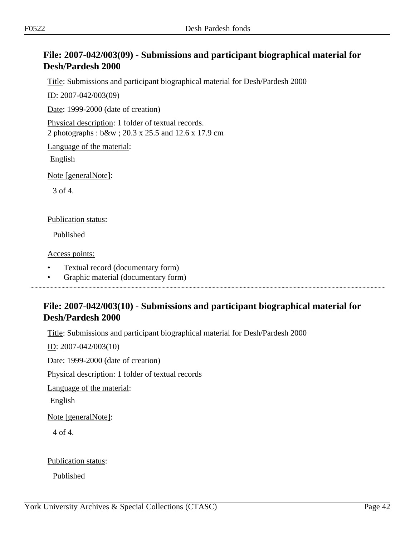# **File: 2007-042/003(09) - Submissions and participant biographical material for Desh/Pardesh 2000**

Title: Submissions and participant biographical material for Desh/Pardesh 2000

ID: 2007-042/003(09)

Date: 1999-2000 (date of creation)

Physical description: 1 folder of textual records. 2 photographs : b&w ; 20.3 x 25.5 and 12.6 x 17.9 cm

Language of the material:

English

Note [generalNote]:

3 of 4.

#### Publication status:

Published

Access points:

- Textual record (documentary form)
- Graphic material (documentary form)

## **File: 2007-042/003(10) - Submissions and participant biographical material for Desh/Pardesh 2000**

Title: Submissions and participant biographical material for Desh/Pardesh 2000

ID: 2007-042/003(10)

Date: 1999-2000 (date of creation)

Physical description: 1 folder of textual records

Language of the material:

English

Note [generalNote]:

4 of 4.

Publication status:

Published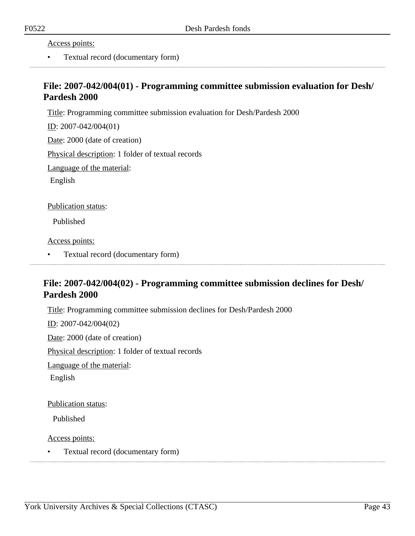Access points:

• Textual record (documentary form)

### **File: 2007-042/004(01) - Programming committee submission evaluation for Desh/ Pardesh 2000**

Title: Programming committee submission evaluation for Desh/Pardesh 2000

ID: 2007-042/004(01)

Date: 2000 (date of creation)

Physical description: 1 folder of textual records

Language of the material:

English

Publication status:

Published

Access points:

• Textual record (documentary form)

# **File: 2007-042/004(02) - Programming committee submission declines for Desh/ Pardesh 2000**

Title: Programming committee submission declines for Desh/Pardesh 2000

ID: 2007-042/004(02)

Date: 2000 (date of creation)

Physical description: 1 folder of textual records

Language of the material:

English

Publication status:

Published

Access points:

• Textual record (documentary form)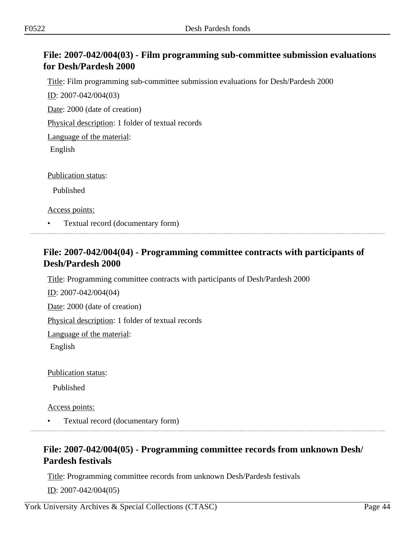# **File: 2007-042/004(03) - Film programming sub-committee submission evaluations for Desh/Pardesh 2000**

Title: Film programming sub-committee submission evaluations for Desh/Pardesh 2000

ID: 2007-042/004(03)

Date: 2000 (date of creation)

Physical description: 1 folder of textual records

Language of the material:

English

Publication status:

Published

Access points:

• Textual record (documentary form)

### **File: 2007-042/004(04) - Programming committee contracts with participants of Desh/Pardesh 2000**

Title: Programming committee contracts with participants of Desh/Pardesh 2000

ID: 2007-042/004(04)

Date: 2000 (date of creation)

Physical description: 1 folder of textual records

Language of the material:

English

Publication status:

Published

Access points:

• Textual record (documentary form)

# **File: 2007-042/004(05) - Programming committee records from unknown Desh/ Pardesh festivals**

Title: Programming committee records from unknown Desh/Pardesh festivals

ID: 2007-042/004(05)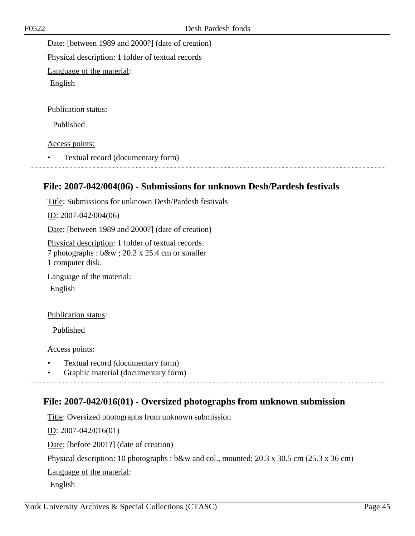Date: [between 1989 and 2000?] (date of creation)

Physical description: 1 folder of textual records

Language of the material:

English

Publication status:

Published

Access points:

• Textual record (documentary form)

### **File: 2007-042/004(06) - Submissions for unknown Desh/Pardesh festivals**

Title: Submissions for unknown Desh/Pardesh festivals

ID: 2007-042/004(06)

Date: [between 1989 and 2000?] (date of creation)

Physical description: 1 folder of textual records. 7 photographs : b&w ; 20.2 x 25.4 cm or smaller 1 computer disk.

Language of the material:

English

Publication status:

Published

Access points:

- Textual record (documentary form)
- Graphic material (documentary form)

## **File: 2007-042/016(01) - Oversized photographs from unknown submission**

Title: Oversized photographs from unknown submission

ID: 2007-042/016(01)

Date: [before 2001?] (date of creation)

Physical description: 10 photographs : b&w and col., mounted; 20.3 x 30.5 cm (25.3 x 36 cm)

Language of the material:

English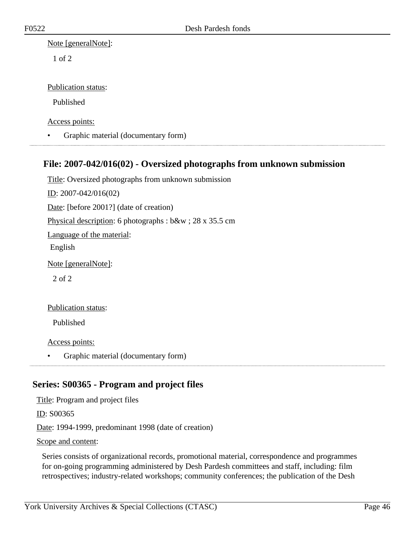#### Note [generalNote]:

1 of 2

### Publication status:

Published

Access points:

• Graphic material (documentary form)

### **File: 2007-042/016(02) - Oversized photographs from unknown submission**

Title: Oversized photographs from unknown submission ID: 2007-042/016(02) Date: [before 2001?] (date of creation) Physical description: 6 photographs : b&w ; 28 x 35.5 cm Language of the material: English Note [generalNote]: 2 of 2

Publication status:

Published

Access points:

• Graphic material (documentary form)

## **Series: S00365 - Program and project files**

Title: Program and project files

ID: S00365

Date: 1994-1999, predominant 1998 (date of creation)

#### Scope and content:

Series consists of organizational records, promotional material, correspondence and programmes for on-going programming administered by Desh Pardesh committees and staff, including: film retrospectives; industry-related workshops; community conferences; the publication of the Desh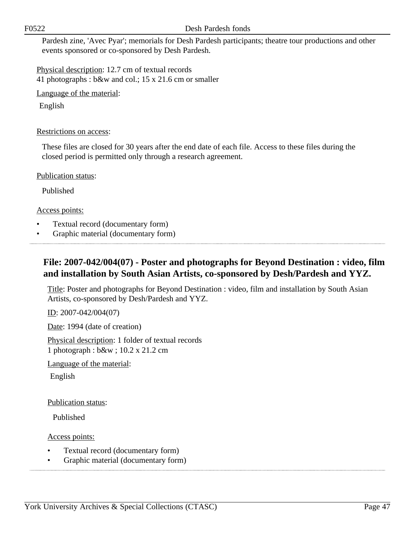#### F0522 Desh Pardesh fonds

Pardesh zine, 'Avec Pyar'; memorials for Desh Pardesh participants; theatre tour productions and other events sponsored or co-sponsored by Desh Pardesh.

Physical description: 12.7 cm of textual records 41 photographs : b&w and col.; 15 x 21.6 cm or smaller

Language of the material:

English

### Restrictions on access:

These files are closed for 30 years after the end date of each file. Access to these files during the closed period is permitted only through a research agreement.

Publication status:

Published

Access points:

- Textual record (documentary form)
- Graphic material (documentary form)

## **File: 2007-042/004(07) - Poster and photographs for Beyond Destination : video, film and installation by South Asian Artists, co-sponsored by Desh/Pardesh and YYZ.**

Title: Poster and photographs for Beyond Destination : video, film and installation by South Asian Artists, co-sponsored by Desh/Pardesh and YYZ.

ID: 2007-042/004(07)

Date: 1994 (date of creation)

Physical description: 1 folder of textual records 1 photograph : b&w ; 10.2 x 21.2 cm

Language of the material:

English

#### Publication status:

Published

Access points:

- Textual record (documentary form)
- Graphic material (documentary form)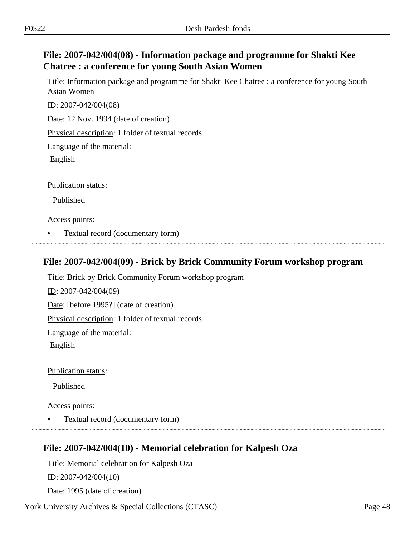# **File: 2007-042/004(08) - Information package and programme for Shakti Kee Chatree : a conference for young South Asian Women**

Title: Information package and programme for Shakti Kee Chatree : a conference for young South Asian Women

ID: 2007-042/004(08) Date: 12 Nov. 1994 (date of creation)

Physical description: 1 folder of textual records

Language of the material:

English

Publication status:

Published

Access points:

• Textual record (documentary form)

## **File: 2007-042/004(09) - Brick by Brick Community Forum workshop program**

Title: Brick by Brick Community Forum workshop program ID: 2007-042/004(09) Date: [before 1995?] (date of creation) Physical description: 1 folder of textual records Language of the material: English

Publication status:

Published

Access points:

• Textual record (documentary form)

## **File: 2007-042/004(10) - Memorial celebration for Kalpesh Oza**

Title: Memorial celebration for Kalpesh Oza ID: 2007-042/004(10) Date: 1995 (date of creation)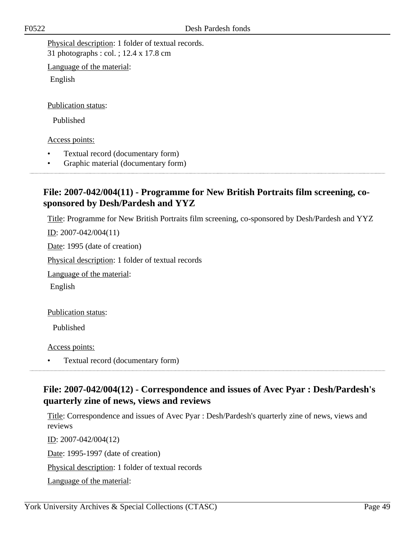Physical description: 1 folder of textual records. 31 photographs : col. ; 12.4 x 17.8 cm

Language of the material:

English

Publication status:

Published

Access points:

- Textual record (documentary form)
- Graphic material (documentary form)

# **File: 2007-042/004(11) - Programme for New British Portraits film screening, cosponsored by Desh/Pardesh and YYZ**

Title: Programme for New British Portraits film screening, co-sponsored by Desh/Pardesh and YYZ

ID: 2007-042/004(11)

Date: 1995 (date of creation)

Physical description: 1 folder of textual records

Language of the material:

English

Publication status:

Published

Access points:

• Textual record (documentary form)

## **File: 2007-042/004(12) - Correspondence and issues of Avec Pyar : Desh/Pardesh's quarterly zine of news, views and reviews**

Title: Correspondence and issues of Avec Pyar : Desh/Pardesh's quarterly zine of news, views and reviews

ID: 2007-042/004(12) Date: 1995-1997 (date of creation) Physical description: 1 folder of textual records Language of the material: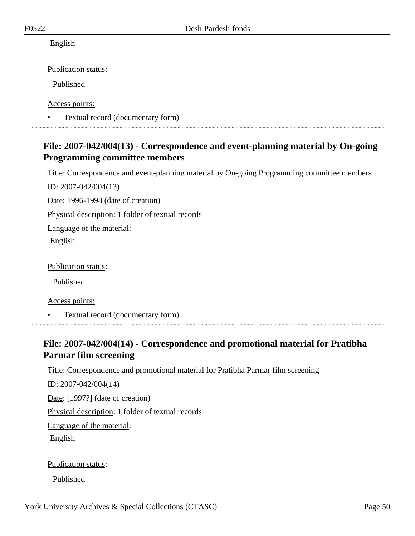English

Publication status:

Published

Access points:

• Textual record (documentary form)

# **File: 2007-042/004(13) - Correspondence and event-planning material by On-going Programming committee members**

Title: Correspondence and event-planning material by On-going Programming committee members

ID: 2007-042/004(13)

Date: 1996-1998 (date of creation)

Physical description: 1 folder of textual records

Language of the material:

English

Publication status:

Published

Access points:

• Textual record (documentary form)

# **File: 2007-042/004(14) - Correspondence and promotional material for Pratibha Parmar film screening**

Title: Correspondence and promotional material for Pratibha Parmar film screening

ID: 2007-042/004(14)

Date: [1997?] (date of creation)

Physical description: 1 folder of textual records

Language of the material:

English

Publication status:

Published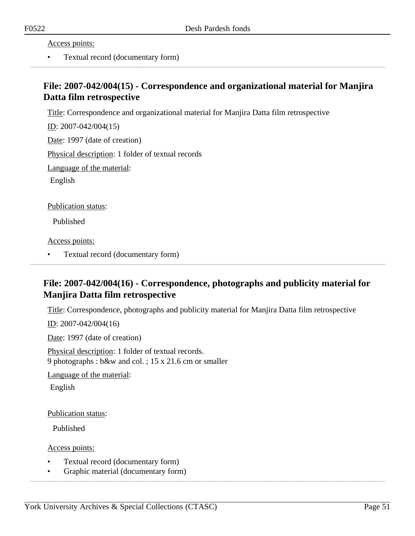Access points:

• Textual record (documentary form)

## **File: 2007-042/004(15) - Correspondence and organizational material for Manjira Datta film retrospective**

Title: Correspondence and organizational material for Manjira Datta film retrospective

ID: 2007-042/004(15)

Date: 1997 (date of creation)

Physical description: 1 folder of textual records

Language of the material:

English

Publication status:

Published

Access points:

• Textual record (documentary form)

# **File: 2007-042/004(16) - Correspondence, photographs and publicity material for Manjira Datta film retrospective**

Title: Correspondence, photographs and publicity material for Manjira Datta film retrospective

ID: 2007-042/004(16)

Date: 1997 (date of creation)

Physical description: 1 folder of textual records. 9 photographs : b&w and col. ; 15 x 21.6 cm or smaller

Language of the material:

English

Publication status:

Published

Access points:

- Textual record (documentary form)
- Graphic material (documentary form)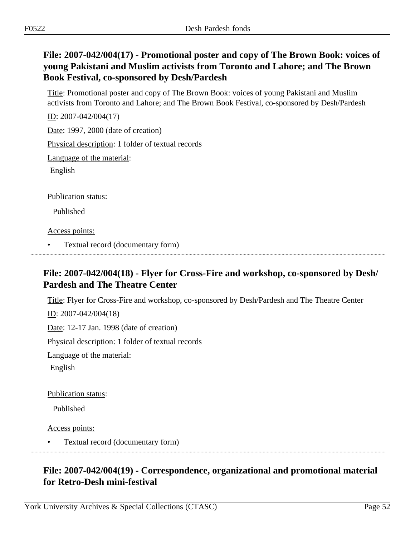# **File: 2007-042/004(17) - Promotional poster and copy of The Brown Book: voices of young Pakistani and Muslim activists from Toronto and Lahore; and The Brown Book Festival, co-sponsored by Desh/Pardesh**

Title: Promotional poster and copy of The Brown Book: voices of young Pakistani and Muslim activists from Toronto and Lahore; and The Brown Book Festival, co-sponsored by Desh/Pardesh

ID: 2007-042/004(17)

Date: 1997, 2000 (date of creation)

Physical description: 1 folder of textual records

Language of the material:

English

Publication status:

Published

Access points:

• Textual record (documentary form)

## **File: 2007-042/004(18) - Flyer for Cross-Fire and workshop, co-sponsored by Desh/ Pardesh and The Theatre Center**

Title: Flyer for Cross-Fire and workshop, co-sponsored by Desh/Pardesh and The Theatre Center

ID: 2007-042/004(18)

Date: 12-17 Jan. 1998 (date of creation)

Physical description: 1 folder of textual records

Language of the material:

English

Publication status:

Published

Access points:

• Textual record (documentary form)

# **File: 2007-042/004(19) - Correspondence, organizational and promotional material for Retro-Desh mini-festival**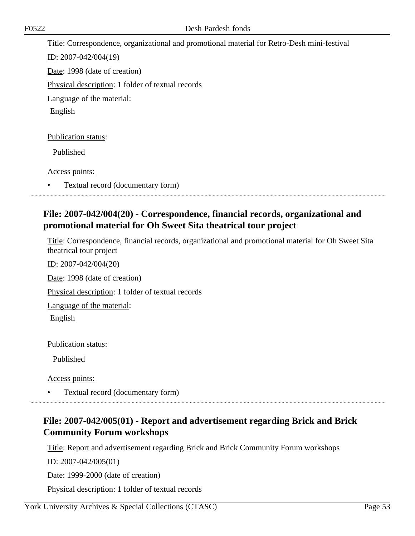Title: Correspondence, organizational and promotional material for Retro-Desh mini-festival ID: 2007-042/004(19) Date: 1998 (date of creation) Physical description: 1 folder of textual records Language of the material: English Publication status: Published

Access points:

• Textual record (documentary form)

## **File: 2007-042/004(20) - Correspondence, financial records, organizational and promotional material for Oh Sweet Sita theatrical tour project**

Title: Correspondence, financial records, organizational and promotional material for Oh Sweet Sita theatrical tour project

ID: 2007-042/004(20) Date: 1998 (date of creation) Physical description: 1 folder of textual records Language of the material: English

Publication status:

Published

Access points:

• Textual record (documentary form)

## **File: 2007-042/005(01) - Report and advertisement regarding Brick and Brick Community Forum workshops**

Title: Report and advertisement regarding Brick and Brick Community Forum workshops

ID: 2007-042/005(01)

Date: 1999-2000 (date of creation)

Physical description: 1 folder of textual records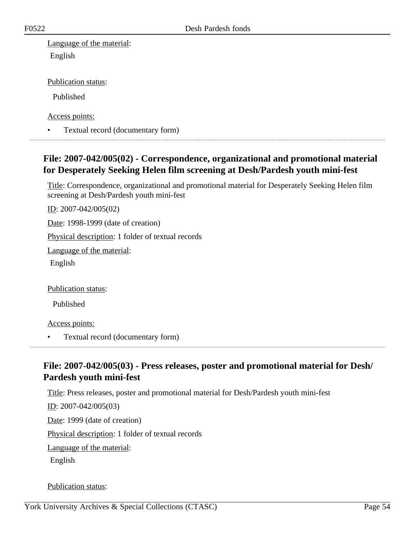Language of the material: English

Publication status:

Published

Access points:

• Textual record (documentary form)

# **File: 2007-042/005(02) - Correspondence, organizational and promotional material for Desperately Seeking Helen film screening at Desh/Pardesh youth mini-fest**

Title: Correspondence, organizational and promotional material for Desperately Seeking Helen film screening at Desh/Pardesh youth mini-fest

ID: 2007-042/005(02)

Date: 1998-1999 (date of creation)

Physical description: 1 folder of textual records

Language of the material:

English

Publication status:

Published

Access points:

• Textual record (documentary form)

# **File: 2007-042/005(03) - Press releases, poster and promotional material for Desh/ Pardesh youth mini-fest**

Title: Press releases, poster and promotional material for Desh/Pardesh youth mini-fest ID: 2007-042/005(03) Date: 1999 (date of creation) Physical description: 1 folder of textual records Language of the material: English

#### Publication status: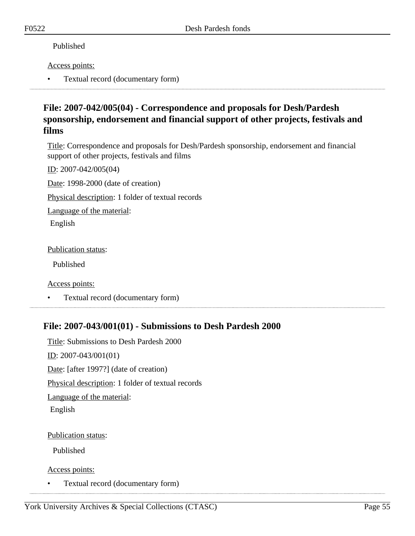### Published

### Access points:

• Textual record (documentary form)

## **File: 2007-042/005(04) - Correspondence and proposals for Desh/Pardesh sponsorship, endorsement and financial support of other projects, festivals and films**

Title: Correspondence and proposals for Desh/Pardesh sponsorship, endorsement and financial support of other projects, festivals and films

ID: 2007-042/005(04)

Date: 1998-2000 (date of creation)

Physical description: 1 folder of textual records

Language of the material:

English

### Publication status:

Published

Access points:

• Textual record (documentary form)

# **File: 2007-043/001(01) - Submissions to Desh Pardesh 2000**

Title: Submissions to Desh Pardesh 2000 <u>ID</u>: 2007-043/001(01) Date: [after 1997?] (date of creation) Physical description: 1 folder of textual records Language of the material: English

### Publication status:

Published

Access points:

• Textual record (documentary form)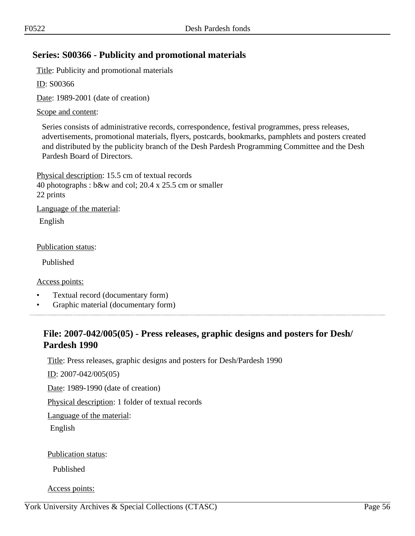## **Series: S00366 - Publicity and promotional materials**

Title: Publicity and promotional materials

ID: S00366

Date: 1989-2001 (date of creation)

Scope and content:

Series consists of administrative records, correspondence, festival programmes, press releases, advertisements, promotional materials, flyers, postcards, bookmarks, pamphlets and posters created and distributed by the publicity branch of the Desh Pardesh Programming Committee and the Desh Pardesh Board of Directors.

Physical description: 15.5 cm of textual records 40 photographs : b&w and col; 20.4 x 25.5 cm or smaller 22 prints Language of the material: English

Publication status:

Published

Access points:

- Textual record (documentary form)
- Graphic material (documentary form)

### **File: 2007-042/005(05) - Press releases, graphic designs and posters for Desh/ Pardesh 1990**

Title: Press releases, graphic designs and posters for Desh/Pardesh 1990

ID: 2007-042/005(05)

Date: 1989-1990 (date of creation)

Physical description: 1 folder of textual records

Language of the material:

English

Publication status:

Published

Access points: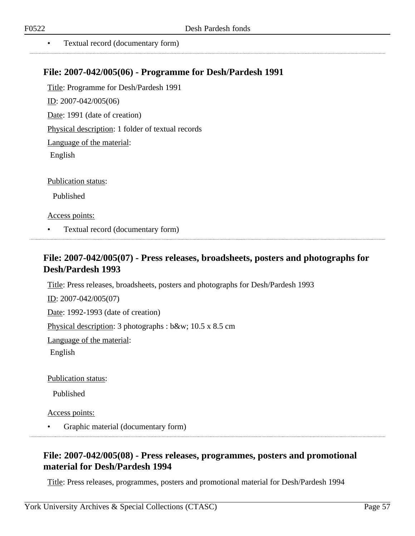• Textual record (documentary form)

### **File: 2007-042/005(06) - Programme for Desh/Pardesh 1991**

Title: Programme for Desh/Pardesh 1991 ID: 2007-042/005(06) Date: 1991 (date of creation) Physical description: 1 folder of textual records Language of the material: English Publication status:

Published

Access points:

• Textual record (documentary form)

### **File: 2007-042/005(07) - Press releases, broadsheets, posters and photographs for Desh/Pardesh 1993**

Title: Press releases, broadsheets, posters and photographs for Desh/Pardesh 1993

ID: 2007-042/005(07) Date: 1992-1993 (date of creation) Physical description: 3 photographs : b&w; 10.5 x 8.5 cm Language of the material: English

Publication status:

Published

Access points:

• Graphic material (documentary form)

# **File: 2007-042/005(08) - Press releases, programmes, posters and promotional material for Desh/Pardesh 1994**

Title: Press releases, programmes, posters and promotional material for Desh/Pardesh 1994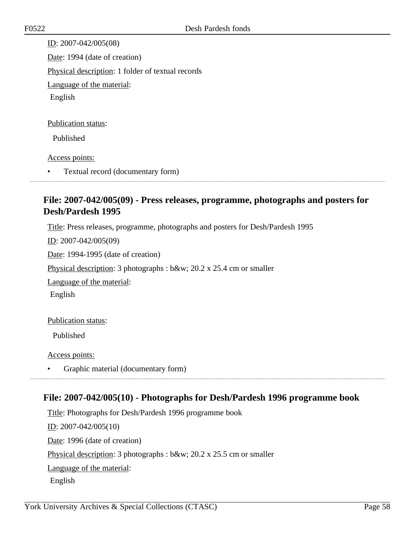ID: 2007-042/005(08) Date: 1994 (date of creation) Physical description: 1 folder of textual records Language of the material: English Publication status:

Published

#### Access points:

• Textual record (documentary form)

# **File: 2007-042/005(09) - Press releases, programme, photographs and posters for Desh/Pardesh 1995**

Title: Press releases, programme, photographs and posters for Desh/Pardesh 1995

ID: 2007-042/005(09)

Date: 1994-1995 (date of creation)

Physical description: 3 photographs : b&w; 20.2 x 25.4 cm or smaller

Language of the material:

English

#### Publication status:

Published

Access points:

• Graphic material (documentary form)

### **File: 2007-042/005(10) - Photographs for Desh/Pardesh 1996 programme book**

Title: Photographs for Desh/Pardesh 1996 programme book ID: 2007-042/005(10) Date: 1996 (date of creation) Physical description: 3 photographs : b&w; 20.2 x 25.5 cm or smaller Language of the material: English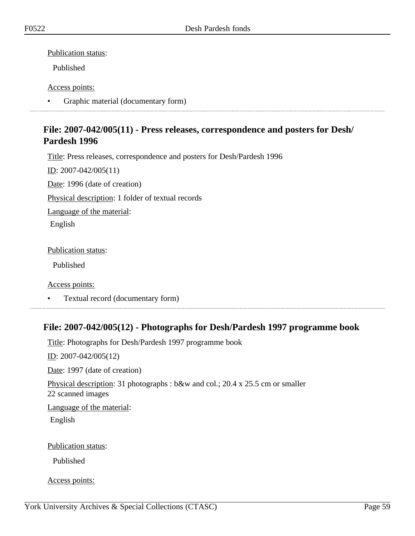Publication status:

Published

### Access points:

• Graphic material (documentary form)

## **File: 2007-042/005(11) - Press releases, correspondence and posters for Desh/ Pardesh 1996**

Title: Press releases, correspondence and posters for Desh/Pardesh 1996

ID: 2007-042/005(11)

Date: 1996 (date of creation)

Physical description: 1 folder of textual records

Language of the material:

English

Publication status:

Published

Access points:

• Textual record (documentary form)

## **File: 2007-042/005(12) - Photographs for Desh/Pardesh 1997 programme book**

Title: Photographs for Desh/Pardesh 1997 programme book ID: 2007-042/005(12) Date: 1997 (date of creation) Physical description: 31 photographs : b&w and col.; 20.4 x 25.5 cm or smaller 22 scanned images Language of the material: English Publication status: Published

Access points: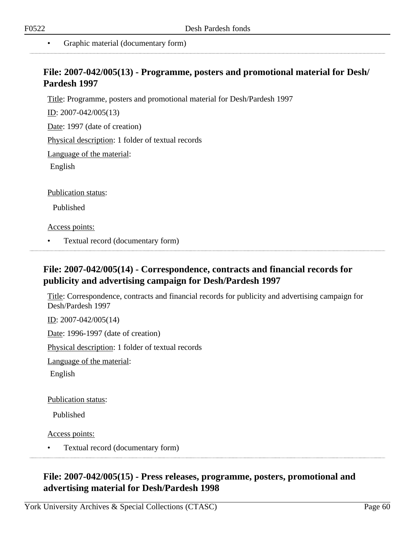• Graphic material (documentary form)

### **File: 2007-042/005(13) - Programme, posters and promotional material for Desh/ Pardesh 1997**

Title: Programme, posters and promotional material for Desh/Pardesh 1997

ID: 2007-042/005(13)

Date: 1997 (date of creation)

Physical description: 1 folder of textual records

Language of the material:

English

Publication status:

Published

Access points:

• Textual record (documentary form) 

# **File: 2007-042/005(14) - Correspondence, contracts and financial records for publicity and advertising campaign for Desh/Pardesh 1997**

Title: Correspondence, contracts and financial records for publicity and advertising campaign for Desh/Pardesh 1997

ID: 2007-042/005(14)

Date: 1996-1997 (date of creation)

Physical description: 1 folder of textual records

Language of the material:

English

Publication status:

Published

Access points:

• Textual record (documentary form)

**File: 2007-042/005(15) - Press releases, programme, posters, promotional and advertising material for Desh/Pardesh 1998**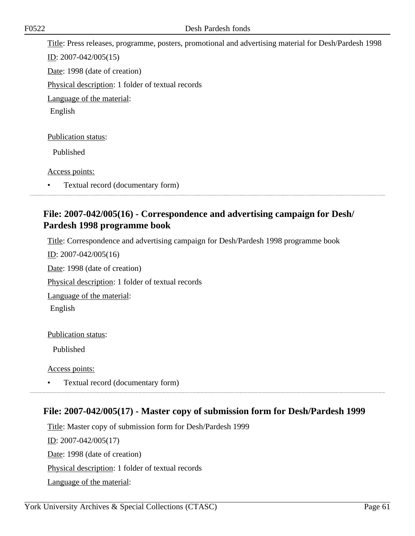Title: Press releases, programme, posters, promotional and advertising material for Desh/Pardesh 1998 ID: 2007-042/005(15) Date: 1998 (date of creation) Physical description: 1 folder of textual records Language of the material: English Publication status: Published

Access points:

• Textual record (documentary form)

# **File: 2007-042/005(16) - Correspondence and advertising campaign for Desh/ Pardesh 1998 programme book**

Title: Correspondence and advertising campaign for Desh/Pardesh 1998 programme book

ID: 2007-042/005(16) Date: 1998 (date of creation) Physical description: 1 folder of textual records Language of the material: English

Publication status:

Published

Access points:

• Textual record (documentary form)

## **File: 2007-042/005(17) - Master copy of submission form for Desh/Pardesh 1999**

Title: Master copy of submission form for Desh/Pardesh 1999 ID: 2007-042/005(17) Date: 1998 (date of creation) Physical description: 1 folder of textual records Language of the material: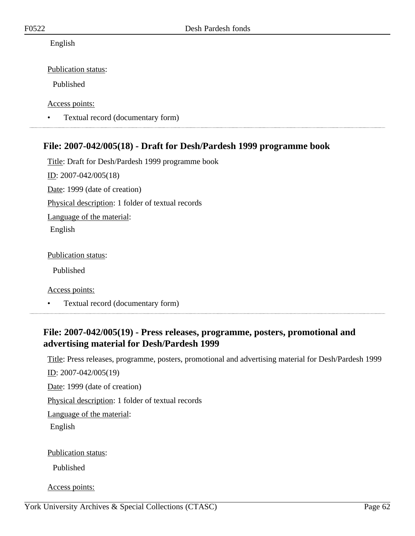English

Publication status:

Published

Access points:

• Textual record (documentary form)

# **File: 2007-042/005(18) - Draft for Desh/Pardesh 1999 programme book**

Title: Draft for Desh/Pardesh 1999 programme book ID: 2007-042/005(18) Date: 1999 (date of creation) Physical description: 1 folder of textual records Language of the material: English

Publication status:

Published

Access points:

• Textual record (documentary form)

# **File: 2007-042/005(19) - Press releases, programme, posters, promotional and advertising material for Desh/Pardesh 1999**

Title: Press releases, programme, posters, promotional and advertising material for Desh/Pardesh 1999

ID: 2007-042/005(19)

Date: 1999 (date of creation)

Physical description: 1 folder of textual records

Language of the material:

English

Publication status:

Published

Access points: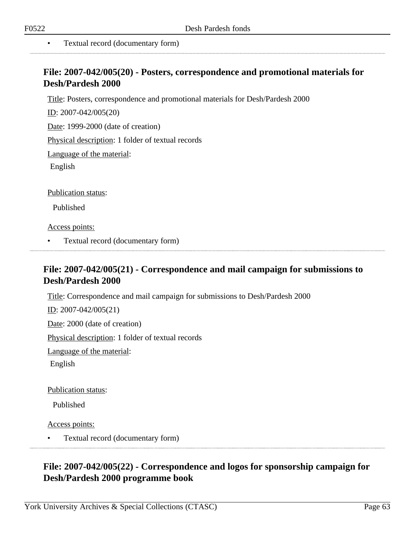• Textual record (documentary form)

### **File: 2007-042/005(20) - Posters, correspondence and promotional materials for Desh/Pardesh 2000**

Title: Posters, correspondence and promotional materials for Desh/Pardesh 2000

ID: 2007-042/005(20)

Date: 1999-2000 (date of creation)

Physical description: 1 folder of textual records

Language of the material:

English

Publication status:

Published

Access points:

• Textual record (documentary form) 

### **File: 2007-042/005(21) - Correspondence and mail campaign for submissions to Desh/Pardesh 2000**

Title: Correspondence and mail campaign for submissions to Desh/Pardesh 2000

ID: 2007-042/005(21)

Date: 2000 (date of creation)

Physical description: 1 folder of textual records

Language of the material:

English

Publication status:

Published

Access points:

• Textual record (documentary form)

# **File: 2007-042/005(22) - Correspondence and logos for sponsorship campaign for Desh/Pardesh 2000 programme book**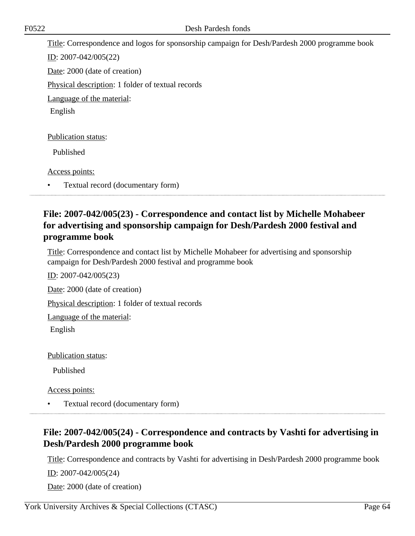Title: Correspondence and logos for sponsorship campaign for Desh/Pardesh 2000 programme book ID: 2007-042/005(22) Date: 2000 (date of creation) Physical description: 1 folder of textual records Language of the material: English Publication status: Published Access points:

• Textual record (documentary form)

## **File: 2007-042/005(23) - Correspondence and contact list by Michelle Mohabeer for advertising and sponsorship campaign for Desh/Pardesh 2000 festival and programme book**

Title: Correspondence and contact list by Michelle Mohabeer for advertising and sponsorship campaign for Desh/Pardesh 2000 festival and programme book

ID: 2007-042/005(23)

Date: 2000 (date of creation)

Physical description: 1 folder of textual records

Language of the material:

English

Publication status:

Published

Access points:

• Textual record (documentary form)

# **File: 2007-042/005(24) - Correspondence and contracts by Vashti for advertising in Desh/Pardesh 2000 programme book**

Title: Correspondence and contracts by Vashti for advertising in Desh/Pardesh 2000 programme book

ID: 2007-042/005(24)

Date: 2000 (date of creation)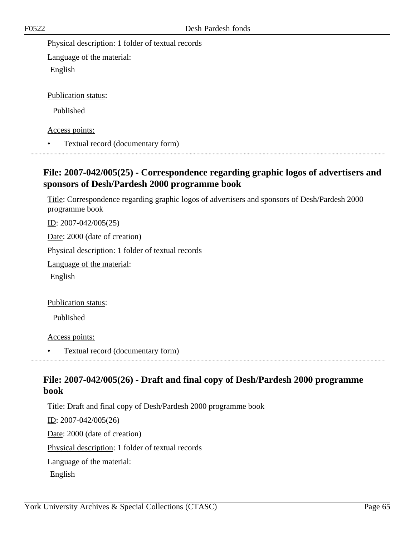Physical description: 1 folder of textual records

Language of the material: English

Publication status:

Published

Access points:

• Textual record (documentary form)

## **File: 2007-042/005(25) - Correspondence regarding graphic logos of advertisers and sponsors of Desh/Pardesh 2000 programme book**

Title: Correspondence regarding graphic logos of advertisers and sponsors of Desh/Pardesh 2000 programme book

ID: 2007-042/005(25)

Date: 2000 (date of creation)

Physical description: 1 folder of textual records

Language of the material:

English

Publication status:

Published

Access points:

• Textual record (documentary form)

## **File: 2007-042/005(26) - Draft and final copy of Desh/Pardesh 2000 programme book**

Title: Draft and final copy of Desh/Pardesh 2000 programme book ID: 2007-042/005(26) Date: 2000 (date of creation) Physical description: 1 folder of textual records Language of the material: English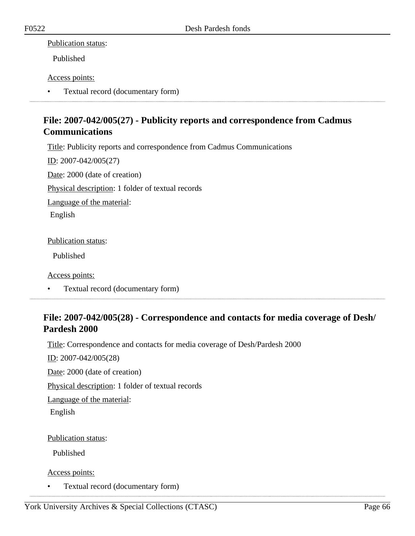### Publication status:

Published

### Access points:

• Textual record (documentary form)

# **File: 2007-042/005(27) - Publicity reports and correspondence from Cadmus Communications**

Title: Publicity reports and correspondence from Cadmus Communications

ID: 2007-042/005(27) Date: 2000 (date of creation) Physical description: 1 folder of textual records Language of the material:

English

### Publication status:

Published

Access points:

• Textual record (documentary form)

## **File: 2007-042/005(28) - Correspondence and contacts for media coverage of Desh/ Pardesh 2000**

Title: Correspondence and contacts for media coverage of Desh/Pardesh 2000

ID: 2007-042/005(28)

Date: 2000 (date of creation)

Physical description: 1 folder of textual records

Language of the material:

English

### Publication status:

Published

Access points:

• Textual record (documentary form)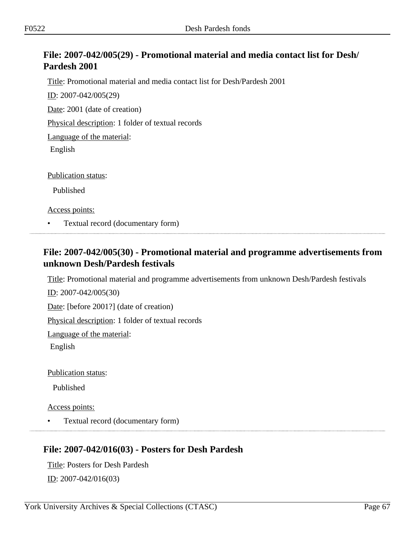# **File: 2007-042/005(29) - Promotional material and media contact list for Desh/ Pardesh 2001**

Title: Promotional material and media contact list for Desh/Pardesh 2001

ID: 2007-042/005(29)

Date: 2001 (date of creation)

Physical description: 1 folder of textual records

Language of the material:

English

Publication status:

Published

Access points:

• Textual record (documentary form)

## **File: 2007-042/005(30) - Promotional material and programme advertisements from unknown Desh/Pardesh festivals**

Title: Promotional material and programme advertisements from unknown Desh/Pardesh festivals

ID: 2007-042/005(30)

Date: [before 2001?] (date of creation)

Physical description: 1 folder of textual records

Language of the material:

English

Publication status:

Published

Access points:

• Textual record (documentary form)

## **File: 2007-042/016(03) - Posters for Desh Pardesh**

Title: Posters for Desh Pardesh <u>ID</u>: 2007-042/016(03)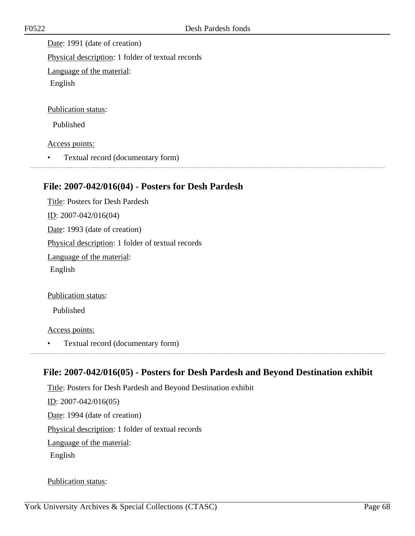Date: 1991 (date of creation) Physical description: 1 folder of textual records Language of the material: English Publication status: Published

Access points:

• Textual record (documentary form)

### **File: 2007-042/016(04) - Posters for Desh Pardesh**

Title: Posters for Desh Pardesh ID: 2007-042/016(04) Date: 1993 (date of creation) Physical description: 1 folder of textual records Language of the material: English

Publication status:

Published

Access points:

• Textual record (documentary form)

### **File: 2007-042/016(05) - Posters for Desh Pardesh and Beyond Destination exhibit**

Title: Posters for Desh Pardesh and Beyond Destination exhibit ID: 2007-042/016(05) Date: 1994 (date of creation) Physical description: 1 folder of textual records Language of the material: English

Publication status: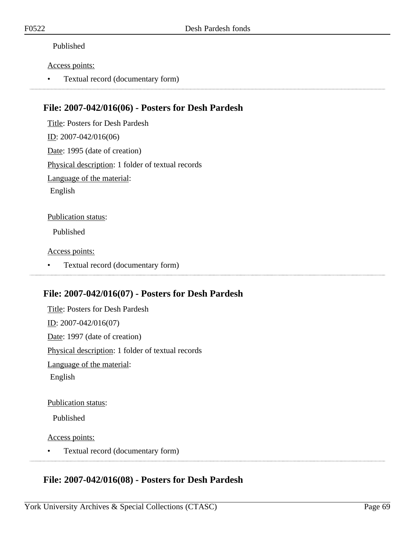### Published

#### Access points:

• Textual record (documentary form)

### **File: 2007-042/016(06) - Posters for Desh Pardesh**

Title: Posters for Desh Pardesh ID: 2007-042/016(06) Date: 1995 (date of creation) Physical description: 1 folder of textual records Language of the material: English Publication status: Published

Access points:

• Textual record (documentary form)

## **File: 2007-042/016(07) - Posters for Desh Pardesh**

Title: Posters for Desh Pardesh ID: 2007-042/016(07) Date: 1997 (date of creation) Physical description: 1 folder of textual records Language of the material: English

#### Publication status:

Published

Access points:

• Textual record (documentary form)

## **File: 2007-042/016(08) - Posters for Desh Pardesh**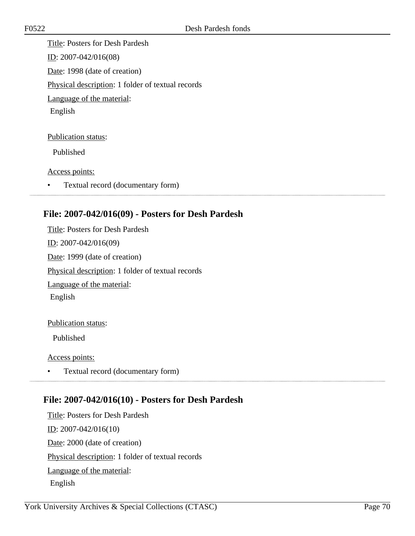Title: Posters for Desh Pardesh ID: 2007-042/016(08) Date: 1998 (date of creation) Physical description: 1 folder of textual records Language of the material: English

Publication status:

Published

Access points:

• Textual record (documentary form)

# **File: 2007-042/016(09) - Posters for Desh Pardesh**

Title: Posters for Desh Pardesh ID: 2007-042/016(09) Date: 1999 (date of creation) Physical description: 1 folder of textual records Language of the material: English

#### Publication status:

Published

#### Access points:

• Textual record (documentary form) 

## **File: 2007-042/016(10) - Posters for Desh Pardesh**

Title: Posters for Desh Pardesh ID: 2007-042/016(10) Date: 2000 (date of creation) Physical description: 1 folder of textual records Language of the material: English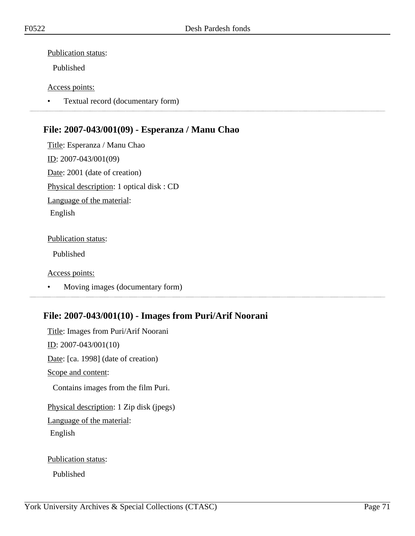### Publication status:

Published

### Access points:

• Textual record (documentary form)

# **File: 2007-043/001(09) - Esperanza / Manu Chao**

Title: Esperanza / Manu Chao ID: 2007-043/001(09) Date: 2001 (date of creation) Physical description: 1 optical disk : CD Language of the material: English

### Publication status:

Published

#### Access points:

• Moving images (documentary form)

# **File: 2007-043/001(10) - Images from Puri/Arif Noorani**

Title: Images from Puri/Arif Noorani ID: 2007-043/001(10) Date: [ca. 1998] (date of creation) Scope and content: Contains images from the film Puri. Physical description: 1 Zip disk (jpegs) Language of the material: English

Publication status:

Published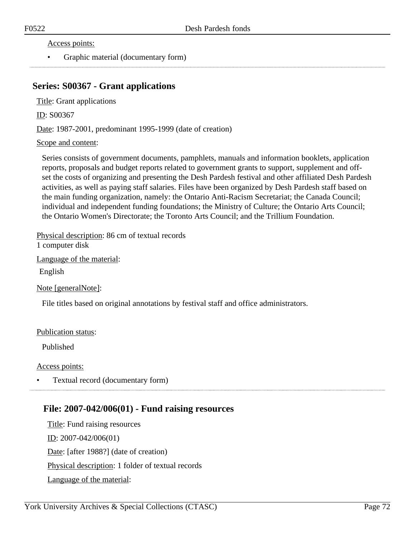#### Access points:

• Graphic material (documentary form)

### **Series: S00367 - Grant applications**

Title: Grant applications

ID: S00367

Date: 1987-2001, predominant 1995-1999 (date of creation)

#### Scope and content:

Series consists of government documents, pamphlets, manuals and information booklets, application reports, proposals and budget reports related to government grants to support, supplement and offset the costs of organizing and presenting the Desh Pardesh festival and other affiliated Desh Pardesh activities, as well as paying staff salaries. Files have been organized by Desh Pardesh staff based on the main funding organization, namely: the Ontario Anti-Racism Secretariat; the Canada Council; individual and independent funding foundations; the Ministry of Culture; the Ontario Arts Council; the Ontario Women's Directorate; the Toronto Arts Council; and the Trillium Foundation.

Physical description: 86 cm of textual records 1 computer disk

Language of the material:

English

Note [generalNote]:

File titles based on original annotations by festival staff and office administrators.

#### Publication status:

Published

#### Access points:

• Textual record (documentary form)

### **File: 2007-042/006(01) - Fund raising resources**

Title: Fund raising resources ID: 2007-042/006(01) Date: [after 1988?] (date of creation) Physical description: 1 folder of textual records Language of the material: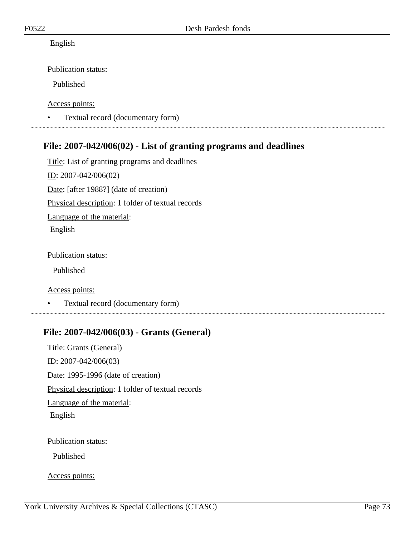#### English

#### Publication status:

Published

Access points:

• Textual record (documentary form)

# **File: 2007-042/006(02) - List of granting programs and deadlines**

Title: List of granting programs and deadlines ID: 2007-042/006(02) Date: [after 1988?] (date of creation) Physical description: 1 folder of textual records Language of the material: English

Publication status:

Published

Access points:

• Textual record (documentary form)

# **File: 2007-042/006(03) - Grants (General)**

Title: Grants (General) ID: 2007-042/006(03) Date: 1995-1996 (date of creation) Physical description: 1 folder of textual records Language of the material: English

Publication status:

Published

Access points: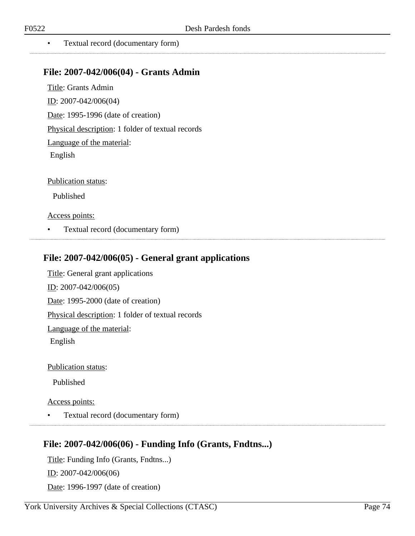. . . . . . . . . . . . . . . . . . . .

• Textual record (documentary form)

### **File: 2007-042/006(04) - Grants Admin**

Title: Grants Admin ID: 2007-042/006(04) Date: 1995-1996 (date of creation) Physical description: 1 folder of textual records Language of the material: English

Publication status:

Published

#### Access points:

• Textual record (documentary form)

### **File: 2007-042/006(05) - General grant applications**

Title: General grant applications ID: 2007-042/006(05) Date: 1995-2000 (date of creation) Physical description: 1 folder of textual records Language of the material: English

Publication status:

Published

#### Access points:

• Textual record (documentary form)

### **File: 2007-042/006(06) - Funding Info (Grants, Fndtns...)**

Title: Funding Info (Grants, Fndtns...) ID: 2007-042/006(06) Date: 1996-1997 (date of creation)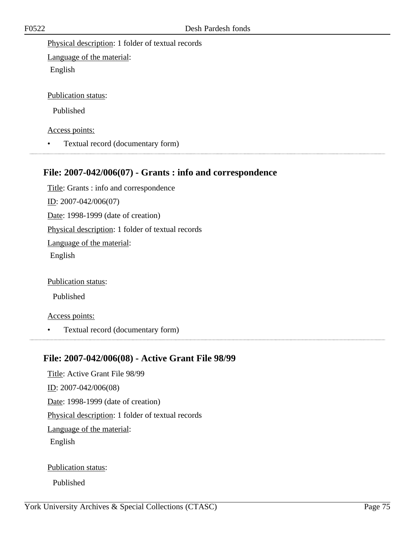Physical description: 1 folder of textual records

Language of the material: English

Publication status:

Published

Access points:

• Textual record (documentary form)

# **File: 2007-042/006(07) - Grants : info and correspondence**

Title: Grants : info and correspondence ID: 2007-042/006(07) Date: 1998-1999 (date of creation) Physical description: 1 folder of textual records Language of the material: English

Publication status:

Published

Access points:

• Textual record (documentary form)

### **File: 2007-042/006(08) - Active Grant File 98/99**

Title: Active Grant File 98/99 ID: 2007-042/006(08) Date: 1998-1999 (date of creation) Physical description: 1 folder of textual records Language of the material: English

Publication status:

Published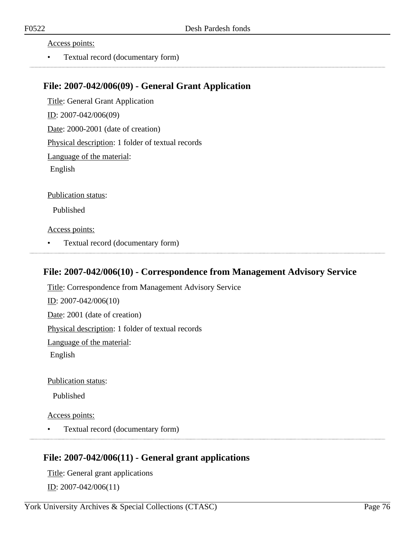#### Access points:

• Textual record (documentary form)

### **File: 2007-042/006(09) - General Grant Application**

Title: General Grant Application ID: 2007-042/006(09) Date: 2000-2001 (date of creation) Physical description: 1 folder of textual records Language of the material: English Publication status: Published

Access points:

• Textual record (documentary form)

### **File: 2007-042/006(10) - Correspondence from Management Advisory Service**

Title: Correspondence from Management Advisory Service ID: 2007-042/006(10) Date: 2001 (date of creation) Physical description: 1 folder of textual records Language of the material: English

Publication status:

Published

Access points:

• Textual record (documentary form)

### **File: 2007-042/006(11) - General grant applications**

Title: General grant applications ID: 2007-042/006(11)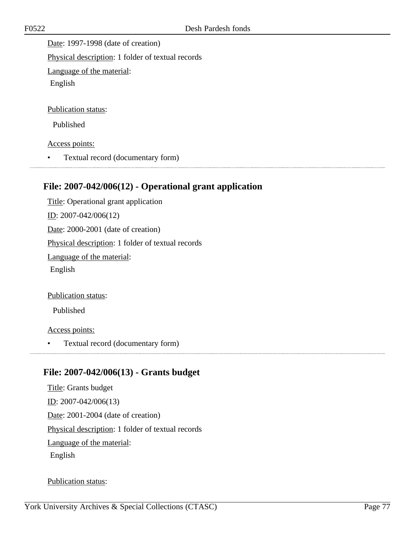Date: 1997-1998 (date of creation) Physical description: 1 folder of textual records Language of the material: English

Publication status:

Published

Access points:

• Textual record (documentary form)

### **File: 2007-042/006(12) - Operational grant application**

Title: Operational grant application ID: 2007-042/006(12) Date: 2000-2001 (date of creation) Physical description: 1 folder of textual records Language of the material: English

Publication status:

Published

Access points:

• Textual record (documentary form)

### **File: 2007-042/006(13) - Grants budget**

Title: Grants budget ID: 2007-042/006(13) Date: 2001-2004 (date of creation) Physical description: 1 folder of textual records Language of the material: English

Publication status: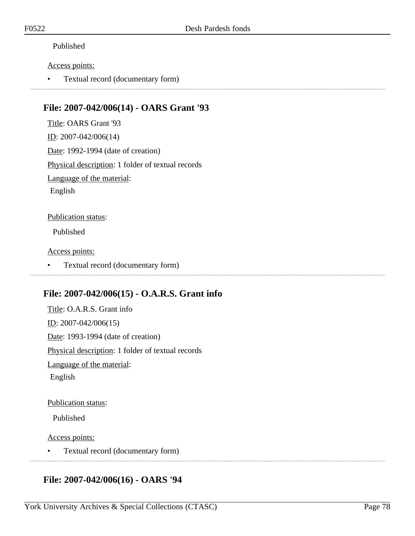#### Published

#### Access points:

• Textual record (documentary form)

### **File: 2007-042/006(14) - OARS Grant '93**

Title: OARS Grant '93 ID: 2007-042/006(14) Date: 1992-1994 (date of creation) Physical description: 1 folder of textual records Language of the material: English Publication status:

Published

Access points:

• Textual record (documentary form)

### **File: 2007-042/006(15) - O.A.R.S. Grant info**

Title: O.A.R.S. Grant info ID: 2007-042/006(15) Date: 1993-1994 (date of creation) Physical description: 1 folder of textual records Language of the material: English

Publication status:

Published

Access points:

• Textual record (documentary form)

# **File: 2007-042/006(16) - OARS '94**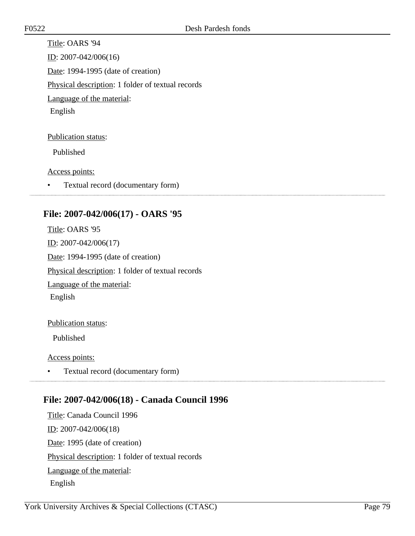Title: OARS '94 ID: 2007-042/006(16) Date: 1994-1995 (date of creation) Physical description: 1 folder of textual records Language of the material: English

Publication status:

Published

Access points:

• Textual record (documentary form)

### **File: 2007-042/006(17) - OARS '95**

Title: OARS '95 ID: 2007-042/006(17) Date: 1994-1995 (date of creation) Physical description: 1 folder of textual records Language of the material: English

#### Publication status:

Published

#### Access points:

• Textual record (documentary form)

### **File: 2007-042/006(18) - Canada Council 1996**

Title: Canada Council 1996 ID: 2007-042/006(18) Date: 1995 (date of creation) Physical description: 1 folder of textual records Language of the material: English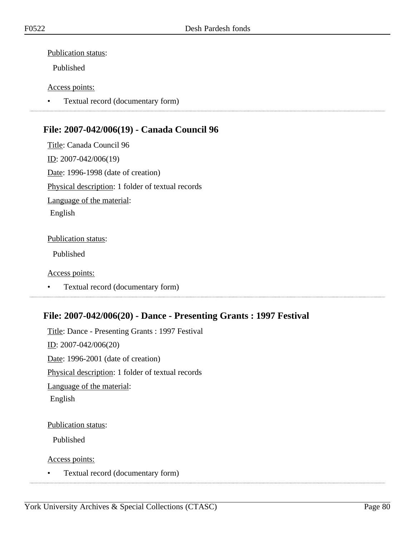#### Publication status:

Published

#### Access points:

• Textual record (documentary form)

# **File: 2007-042/006(19) - Canada Council 96**

Title: Canada Council 96 ID: 2007-042/006(19) Date: 1996-1998 (date of creation) Physical description: 1 folder of textual records Language of the material: English

#### Publication status:

Published

#### Access points:

• Textual record (documentary form)

# **File: 2007-042/006(20) - Dance - Presenting Grants : 1997 Festival**

Title: Dance - Presenting Grants : 1997 Festival ID: 2007-042/006(20) Date: 1996-2001 (date of creation) Physical description: 1 folder of textual records Language of the material: English

#### Publication status:

Published

Access points:

• Textual record (documentary form)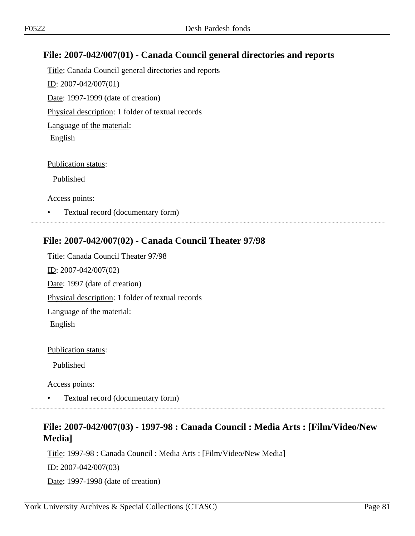# **File: 2007-042/007(01) - Canada Council general directories and reports**

Title: Canada Council general directories and reports ID: 2007-042/007(01) Date: 1997-1999 (date of creation) Physical description: 1 folder of textual records Language of the material: English

#### Publication status:

Published

Access points:

• Textual record (documentary form)

### **File: 2007-042/007(02) - Canada Council Theater 97/98**

Title: Canada Council Theater 97/98 ID: 2007-042/007(02) Date: 1997 (date of creation) Physical description: 1 folder of textual records Language of the material: English

Publication status:

Published

Access points:

• Textual record (documentary form)

# **File: 2007-042/007(03) - 1997-98 : Canada Council : Media Arts : [Film/Video/New Media]**

Title: 1997-98 : Canada Council : Media Arts : [Film/Video/New Media] ID: 2007-042/007(03) Date: 1997-1998 (date of creation)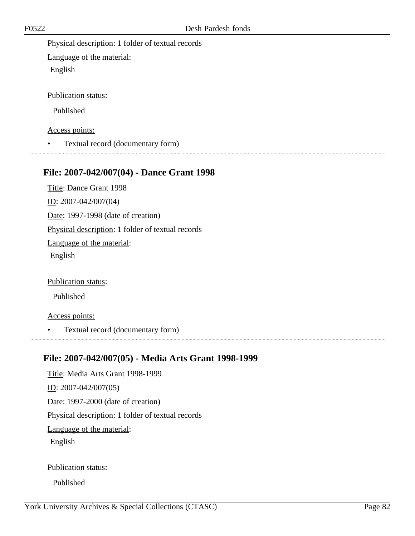Physical description: 1 folder of textual records

Language of the material: English

Publication status:

Published

Access points:

• Textual record (documentary form)

### **File: 2007-042/007(04) - Dance Grant 1998**

Title: Dance Grant 1998 ID: 2007-042/007(04) Date: 1997-1998 (date of creation) Physical description: 1 folder of textual records Language of the material: English

Publication status:

Published

Access points:

• Textual record (documentary form)

### **File: 2007-042/007(05) - Media Arts Grant 1998-1999**

Title: Media Arts Grant 1998-1999 ID: 2007-042/007(05) Date: 1997-2000 (date of creation) Physical description: 1 folder of textual records Language of the material: English

Publication status:

Published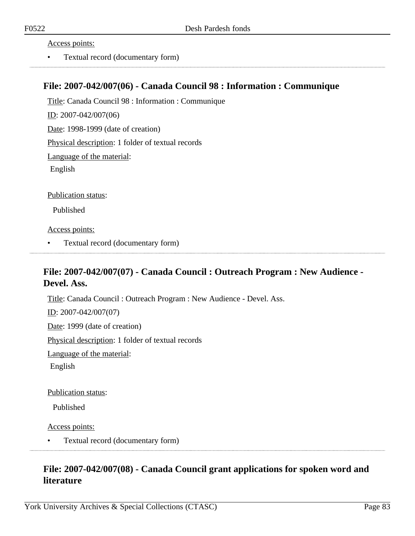Access points:

• Textual record (documentary form)

### **File: 2007-042/007(06) - Canada Council 98 : Information : Communique**

Title: Canada Council 98 : Information : Communique ID: 2007-042/007(06) Date: 1998-1999 (date of creation) Physical description: 1 folder of textual records Language of the material: English

Publication status:

Published

Access points:

• Textual record (documentary form)

### **File: 2007-042/007(07) - Canada Council : Outreach Program : New Audience - Devel. Ass.**

Title: Canada Council : Outreach Program : New Audience - Devel. Ass. ID: 2007-042/007(07) Date: 1999 (date of creation) Physical description: 1 folder of textual records Language of the material: English

Publication status:

Published

Access points:

• Textual record (documentary form)

# **File: 2007-042/007(08) - Canada Council grant applications for spoken word and literature**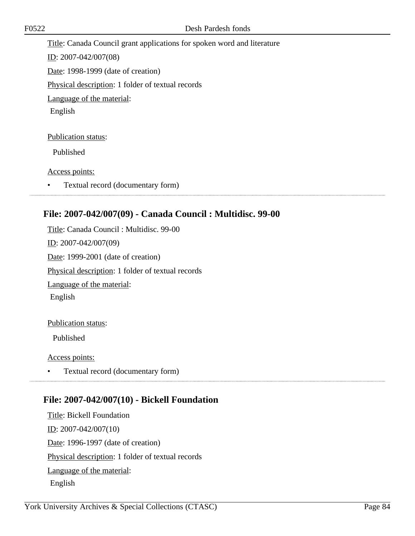Title: Canada Council grant applications for spoken word and literature ID: 2007-042/007(08) Date: 1998-1999 (date of creation) Physical description: 1 folder of textual records Language of the material: English Publication status:

Published

Access points:

• Textual record (documentary form)

### **File: 2007-042/007(09) - Canada Council : Multidisc. 99-00**

Title: Canada Council : Multidisc. 99-00 ID: 2007-042/007(09) Date: 1999-2001 (date of creation) Physical description: 1 folder of textual records Language of the material: English

#### Publication status:

Published

#### Access points:

• Textual record (documentary form) 

### **File: 2007-042/007(10) - Bickell Foundation**

Title: Bickell Foundation ID: 2007-042/007(10) Date: 1996-1997 (date of creation) Physical description: 1 folder of textual records Language of the material: English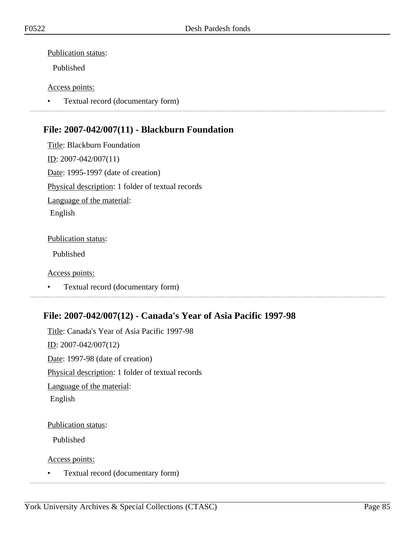#### Publication status:

Published

#### Access points:

• Textual record (documentary form)

# **File: 2007-042/007(11) - Blackburn Foundation**

Title: Blackburn Foundation ID: 2007-042/007(11) Date: 1995-1997 (date of creation) Physical description: 1 folder of textual records Language of the material: English

#### Publication status:

Published

#### Access points:

• Textual record (documentary form)

# **File: 2007-042/007(12) - Canada's Year of Asia Pacific 1997-98**

Title: Canada's Year of Asia Pacific 1997-98 ID: 2007-042/007(12) Date: 1997-98 (date of creation) Physical description: 1 folder of textual records Language of the material: English

#### Publication status:

Published

Access points:

• Textual record (documentary form)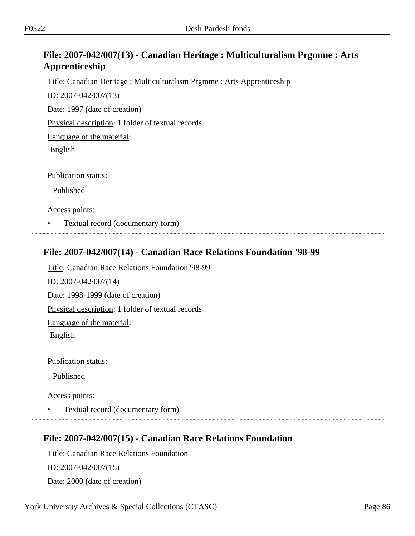# **File: 2007-042/007(13) - Canadian Heritage : Multiculturalism Prgmme : Arts Apprenticeship**

Title: Canadian Heritage : Multiculturalism Prgmme : Arts Apprenticeship

ID: 2007-042/007(13)

Date: 1997 (date of creation)

Physical description: 1 folder of textual records

Language of the material:

English

Publication status:

Published

Access points:

• Textual record (documentary form)

### **File: 2007-042/007(14) - Canadian Race Relations Foundation '98-99**

Title: Canadian Race Relations Foundation '98-99 ID: 2007-042/007(14) Date: 1998-1999 (date of creation) Physical description: 1 folder of textual records Language of the material: English

Publication status:

Published

Access points:

• Textual record (documentary form)

### **File: 2007-042/007(15) - Canadian Race Relations Foundation**

Title: Canadian Race Relations Foundation ID: 2007-042/007(15) Date: 2000 (date of creation)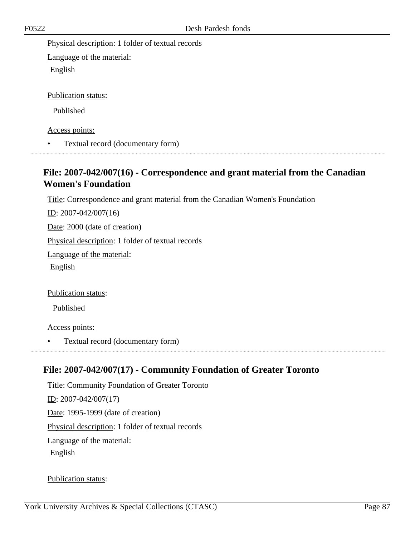Physical description: 1 folder of textual records

Language of the material: English

Publication status:

Published

Access points:

• Textual record (documentary form)

# **File: 2007-042/007(16) - Correspondence and grant material from the Canadian Women's Foundation**

Title: Correspondence and grant material from the Canadian Women's Foundation

ID: 2007-042/007(16)

Date: 2000 (date of creation)

Physical description: 1 folder of textual records

Language of the material:

English

Publication status:

Published

Access points:

• Textual record (documentary form)

# **File: 2007-042/007(17) - Community Foundation of Greater Toronto**

Title: Community Foundation of Greater Toronto ID: 2007-042/007(17) Date: 1995-1999 (date of creation) Physical description: 1 folder of textual records Language of the material: English

Publication status: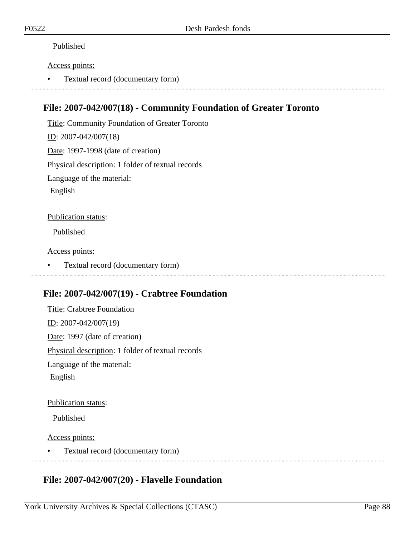#### Published

#### Access points:

• Textual record (documentary form)

### **File: 2007-042/007(18) - Community Foundation of Greater Toronto**

Title: Community Foundation of Greater Toronto ID: 2007-042/007(18) Date: 1997-1998 (date of creation) Physical description: 1 folder of textual records Language of the material: English Publication status:

Published

Access points:

• Textual record (documentary form)

### **File: 2007-042/007(19) - Crabtree Foundation**

Title: Crabtree Foundation ID: 2007-042/007(19) Date: 1997 (date of creation) Physical description: 1 folder of textual records Language of the material: English

Publication status:

Published

Access points:

• Textual record (documentary form)

### **File: 2007-042/007(20) - Flavelle Foundation**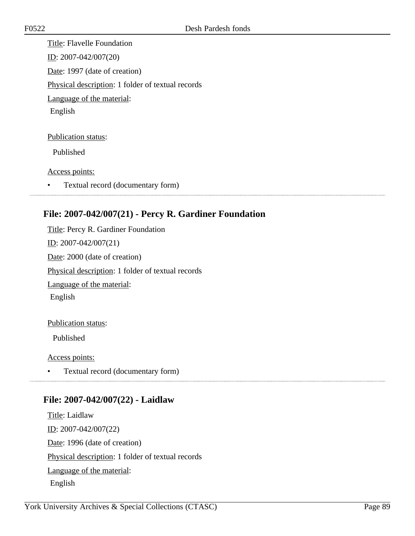Title: Flavelle Foundation ID: 2007-042/007(20) Date: 1997 (date of creation) Physical description: 1 folder of textual records Language of the material: English

Publication status:

Published

Access points:

• Textual record (documentary form)

# **File: 2007-042/007(21) - Percy R. Gardiner Foundation**

Title: Percy R. Gardiner Foundation ID: 2007-042/007(21) Date: 2000 (date of creation) Physical description: 1 folder of textual records Language of the material: English

#### Publication status:

Published

Access points:

• Textual record (documentary form) 

### **File: 2007-042/007(22) - Laidlaw**

Title: Laidlaw ID: 2007-042/007(22) Date: 1996 (date of creation) Physical description: 1 folder of textual records Language of the material: English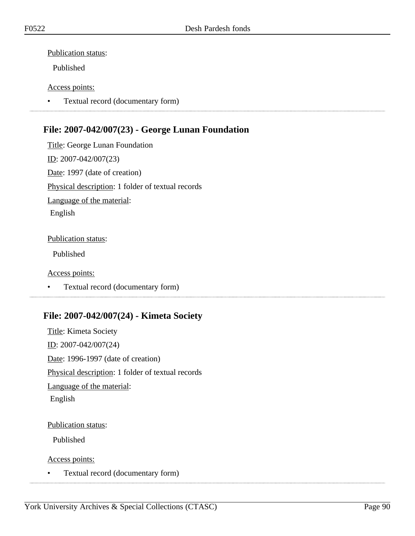#### Publication status:

Published

#### Access points:

• Textual record (documentary form)

# **File: 2007-042/007(23) - George Lunan Foundation**

Title: George Lunan Foundation ID: 2007-042/007(23) Date: 1997 (date of creation) Physical description: 1 folder of textual records Language of the material: English

#### Publication status:

Published

#### Access points:

• Textual record (documentary form)

### **File: 2007-042/007(24) - Kimeta Society**

Title: Kimeta Society ID: 2007-042/007(24) Date: 1996-1997 (date of creation) Physical description: 1 folder of textual records Language of the material: English

#### Publication status:

Published

Access points:

• Textual record (documentary form)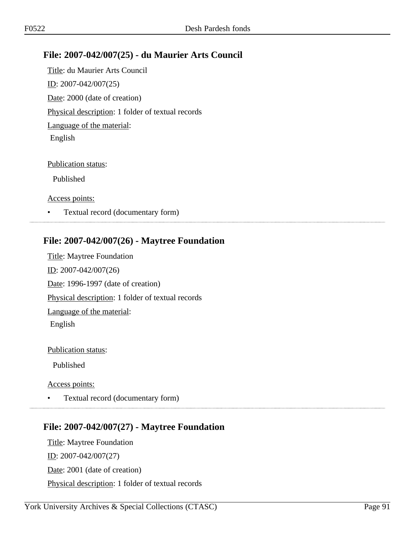# **File: 2007-042/007(25) - du Maurier Arts Council**

Title: du Maurier Arts Council ID: 2007-042/007(25) Date: 2000 (date of creation) Physical description: 1 folder of textual records Language of the material: English

#### Publication status:

Published

Access points:

• Textual record (documentary form)

### **File: 2007-042/007(26) - Maytree Foundation**

Title: Maytree Foundation ID: 2007-042/007(26) Date: 1996-1997 (date of creation) Physical description: 1 folder of textual records Language of the material: English

#### Publication status:

Published

Access points:

• Textual record (documentary form)

### **File: 2007-042/007(27) - Maytree Foundation**

Title: Maytree Foundation ID: 2007-042/007(27) Date: 2001 (date of creation) Physical description: 1 folder of textual records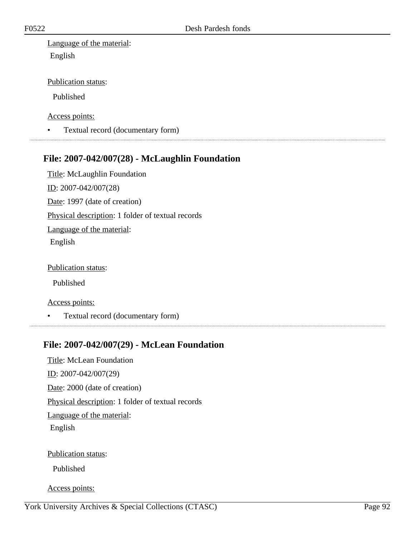Language of the material: English

Publication status:

Published

Access points:

• Textual record (documentary form)

### **File: 2007-042/007(28) - McLaughlin Foundation**

Title: McLaughlin Foundation ID: 2007-042/007(28) Date: 1997 (date of creation) Physical description: 1 folder of textual records Language of the material: English

Publication status:

Published

Access points:

• Textual record (documentary form)

# **File: 2007-042/007(29) - McLean Foundation**

Title: McLean Foundation ID: 2007-042/007(29) Date: 2000 (date of creation) Physical description: 1 folder of textual records Language of the material: English Publication status:

Published

Access points: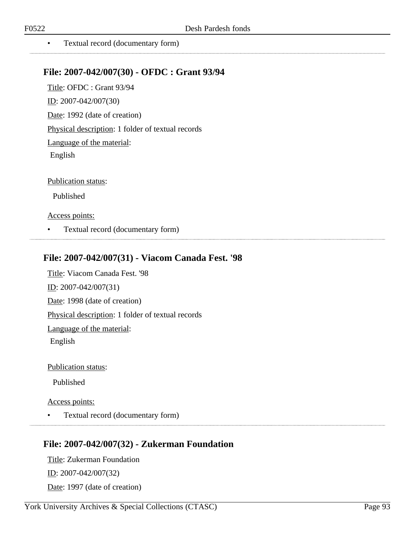......................

• Textual record (documentary form)

### **File: 2007-042/007(30) - OFDC : Grant 93/94**

Title: OFDC : Grant 93/94 ID: 2007-042/007(30) Date: 1992 (date of creation) Physical description: 1 folder of textual records Language of the material: English

Publication status:

Published

#### Access points:

• Textual record (documentary form)

### **File: 2007-042/007(31) - Viacom Canada Fest. '98**

Title: Viacom Canada Fest. '98 ID: 2007-042/007(31) Date: 1998 (date of creation) Physical description: 1 folder of textual records Language of the material: English

Publication status:

Published

#### Access points:

• Textual record (documentary form)

### **File: 2007-042/007(32) - Zukerman Foundation**

Title: Zukerman Foundation ID: 2007-042/007(32) Date: 1997 (date of creation)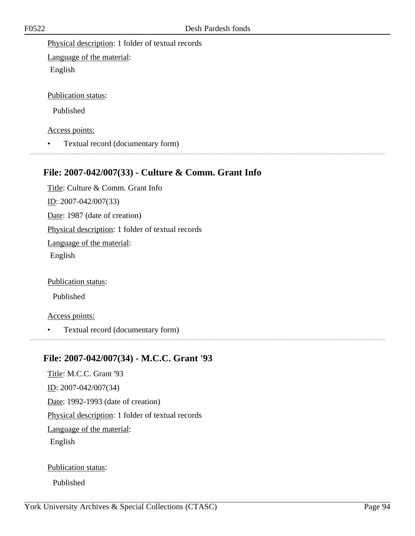Physical description: 1 folder of textual records

Language of the material: English

Publication status:

Published

Access points:

• Textual record (documentary form)

# **File: 2007-042/007(33) - Culture & Comm. Grant Info**

Title: Culture & Comm. Grant Info ID: 2007-042/007(33) Date: 1987 (date of creation) Physical description: 1 folder of textual records Language of the material: English

Publication status:

Published

Access points:

• Textual record (documentary form)

# **File: 2007-042/007(34) - M.C.C. Grant '93**

Title: M.C.C. Grant '93 ID: 2007-042/007(34) Date: 1992-1993 (date of creation) Physical description: 1 folder of textual records Language of the material: English

Publication status:

Published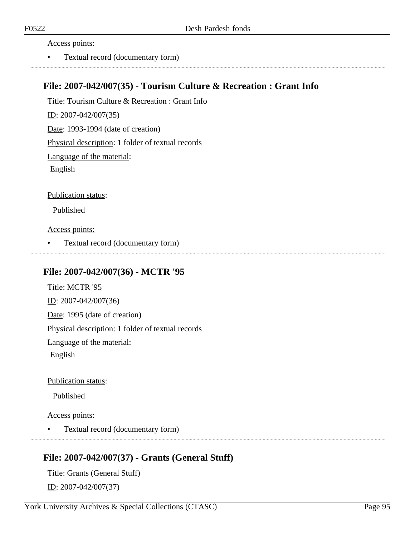Access points:

• Textual record (documentary form)

### **File: 2007-042/007(35) - Tourism Culture & Recreation : Grant Info**

Title: Tourism Culture & Recreation : Grant Info ID: 2007-042/007(35) Date: 1993-1994 (date of creation) Physical description: 1 folder of textual records Language of the material: English Publication status: Published

Access points:

• Textual record (documentary form)

### **File: 2007-042/007(36) - MCTR '95**

Title: MCTR '95 ID: 2007-042/007(36) Date: 1995 (date of creation) Physical description: 1 folder of textual records Language of the material: English

Publication status:

Published

Access points:

• Textual record (documentary form)

### **File: 2007-042/007(37) - Grants (General Stuff)**

Title: Grants (General Stuff) ID: 2007-042/007(37)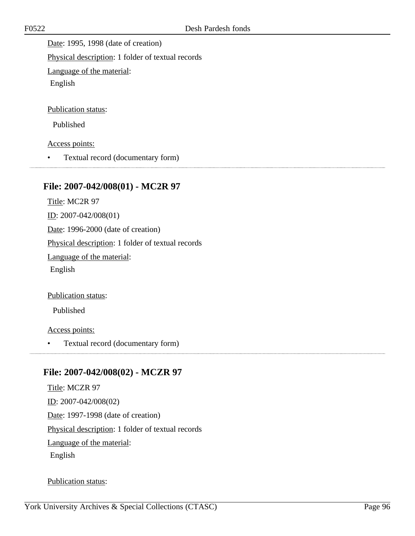Date: 1995, 1998 (date of creation)

Physical description: 1 folder of textual records

Language of the material:

English

Publication status:

Published

Access points:

• Textual record (documentary form)

# **File: 2007-042/008(01) - MC2R 97**

Title: MC2R 97 ID: 2007-042/008(01) Date: 1996-2000 (date of creation) Physical description: 1 folder of textual records Language of the material: English

Publication status:

Published

Access points:

• Textual record (documentary form)

# **File: 2007-042/008(02) - MCZR 97**

Title: MCZR 97 ID: 2007-042/008(02) Date: 1997-1998 (date of creation) Physical description: 1 folder of textual records Language of the material: English

Publication status: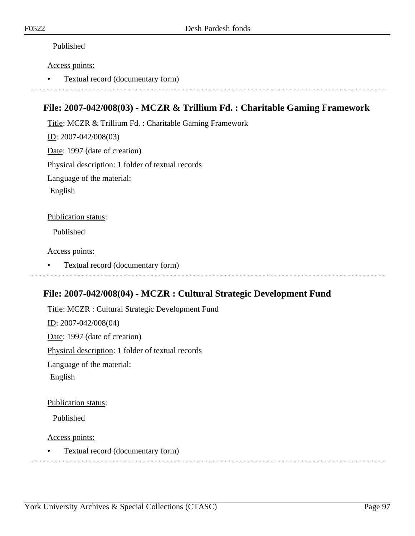#### Published

#### Access points:

• Textual record (documentary form)

### **File: 2007-042/008(03) - MCZR & Trillium Fd. : Charitable Gaming Framework**

Title: MCZR & Trillium Fd. : Charitable Gaming Framework ID: 2007-042/008(03) Date: 1997 (date of creation) Physical description: 1 folder of textual records Language of the material: English

Publication status:

Published

Access points:

• Textual record (documentary form)

### **File: 2007-042/008(04) - MCZR : Cultural Strategic Development Fund**

Title: MCZR : Cultural Strategic Development Fund ID: 2007-042/008(04) Date: 1997 (date of creation) Physical description: 1 folder of textual records Language of the material: English

Publication status:

Published

Access points:

• Textual record (documentary form)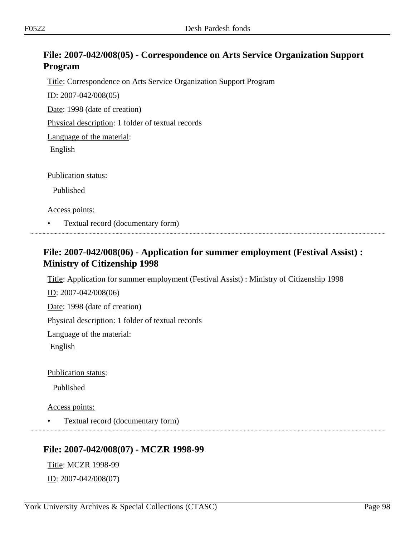# **File: 2007-042/008(05) - Correspondence on Arts Service Organization Support Program**

Title: Correspondence on Arts Service Organization Support Program

ID: 2007-042/008(05)

Date: 1998 (date of creation)

Physical description: 1 folder of textual records

Language of the material:

English

Publication status:

Published

Access points:

• Textual record (documentary form)

### **File: 2007-042/008(06) - Application for summer employment (Festival Assist) : Ministry of Citizenship 1998**

Title: Application for summer employment (Festival Assist) : Ministry of Citizenship 1998

ID: 2007-042/008(06)

Date: 1998 (date of creation)

Physical description: 1 folder of textual records

Language of the material:

English

Publication status:

Published

Access points:

• Textual record (documentary form)

### **File: 2007-042/008(07) - MCZR 1998-99**

Title: MCZR 1998-99  $ID: 2007-042/008(07)$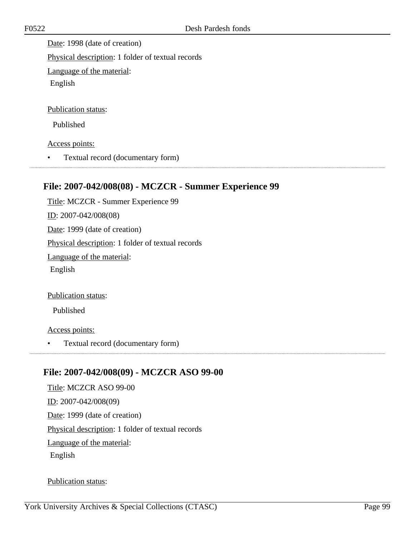Date: 1998 (date of creation) Physical description: 1 folder of textual records Language of the material: English Publication status: Published

Access points:

• Textual record (documentary form)

### **File: 2007-042/008(08) - MCZCR - Summer Experience 99**

Title: MCZCR - Summer Experience 99 ID: 2007-042/008(08) Date: 1999 (date of creation) Physical description: 1 folder of textual records Language of the material: English

Publication status:

Published

Access points:

• Textual record (documentary form)

### **File: 2007-042/008(09) - MCZCR ASO 99-00**

Title: MCZCR ASO 99-00 ID: 2007-042/008(09) Date: 1999 (date of creation) Physical description: 1 folder of textual records Language of the material: English

Publication status: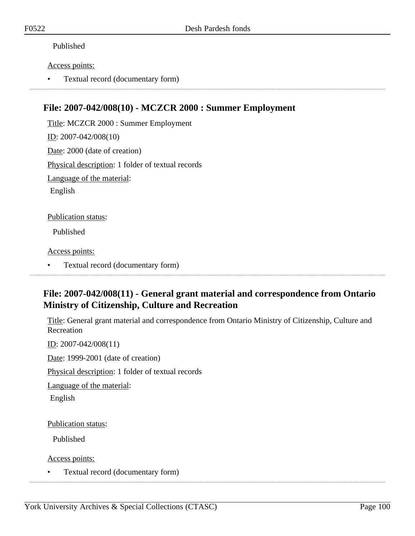#### Published

#### Access points:

• Textual record (documentary form)

### **File: 2007-042/008(10) - MCZCR 2000 : Summer Employment**

Title: MCZCR 2000 : Summer Employment ID: 2007-042/008(10) Date: 2000 (date of creation) Physical description: 1 folder of textual records Language of the material: English Publication status:

Published

Access points:

• Textual record (documentary form)

### **File: 2007-042/008(11) - General grant material and correspondence from Ontario Ministry of Citizenship, Culture and Recreation**

Title: General grant material and correspondence from Ontario Ministry of Citizenship, Culture and Recreation

ID: 2007-042/008(11)

Date: 1999-2001 (date of creation)

Physical description: 1 folder of textual records

Language of the material:

English

Publication status:

Published

Access points:

• Textual record (documentary form)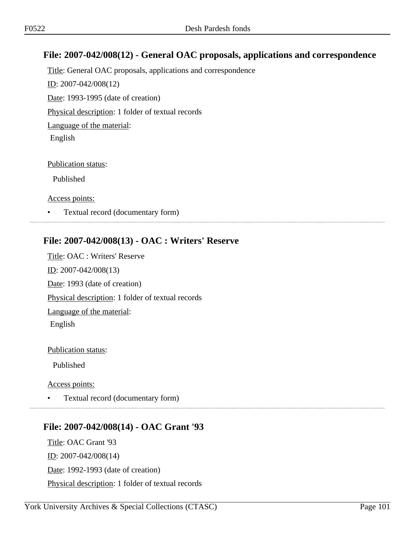# **File: 2007-042/008(12) - General OAC proposals, applications and correspondence**

Title: General OAC proposals, applications and correspondence ID: 2007-042/008(12) Date: 1993-1995 (date of creation) Physical description: 1 folder of textual records Language of the material: English

Publication status:

Published

Access points:

• Textual record (documentary form)

### **File: 2007-042/008(13) - OAC : Writers' Reserve**

Title: OAC : Writers' Reserve ID: 2007-042/008(13) Date: 1993 (date of creation) Physical description: 1 folder of textual records Language of the material: English

Publication status:

Published

Access points:

• Textual record (documentary form)

### 

### **File: 2007-042/008(14) - OAC Grant '93**

Title: OAC Grant '93 <u>ID</u>: 2007-042/008(14) Date: 1992-1993 (date of creation) Physical description: 1 folder of textual records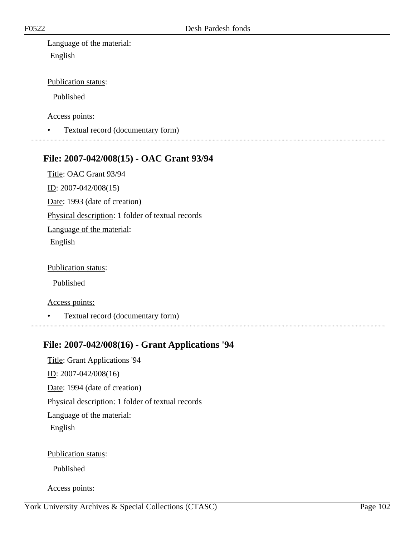Language of the material: English

Publication status:

Published

Access points:

• Textual record (documentary form)

#### **File: 2007-042/008(15) - OAC Grant 93/94**

Title: OAC Grant 93/94

ID: 2007-042/008(15)

Date: 1993 (date of creation)

Physical description: 1 folder of textual records

Language of the material:

English

Publication status:

Published

Access points:

• Textual record (documentary form)

# **File: 2007-042/008(16) - Grant Applications '94**

Title: Grant Applications '94 ID: 2007-042/008(16) Date: 1994 (date of creation) Physical description: 1 folder of textual records Language of the material: English Publication status:

Published

Access points: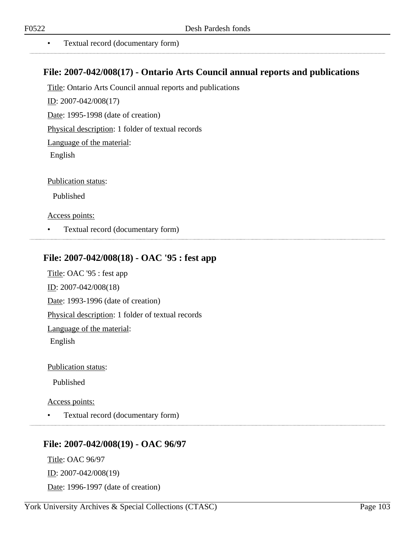• Textual record (documentary form)

### **File: 2007-042/008(17) - Ontario Arts Council annual reports and publications**

Title: Ontario Arts Council annual reports and publications

ID: 2007-042/008(17)

Date: 1995-1998 (date of creation)

Physical description: 1 folder of textual records

Language of the material:

English

Publication status:

Published

#### Access points:

• Textual record (documentary form)

### **File: 2007-042/008(18) - OAC '95 : fest app**

Title: OAC '95 : fest app ID: 2007-042/008(18) Date: 1993-1996 (date of creation) Physical description: 1 folder of textual records Language of the material: English

Publication status:

Published

Access points:

• Textual record (documentary form)

### **File: 2007-042/008(19) - OAC 96/97**

Title: OAC 96/97 ID: 2007-042/008(19) Date: 1996-1997 (date of creation)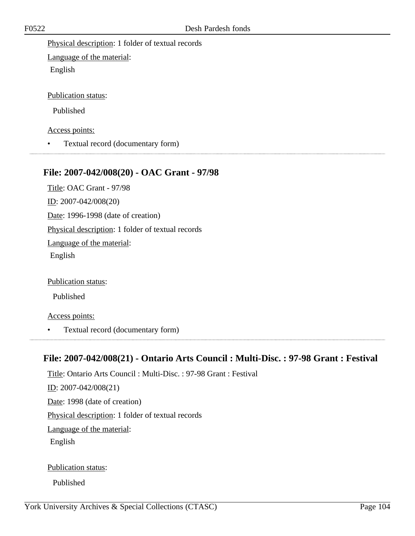Physical description: 1 folder of textual records

Language of the material: English

Publication status:

Published

Access points:

• Textual record (documentary form)

# **File: 2007-042/008(20) - OAC Grant - 97/98**

Title: OAC Grant - 97/98 ID: 2007-042/008(20) Date: 1996-1998 (date of creation) Physical description: 1 folder of textual records Language of the material: English

Publication status:

Published

Access points:

• Textual record (documentary form)

### **File: 2007-042/008(21) - Ontario Arts Council : Multi-Disc. : 97-98 Grant : Festival**

Title: Ontario Arts Council : Multi-Disc. : 97-98 Grant : Festival ID: 2007-042/008(21) Date: 1998 (date of creation) Physical description: 1 folder of textual records Language of the material: English Publication status:

Published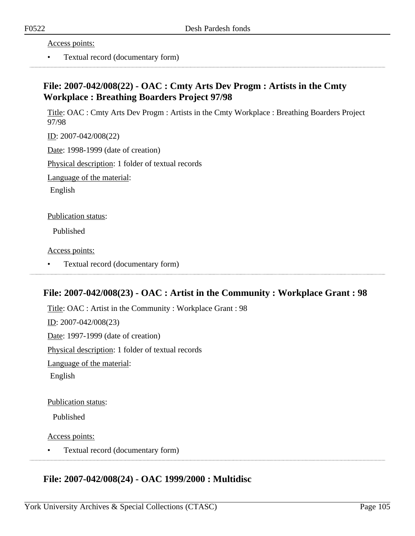Access points:

• Textual record (documentary form)

# **File: 2007-042/008(22) - OAC : Cmty Arts Dev Progm : Artists in the Cmty Workplace : Breathing Boarders Project 97/98**

Title: OAC : Cmty Arts Dev Progm : Artists in the Cmty Workplace : Breathing Boarders Project 97/98

ID: 2007-042/008(22)

Date: 1998-1999 (date of creation)

Physical description: 1 folder of textual records

Language of the material:

English

Publication status:

Published

Access points:

• Textual record (documentary form)

# **File: 2007-042/008(23) - OAC : Artist in the Community : Workplace Grant : 98**

Title: OAC : Artist in the Community : Workplace Grant : 98 ID: 2007-042/008(23) Date: 1997-1999 (date of creation) Physical description: 1 folder of textual records Language of the material: English

Publication status:

Published

Access points:

• Textual record (documentary form)

### **File: 2007-042/008(24) - OAC 1999/2000 : Multidisc**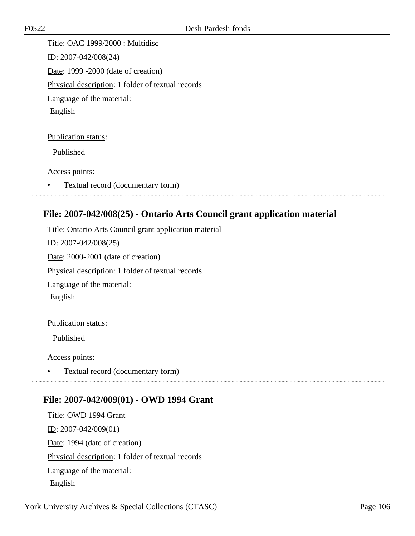Title: OAC 1999/2000 : Multidisc ID: 2007-042/008(24) Date: 1999 -2000 (date of creation) Physical description: 1 folder of textual records Language of the material: English

Publication status:

Published

Access points:

• Textual record (documentary form)

### **File: 2007-042/008(25) - Ontario Arts Council grant application material**

Title: Ontario Arts Council grant application material ID: 2007-042/008(25) Date: 2000-2001 (date of creation) Physical description: 1 folder of textual records Language of the material: English

Publication status:

Published

Access points:

• Textual record (documentary form) 

### **File: 2007-042/009(01) - OWD 1994 Grant**

Title: OWD 1994 Grant ID: 2007-042/009(01) Date: 1994 (date of creation) Physical description: 1 folder of textual records Language of the material: English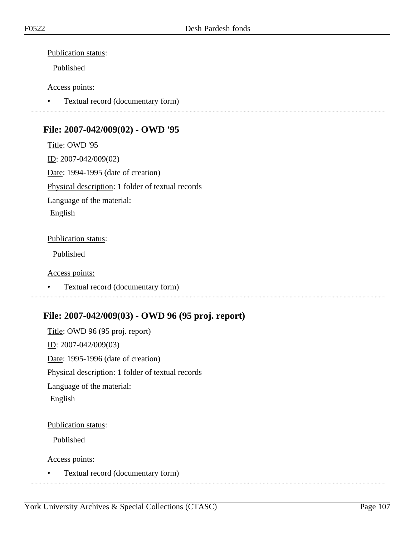#### Publication status:

Published

#### Access points:

• Textual record (documentary form)

# **File: 2007-042/009(02) - OWD '95**

Title: OWD '95 ID: 2007-042/009(02) Date: 1994-1995 (date of creation) Physical description: 1 folder of textual records Language of the material: English

#### Publication status:

Published

#### Access points:

• Textual record (documentary form)

# **File: 2007-042/009(03) - OWD 96 (95 proj. report)**

Title: OWD 96 (95 proj. report) ID: 2007-042/009(03) Date: 1995-1996 (date of creation) Physical description: 1 folder of textual records Language of the material: English

#### Publication status:

Published

Access points:

• Textual record (documentary form)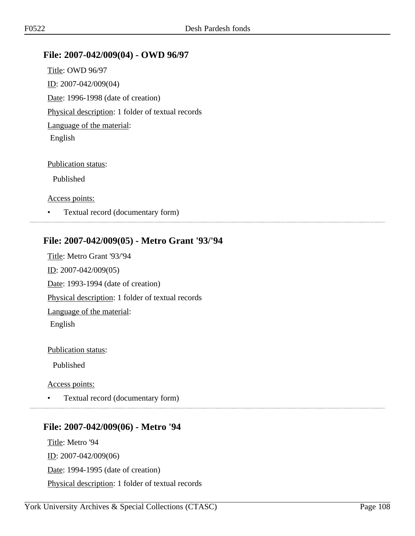### **File: 2007-042/009(04) - OWD 96/97**

Title: OWD 96/97 ID: 2007-042/009(04) Date: 1996-1998 (date of creation) Physical description: 1 folder of textual records Language of the material: English

#### Publication status:

Published

Access points:

• Textual record (documentary form)

### **File: 2007-042/009(05) - Metro Grant '93/'94**

Title: Metro Grant '93/'94 ID: 2007-042/009(05) Date: 1993-1994 (date of creation) Physical description: 1 folder of textual records Language of the material: English

Publication status:

Published

Access points:

• Textual record (documentary form)

# **File: 2007-042/009(06) - Metro '94**

Title: Metro '94  $ID: 2007-042/009(06)$ Date: 1994-1995 (date of creation) Physical description: 1 folder of textual records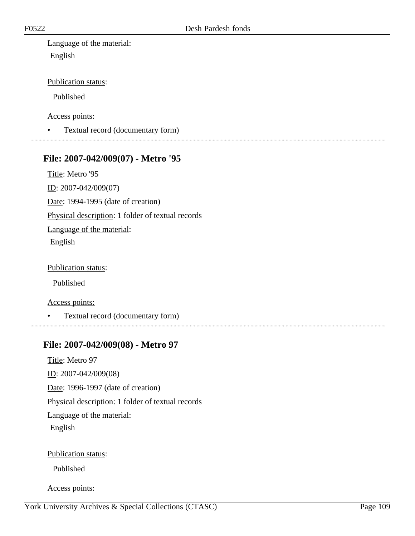Language of the material: English

Publication status:

Published

Access points:

• Textual record (documentary form)

### **File: 2007-042/009(07) - Metro '95**

Title: Metro '95

ID: 2007-042/009(07)

Date: 1994-1995 (date of creation)

Physical description: 1 folder of textual records

Language of the material:

English

Publication status:

Published

Access points:

• Textual record (documentary form)

#### **File: 2007-042/009(08) - Metro 97**

Title: Metro 97 ID: 2007-042/009(08) Date: 1996-1997 (date of creation) Physical description: 1 folder of textual records Language of the material: English

Publication status:

Published

Access points: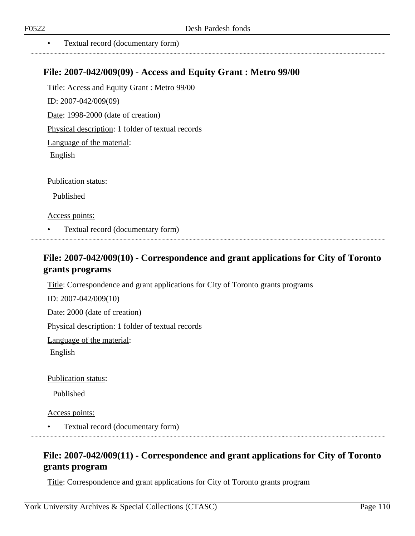• Textual record (documentary form)

### **File: 2007-042/009(09) - Access and Equity Grant : Metro 99/00**

Title: Access and Equity Grant : Metro 99/00 ID: 2007-042/009(09) Date: 1998-2000 (date of creation) Physical description: 1 folder of textual records Language of the material: English

Publication status:

Published

Access points:

• Textual record (documentary form)

### **File: 2007-042/009(10) - Correspondence and grant applications for City of Toronto grants programs**

Title: Correspondence and grant applications for City of Toronto grants programs

ID: 2007-042/009(10)

Date: 2000 (date of creation)

Physical description: 1 folder of textual records

Language of the material:

English

Publication status:

Published

Access points:

• Textual record (documentary form)

### **File: 2007-042/009(11) - Correspondence and grant applications for City of Toronto grants program**

Title: Correspondence and grant applications for City of Toronto grants program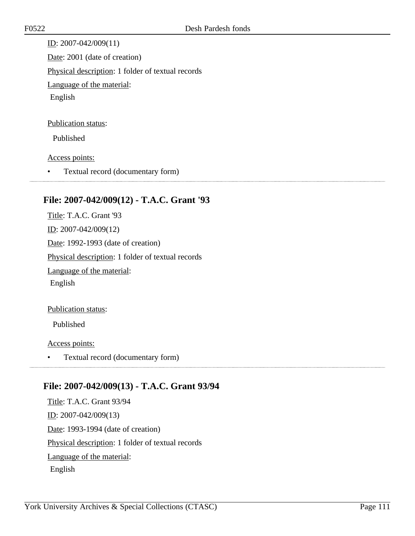ID: 2007-042/009(11) Date: 2001 (date of creation) Physical description: 1 folder of textual records Language of the material: English

#### Publication status:

Published

Access points:

• Textual record (documentary form)

### **File: 2007-042/009(12) - T.A.C. Grant '93**

Title: T.A.C. Grant '93 ID: 2007-042/009(12) Date: 1992-1993 (date of creation) Physical description: 1 folder of textual records Language of the material: English

Publication status:

Published

Access points:

• Textual record (documentary form)

### **File: 2007-042/009(13) - T.A.C. Grant 93/94**

Title: T.A.C. Grant 93/94 ID: 2007-042/009(13) Date: 1993-1994 (date of creation) Physical description: 1 folder of textual records Language of the material: English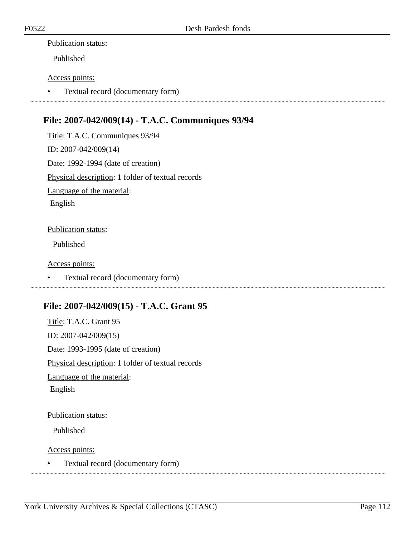#### Publication status:

Published

#### Access points:

• Textual record (documentary form)

### **File: 2007-042/009(14) - T.A.C. Communiques 93/94**

Title: T.A.C. Communiques 93/94 ID: 2007-042/009(14) Date: 1992-1994 (date of creation) Physical description: 1 folder of textual records Language of the material: English

#### Publication status:

Published

#### Access points:

• Textual record (documentary form)

### **File: 2007-042/009(15) - T.A.C. Grant 95**

Title: T.A.C. Grant 95 ID: 2007-042/009(15) Date: 1993-1995 (date of creation) Physical description: 1 folder of textual records Language of the material: English

#### Publication status:

Published

Access points:

• Textual record (documentary form)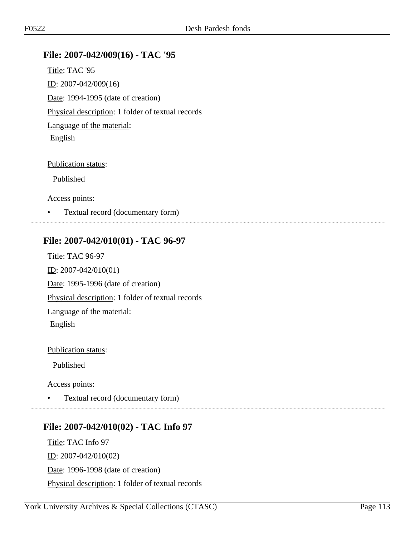### **File: 2007-042/009(16) - TAC '95**

Title: TAC '95 ID: 2007-042/009(16) Date: 1994-1995 (date of creation) Physical description: 1 folder of textual records Language of the material: English

#### Publication status:

Published

Access points:

• Textual record (documentary form)

### **File: 2007-042/010(01) - TAC 96-97**

Title: TAC 96-97 ID: 2007-042/010(01) Date: 1995-1996 (date of creation) Physical description: 1 folder of textual records Language of the material: English

Publication status:

Published

Access points:

• Textual record (documentary form)

# **File: 2007-042/010(02) - TAC Info 97**

Title: TAC Info 97 ID: 2007-042/010(02) Date: 1996-1998 (date of creation) Physical description: 1 folder of textual records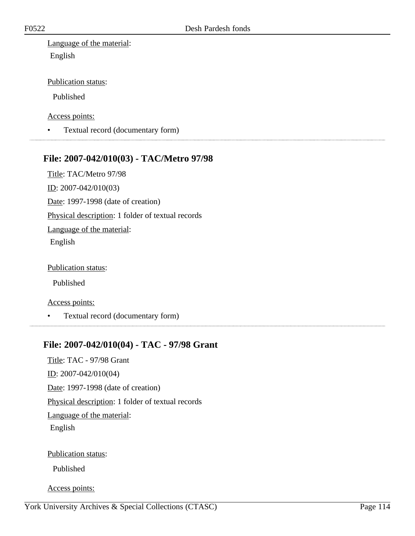Language of the material: English

Publication status:

Published

Access points:

• Textual record (documentary form)

### **File: 2007-042/010(03) - TAC/Metro 97/98**

Title: TAC/Metro 97/98

ID: 2007-042/010(03)

Date: 1997-1998 (date of creation)

Physical description: 1 folder of textual records

Language of the material:

English

Publication status:

Published

Access points:

• Textual record (documentary form)

### **File: 2007-042/010(04) - TAC - 97/98 Grant**

Title: TAC - 97/98 Grant ID: 2007-042/010(04) Date: 1997-1998 (date of creation) Physical description: 1 folder of textual records Language of the material: English Publication status:

Published

Access points: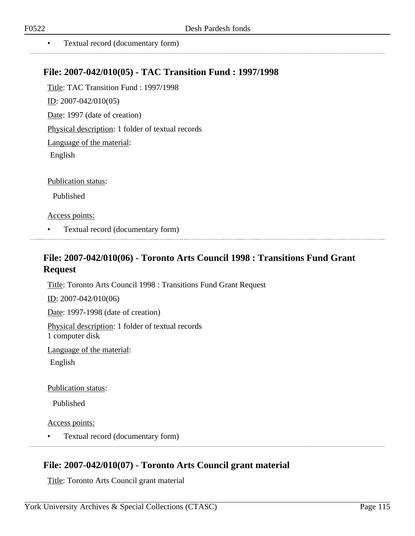• Textual record (documentary form)

### **File: 2007-042/010(05) - TAC Transition Fund : 1997/1998**

Title: TAC Transition Fund : 1997/1998 ID: 2007-042/010(05) Date: 1997 (date of creation) Physical description: 1 folder of textual records Language of the material: English

Publication status:

Published

Access points:

• Textual record (documentary form)

### **File: 2007-042/010(06) - Toronto Arts Council 1998 : Transitions Fund Grant Request**

Title: Toronto Arts Council 1998 : Transitions Fund Grant Request

ID: 2007-042/010(06)

Date: 1997-1998 (date of creation)

Physical description: 1 folder of textual records 1 computer disk

Language of the material:

English

Publication status:

Published

Access points:

• Textual record (documentary form)

### **File: 2007-042/010(07) - Toronto Arts Council grant material**

Title: Toronto Arts Council grant material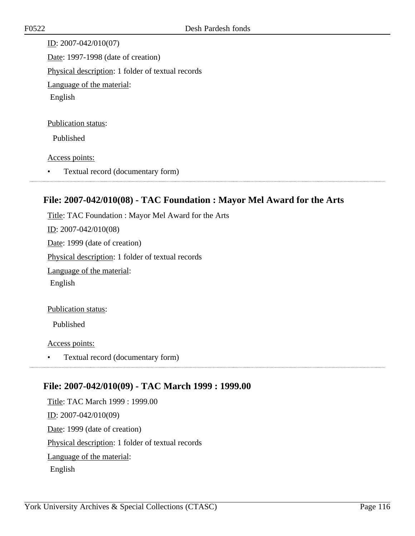ID: 2007-042/010(07) Date: 1997-1998 (date of creation) Physical description: 1 folder of textual records Language of the material: English

#### Publication status:

Published

#### Access points:

• Textual record (documentary form)

### **File: 2007-042/010(08) - TAC Foundation : Mayor Mel Award for the Arts**

Title: TAC Foundation : Mayor Mel Award for the Arts ID: 2007-042/010(08) Date: 1999 (date of creation) Physical description: 1 folder of textual records Language of the material: English Publication status: Published

Access points:

• Textual record (documentary form)

### **File: 2007-042/010(09) - TAC March 1999 : 1999.00**

Title: TAC March 1999 : 1999.00 ID: 2007-042/010(09) Date: 1999 (date of creation) Physical description: 1 folder of textual records Language of the material: English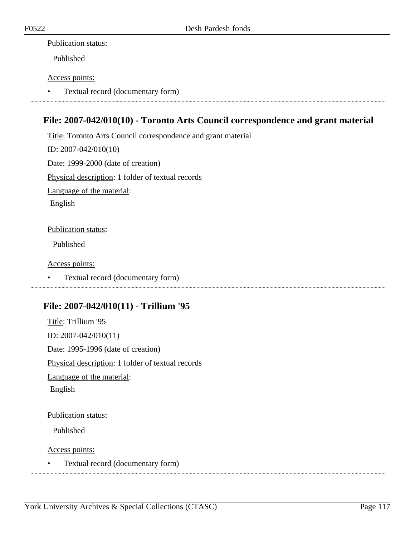#### Publication status:

Published

#### Access points:

• Textual record (documentary form)

### **File: 2007-042/010(10) - Toronto Arts Council correspondence and grant material**

Title: Toronto Arts Council correspondence and grant material ID: 2007-042/010(10) Date: 1999-2000 (date of creation) Physical description: 1 folder of textual records Language of the material: English

#### Publication status:

Published

Access points:

• Textual record (documentary form)

### **File: 2007-042/010(11) - Trillium '95**

Title: Trillium '95 ID: 2007-042/010(11) Date: 1995-1996 (date of creation) Physical description: 1 folder of textual records Language of the material: English

#### Publication status:

Published

Access points:

• Textual record (documentary form)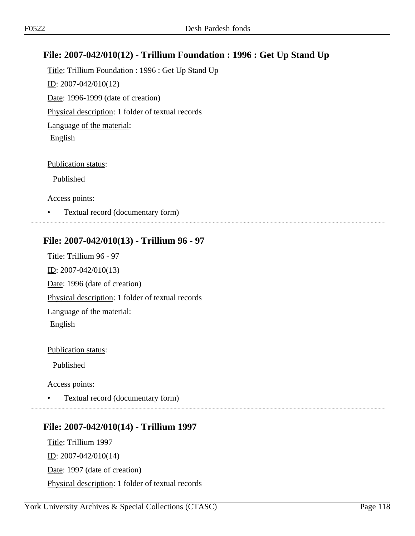### **File: 2007-042/010(12) - Trillium Foundation : 1996 : Get Up Stand Up**

Title: Trillium Foundation : 1996 : Get Up Stand Up ID: 2007-042/010(12) Date: 1996-1999 (date of creation) Physical description: 1 folder of textual records Language of the material: English

#### Publication status:

Published

Access points:

• Textual record (documentary form)

### **File: 2007-042/010(13) - Trillium 96 - 97**

Title: Trillium 96 - 97 ID: 2007-042/010(13) Date: 1996 (date of creation) Physical description: 1 folder of textual records Language of the material: English

Publication status:

Published

Access points:

• Textual record (documentary form)

# **File: 2007-042/010(14) - Trillium 1997**

Title: Trillium 1997 ID: 2007-042/010(14) Date: 1997 (date of creation) Physical description: 1 folder of textual records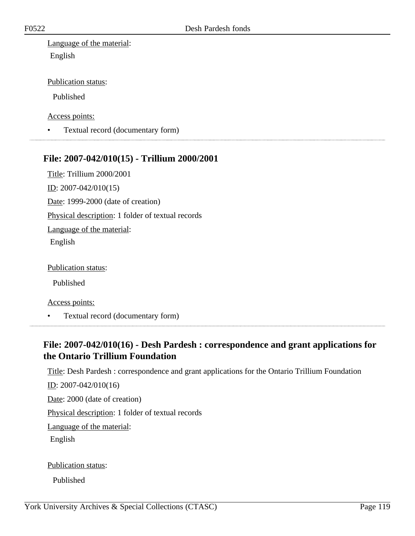Language of the material: English

Publication status:

Published

Access points:

• Textual record (documentary form)

#### **File: 2007-042/010(15) - Trillium 2000/2001**

Title: Trillium 2000/2001 ID: 2007-042/010(15) Date: 1999-2000 (date of creation) Physical description: 1 folder of textual records Language of the material:

English

Publication status:

Published

Access points:

• Textual record (documentary form)

### **File: 2007-042/010(16) - Desh Pardesh : correspondence and grant applications for the Ontario Trillium Foundation**

Title: Desh Pardesh : correspondence and grant applications for the Ontario Trillium Foundation

ID: 2007-042/010(16)

Date: 2000 (date of creation)

Physical description: 1 folder of textual records

Language of the material:

English

Publication status:

Published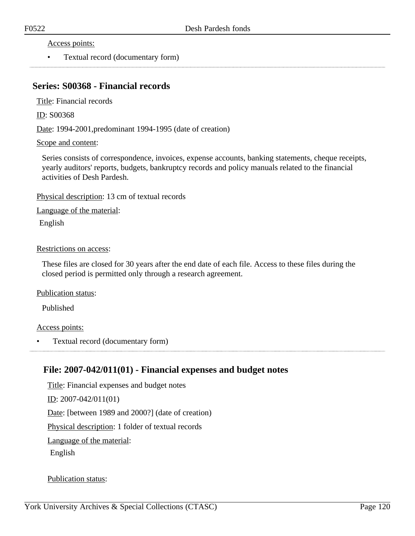Access points:

• Textual record (documentary form)

### **Series: S00368 - Financial records**

Title: Financial records

ID: S00368

Date: 1994-2001, predominant 1994-1995 (date of creation)

#### Scope and content:

Series consists of correspondence, invoices, expense accounts, banking statements, cheque receipts, yearly auditors' reports, budgets, bankruptcy records and policy manuals related to the financial activities of Desh Pardesh.

Physical description: 13 cm of textual records

Language of the material:

English

#### Restrictions on access:

These files are closed for 30 years after the end date of each file. Access to these files during the closed period is permitted only through a research agreement.

Publication status:

Published

#### Access points:

• Textual record (documentary form)

### **File: 2007-042/011(01) - Financial expenses and budget notes**

Title: Financial expenses and budget notes ID: 2007-042/011(01) Date: [between 1989 and 2000?] (date of creation) Physical description: 1 folder of textual records Language of the material: English

#### Publication status: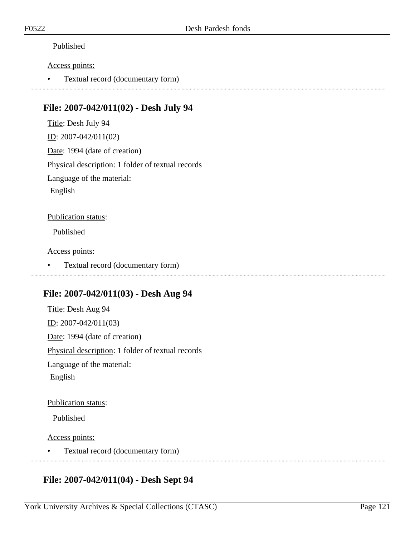#### Published

#### Access points:

• Textual record (documentary form)

### **File: 2007-042/011(02) - Desh July 94**

Title: Desh July 94 ID: 2007-042/011(02) Date: 1994 (date of creation) Physical description: 1 folder of textual records Language of the material: English Publication status:

Published

Access points:

• Textual record (documentary form)

### **File: 2007-042/011(03) - Desh Aug 94**

Title: Desh Aug 94 ID: 2007-042/011(03) Date: 1994 (date of creation) Physical description: 1 folder of textual records Language of the material: English

#### Publication status:

Published

Access points:

• Textual record (documentary form)

## **File: 2007-042/011(04) - Desh Sept 94**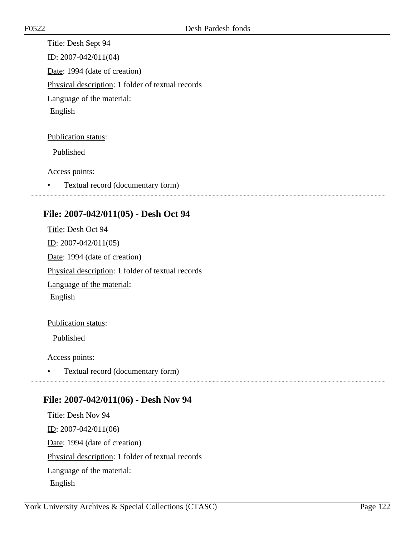Title: Desh Sept 94 ID: 2007-042/011(04) Date: 1994 (date of creation) Physical description: 1 folder of textual records Language of the material: English

Publication status:

Published

Access points:

• Textual record (documentary form)

### **File: 2007-042/011(05) - Desh Oct 94**

Title: Desh Oct 94 ID: 2007-042/011(05) Date: 1994 (date of creation) Physical description: 1 folder of textual records Language of the material: English

#### Publication status:

Published

Access points:

• Textual record (documentary form)

### **File: 2007-042/011(06) - Desh Nov 94**

Title: Desh Nov 94 ID: 2007-042/011(06) Date: 1994 (date of creation) Physical description: 1 folder of textual records Language of the material: English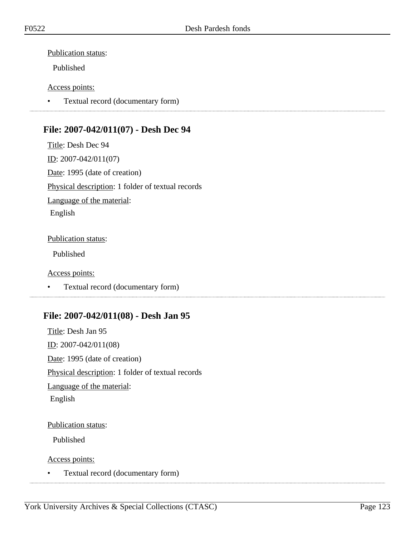#### Publication status:

Published

#### Access points:

• Textual record (documentary form)

### **File: 2007-042/011(07) - Desh Dec 94**

Title: Desh Dec 94 ID: 2007-042/011(07) Date: 1995 (date of creation) Physical description: 1 folder of textual records Language of the material: English

#### Publication status:

Published

#### Access points:

• Textual record (documentary form)

### **File: 2007-042/011(08) - Desh Jan 95**

Title: Desh Jan 95  $\underline{ID}$ : 2007-042/011(08) Date: 1995 (date of creation) Physical description: 1 folder of textual records Language of the material: English

#### Publication status:

Published

Access points:

• Textual record (documentary form)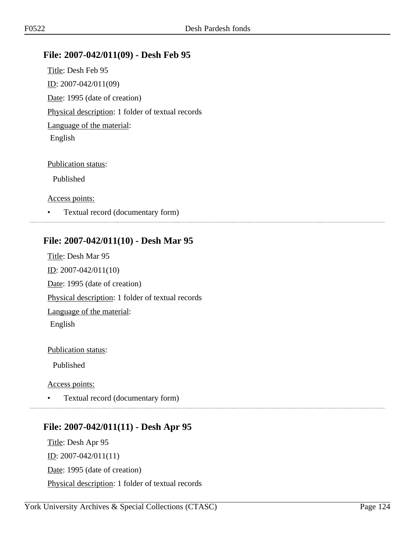### **File: 2007-042/011(09) - Desh Feb 95**

Title: Desh Feb 95 ID: 2007-042/011(09) Date: 1995 (date of creation) Physical description: 1 folder of textual records Language of the material: English

#### Publication status:

Published

Access points:

• Textual record (documentary form)

### **File: 2007-042/011(10) - Desh Mar 95**

Title: Desh Mar 95 ID: 2007-042/011(10) Date: 1995 (date of creation) Physical description: 1 folder of textual records Language of the material: English

Publication status:

Published

Access points:

• Textual record (documentary form)

### **File: 2007-042/011(11) - Desh Apr 95**

Title: Desh Apr 95 <u>ID</u>:  $2007 - 042/011(11)$ Date: 1995 (date of creation) Physical description: 1 folder of textual records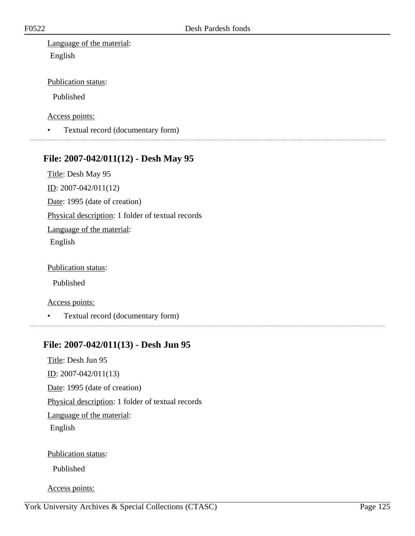Language of the material: English

Publication status:

Published

Access points:

• Textual record (documentary form)

### **File: 2007-042/011(12) - Desh May 95**

Title: Desh May 95

ID: 2007-042/011(12)

Date: 1995 (date of creation)

Physical description: 1 folder of textual records

Language of the material:

English

Publication status:

Published

Access points:

• Textual record (documentary form)

### **File: 2007-042/011(13) - Desh Jun 95**

Title: Desh Jun 95 ID: 2007-042/011(13) Date: 1995 (date of creation) Physical description: 1 folder of textual records Language of the material: English

Publication status:

Published

Access points: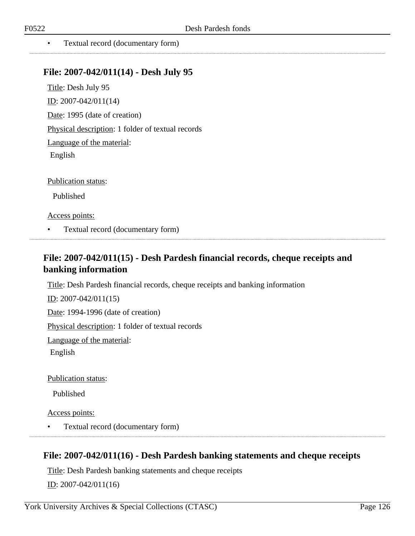. . . . . . . . . . . . . . . . . . . .

• Textual record (documentary form)

#### **File: 2007-042/011(14) - Desh July 95**

Title: Desh July 95 ID: 2007-042/011(14) Date: 1995 (date of creation) Physical description: 1 folder of textual records Language of the material: English

Publication status:

Published

Access points:

• Textual record (documentary form)

### **File: 2007-042/011(15) - Desh Pardesh financial records, cheque receipts and banking information**

Title: Desh Pardesh financial records, cheque receipts and banking information

ID: 2007-042/011(15)

Date: 1994-1996 (date of creation)

Physical description: 1 folder of textual records

Language of the material:

English

Publication status:

Published

Access points:

• Textual record (documentary form)

### **File: 2007-042/011(16) - Desh Pardesh banking statements and cheque receipts**

Title: Desh Pardesh banking statements and cheque receipts ID: 2007-042/011(16)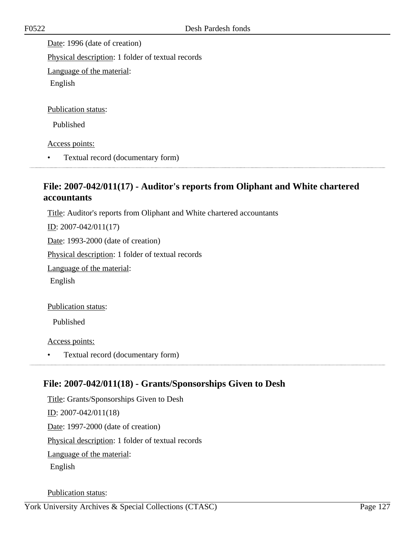Date: 1996 (date of creation) Physical description: 1 folder of textual records Language of the material: English Publication status: Published

Access points:

• Textual record (documentary form)

### **File: 2007-042/011(17) - Auditor's reports from Oliphant and White chartered accountants**

Title: Auditor's reports from Oliphant and White chartered accountants

ID: 2007-042/011(17)

Date: 1993-2000 (date of creation)

Physical description: 1 folder of textual records

Language of the material:

English

Publication status:

Published

Access points:

• Textual record (documentary form)

### **File: 2007-042/011(18) - Grants/Sponsorships Given to Desh**

Title: Grants/Sponsorships Given to Desh ID: 2007-042/011(18) Date: 1997-2000 (date of creation) Physical description: 1 folder of textual records Language of the material: English

Publication status: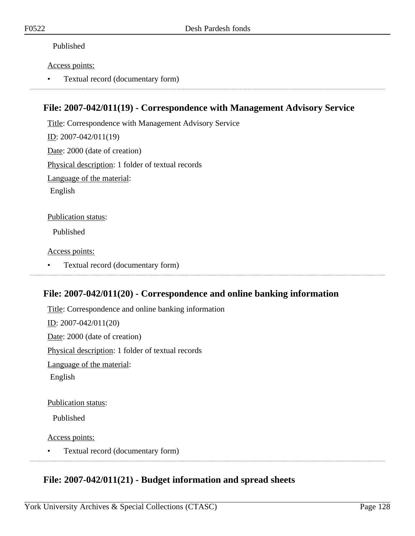#### Published

#### Access points:

• Textual record (documentary form)

### **File: 2007-042/011(19) - Correspondence with Management Advisory Service**

Title: Correspondence with Management Advisory Service ID: 2007-042/011(19) Date: 2000 (date of creation) Physical description: 1 folder of textual records Language of the material: English Publication status:

Published

Access points:

• Textual record (documentary form)

### **File: 2007-042/011(20) - Correspondence and online banking information**

Title: Correspondence and online banking information ID: 2007-042/011(20) Date: 2000 (date of creation) Physical description: 1 folder of textual records Language of the material: English

Publication status:

Published

Access points:

• Textual record (documentary form)

### **File: 2007-042/011(21) - Budget information and spread sheets**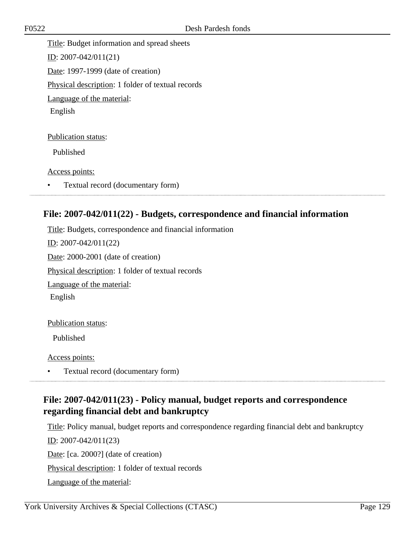Title: Budget information and spread sheets ID: 2007-042/011(21) Date: 1997-1999 (date of creation) Physical description: 1 folder of textual records Language of the material: English

Publication status:

Published

Access points:

• Textual record (documentary form)

### **File: 2007-042/011(22) - Budgets, correspondence and financial information**

Title: Budgets, correspondence and financial information ID: 2007-042/011(22) Date: 2000-2001 (date of creation) Physical description: 1 folder of textual records Language of the material: English

Publication status:

Published

Access points:

• Textual record (documentary form) 

### **File: 2007-042/011(23) - Policy manual, budget reports and correspondence regarding financial debt and bankruptcy**

Title: Policy manual, budget reports and correspondence regarding financial debt and bankruptcy ID: 2007-042/011(23) Date: [ca. 2000?] (date of creation) Physical description: 1 folder of textual records Language of the material: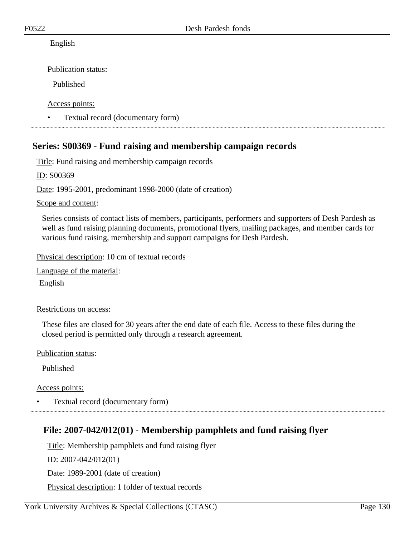#### English

Publication status:

Published

Access points:

• Textual record (documentary form)

### **Series: S00369 - Fund raising and membership campaign records**

Title: Fund raising and membership campaign records

ID: S00369

Date: 1995-2001, predominant 1998-2000 (date of creation)

Scope and content:

Series consists of contact lists of members, participants, performers and supporters of Desh Pardesh as well as fund raising planning documents, promotional flyers, mailing packages, and member cards for various fund raising, membership and support campaigns for Desh Pardesh.

Physical description: 10 cm of textual records

Language of the material:

English

#### Restrictions on access:

These files are closed for 30 years after the end date of each file. Access to these files during the closed period is permitted only through a research agreement.

Publication status:

Published

Access points:

• Textual record (documentary form)

### **File: 2007-042/012(01) - Membership pamphlets and fund raising flyer**

Title: Membership pamphlets and fund raising flyer ID: 2007-042/012(01) Date: 1989-2001 (date of creation) Physical description: 1 folder of textual records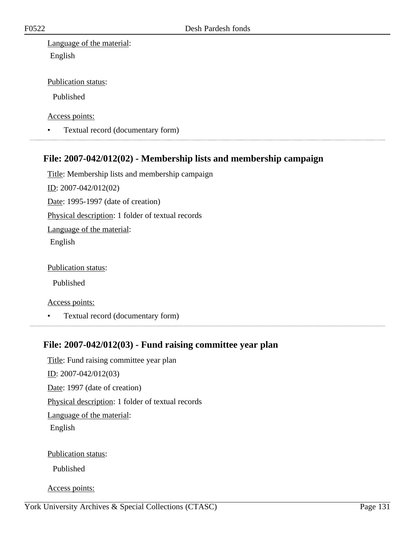Language of the material: English

#### Publication status:

Published

Access points:

• Textual record (documentary form)

### **File: 2007-042/012(02) - Membership lists and membership campaign**

Title: Membership lists and membership campaign ID: 2007-042/012(02) Date: 1995-1997 (date of creation) Physical description: 1 folder of textual records Language of the material: English

Publication status:

Published

Access points:

• Textual record (documentary form)

### **File: 2007-042/012(03) - Fund raising committee year plan**

Title: Fund raising committee year plan ID: 2007-042/012(03) Date: 1997 (date of creation) Physical description: 1 folder of textual records Language of the material: English Publication status:

Published

Access points: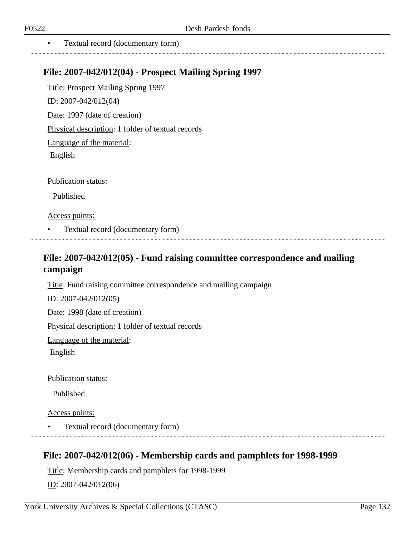• Textual record (documentary form)

### **File: 2007-042/012(04) - Prospect Mailing Spring 1997**

Title: Prospect Mailing Spring 1997 ID: 2007-042/012(04) Date: 1997 (date of creation) Physical description: 1 folder of textual records Language of the material: English

Publication status:

Published

Access points:

• Textual record (documentary form)

### **File: 2007-042/012(05) - Fund raising committee correspondence and mailing campaign**

Title: Fund raising committee correspondence and mailing campaign

ID: 2007-042/012(05)

Date: 1998 (date of creation)

Physical description: 1 folder of textual records

Language of the material:

English

Publication status:

Published

Access points:

• Textual record (documentary form)

### **File: 2007-042/012(06) - Membership cards and pamphlets for 1998-1999**

Title: Membership cards and pamphlets for 1998-1999 ID: 2007-042/012(06)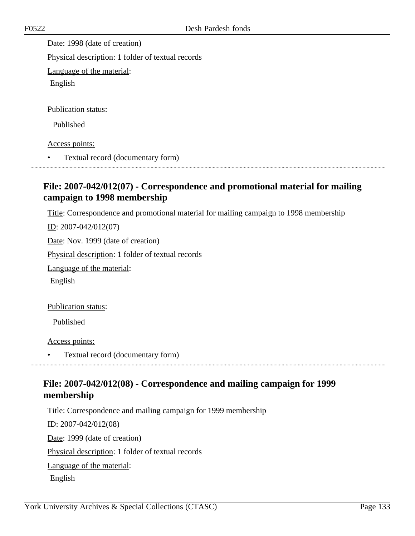Date: 1998 (date of creation)

Physical description: 1 folder of textual records

Language of the material:

English

Publication status:

Published

Access points:

• Textual record (documentary form)

### **File: 2007-042/012(07) - Correspondence and promotional material for mailing campaign to 1998 membership**

Title: Correspondence and promotional material for mailing campaign to 1998 membership

ID: 2007-042/012(07)

Date: Nov. 1999 (date of creation)

Physical description: 1 folder of textual records

Language of the material:

English

Publication status:

Published

Access points:

• Textual record (documentary form) 

### **File: 2007-042/012(08) - Correspondence and mailing campaign for 1999 membership**

Title: Correspondence and mailing campaign for 1999 membership

ID: 2007-042/012(08) Date: 1999 (date of creation) Physical description: 1 folder of textual records Language of the material: English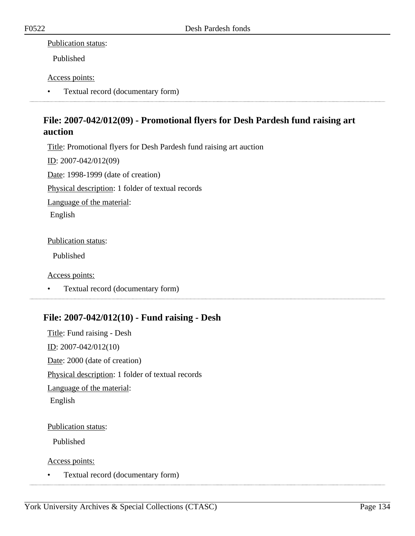#### Publication status:

Published

#### Access points:

• Textual record (documentary form)

### **File: 2007-042/012(09) - Promotional flyers for Desh Pardesh fund raising art auction**

Title: Promotional flyers for Desh Pardesh fund raising art auction

ID: 2007-042/012(09)

Date: 1998-1999 (date of creation)

Physical description: 1 folder of textual records

Language of the material:

English

#### Publication status:

Published

#### Access points:

• Textual record (documentary form)

### **File: 2007-042/012(10) - Fund raising - Desh**

Title: Fund raising - Desh ID: 2007-042/012(10) Date: 2000 (date of creation) Physical description: 1 folder of textual records Language of the material: English

#### Publication status:

Published

Access points:

• Textual record (documentary form)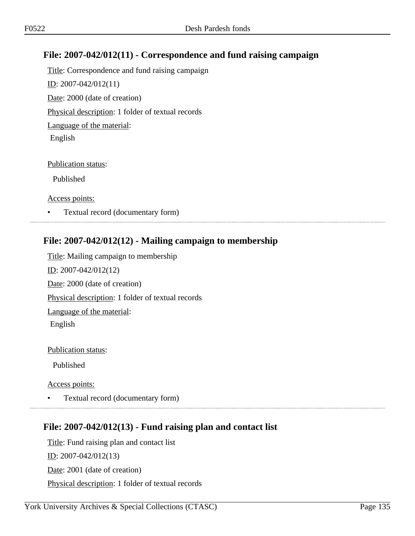### **File: 2007-042/012(11) - Correspondence and fund raising campaign**

Title: Correspondence and fund raising campaign ID: 2007-042/012(11) Date: 2000 (date of creation) Physical description: 1 folder of textual records Language of the material: English

#### Publication status:

Published

Access points:

• Textual record (documentary form)

### **File: 2007-042/012(12) - Mailing campaign to membership**

Title: Mailing campaign to membership ID: 2007-042/012(12) Date: 2000 (date of creation) Physical description: 1 folder of textual records Language of the material: English

Publication status:

Published

Access points:

• Textual record (documentary form)

### 

### **File: 2007-042/012(13) - Fund raising plan and contact list**

Title: Fund raising plan and contact list ID: 2007-042/012(13) Date: 2001 (date of creation) Physical description: 1 folder of textual records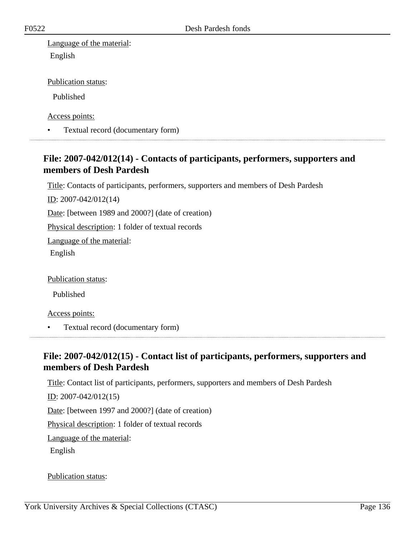Language of the material: English

Publication status:

Published

Access points:

• Textual record (documentary form)

### **File: 2007-042/012(14) - Contacts of participants, performers, supporters and members of Desh Pardesh**

Title: Contacts of participants, performers, supporters and members of Desh Pardesh

ID: 2007-042/012(14)

Date: [between 1989 and 2000?] (date of creation)

Physical description: 1 folder of textual records

Language of the material:

English

Publication status:

Published

Access points:

• Textual record (documentary form)

### **File: 2007-042/012(15) - Contact list of participants, performers, supporters and members of Desh Pardesh**

Title: Contact list of participants, performers, supporters and members of Desh Pardesh

<u>ID</u>: 2007-042/012(15)

Date: [between 1997 and 2000?] (date of creation)

Physical description: 1 folder of textual records

Language of the material:

English

Publication status: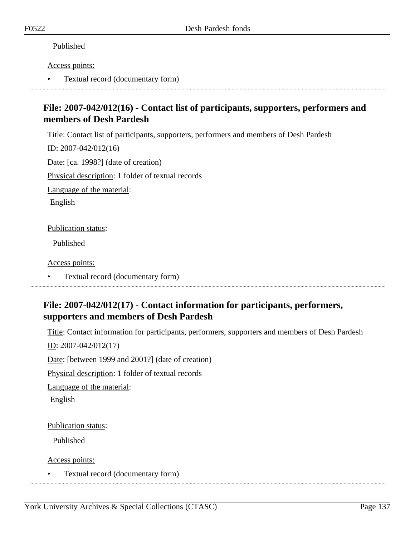#### Published

#### Access points:

• Textual record (documentary form)

### **File: 2007-042/012(16) - Contact list of participants, supporters, performers and members of Desh Pardesh**

Title: Contact list of participants, supporters, performers and members of Desh Pardesh

<u>ID</u>: 2007-042/012(16)

Date: [ca. 1998?] (date of creation)

Physical description: 1 folder of textual records

Language of the material:

English

Publication status:

Published

Access points:

• Textual record (documentary form)

### **File: 2007-042/012(17) - Contact information for participants, performers, supporters and members of Desh Pardesh**

Title: Contact information for participants, performers, supporters and members of Desh Pardesh

ID: 2007-042/012(17)

Date: [between 1999 and 2001?] (date of creation)

Physical description: 1 folder of textual records

Language of the material:

English

Publication status:

Published

Access points:

• Textual record (documentary form)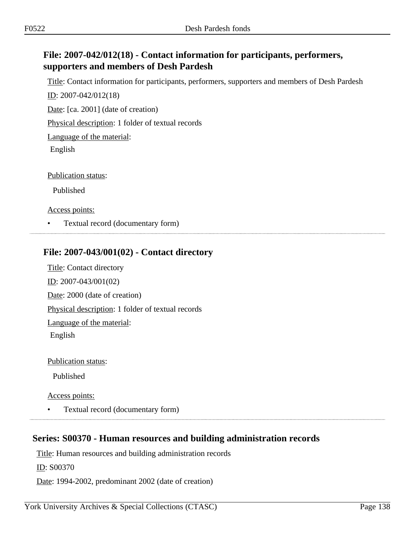### **File: 2007-042/012(18) - Contact information for participants, performers, supporters and members of Desh Pardesh**

Title: Contact information for participants, performers, supporters and members of Desh Pardesh

ID: 2007-042/012(18)

Date: [ca. 2001] (date of creation)

Physical description: 1 folder of textual records

Language of the material:

English

Publication status:

Published

Access points:

• Textual record (documentary form)

### **File: 2007-043/001(02) - Contact directory**

Title: Contact directory ID: 2007-043/001(02) Date: 2000 (date of creation) Physical description: 1 folder of textual records Language of the material: English

Publication status:

Published

Access points:

• Textual record (documentary form)

### **Series: S00370 - Human resources and building administration records**

Title: Human resources and building administration records

ID: S00370

Date: 1994-2002, predominant 2002 (date of creation)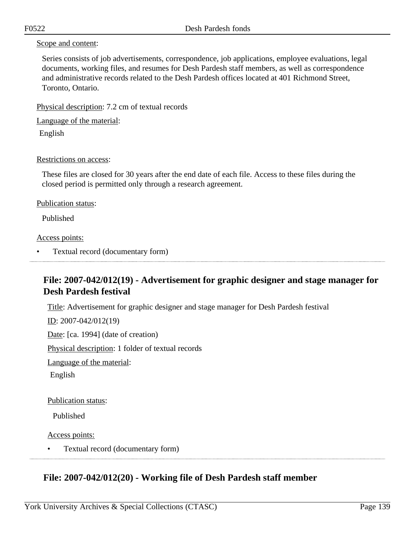#### Scope and content:

Series consists of job advertisements, correspondence, job applications, employee evaluations, legal documents, working files, and resumes for Desh Pardesh staff members, as well as correspondence and administrative records related to the Desh Pardesh offices located at 401 Richmond Street, Toronto, Ontario.

Physical description: 7.2 cm of textual records

Language of the material:

English

#### Restrictions on access:

These files are closed for 30 years after the end date of each file. Access to these files during the closed period is permitted only through a research agreement.

#### Publication status:

Published

#### Access points:

• Textual record (documentary form)

### **File: 2007-042/012(19) - Advertisement for graphic designer and stage manager for Desh Pardesh festival**

Title: Advertisement for graphic designer and stage manager for Desh Pardesh festival

ID: 2007-042/012(19)

Date: [ca. 1994] (date of creation)

Physical description: 1 folder of textual records

Language of the material:

English

#### Publication status:

Published

Access points:

• Textual record (documentary form)

### **File: 2007-042/012(20) - Working file of Desh Pardesh staff member**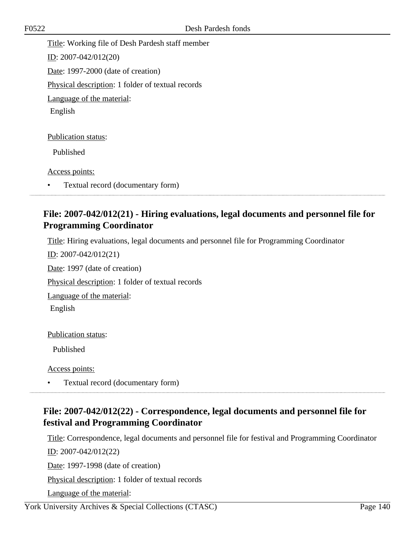Title: Working file of Desh Pardesh staff member ID: 2007-042/012(20) Date: 1997-2000 (date of creation) Physical description: 1 folder of textual records Language of the material: English

Publication status:

Published

Access points:

• Textual record (documentary form)

### **File: 2007-042/012(21) - Hiring evaluations, legal documents and personnel file for Programming Coordinator**

Title: Hiring evaluations, legal documents and personnel file for Programming Coordinator

ID: 2007-042/012(21) Date: 1997 (date of creation) Physical description: 1 folder of textual records Language of the material: English Publication status:

Published

Access points:

• Textual record (documentary form)

### **File: 2007-042/012(22) - Correspondence, legal documents and personnel file for festival and Programming Coordinator**

Title: Correspondence, legal documents and personnel file for festival and Programming Coordinator ID: 2007-042/012(22)

Date: 1997-1998 (date of creation)

Physical description: 1 folder of textual records

Language of the material: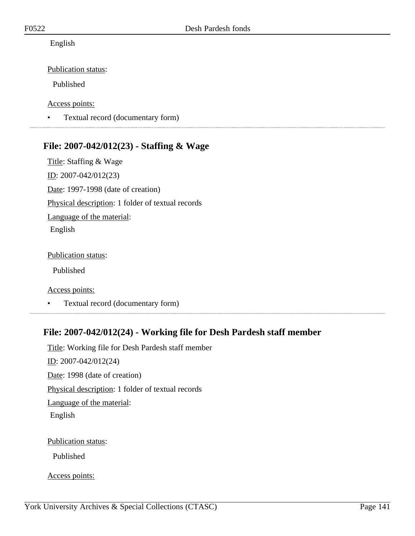English

Publication status:

Published

Access points:

• Textual record (documentary form)

### **File: 2007-042/012(23) - Staffing & Wage**

Title: Staffing & Wage ID: 2007-042/012(23) Date: 1997-1998 (date of creation) Physical description: 1 folder of textual records Language of the material: English

Publication status:

Published

Access points:

• Textual record (documentary form)

### **File: 2007-042/012(24) - Working file for Desh Pardesh staff member**

Title: Working file for Desh Pardesh staff member ID: 2007-042/012(24) Date: 1998 (date of creation) Physical description: 1 folder of textual records Language of the material: English Publication status:

Published

Access points: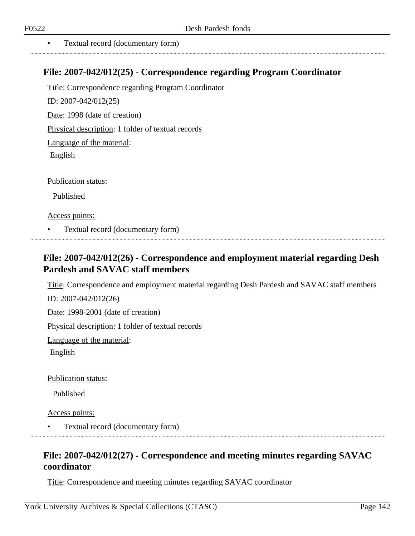• Textual record (documentary form)

### **File: 2007-042/012(25) - Correspondence regarding Program Coordinator**

Title: Correspondence regarding Program Coordinator ID: 2007-042/012(25) Date: 1998 (date of creation) Physical description: 1 folder of textual records Language of the material: English Publication status:

Published

Access points:

• Textual record (documentary form)

### **File: 2007-042/012(26) - Correspondence and employment material regarding Desh Pardesh and SAVAC staff members**

Title: Correspondence and employment material regarding Desh Pardesh and SAVAC staff members

ID: 2007-042/012(26)

Date: 1998-2001 (date of creation)

Physical description: 1 folder of textual records

Language of the material:

English

Publication status:

Published

Access points:

• Textual record (documentary form)

### **File: 2007-042/012(27) - Correspondence and meeting minutes regarding SAVAC coordinator**

Title: Correspondence and meeting minutes regarding SAVAC coordinator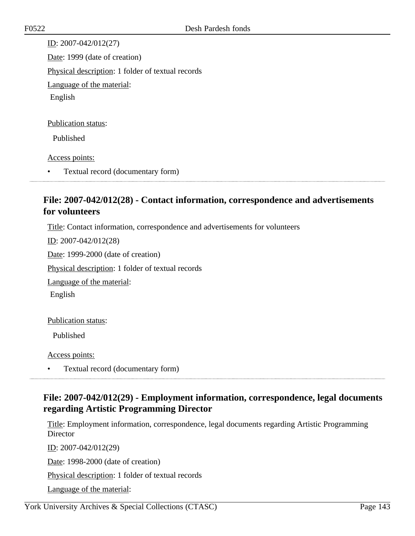ID: 2007-042/012(27) Date: 1999 (date of creation) Physical description: 1 folder of textual records Language of the material: English

#### Publication status:

Published

#### Access points:

• Textual record (documentary form)

### **File: 2007-042/012(28) - Contact information, correspondence and advertisements for volunteers**

Title: Contact information, correspondence and advertisements for volunteers

ID: 2007-042/012(28)

Date: 1999-2000 (date of creation)

Physical description: 1 folder of textual records

Language of the material:

English

#### Publication status:

Published

Access points:

• Textual record (documentary form)

### **File: 2007-042/012(29) - Employment information, correspondence, legal documents regarding Artistic Programming Director**

Title: Employment information, correspondence, legal documents regarding Artistic Programming Director

ID: 2007-042/012(29)

Date: 1998-2000 (date of creation)

Physical description: 1 folder of textual records

Language of the material: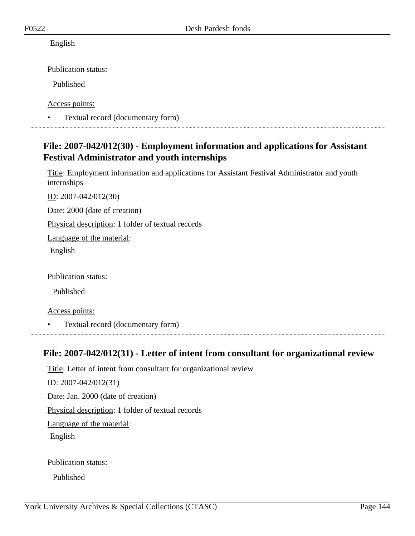English

Publication status:

Published

Access points:

• Textual record (documentary form)

### **File: 2007-042/012(30) - Employment information and applications for Assistant Festival Administrator and youth internships**

Title: Employment information and applications for Assistant Festival Administrator and youth internships

ID: 2007-042/012(30)

Date: 2000 (date of creation)

Physical description: 1 folder of textual records

Language of the material:

English

Publication status:

Published

Access points:

• Textual record (documentary form) 

### **File: 2007-042/012(31) - Letter of intent from consultant for organizational review**

Title: Letter of intent from consultant for organizational review ID: 2007-042/012(31) Date: Jan. 2000 (date of creation) Physical description: 1 folder of textual records Language of the material: English

Publication status:

Published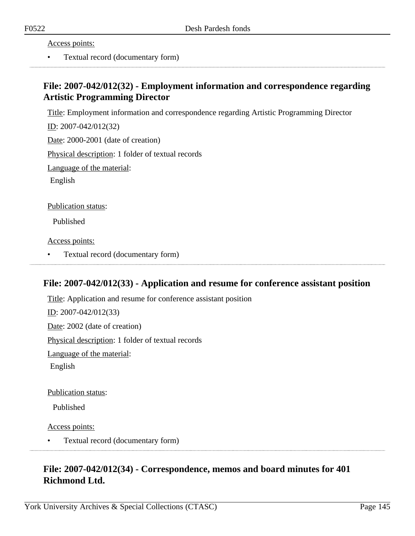Access points:

• Textual record (documentary form)

### **File: 2007-042/012(32) - Employment information and correspondence regarding Artistic Programming Director**

Title: Employment information and correspondence regarding Artistic Programming Director

ID: 2007-042/012(32)

Date: 2000-2001 (date of creation)

Physical description: 1 folder of textual records

Language of the material:

English

Publication status:

Published

Access points:

• Textual record (documentary form)

### **File: 2007-042/012(33) - Application and resume for conference assistant position**

Title: Application and resume for conference assistant position ID: 2007-042/012(33) Date: 2002 (date of creation) Physical description: 1 folder of textual records Language of the material: English

Publication status:

Published

Access points:

• Textual record (documentary form)

### **File: 2007-042/012(34) - Correspondence, memos and board minutes for 401 Richmond Ltd.**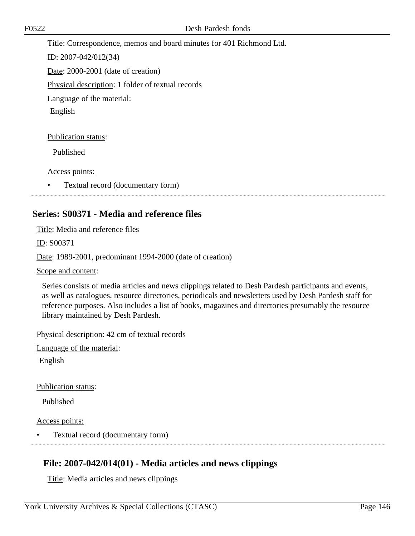Title: Correspondence, memos and board minutes for 401 Richmond Ltd.

ID: 2007-042/012(34)

Date: 2000-2001 (date of creation)

Physical description: 1 folder of textual records

Language of the material:

English

Publication status:

Published

Access points:

• Textual record (documentary form)

### **Series: S00371 - Media and reference files**

Title: Media and reference files

ID: S00371

Date: 1989-2001, predominant 1994-2000 (date of creation)

Scope and content:

Series consists of media articles and news clippings related to Desh Pardesh participants and events, as well as catalogues, resource directories, periodicals and newsletters used by Desh Pardesh staff for reference purposes. Also includes a list of books, magazines and directories presumably the resource library maintained by Desh Pardesh.

Physical description: 42 cm of textual records

Language of the material:

English

Publication status:

Published

Access points:

• Textual record (documentary form)

### **File: 2007-042/014(01) - Media articles and news clippings**

Title: Media articles and news clippings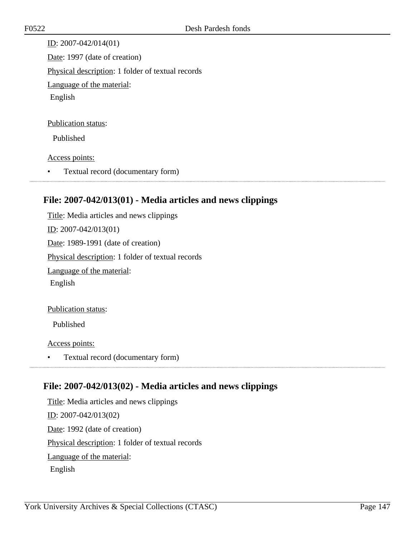ID: 2007-042/014(01) Date: 1997 (date of creation) Physical description: 1 folder of textual records Language of the material: English

#### Publication status:

Published

#### Access points:

• Textual record (documentary form)

### **File: 2007-042/013(01) - Media articles and news clippings**

Title: Media articles and news clippings ID: 2007-042/013(01) Date: 1989-1991 (date of creation) Physical description: 1 folder of textual records Language of the material: English Publication status:

Published

Access points:

• Textual record (documentary form)

### **File: 2007-042/013(02) - Media articles and news clippings**

Title: Media articles and news clippings ID: 2007-042/013(02) Date: 1992 (date of creation) Physical description: 1 folder of textual records Language of the material: English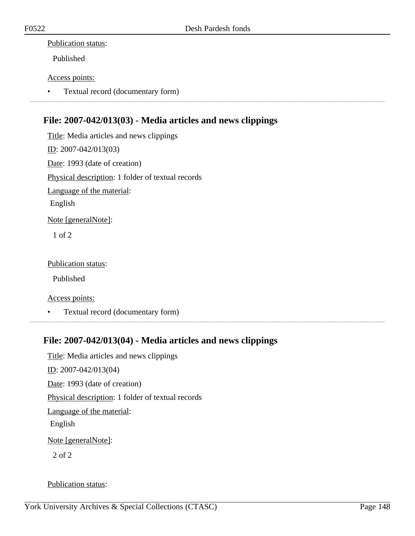#### Publication status:

Published

### Access points:

• Textual record (documentary form)

### **File: 2007-042/013(03) - Media articles and news clippings**

Title: Media articles and news clippings ID: 2007-042/013(03) Date: 1993 (date of creation) Physical description: 1 folder of textual records Language of the material: English Note [generalNote]: 1 of 2

#### Publication status:

Published

Access points:

• Textual record (documentary form)

### **File: 2007-042/013(04) - Media articles and news clippings**

Title: Media articles and news clippings ID: 2007-042/013(04) Date: 1993 (date of creation) Physical description: 1 folder of textual records Language of the material: English Note [generalNote]: 2 of 2

### Publication status: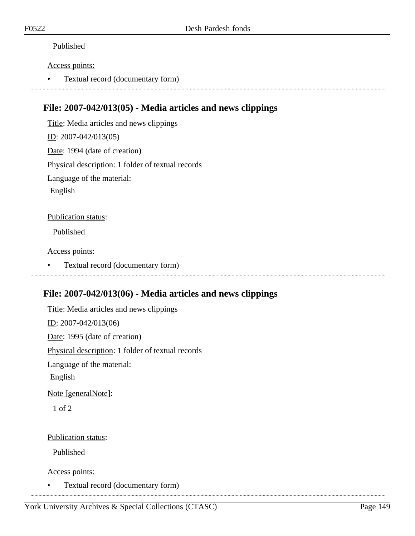### Published

#### Access points:

• Textual record (documentary form)

### **File: 2007-042/013(05) - Media articles and news clippings**

Title: Media articles and news clippings ID: 2007-042/013(05) Date: 1994 (date of creation) Physical description: 1 folder of textual records Language of the material: English

Publication status:

Published

Access points:

• Textual record (documentary form)

### **File: 2007-042/013(06) - Media articles and news clippings**

Title: Media articles and news clippings ID: 2007-042/013(06) Date: 1995 (date of creation) Physical description: 1 folder of textual records Language of the material: English Note [generalNote]: 1 of 2

Publication status:

Published

Access points:

• Textual record (documentary form)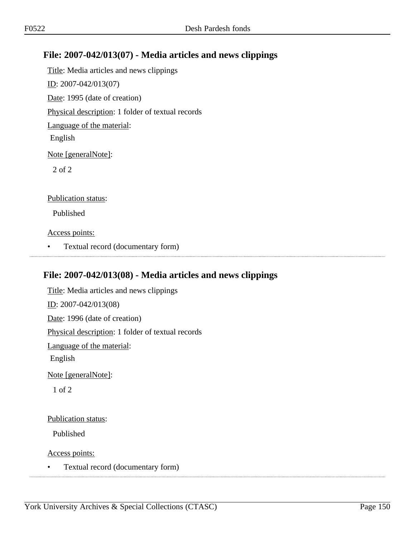### **File: 2007-042/013(07) - Media articles and news clippings**

Title: Media articles and news clippings ID: 2007-042/013(07) Date: 1995 (date of creation) Physical description: 1 folder of textual records Language of the material: English Note [generalNote]: 2 of 2 Publication status:

Published

Access points:

• Textual record (documentary form)

### **File: 2007-042/013(08) - Media articles and news clippings**

Title: Media articles and news clippings ID: 2007-042/013(08) Date: 1996 (date of creation) Physical description: 1 folder of textual records Language of the material: English Note [generalNote]: 1 of 2

### Publication status:

Published

Access points:

• Textual record (documentary form)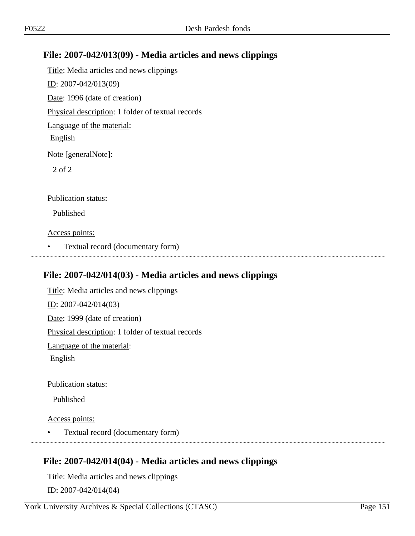### **File: 2007-042/013(09) - Media articles and news clippings**

Title: Media articles and news clippings ID: 2007-042/013(09) Date: 1996 (date of creation) Physical description: 1 folder of textual records Language of the material: English Note [generalNote]: 2 of 2 Publication status:

Published

Access points:

• Textual record (documentary form)

### **File: 2007-042/014(03) - Media articles and news clippings**

Title: Media articles and news clippings ID: 2007-042/014(03) Date: 1999 (date of creation) Physical description: 1 folder of textual records Language of the material: English

Publication status:

Published

Access points:

• Textual record (documentary form)

### **File: 2007-042/014(04) - Media articles and news clippings**

Title: Media articles and news clippings ID: 2007-042/014(04)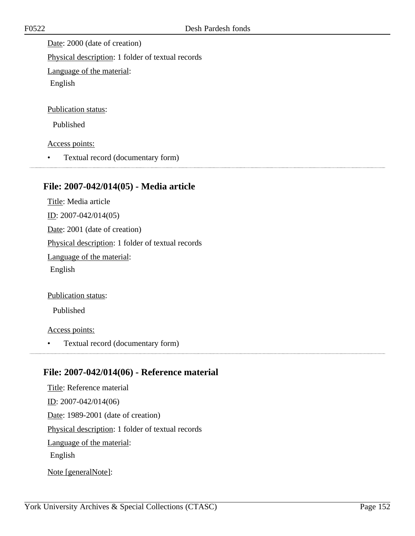Date: 2000 (date of creation) Physical description: 1 folder of textual records

Language of the material:

English

Publication status:

Published

Access points:

• Textual record (documentary form)

### **File: 2007-042/014(05) - Media article**

Title: Media article ID: 2007-042/014(05) Date: 2001 (date of creation) Physical description: 1 folder of textual records Language of the material: English

Publication status:

Published

Access points:

• Textual record (documentary form)

### **File: 2007-042/014(06) - Reference material**

Title: Reference material ID: 2007-042/014(06) Date: 1989-2001 (date of creation) Physical description: 1 folder of textual records Language of the material: English

Note [generalNote]: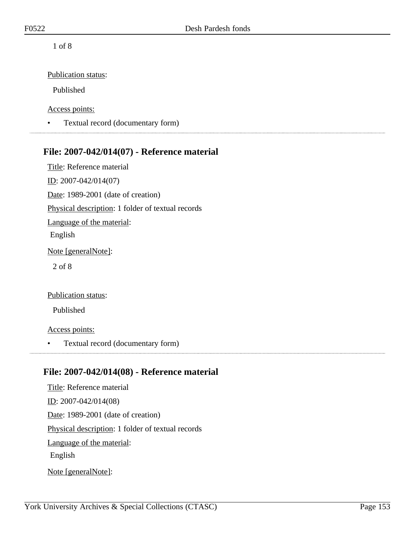Publication status:

Published

Access points:

• Textual record (documentary form)

### **File: 2007-042/014(07) - Reference material**

Title: Reference material ID: 2007-042/014(07) Date: 1989-2001 (date of creation) Physical description: 1 folder of textual records Language of the material: English Note [generalNote]: 2 of 8

Publication status:

Published

Access points:

• Textual record (documentary form)

### **File: 2007-042/014(08) - Reference material**

Title: Reference material ID: 2007-042/014(08) Date: 1989-2001 (date of creation) Physical description: 1 folder of textual records Language of the material: English Note [generalNote]: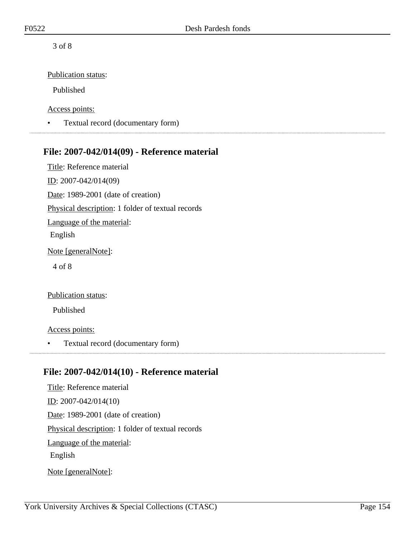Publication status:

Published

Access points:

• Textual record (documentary form)

### **File: 2007-042/014(09) - Reference material**

Title: Reference material ID: 2007-042/014(09) Date: 1989-2001 (date of creation) Physical description: 1 folder of textual records Language of the material: English Note [generalNote]: 4 of 8

Publication status:

Published

Access points:

• Textual record (documentary form)

### **File: 2007-042/014(10) - Reference material**

Title: Reference material ID: 2007-042/014(10) Date: 1989-2001 (date of creation) Physical description: 1 folder of textual records Language of the material: English Note [generalNote]: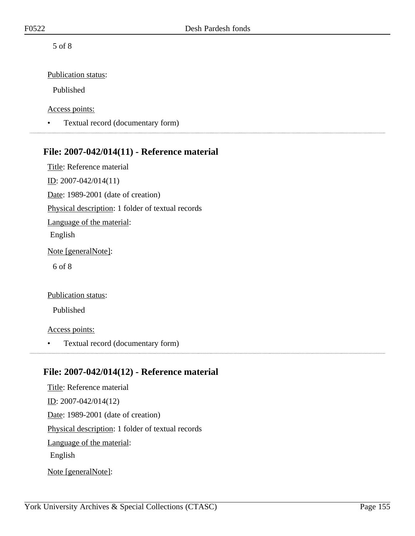Publication status:

Published

Access points:

• Textual record (documentary form) 

### **File: 2007-042/014(11) - Reference material**

Title: Reference material ID: 2007-042/014(11) Date: 1989-2001 (date of creation) Physical description: 1 folder of textual records Language of the material: English Note [generalNote]: 6 of 8

Publication status:

Published

Access points:

• Textual record (documentary form)

### **File: 2007-042/014(12) - Reference material**

Title: Reference material ID: 2007-042/014(12) Date: 1989-2001 (date of creation) Physical description: 1 folder of textual records Language of the material: English Note [generalNote]: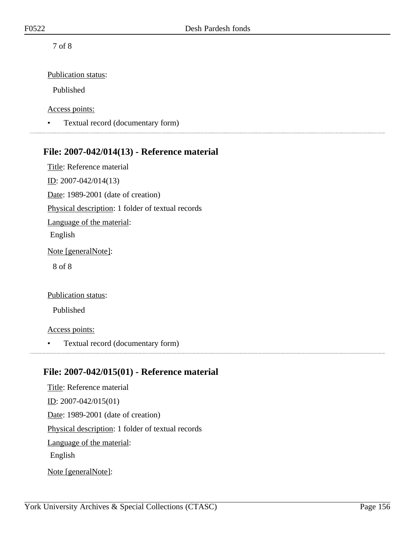Publication status:

Published

Access points:

• Textual record (documentary form)

### **File: 2007-042/014(13) - Reference material**

Title: Reference material ID: 2007-042/014(13) Date: 1989-2001 (date of creation) Physical description: 1 folder of textual records Language of the material: English Note [generalNote]: 8 of 8

Publication status:

Published

Access points:

• Textual record (documentary form)

### **File: 2007-042/015(01) - Reference material**

Title: Reference material ID: 2007-042/015(01) Date: 1989-2001 (date of creation) Physical description: 1 folder of textual records Language of the material: English Note [generalNote]: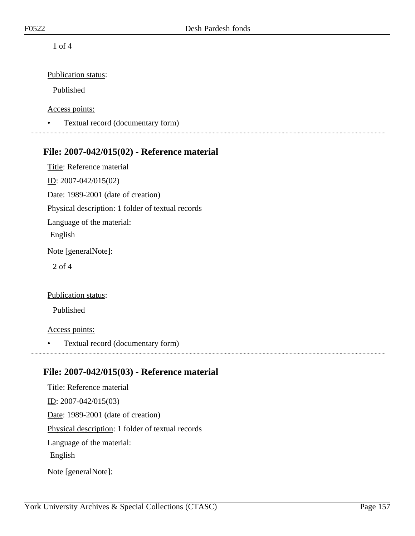Publication status:

Published

Access points:

• Textual record (documentary form)

### **File: 2007-042/015(02) - Reference material**

Title: Reference material ID: 2007-042/015(02) Date: 1989-2001 (date of creation) Physical description: 1 folder of textual records Language of the material: English Note [generalNote]: 2 of 4

Publication status:

Published

Access points:

• Textual record (documentary form)

### **File: 2007-042/015(03) - Reference material**

Title: Reference material ID: 2007-042/015(03) Date: 1989-2001 (date of creation) Physical description: 1 folder of textual records Language of the material: English Note [generalNote]: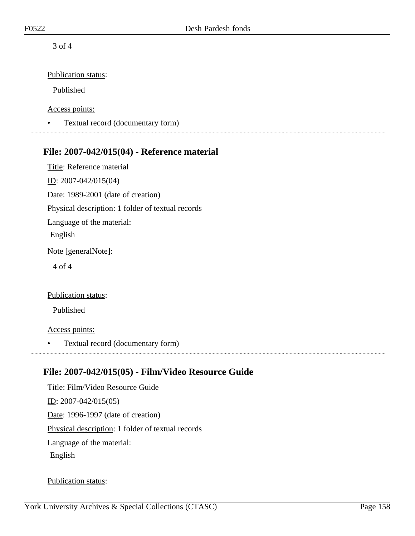Publication status:

Published

Access points:

• Textual record (documentary form)

### **File: 2007-042/015(04) - Reference material**

Title: Reference material ID: 2007-042/015(04) Date: 1989-2001 (date of creation) Physical description: 1 folder of textual records Language of the material: English Note [generalNote]: 4 of 4

#### Publication status:

Published

#### Access points:

• Textual record (documentary form)

### **File: 2007-042/015(05) - Film/Video Resource Guide**

Title: Film/Video Resource Guide ID: 2007-042/015(05) Date: 1996-1997 (date of creation) Physical description: 1 folder of textual records Language of the material: English

#### Publication status: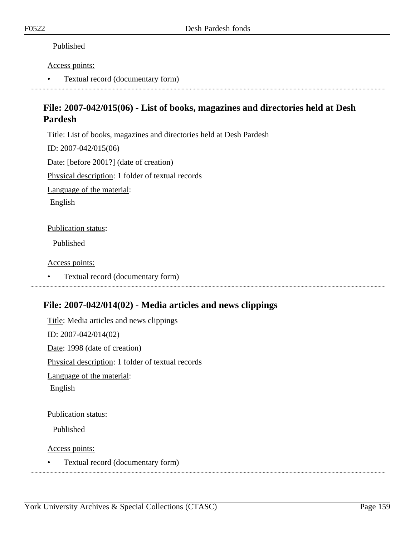#### Published

#### Access points:

• Textual record (documentary form)

### **File: 2007-042/015(06) - List of books, magazines and directories held at Desh Pardesh**

Title: List of books, magazines and directories held at Desh Pardesh

ID: 2007-042/015(06)

Date: [before 2001?] (date of creation)

Physical description: 1 folder of textual records

Language of the material:

English

#### Publication status:

Published

#### Access points:

• Textual record (documentary form)

### **File: 2007-042/014(02) - Media articles and news clippings**

Title: Media articles and news clippings ID: 2007-042/014(02) Date: 1998 (date of creation) Physical description: 1 folder of textual records Language of the material: English

#### Publication status:

Published

Access points:

• Textual record (documentary form)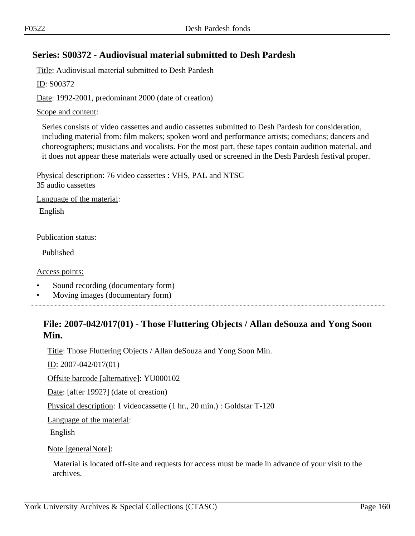### **Series: S00372 - Audiovisual material submitted to Desh Pardesh**

Title: Audiovisual material submitted to Desh Pardesh

ID: S00372

Date: 1992-2001, predominant 2000 (date of creation)

#### Scope and content:

Series consists of video cassettes and audio cassettes submitted to Desh Pardesh for consideration, including material from: film makers; spoken word and performance artists; comedians; dancers and choreographers; musicians and vocalists. For the most part, these tapes contain audition material, and it does not appear these materials were actually used or screened in the Desh Pardesh festival proper.

Physical description: 76 video cassettes : VHS, PAL and NTSC 35 audio cassettes

Language of the material:

English

Publication status:

Published

Access points:

- Sound recording (documentary form)
- Moving images (documentary form)

### **File: 2007-042/017(01) - Those Fluttering Objects / Allan deSouza and Yong Soon Min.**

Title: Those Fluttering Objects / Allan deSouza and Yong Soon Min.

ID: 2007-042/017(01)

Offsite barcode [alternative]: YU000102

Date: [after 1992?] (date of creation)

Physical description: 1 videocassette (1 hr., 20 min.) : Goldstar T-120

Language of the material:

English

Note [generalNote]:

Material is located off-site and requests for access must be made in advance of your visit to the archives.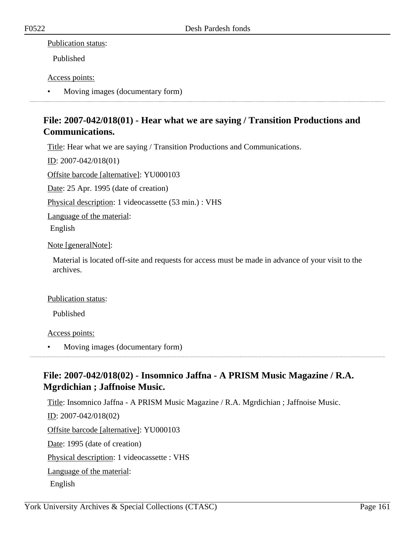#### Publication status:

Published

#### Access points:

• Moving images (documentary form)

### **File: 2007-042/018(01) - Hear what we are saying / Transition Productions and Communications.**

Title: Hear what we are saying / Transition Productions and Communications.

ID: 2007-042/018(01)

Offsite barcode [alternative]: YU000103

Date: 25 Apr. 1995 (date of creation)

Physical description: 1 videocassette (53 min.) : VHS

Language of the material:

English

Note [generalNote]:

Material is located off-site and requests for access must be made in advance of your visit to the archives.

### Publication status:

Published

### Access points:

• Moving images (documentary form)

### **File: 2007-042/018(02) - Insomnico Jaffna - A PRISM Music Magazine / R.A. Mgrdichian ; Jaffnoise Music.**

Title: Insomnico Jaffna - A PRISM Music Magazine / R.A. Mgrdichian ; Jaffnoise Music. ID: 2007-042/018(02) Offsite barcode [alternative]: YU000103 Date: 1995 (date of creation) Physical description: 1 videocassette : VHS Language of the material: English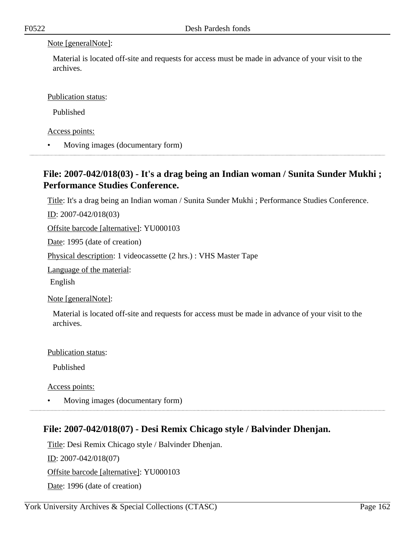#### Note [generalNote]:

Material is located off-site and requests for access must be made in advance of your visit to the archives.

Publication status:

Published

Access points:

• Moving images (documentary form)

### **File: 2007-042/018(03) - It's a drag being an Indian woman / Sunita Sunder Mukhi ; Performance Studies Conference.**

Title: It's a drag being an Indian woman / Sunita Sunder Mukhi ; Performance Studies Conference.

<u>ID</u>: 2007-042/018(03)

Offsite barcode [alternative]: YU000103

Date: 1995 (date of creation)

Physical description: 1 videocassette (2 hrs.) : VHS Master Tape

Language of the material:

English

Note [generalNote]:

Material is located off-site and requests for access must be made in advance of your visit to the archives.

Publication status:

Published

Access points:

• Moving images (documentary form)

### **File: 2007-042/018(07) - Desi Remix Chicago style / Balvinder Dhenjan.**

Title: Desi Remix Chicago style / Balvinder Dhenjan.

ID: 2007-042/018(07)

Offsite barcode [alternative]: YU000103

Date: 1996 (date of creation)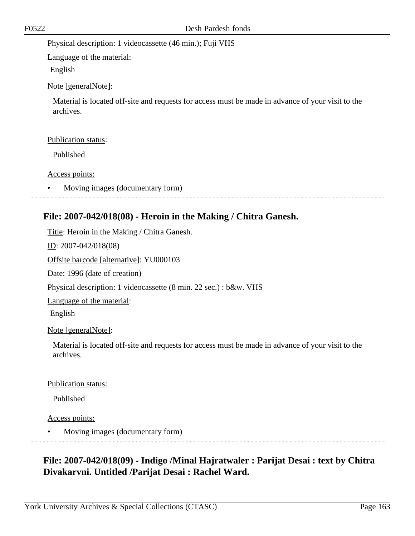Physical description: 1 videocassette (46 min.); Fuji VHS

Language of the material:

English

Note [generalNote]:

Material is located off-site and requests for access must be made in advance of your visit to the archives.

#### Publication status:

Published

Access points:

• Moving images (documentary form)

### **File: 2007-042/018(08) - Heroin in the Making / Chitra Ganesh.**

Title: Heroin in the Making / Chitra Ganesh.

ID: 2007-042/018(08)

Offsite barcode [alternative]: YU000103

Date: 1996 (date of creation)

Physical description: 1 videocassette (8 min. 22 sec.) : b&w. VHS

Language of the material:

English

Note [generalNote]:

Material is located off-site and requests for access must be made in advance of your visit to the archives.

#### Publication status:

Published

Access points:

• Moving images (documentary form)

## **File: 2007-042/018(09) - Indigo /Minal Hajratwaler : Parijat Desai : text by Chitra Divakarvni. Untitled /Parijat Desai : Rachel Ward.**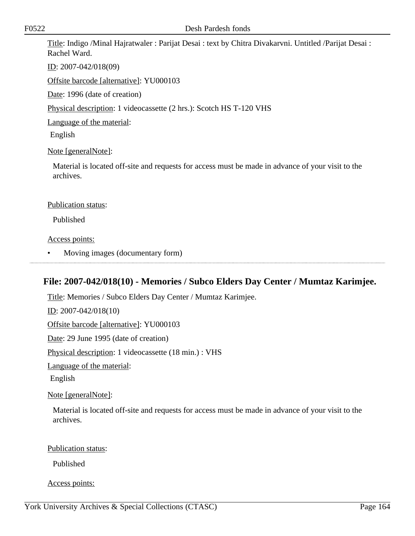Title: Indigo /Minal Hajratwaler : Parijat Desai : text by Chitra Divakarvni. Untitled /Parijat Desai : Rachel Ward.

ID: 2007-042/018(09)

Offsite barcode [alternative]: YU000103

Date: 1996 (date of creation)

Physical description: 1 videocassette (2 hrs.): Scotch HS T-120 VHS

Language of the material:

English

#### Note [generalNote]:

Material is located off-site and requests for access must be made in advance of your visit to the archives.

#### Publication status:

Published

#### Access points:

• Moving images (documentary form)

# **File: 2007-042/018(10) - Memories / Subco Elders Day Center / Mumtaz Karimjee.**

Title: Memories / Subco Elders Day Center / Mumtaz Karimjee. ID: 2007-042/018(10) Offsite barcode [alternative]: YU000103 Date: 29 June 1995 (date of creation) Physical description: 1 videocassette (18 min.) : VHS Language of the material: English Note [generalNote]:

Material is located off-site and requests for access must be made in advance of your visit to the archives.

Publication status:

Published

Access points: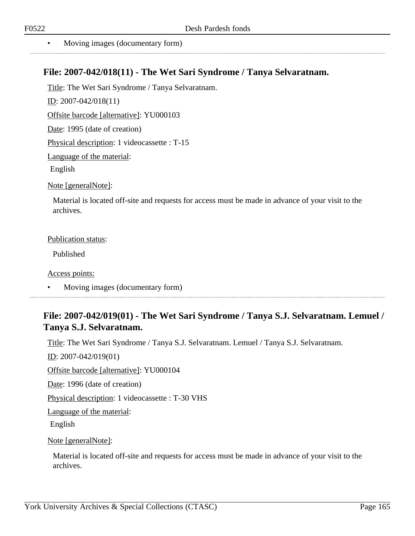### **File: 2007-042/018(11) - The Wet Sari Syndrome / Tanya Selvaratnam.**

Title: The Wet Sari Syndrome / Tanya Selvaratnam.

ID: 2007-042/018(11)

Offsite barcode [alternative]: YU000103

Date: 1995 (date of creation)

Physical description: 1 videocassette : T-15

Language of the material:

English

Note [generalNote]:

Material is located off-site and requests for access must be made in advance of your visit to the archives.

#### Publication status:

Published

Access points:

• Moving images (documentary form)

### **File: 2007-042/019(01) - The Wet Sari Syndrome / Tanya S.J. Selvaratnam. Lemuel / Tanya S.J. Selvaratnam.**

Title: The Wet Sari Syndrome / Tanya S.J. Selvaratnam. Lemuel / Tanya S.J. Selvaratnam.

ID: 2007-042/019(01)

Offsite barcode [alternative]: YU000104

Date: 1996 (date of creation)

Physical description: 1 videocassette : T-30 VHS

Language of the material:

English

Note [generalNote]:

Material is located off-site and requests for access must be made in advance of your visit to the archives.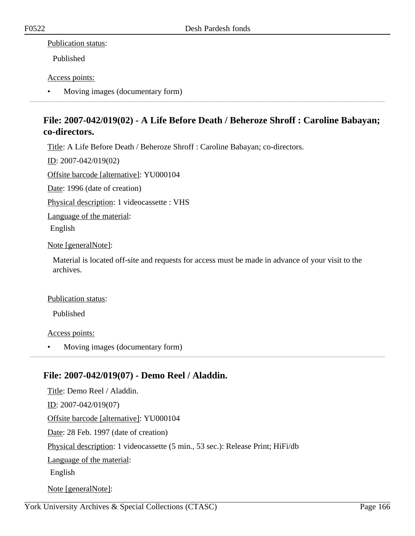#### Publication status:

Published

#### Access points:

• Moving images (documentary form)

### **File: 2007-042/019(02) - A Life Before Death / Beheroze Shroff : Caroline Babayan; co-directors.**

Title: A Life Before Death / Beheroze Shroff : Caroline Babayan; co-directors.

ID: 2007-042/019(02)

Offsite barcode [alternative]: YU000104

Date: 1996 (date of creation)

Physical description: 1 videocassette : VHS

Language of the material:

English

Note [generalNote]:

Material is located off-site and requests for access must be made in advance of your visit to the archives.

#### Publication status:

Published

#### Access points:

• Moving images (documentary form)

### **File: 2007-042/019(07) - Demo Reel / Aladdin.**

Title: Demo Reel / Aladdin.  $ID: 2007-042/019(07)$ Offsite barcode [alternative]: YU000104 Date: 28 Feb. 1997 (date of creation) Physical description: 1 videocassette (5 min., 53 sec.): Release Print; HiFi/db Language of the material: English Note [generalNote]: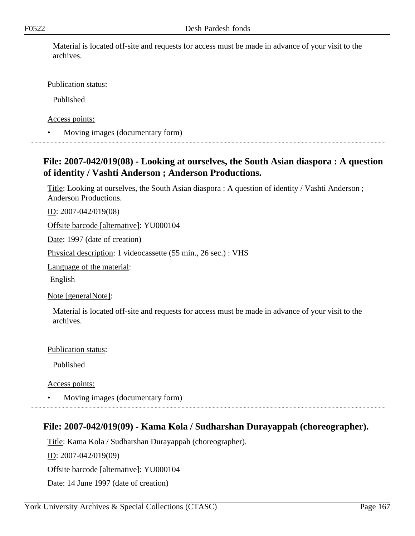Material is located off-site and requests for access must be made in advance of your visit to the archives.

Publication status:

Published

Access points:

• Moving images (documentary form)

### **File: 2007-042/019(08) - Looking at ourselves, the South Asian diaspora : A question of identity / Vashti Anderson ; Anderson Productions.**

Title: Looking at ourselves, the South Asian diaspora : A question of identity / Vashti Anderson ; Anderson Productions.

ID: 2007-042/019(08)

Offsite barcode [alternative]: YU000104

Date: 1997 (date of creation)

Physical description: 1 videocassette (55 min., 26 sec.) : VHS

Language of the material:

English

Note [generalNote]:

Material is located off-site and requests for access must be made in advance of your visit to the archives.

Publication status:

Published

Access points:

• Moving images (documentary form)

### **File: 2007-042/019(09) - Kama Kola / Sudharshan Durayappah (choreographer).**

Title: Kama Kola / Sudharshan Durayappah (choreographer).

ID: 2007-042/019(09)

Offsite barcode [alternative]: YU000104

Date: 14 June 1997 (date of creation)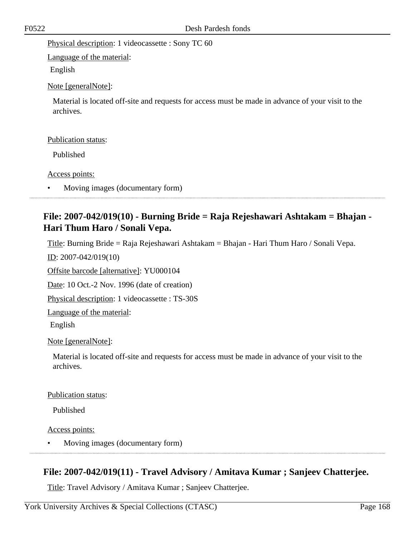Physical description: 1 videocassette : Sony TC 60

Language of the material:

English

Note [generalNote]:

Material is located off-site and requests for access must be made in advance of your visit to the archives.

#### Publication status:

Published

Access points:

• Moving images (documentary form)

### **File: 2007-042/019(10) - Burning Bride = Raja Rejeshawari Ashtakam = Bhajan - Hari Thum Haro / Sonali Vepa.**

Title: Burning Bride = Raja Rejeshawari Ashtakam = Bhajan - Hari Thum Haro / Sonali Vepa.

ID: 2007-042/019(10)

Offsite barcode [alternative]: YU000104

Date: 10 Oct.-2 Nov. 1996 (date of creation)

Physical description: 1 videocassette : TS-30S

Language of the material:

English

Note [generalNote]:

Material is located off-site and requests for access must be made in advance of your visit to the archives.

Publication status:

Published

Access points:

• Moving images (documentary form)

### **File: 2007-042/019(11) - Travel Advisory / Amitava Kumar ; Sanjeev Chatterjee.**

Title: Travel Advisory / Amitava Kumar ; Sanjeev Chatterjee.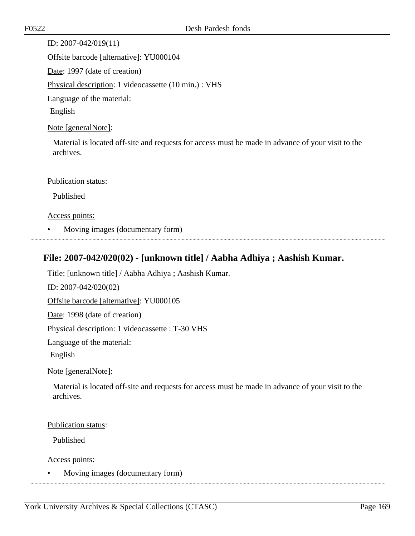ID: 2007-042/019(11) Offsite barcode [alternative]: YU000104 Date: 1997 (date of creation) Physical description: 1 videocassette (10 min.) : VHS Language of the material: English Note [generalNote]:

Material is located off-site and requests for access must be made in advance of your visit to the archives.

#### Publication status:

Published

Access points:

• Moving images (documentary form)

### **File: 2007-042/020(02) - [unknown title] / Aabha Adhiya ; Aashish Kumar.**

Title: [unknown title] / Aabha Adhiya ; Aashish Kumar.

ID: 2007-042/020(02)

Offsite barcode [alternative]: YU000105

Date: 1998 (date of creation)

Physical description: 1 videocassette : T-30 VHS

Language of the material:

English

Note [generalNote]:

Material is located off-site and requests for access must be made in advance of your visit to the archives.

#### Publication status:

Published

Access points:

• Moving images (documentary form)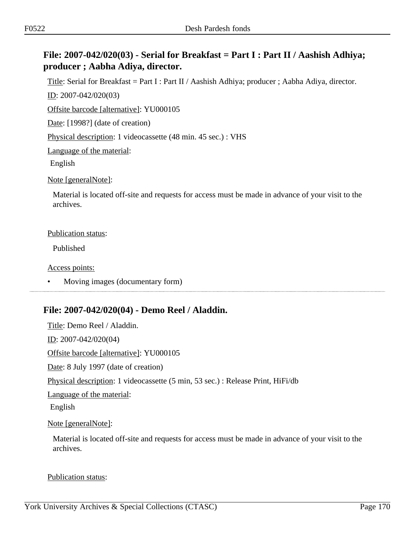### **File: 2007-042/020(03) - Serial for Breakfast = Part I : Part II / Aashish Adhiya; producer ; Aabha Adiya, director.**

Title: Serial for Breakfast = Part I : Part II / Aashish Adhiya; producer ; Aabha Adiya, director.

ID: 2007-042/020(03)

Offsite barcode [alternative]: YU000105

Date: [1998?] (date of creation)

Physical description: 1 videocassette (48 min. 45 sec.) : VHS

Language of the material:

English

Note [generalNote]:

Material is located off-site and requests for access must be made in advance of your visit to the archives.

#### Publication status:

Published

Access points:

• Moving images (documentary form)

### **File: 2007-042/020(04) - Demo Reel / Aladdin.**

Title: Demo Reel / Aladdin. ID: 2007-042/020(04) Offsite barcode [alternative]: YU000105 Date: 8 July 1997 (date of creation) Physical description: 1 videocassette (5 min, 53 sec.) : Release Print, HiFi/db Language of the material: English Note [generalNote]:

Material is located off-site and requests for access must be made in advance of your visit to the archives.

#### Publication status: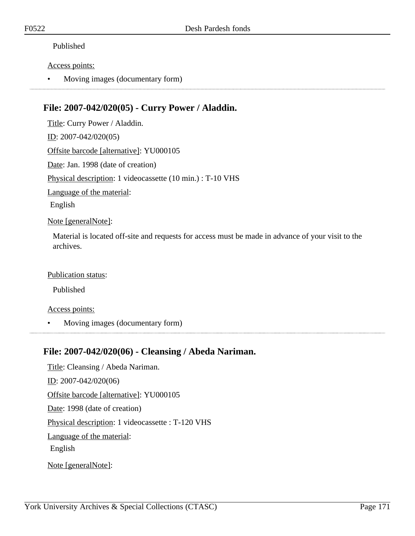#### Published

#### Access points:

• Moving images (documentary form)

### **File: 2007-042/020(05) - Curry Power / Aladdin.**

Title: Curry Power / Aladdin. ID: 2007-042/020(05) Offsite barcode [alternative]: YU000105 Date: Jan. 1998 (date of creation) Physical description: 1 videocassette (10 min.) : T-10 VHS Language of the material: English

#### Note [generalNote]:

Material is located off-site and requests for access must be made in advance of your visit to the archives.

#### Publication status:

Published

#### Access points:

• Moving images (documentary form)

### **File: 2007-042/020(06) - Cleansing / Abeda Nariman.**

Title: Cleansing / Abeda Nariman. ID: 2007-042/020(06) Offsite barcode [alternative]: YU000105 Date: 1998 (date of creation) Physical description: 1 videocassette : T-120 VHS Language of the material: English Note [generalNote]: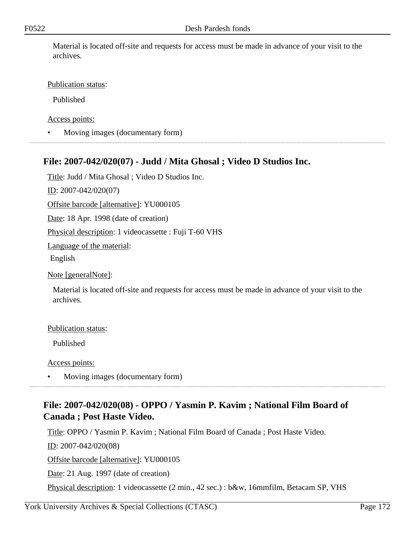Material is located off-site and requests for access must be made in advance of your visit to the archives.

#### Publication status:

Published

Access points:

• Moving images (documentary form)

### **File: 2007-042/020(07) - Judd / Mita Ghosal ; Video D Studios Inc.**

Title: Judd / Mita Ghosal ; Video D Studios Inc.

ID: 2007-042/020(07)

Offsite barcode [alternative]: YU000105

Date: 18 Apr. 1998 (date of creation)

Physical description: 1 videocassette : Fuji T-60 VHS

Language of the material:

English

Note [generalNote]:

Material is located off-site and requests for access must be made in advance of your visit to the archives.

#### Publication status:

Published

Access points:

• Moving images (documentary form)

### **File: 2007-042/020(08) - OPPO / Yasmin P. Kavim ; National Film Board of Canada ; Post Haste Video.**

Title: OPPO / Yasmin P. Kavim ; National Film Board of Canada ; Post Haste Video. ID: 2007-042/020(08) Offsite barcode [alternative]: YU000105 Date: 21 Aug. 1997 (date of creation) Physical description: 1 videocassette (2 min., 42 sec.) : b&w, 16mmfilm, Betacam SP, VHS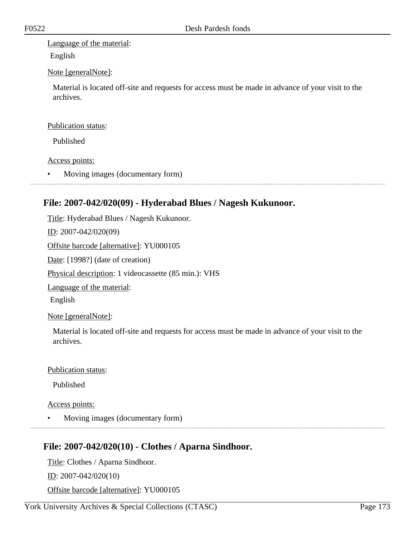Language of the material:

English

#### Note [generalNote]:

Material is located off-site and requests for access must be made in advance of your visit to the archives.

#### Publication status:

Published

#### Access points:

• Moving images (documentary form)

### **File: 2007-042/020(09) - Hyderabad Blues / Nagesh Kukunoor.**

Title: Hyderabad Blues / Nagesh Kukunoor. ID: 2007-042/020(09) Offsite barcode [alternative]: YU000105 Date: [1998?] (date of creation) Physical description: 1 videocassette (85 min.): VHS Language of the material: English Note [generalNote]:

Material is located off-site and requests for access must be made in advance of your visit to the archives.

### Publication status:

Published

### Access points:

• Moving images (documentary form)

### **File: 2007-042/020(10) - Clothes / Aparna Sindhoor.**

Title: Clothes / Aparna Sindhoor. ID: 2007-042/020(10) Offsite barcode [alternative]: YU000105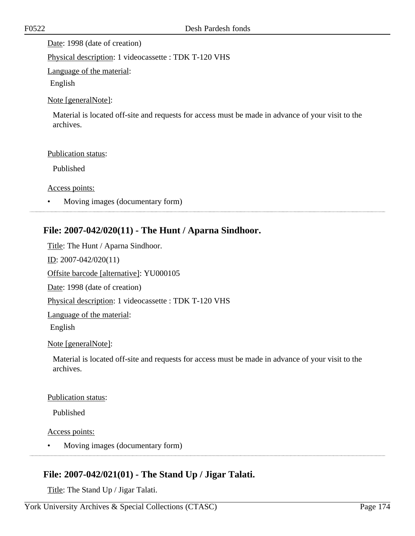Date: 1998 (date of creation)

Physical description: 1 videocassette : TDK T-120 VHS

Language of the material:

English

#### Note [generalNote]:

Material is located off-site and requests for access must be made in advance of your visit to the archives.

#### Publication status:

Published

Access points:

• Moving images (documentary form)

### **File: 2007-042/020(11) - The Hunt / Aparna Sindhoor.**

Title: The Hunt / Aparna Sindhoor. <u>ID</u>: 2007-042/020(11) Offsite barcode [alternative]: YU000105 Date: 1998 (date of creation) Physical description: 1 videocassette : TDK T-120 VHS Language of the material: English

#### Note [generalNote]:

Material is located off-site and requests for access must be made in advance of your visit to the archives.

#### Publication status:

Published

#### Access points:

• Moving images (documentary form)

### **File: 2007-042/021(01) - The Stand Up / Jigar Talati.**

Title: The Stand Up / Jigar Talati.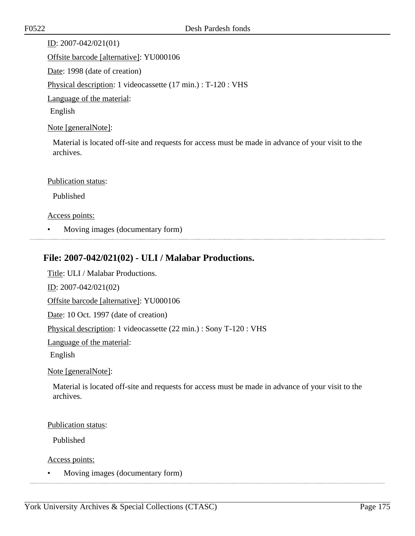ID: 2007-042/021(01) Offsite barcode [alternative]: YU000106 Date: 1998 (date of creation) Physical description: 1 videocassette (17 min.) : T-120 : VHS Language of the material: English Note [generalNote]:

Material is located off-site and requests for access must be made in advance of your visit to the archives.

#### Publication status:

Published

#### Access points:

• Moving images (documentary form)

### **File: 2007-042/021(02) - ULI / Malabar Productions.**

Title: ULI / Malabar Productions.

ID: 2007-042/021(02)

Offsite barcode [alternative]: YU000106

Date: 10 Oct. 1997 (date of creation)

Physical description: 1 videocassette (22 min.) : Sony T-120 : VHS

Language of the material:

English

Note [generalNote]:

Material is located off-site and requests for access must be made in advance of your visit to the archives.

#### Publication status:

Published

Access points:

• Moving images (documentary form)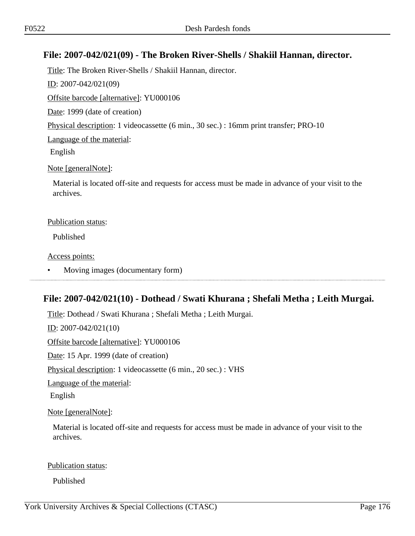### **File: 2007-042/021(09) - The Broken River-Shells / Shakiil Hannan, director.**

Title: The Broken River-Shells / Shakiil Hannan, director. ID: 2007-042/021(09) Offsite barcode [alternative]: YU000106 Date: 1999 (date of creation) Physical description: 1 videocassette (6 min., 30 sec.) : 16mm print transfer; PRO-10 Language of the material: English Note [generalNote]: Material is located off-site and requests for access must be made in advance of your visit to the archives.

#### Publication status:

Published

Access points:

• Moving images (documentary form)

### **File: 2007-042/021(10) - Dothead / Swati Khurana ; Shefali Metha ; Leith Murgai.**

Title: Dothead / Swati Khurana ; Shefali Metha ; Leith Murgai.

ID: 2007-042/021(10)

Offsite barcode [alternative]: YU000106

Date: 15 Apr. 1999 (date of creation)

Physical description: 1 videocassette (6 min., 20 sec.) : VHS

Language of the material:

English

Note [generalNote]:

Material is located off-site and requests for access must be made in advance of your visit to the archives.

#### Publication status:

Published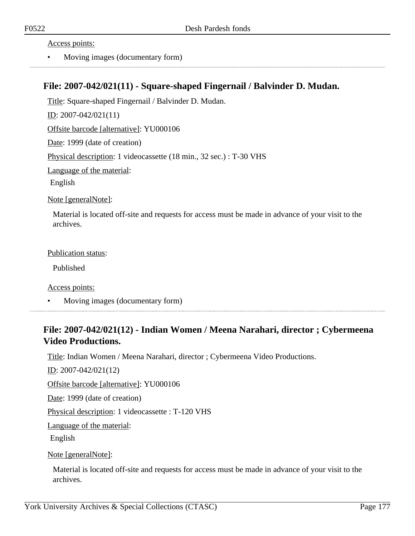Access points:

• Moving images (documentary form)

### **File: 2007-042/021(11) - Square-shaped Fingernail / Balvinder D. Mudan.**

Title: Square-shaped Fingernail / Balvinder D. Mudan. ID: 2007-042/021(11) Offsite barcode [alternative]: YU000106 Date: 1999 (date of creation) Physical description: 1 videocassette (18 min., 32 sec.) : T-30 VHS Language of the material:

English

Note [generalNote]:

Material is located off-site and requests for access must be made in advance of your visit to the archives.

Publication status:

Published

Access points:

• Moving images (documentary form)

### **File: 2007-042/021(12) - Indian Women / Meena Narahari, director ; Cybermeena Video Productions.**

Title: Indian Women / Meena Narahari, director ; Cybermeena Video Productions.

ID: 2007-042/021(12)

Offsite barcode [alternative]: YU000106

Date: 1999 (date of creation)

Physical description: 1 videocassette : T-120 VHS

Language of the material:

English

Note [generalNote]:

Material is located off-site and requests for access must be made in advance of your visit to the archives.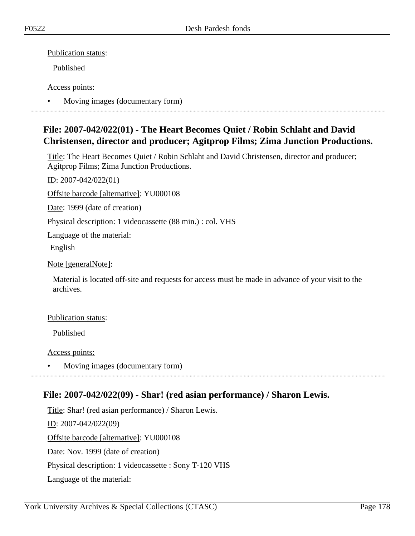Publication status:

Published

Access points:

• Moving images (documentary form)

### **File: 2007-042/022(01) - The Heart Becomes Quiet / Robin Schlaht and David Christensen, director and producer; Agitprop Films; Zima Junction Productions.**

Title: The Heart Becomes Quiet / Robin Schlaht and David Christensen, director and producer; Agitprop Films; Zima Junction Productions.

ID: 2007-042/022(01)

Offsite barcode [alternative]: YU000108

Date: 1999 (date of creation)

Physical description: 1 videocassette (88 min.) : col. VHS

Language of the material:

English

Note [generalNote]:

Material is located off-site and requests for access must be made in advance of your visit to the archives.

#### Publication status:

Published

Access points:

• Moving images (documentary form)

### **File: 2007-042/022(09) - Shar! (red asian performance) / Sharon Lewis.**

Title: Shar! (red asian performance) / Sharon Lewis. ID: 2007-042/022(09) Offsite barcode [alternative]: YU000108 Date: Nov. 1999 (date of creation) Physical description: 1 videocassette : Sony T-120 VHS Language of the material: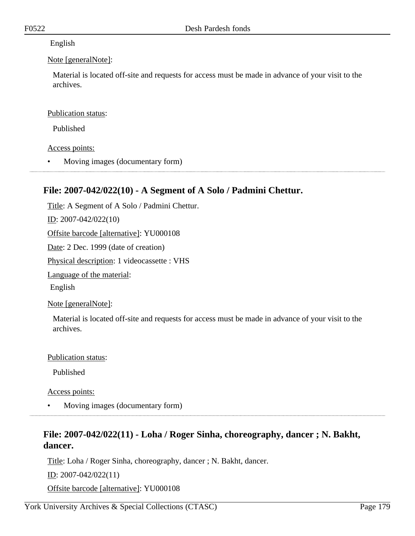#### English

#### Note [generalNote]:

Material is located off-site and requests for access must be made in advance of your visit to the archives.

#### Publication status:

Published

### Access points:

• Moving images (documentary form)

### **File: 2007-042/022(10) - A Segment of A Solo / Padmini Chettur.**

Title: A Segment of A Solo / Padmini Chettur. ID: 2007-042/022(10) Offsite barcode [alternative]: YU000108 Date: 2 Dec. 1999 (date of creation) Physical description: 1 videocassette : VHS Language of the material: English Note [generalNote]:

Material is located off-site and requests for access must be made in advance of your visit to the archives.

#### Publication status:

Published

Access points:

• Moving images (documentary form)

### **File: 2007-042/022(11) - Loha / Roger Sinha, choreography, dancer ; N. Bakht, dancer.**

Title: Loha / Roger Sinha, choreography, dancer ; N. Bakht, dancer.

ID: 2007-042/022(11)

Offsite barcode [alternative]: YU000108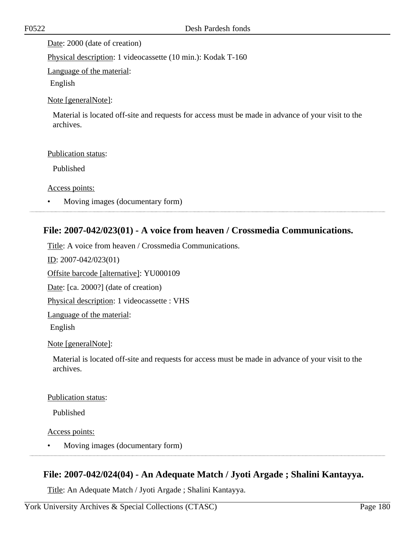Date: 2000 (date of creation)

Physical description: 1 videocassette (10 min.): Kodak T-160

Language of the material:

English

#### Note [generalNote]:

Material is located off-site and requests for access must be made in advance of your visit to the archives.

#### Publication status:

Published

Access points:

• Moving images (documentary form)

### **File: 2007-042/023(01) - A voice from heaven / Crossmedia Communications.**

Title: A voice from heaven / Crossmedia Communications. ID: 2007-042/023(01) Offsite barcode [alternative]: YU000109 Date: [ca. 2000?] (date of creation) Physical description: 1 videocassette : VHS Language of the material: English Note [generalNote]:

Material is located off-site and requests for access must be made in advance of your visit to the archives.

#### Publication status:

Published

Access points:

• Moving images (documentary form)

### **File: 2007-042/024(04) - An Adequate Match / Jyoti Argade ; Shalini Kantayya.**

Title: An Adequate Match / Jyoti Argade ; Shalini Kantayya.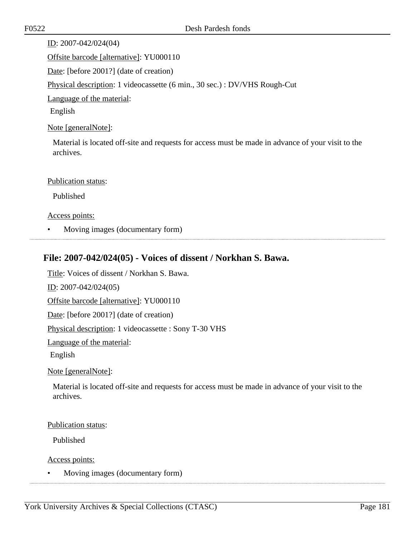ID: 2007-042/024(04) Offsite barcode [alternative]: YU000110 Date: [before 2001?] (date of creation) Physical description: 1 videocassette (6 min., 30 sec.) : DV/VHS Rough-Cut Language of the material: English

Note [generalNote]:

Material is located off-site and requests for access must be made in advance of your visit to the archives.

#### Publication status:

Published

Access points:

• Moving images (documentary form)

# **File: 2007-042/024(05) - Voices of dissent / Norkhan S. Bawa.**

Title: Voices of dissent / Norkhan S. Bawa.

ID: 2007-042/024(05)

Offsite barcode [alternative]: YU000110

Date: [before 2001?] (date of creation)

Physical description: 1 videocassette : Sony T-30 VHS

Language of the material:

English

Note [generalNote]:

Material is located off-site and requests for access must be made in advance of your visit to the archives.

Publication status:

Published

Access points:

• Moving images (documentary form)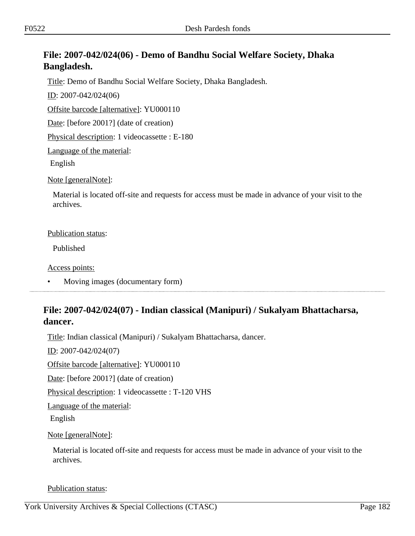# **File: 2007-042/024(06) - Demo of Bandhu Social Welfare Society, Dhaka Bangladesh.**

Title: Demo of Bandhu Social Welfare Society, Dhaka Bangladesh.

ID: 2007-042/024(06)

Offsite barcode [alternative]: YU000110

Date: [before 2001?] (date of creation)

Physical description: 1 videocassette : E-180

Language of the material:

English

Note [generalNote]:

Material is located off-site and requests for access must be made in advance of your visit to the archives.

#### Publication status:

Published

Access points:

• Moving images (documentary form)

# **File: 2007-042/024(07) - Indian classical (Manipuri) / Sukalyam Bhattacharsa, dancer.**

Title: Indian classical (Manipuri) / Sukalyam Bhattacharsa, dancer.

ID: 2007-042/024(07)

Offsite barcode [alternative]: YU000110

Date: [before 2001?] (date of creation)

Physical description: 1 videocassette : T-120 VHS

Language of the material:

English

#### Note [generalNote]:

Material is located off-site and requests for access must be made in advance of your visit to the archives.

#### Publication status: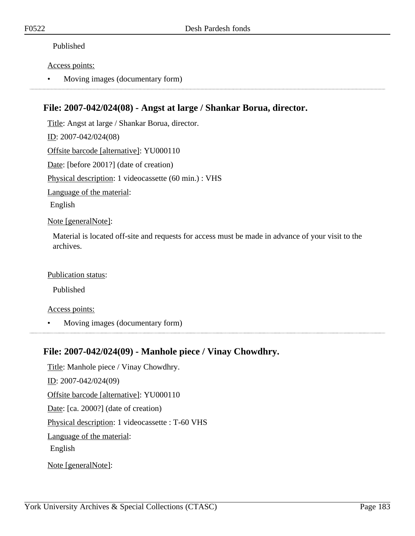### Published

### Access points:

• Moving images (documentary form)

# **File: 2007-042/024(08) - Angst at large / Shankar Borua, director.**

Title: Angst at large / Shankar Borua, director. ID: 2007-042/024(08) Offsite barcode [alternative]: YU000110 Date: [before 2001?] (date of creation) Physical description: 1 videocassette (60 min.) : VHS Language of the material: English Note [generalNote]:

Material is located off-site and requests for access must be made in advance of your visit to the archives.

### Publication status:

Published

#### Access points:

• Moving images (documentary form)

### **File: 2007-042/024(09) - Manhole piece / Vinay Chowdhry.**

Title: Manhole piece / Vinay Chowdhry. ID: 2007-042/024(09) Offsite barcode [alternative]: YU000110 Date: [ca. 2000?] (date of creation) Physical description: 1 videocassette : T-60 VHS Language of the material: English Note [generalNote]: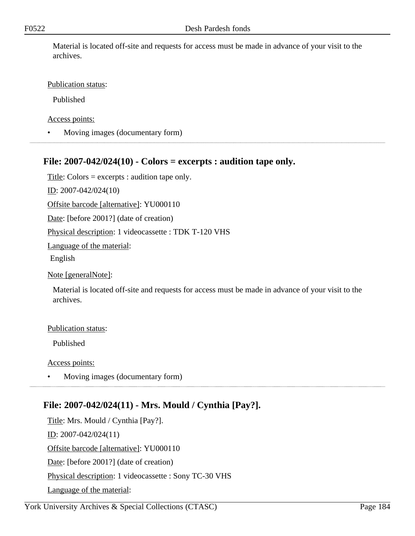Material is located off-site and requests for access must be made in advance of your visit to the archives.

### Publication status:

Published

Access points:

• Moving images (documentary form)

# **File: 2007-042/024(10) - Colors = excerpts : audition tape only.**

Title: Colors = excerpts : audition tape only.

ID: 2007-042/024(10)

Offsite barcode [alternative]: YU000110

Date: [before 2001?] (date of creation)

Physical description: 1 videocassette : TDK T-120 VHS

Language of the material:

English

Note [generalNote]:

Material is located off-site and requests for access must be made in advance of your visit to the archives.

#### Publication status:

Published

Access points:

• Moving images (documentary form)

# **File: 2007-042/024(11) - Mrs. Mould / Cynthia [Pay?].**

Title: Mrs. Mould / Cynthia [Pay?]. ID: 2007-042/024(11) Offsite barcode [alternative]: YU000110 Date: [before 2001?] (date of creation) Physical description: 1 videocassette : Sony TC-30 VHS Language of the material: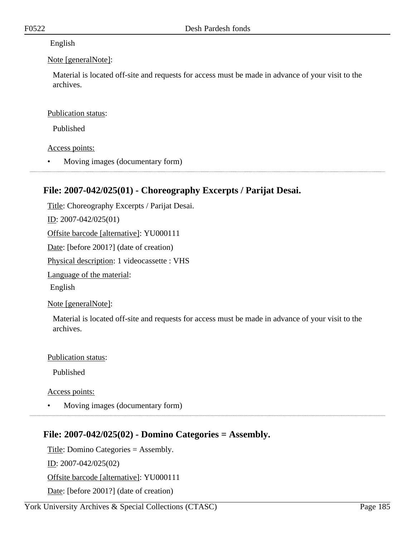### English

### Note [generalNote]:

Material is located off-site and requests for access must be made in advance of your visit to the archives.

### Publication status:

Published

Access points:

• Moving images (documentary form)

# **File: 2007-042/025(01) - Choreography Excerpts / Parijat Desai.**

Title: Choreography Excerpts / Parijat Desai. ID: 2007-042/025(01) Offsite barcode [alternative]: YU000111 Date: [before 2001?] (date of creation) Physical description: 1 videocassette : VHS Language of the material: English Note [generalNote]:

Material is located off-site and requests for access must be made in advance of your visit to the archives.

#### Publication status:

Published

Access points:

• Moving images (documentary form)

# **File: 2007-042/025(02) - Domino Categories = Assembly.**

Title: Domino Categories = Assembly.

ID: 2007-042/025(02)

Offsite barcode [alternative]: YU000111

Date: [before 2001?] (date of creation)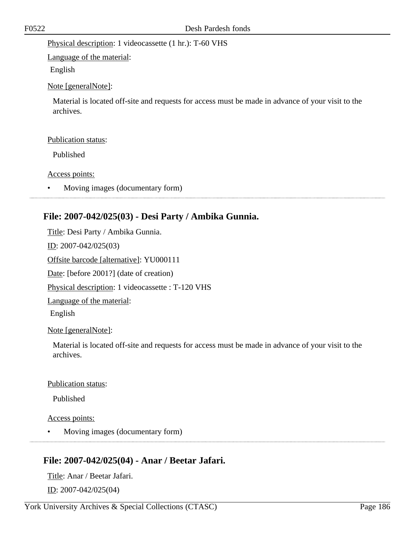Physical description: 1 videocassette (1 hr.): T-60 VHS

Language of the material:

English

Note [generalNote]:

Material is located off-site and requests for access must be made in advance of your visit to the archives.

## Publication status:

Published

Access points:

• Moving images (documentary form)

# **File: 2007-042/025(03) - Desi Party / Ambika Gunnia.**

Title: Desi Party / Ambika Gunnia.

ID: 2007-042/025(03)

Offsite barcode [alternative]: YU000111

Date: [before 2001?] (date of creation)

Physical description: 1 videocassette : T-120 VHS

Language of the material:

English

# Note [generalNote]:

Material is located off-site and requests for access must be made in advance of your visit to the archives.

# Publication status:

Published

Access points:

• Moving images (documentary form)

# **File: 2007-042/025(04) - Anar / Beetar Jafari.**

Title: Anar / Beetar Jafari. ID: 2007-042/025(04)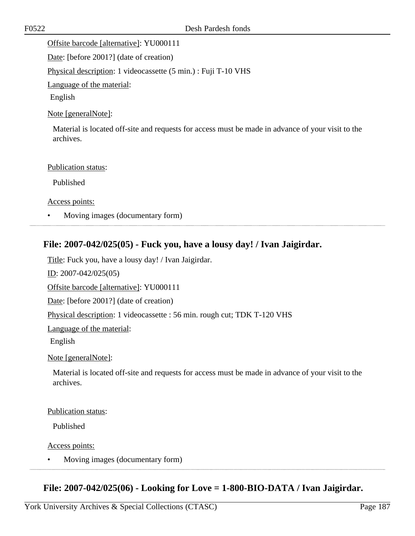Offsite barcode [alternative]: YU000111

Date: [before 2001?] (date of creation)

Physical description: 1 videocassette (5 min.) : Fuji T-10 VHS

Language of the material:

English

#### Note [generalNote]:

Material is located off-site and requests for access must be made in advance of your visit to the archives.

#### Publication status:

Published

Access points:

• Moving images (documentary form)

### **File: 2007-042/025(05) - Fuck you, have a lousy day! / Ivan Jaigirdar.**

Title: Fuck you, have a lousy day! / Ivan Jaigirdar.

ID: 2007-042/025(05)

Offsite barcode [alternative]: YU000111

Date: [before 2001?] (date of creation)

Physical description: 1 videocassette : 56 min. rough cut; TDK T-120 VHS

Language of the material:

English

Note [generalNote]:

Material is located off-site and requests for access must be made in advance of your visit to the archives.

#### Publication status:

Published

Access points:

• Moving images (documentary form)

# **File: 2007-042/025(06) - Looking for Love = 1-800-BIO-DATA / Ivan Jaigirdar.**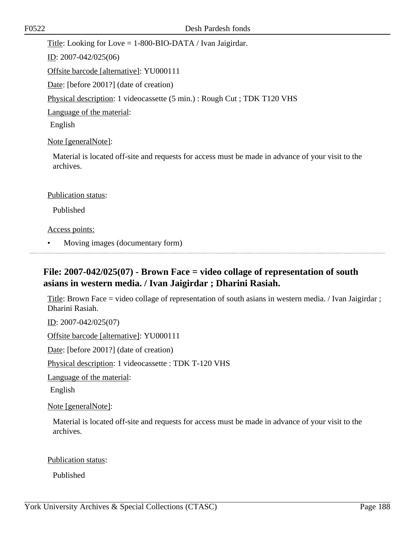Title: Looking for Love = 1-800-BIO-DATA / Ivan Jaigirdar.

ID: 2007-042/025(06)

Offsite barcode [alternative]: YU000111

Date: [before 2001?] (date of creation)

Physical description: 1 videocassette (5 min.) : Rough Cut ; TDK T120 VHS

Language of the material:

English

Note [generalNote]:

Material is located off-site and requests for access must be made in advance of your visit to the archives.

#### Publication status:

Published

#### Access points:

• Moving images (documentary form)

# **File: 2007-042/025(07) - Brown Face = video collage of representation of south asians in western media. / Ivan Jaigirdar ; Dharini Rasiah.**

Title: Brown Face = video collage of representation of south asians in western media. / Ivan Jaigirdar ; Dharini Rasiah.

ID: 2007-042/025(07)

Offsite barcode [alternative]: YU000111

Date: [before 2001?] (date of creation)

Physical description: 1 videocassette : TDK T-120 VHS

Language of the material:

English

Note [generalNote]:

Material is located off-site and requests for access must be made in advance of your visit to the archives.

Publication status:

Published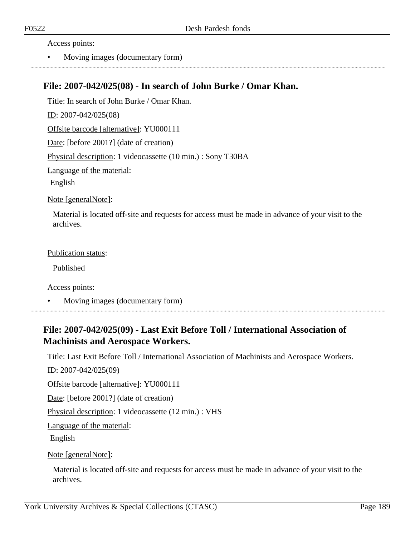#### Access points:

• Moving images (documentary form)

### **File: 2007-042/025(08) - In search of John Burke / Omar Khan.**

Title: In search of John Burke / Omar Khan. ID: 2007-042/025(08) Offsite barcode [alternative]: YU000111 Date: [before 2001?] (date of creation)

Physical description: 1 videocassette (10 min.) : Sony T30BA

Language of the material:

English

Note [generalNote]:

Material is located off-site and requests for access must be made in advance of your visit to the archives.

#### Publication status:

Published

Access points:

• Moving images (documentary form)

## **File: 2007-042/025(09) - Last Exit Before Toll / International Association of Machinists and Aerospace Workers.**

Title: Last Exit Before Toll / International Association of Machinists and Aerospace Workers.

ID: 2007-042/025(09)

Offsite barcode [alternative]: YU000111

Date: [before 2001?] (date of creation)

Physical description: 1 videocassette (12 min.) : VHS

Language of the material:

English

Note [generalNote]:

Material is located off-site and requests for access must be made in advance of your visit to the archives.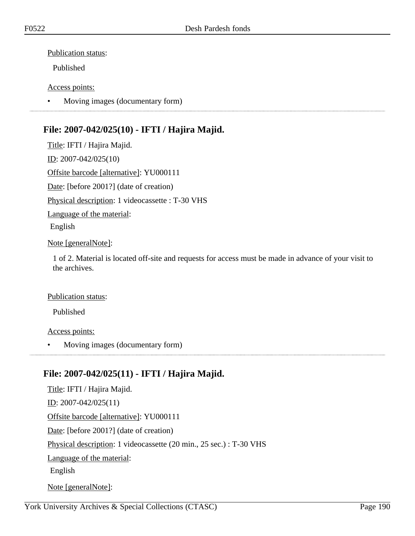### Publication status:

Published

### Access points:

• Moving images (documentary form)

# **File: 2007-042/025(10) - IFTI / Hajira Majid.**

Title: IFTI / Hajira Majid. ID: 2007-042/025(10) Offsite barcode [alternative]: YU000111 Date: [before 2001?] (date of creation) Physical description: 1 videocassette : T-30 VHS Language of the material: English Note [generalNote]:

1 of 2. Material is located off-site and requests for access must be made in advance of your visit to the archives.

#### Publication status:

Published

Access points:

• Moving images (documentary form)

# **File: 2007-042/025(11) - IFTI / Hajira Majid.**

Title: IFTI / Hajira Majid. ID: 2007-042/025(11) Offsite barcode [alternative]: YU000111 Date: [before 2001?] (date of creation) Physical description: 1 videocassette (20 min., 25 sec.) : T-30 VHS Language of the material: English Note [generalNote]: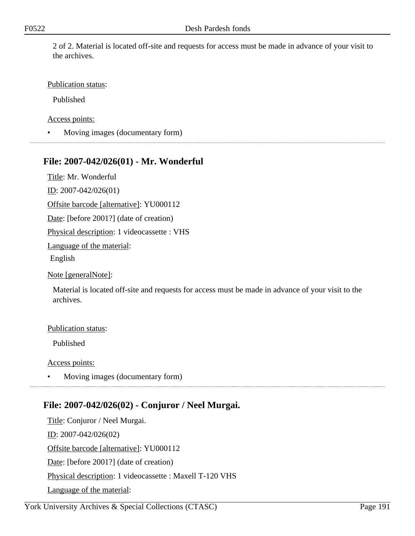2 of 2. Material is located off-site and requests for access must be made in advance of your visit to the archives.

### Publication status:

Published

Access points:

• Moving images (documentary form)

# **File: 2007-042/026(01) - Mr. Wonderful**

Title: Mr. Wonderful

ID: 2007-042/026(01)

Offsite barcode [alternative]: YU000112

Date: [before 2001?] (date of creation)

Physical description: 1 videocassette : VHS

Language of the material:

English

Note [generalNote]:

Material is located off-site and requests for access must be made in advance of your visit to the archives.

#### Publication status:

Published

Access points:

• Moving images (documentary form)

# **File: 2007-042/026(02) - Conjuror / Neel Murgai.**

Title: Conjuror / Neel Murgai. ID: 2007-042/026(02) Offsite barcode [alternative]: YU000112 Date: [before 2001?] (date of creation) Physical description: 1 videocassette : Maxell T-120 VHS Language of the material: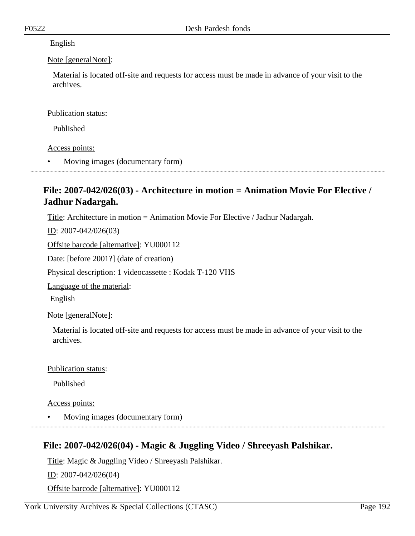### English

### Note [generalNote]:

Material is located off-site and requests for access must be made in advance of your visit to the archives.

### Publication status:

Published

Access points:

• Moving images (documentary form)

# **File: 2007-042/026(03) - Architecture in motion = Animation Movie For Elective / Jadhur Nadargah.**

Title: Architecture in motion = Animation Movie For Elective / Jadhur Nadargah.

ID: 2007-042/026(03)

Offsite barcode [alternative]: YU000112

Date: [before 2001?] (date of creation)

Physical description: 1 videocassette : Kodak T-120 VHS

Language of the material:

English

Note [generalNote]:

Material is located off-site and requests for access must be made in advance of your visit to the archives.

### Publication status:

Published

Access points:

• Moving images (documentary form)

# **File: 2007-042/026(04) - Magic & Juggling Video / Shreeyash Palshikar.**

Title: Magic & Juggling Video / Shreeyash Palshikar.

ID: 2007-042/026(04)

Offsite barcode [alternative]: YU000112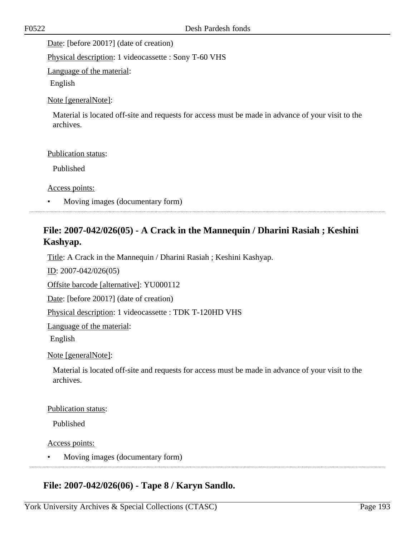Date: [before 2001?] (date of creation)

Physical description: 1 videocassette : Sony T-60 VHS

Language of the material:

English

Note [generalNote]:

Material is located off-site and requests for access must be made in advance of your visit to the archives.

#### Publication status:

Published

Access points:

• Moving images (documentary form)

# **File: 2007-042/026(05) - A Crack in the Mannequin / Dharini Rasiah ; Keshini Kashyap.**

Title: A Crack in the Mannequin / Dharini Rasiah ; Keshini Kashyap.

ID: 2007-042/026(05)

Offsite barcode [alternative]: YU000112

Date: [before 2001?] (date of creation)

Physical description: 1 videocassette : TDK T-120HD VHS

Language of the material:

English

Note [generalNote]:

Material is located off-site and requests for access must be made in advance of your visit to the archives.

#### Publication status:

Published

Access points:

• Moving images (documentary form)

### **File: 2007-042/026(06) - Tape 8 / Karyn Sandlo.**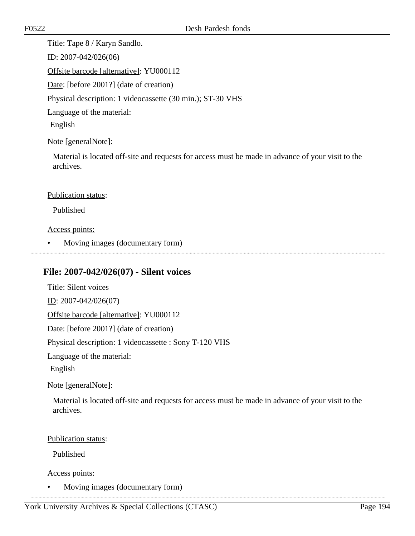Title: Tape 8 / Karyn Sandlo. ID: 2007-042/026(06) Offsite barcode [alternative]: YU000112 Date: [before 2001?] (date of creation) Physical description: 1 videocassette (30 min.); ST-30 VHS Language of the material:

English

#### Note [generalNote]:

Material is located off-site and requests for access must be made in advance of your visit to the archives.

#### Publication status:

Published

#### Access points:

• Moving images (documentary form)

### **File: 2007-042/026(07) - Silent voices**

Title: Silent voices ID: 2007-042/026(07) Offsite barcode [alternative]: YU000112

Date: [before 2001?] (date of creation)

Physical description: 1 videocassette : Sony T-120 VHS

Language of the material:

English

Note [generalNote]:

Material is located off-site and requests for access must be made in advance of your visit to the archives.

#### Publication status:

Published

Access points:

• Moving images (documentary form)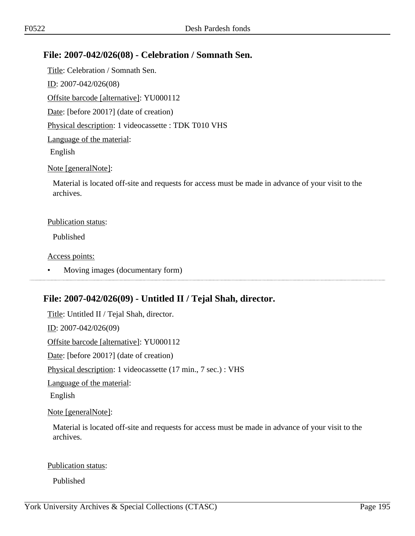# **File: 2007-042/026(08) - Celebration / Somnath Sen.**

Title: Celebration / Somnath Sen. ID: 2007-042/026(08) Offsite barcode [alternative]: YU000112 Date: [before 2001?] (date of creation) Physical description: 1 videocassette : TDK T010 VHS Language of the material: English

### Note [generalNote]:

Material is located off-site and requests for access must be made in advance of your visit to the archives.

### Publication status:

Published

### Access points:

• Moving images (documentary form)

# **File: 2007-042/026(09) - Untitled II / Tejal Shah, director.**

Title: Untitled II / Tejal Shah, director. ID: 2007-042/026(09) Offsite barcode [alternative]: YU000112 Date: [before 2001?] (date of creation) Physical description: 1 videocassette (17 min., 7 sec.) : VHS Language of the material: English

Note [generalNote]:

Material is located off-site and requests for access must be made in advance of your visit to the archives.

#### Publication status:

Published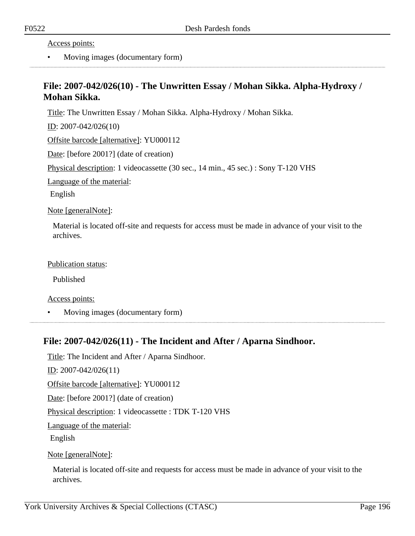Access points:

• Moving images (documentary form)

# **File: 2007-042/026(10) - The Unwritten Essay / Mohan Sikka. Alpha-Hydroxy / Mohan Sikka.**

Title: The Unwritten Essay / Mohan Sikka. Alpha-Hydroxy / Mohan Sikka.

ID: 2007-042/026(10)

Offsite barcode [alternative]: YU000112

Date: [before 2001?] (date of creation)

Physical description: 1 videocassette (30 sec., 14 min., 45 sec.) : Sony T-120 VHS

Language of the material:

English

Note [generalNote]:

Material is located off-site and requests for access must be made in advance of your visit to the archives.

Publication status:

Published

Access points:

• Moving images (documentary form)

### **File: 2007-042/026(11) - The Incident and After / Aparna Sindhoor.**

Title: The Incident and After / Aparna Sindhoor.

ID: 2007-042/026(11)

Offsite barcode [alternative]: YU000112

Date: [before 2001?] (date of creation)

Physical description: 1 videocassette : TDK T-120 VHS

Language of the material:

English

Note [generalNote]:

Material is located off-site and requests for access must be made in advance of your visit to the archives.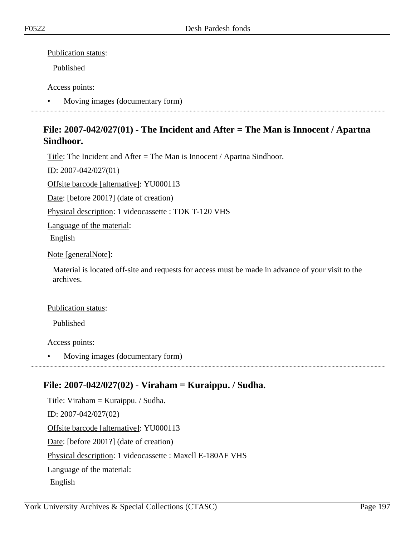Publication status:

Published

### Access points:

• Moving images (documentary form)

# **File: 2007-042/027(01) - The Incident and After = The Man is Innocent / Apartna Sindhoor.**

Title: The Incident and After = The Man is Innocent / Apartna Sindhoor.

ID: 2007-042/027(01)

Offsite barcode [alternative]: YU000113

Date: [before 2001?] (date of creation)

Physical description: 1 videocassette : TDK T-120 VHS

Language of the material:

English

### Note [generalNote]:

Material is located off-site and requests for access must be made in advance of your visit to the archives.

### Publication status:

Published

Access points:

• Moving images (documentary form)

# **File: 2007-042/027(02) - Viraham = Kuraippu. / Sudha.**

Title: Viraham  $=$  Kuraippu. / Sudha. ID: 2007-042/027(02) Offsite barcode [alternative]: YU000113 Date: [before 2001?] (date of creation) Physical description: 1 videocassette : Maxell E-180AF VHS Language of the material: English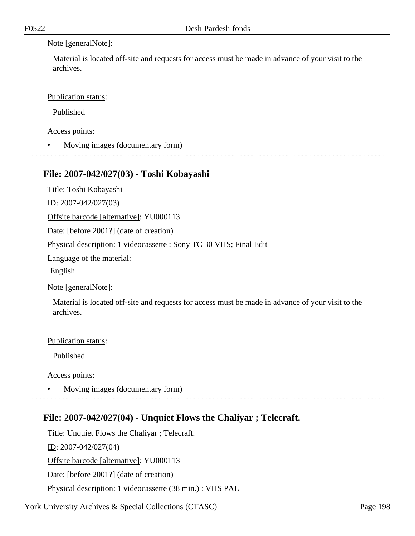### Note [generalNote]:

Material is located off-site and requests for access must be made in advance of your visit to the archives.

Publication status:

Published

Access points:

• Moving images (documentary form)

## **File: 2007-042/027(03) - Toshi Kobayashi**

Title: Toshi Kobayashi

ID: 2007-042/027(03)

Offsite barcode [alternative]: YU000113

Date: [before 2001?] (date of creation)

Physical description: 1 videocassette : Sony TC 30 VHS; Final Edit

Language of the material:

English

Note [generalNote]:

Material is located off-site and requests for access must be made in advance of your visit to the archives.

Publication status:

Published

Access points:

• Moving images (documentary form)

# **File: 2007-042/027(04) - Unquiet Flows the Chaliyar ; Telecraft.**

Title: Unquiet Flows the Chaliyar ; Telecraft. ID: 2007-042/027(04) Offsite barcode [alternative]: YU000113 Date: [before 2001?] (date of creation) Physical description: 1 videocassette (38 min.) : VHS PAL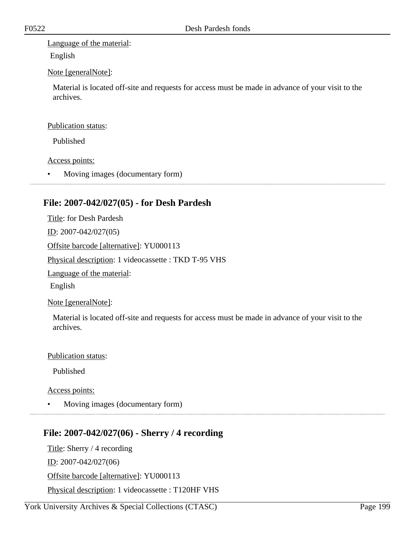Language of the material:

English

### Note [generalNote]:

Material is located off-site and requests for access must be made in advance of your visit to the archives.

#### Publication status:

Published

#### Access points:

• Moving images (documentary form)

## **File: 2007-042/027(05) - for Desh Pardesh**

Title: for Desh Pardesh

ID: 2007-042/027(05)

Offsite barcode [alternative]: YU000113

Physical description: 1 videocassette : TKD T-95 VHS

Language of the material:

English

Note [generalNote]:

Material is located off-site and requests for access must be made in advance of your visit to the archives.

#### Publication status:

Published

Access points:

• Moving images (documentary form)

# **File: 2007-042/027(06) - Sherry / 4 recording**

Title: Sherry / 4 recording ID: 2007-042/027(06) Offsite barcode [alternative]: YU000113 Physical description: 1 videocassette : T120HF VHS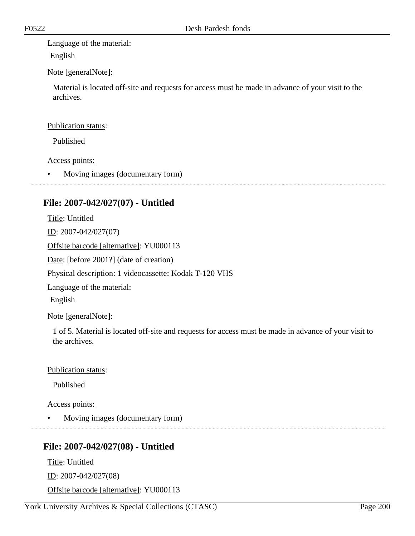Language of the material:

English

### Note [generalNote]:

Material is located off-site and requests for access must be made in advance of your visit to the archives.

#### Publication status:

Published

### Access points:

• Moving images (documentary form)

# **File: 2007-042/027(07) - Untitled**

Title: Untitled ID: 2007-042/027(07) Offsite barcode [alternative]: YU000113 Date: [before 2001?] (date of creation) Physical description: 1 videocassette: Kodak T-120 VHS Language of the material: English

Note [generalNote]:

1 of 5. Material is located off-site and requests for access must be made in advance of your visit to the archives.

Publication status:

Published

Access points:

• Moving images (documentary form)

# **File: 2007-042/027(08) - Untitled**

Title: Untitled ID: 2007-042/027(08) Offsite barcode [alternative]: YU000113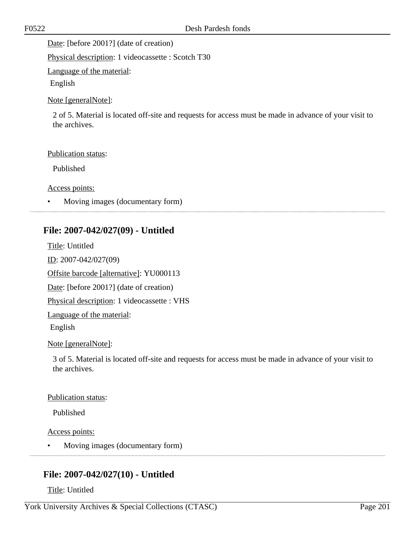Date: [before 2001?] (date of creation)

Physical description: 1 videocassette : Scotch T30

Language of the material:

English

Note [generalNote]:

2 of 5. Material is located off-site and requests for access must be made in advance of your visit to the archives.

#### Publication status:

Published

Access points:

• Moving images (documentary form)

# **File: 2007-042/027(09) - Untitled**

Title: Untitled ID: 2007-042/027(09) Offsite barcode [alternative]: YU000113 Date: [before 2001?] (date of creation) Physical description: 1 videocassette : VHS Language of the material: English

### Note [generalNote]:

3 of 5. Material is located off-site and requests for access must be made in advance of your visit to the archives.

#### Publication status:

Published

#### Access points:

• Moving images (documentary form)

# **File: 2007-042/027(10) - Untitled**

Title: Untitled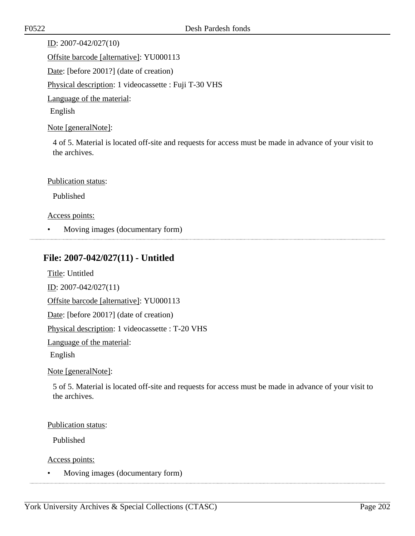ID: 2007-042/027(10) Offsite barcode [alternative]: YU000113 Date: [before 2001?] (date of creation) Physical description: 1 videocassette : Fuji T-30 VHS Language of the material: English

Note [generalNote]:

4 of 5. Material is located off-site and requests for access must be made in advance of your visit to the archives.

Publication status:

Published

Access points:

• Moving images (documentary form)

# **File: 2007-042/027(11) - Untitled**

Title: Untitled

ID: 2007-042/027(11)

Offsite barcode [alternative]: YU000113

Date: [before 2001?] (date of creation)

Physical description: 1 videocassette : T-20 VHS

Language of the material:

English

Note [generalNote]:

5 of 5. Material is located off-site and requests for access must be made in advance of your visit to the archives.

#### Publication status:

Published

Access points:

• Moving images (documentary form)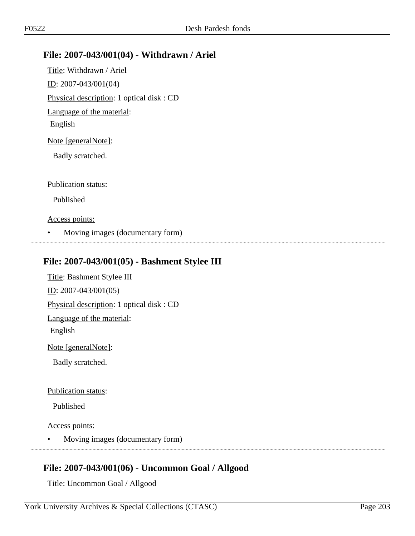## **File: 2007-043/001(04) - Withdrawn / Ariel**

Title: Withdrawn / Ariel ID: 2007-043/001(04) Physical description: 1 optical disk : CD Language of the material: English Note [generalNote]: Badly scratched. Publication status:

Published

Access points:

• Moving images (documentary form)

## **File: 2007-043/001(05) - Bashment Stylee III**

Title: Bashment Stylee III ID: 2007-043/001(05) Physical description: 1 optical disk : CD Language of the material: English Note [generalNote]: Badly scratched. Publication status:

Published

Access points:

• Moving images (documentary form)

# **File: 2007-043/001(06) - Uncommon Goal / Allgood**

Title: Uncommon Goal / Allgood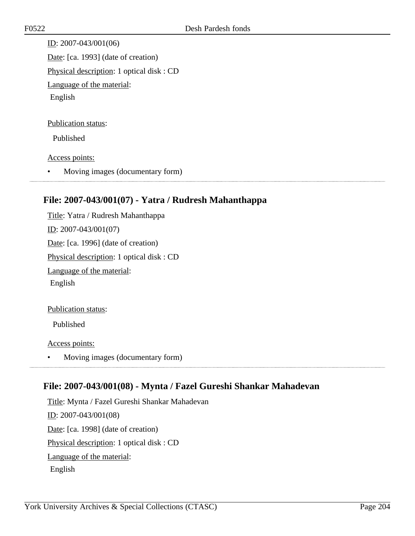ID: 2007-043/001(06) Date: [ca. 1993] (date of creation) Physical description: 1 optical disk : CD Language of the material: English

#### Publication status:

Published

#### Access points:

• Moving images (documentary form)

## **File: 2007-043/001(07) - Yatra / Rudresh Mahanthappa**

Title: Yatra / Rudresh Mahanthappa ID: 2007-043/001(07) Date: [ca. 1996] (date of creation) Physical description: 1 optical disk : CD Language of the material: English

Publication status:

Published

Access points:

• Moving images (documentary form)

# **File: 2007-043/001(08) - Mynta / Fazel Gureshi Shankar Mahadevan**

Title: Mynta / Fazel Gureshi Shankar Mahadevan ID: 2007-043/001(08) Date: [ca. 1998] (date of creation) Physical description: 1 optical disk : CD Language of the material: English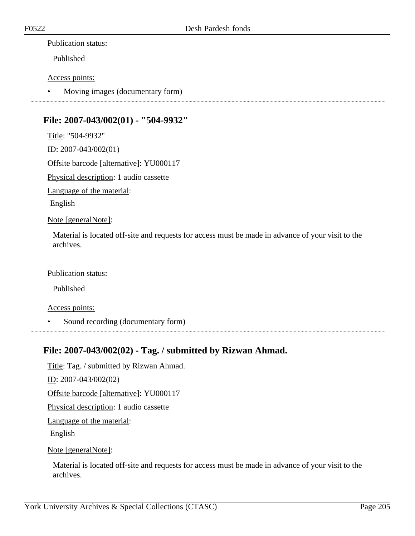#### Publication status:

Published

Access points:

• Moving images (documentary form)

## **File: 2007-043/002(01) - "504-9932"**

Title: "504-9932" ID: 2007-043/002(01) Offsite barcode [alternative]: YU000117 Physical description: 1 audio cassette Language of the material: English Note [generalNote]:

Material is located off-site and requests for access must be made in advance of your visit to the archives.

Publication status:

Published

Access points:

• Sound recording (documentary form)

### **File: 2007-043/002(02) - Tag. / submitted by Rizwan Ahmad.**

Title: Tag. / submitted by Rizwan Ahmad. ID: 2007-043/002(02) Offsite barcode [alternative]: YU000117 Physical description: 1 audio cassette Language of the material: English Note [generalNote]:

Material is located off-site and requests for access must be made in advance of your visit to the archives.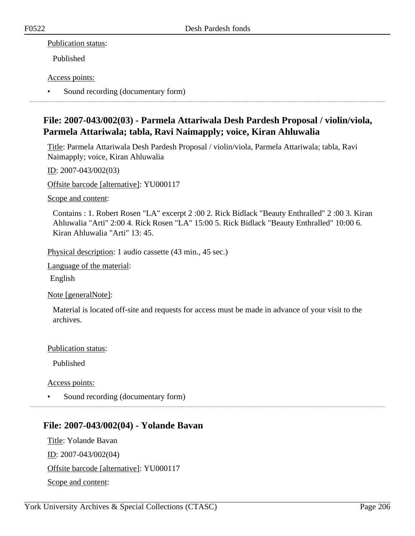### Publication status:

Published

### Access points:

• Sound recording (documentary form)

# **File: 2007-043/002(03) - Parmela Attariwala Desh Pardesh Proposal / violin/viola, Parmela Attariwala; tabla, Ravi Naimapply; voice, Kiran Ahluwalia**

Title: Parmela Attariwala Desh Pardesh Proposal / violin/viola, Parmela Attariwala; tabla, Ravi Naimapply; voice, Kiran Ahluwalia

ID: 2007-043/002(03)

Offsite barcode [alternative]: YU000117

Scope and content:

Contains : 1. Robert Rosen "LA" excerpt 2 :00 2. Rick Bidlack "Beauty Enthralled" 2 :00 3. Kiran Ahluwalia "Arti" 2:00 4. Rick Rosen "LA" 15:00 5. Rick Bidlack "Beauty Enthralled" 10:00 6. Kiran Ahluwalia "Arti" 13: 45.

Physical description: 1 audio cassette (43 min., 45 sec.)

Language of the material:

English

Note [generalNote]:

Material is located off-site and requests for access must be made in advance of your visit to the archives.

Publication status:

Published

Access points:

• Sound recording (documentary form)

# **File: 2007-043/002(04) - Yolande Bavan**

Title: Yolande Bavan ID: 2007-043/002(04) Offsite barcode [alternative]: YU000117 Scope and content: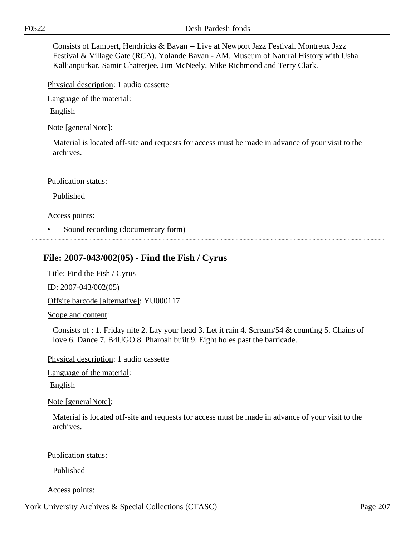Consists of Lambert, Hendricks & Bavan -- Live at Newport Jazz Festival. Montreux Jazz Festival & Village Gate (RCA). Yolande Bavan - AM. Museum of Natural History with Usha Kallianpurkar, Samir Chatterjee, Jim McNeely, Mike Richmond and Terry Clark.

Physical description: 1 audio cassette

Language of the material:

English

Note [generalNote]:

Material is located off-site and requests for access must be made in advance of your visit to the archives.

#### Publication status:

Published

#### Access points:

• Sound recording (documentary form)

## **File: 2007-043/002(05) - Find the Fish / Cyrus**

Title: Find the Fish / Cyrus

ID: 2007-043/002(05)

Offsite barcode [alternative]: YU000117

Scope and content:

Consists of : 1. Friday nite 2. Lay your head 3. Let it rain 4. Scream/54 & counting 5. Chains of love 6. Dance 7. B4UGO 8. Pharoah built 9. Eight holes past the barricade.

Physical description: 1 audio cassette

Language of the material:

English

#### Note [generalNote]:

Material is located off-site and requests for access must be made in advance of your visit to the archives.

#### Publication status:

Published

#### Access points: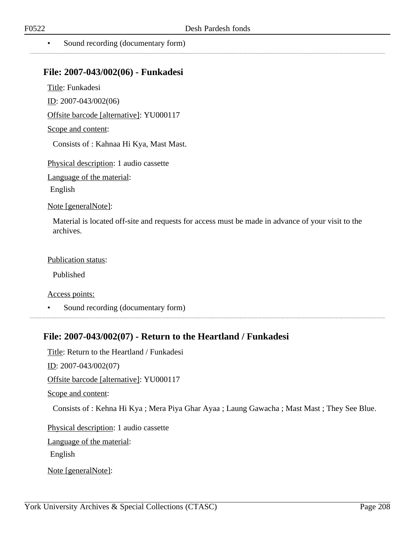### **File: 2007-043/002(06) - Funkadesi**

Title: Funkadesi

ID: 2007-043/002(06)

Offsite barcode [alternative]: YU000117

Scope and content:

Consists of : Kahnaa Hi Kya, Mast Mast.

Physical description: 1 audio cassette

Language of the material:

English

Note [generalNote]:

Material is located off-site and requests for access must be made in advance of your visit to the archives.

Publication status:

Published

Access points:

• Sound recording (documentary form)

# **File: 2007-043/002(07) - Return to the Heartland / Funkadesi**

Title: Return to the Heartland / Funkadesi

ID: 2007-043/002(07)

Offsite barcode [alternative]: YU000117

Scope and content:

Consists of : Kehna Hi Kya ; Mera Piya Ghar Ayaa ; Laung Gawacha ; Mast Mast ; They See Blue.

Physical description: 1 audio cassette

Language of the material:

English

Note [generalNote]: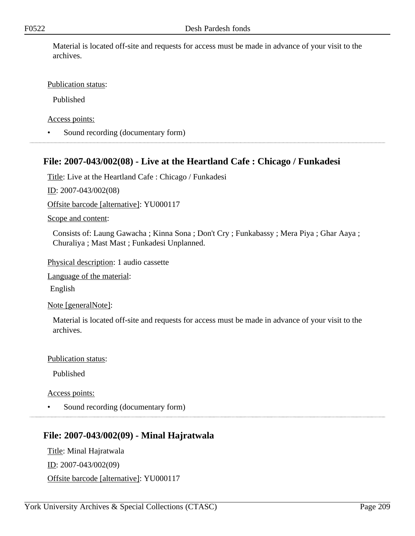Material is located off-site and requests for access must be made in advance of your visit to the archives.

### Publication status:

Published

Access points:

• Sound recording (documentary form)

## **File: 2007-043/002(08) - Live at the Heartland Cafe : Chicago / Funkadesi**

Title: Live at the Heartland Cafe : Chicago / Funkadesi

ID: 2007-043/002(08)

Offsite barcode [alternative]: YU000117

#### Scope and content:

Consists of: Laung Gawacha ; Kinna Sona ; Don't Cry ; Funkabassy ; Mera Piya ; Ghar Aaya ; Churaliya ; Mast Mast ; Funkadesi Unplanned.

Physical description: 1 audio cassette

Language of the material:

English

Note [generalNote]:

Material is located off-site and requests for access must be made in advance of your visit to the archives.

Publication status:

Published

Access points:

• Sound recording (documentary form)

### **File: 2007-043/002(09) - Minal Hajratwala**

Title: Minal Hajratwala ID: 2007-043/002(09) Offsite barcode [alternative]: YU000117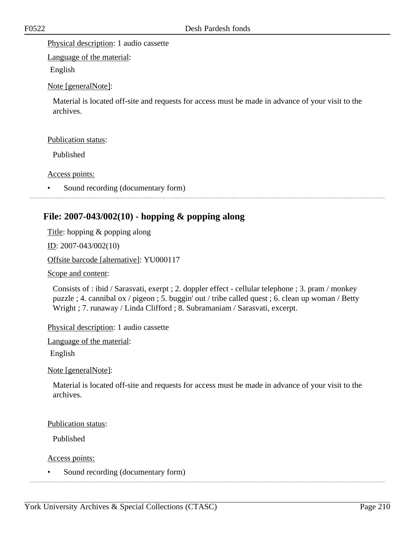Physical description: 1 audio cassette

Language of the material:

English

Note [generalNote]:

Material is located off-site and requests for access must be made in advance of your visit to the archives.

#### Publication status:

Published

#### Access points:

Sound recording (documentary form)

## **File: 2007-043/002(10) - hopping & popping along**

Title: hopping & popping along

ID: 2007-043/002(10)

#### Offsite barcode [alternative]: YU000117

Scope and content:

Consists of : ibid / Sarasvati, exerpt ; 2. doppler effect - cellular telephone ; 3. pram / monkey puzzle ; 4. cannibal ox / pigeon ; 5. buggin' out / tribe called quest ; 6. clean up woman / Betty Wright ; 7. runaway / Linda Clifford ; 8. Subramaniam / Sarasvati, excerpt.

Physical description: 1 audio cassette

Language of the material:

English

Note [generalNote]:

Material is located off-site and requests for access must be made in advance of your visit to the archives.

#### Publication status:

Published

Access points:

Sound recording (documentary form)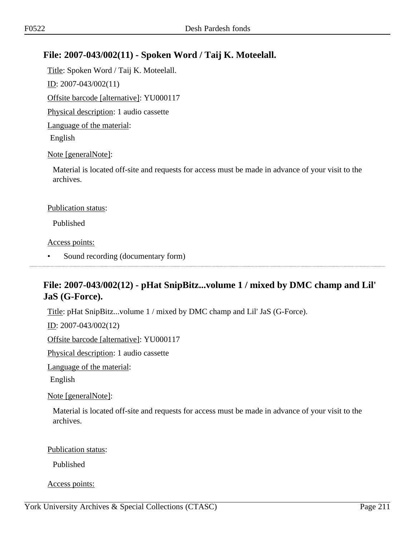# **File: 2007-043/002(11) - Spoken Word / Taij K. Moteelall.**

Title: Spoken Word / Taij K. Moteelall.  $ID: 2007-043/002(11)$ Offsite barcode [alternative]: YU000117 Physical description: 1 audio cassette Language of the material: English Note [generalNote]:

Material is located off-site and requests for access must be made in advance of your visit to the archives.

#### Publication status:

Published

Access points:

• Sound recording (documentary form)

# **File: 2007-043/002(12) - pHat SnipBitz...volume 1 / mixed by DMC champ and Lil' JaS (G-Force).**

Title: pHat SnipBitz...volume 1 / mixed by DMC champ and Lil' JaS (G-Force).

ID: 2007-043/002(12)

Offsite barcode [alternative]: YU000117

Physical description: 1 audio cassette

Language of the material:

English

Note [generalNote]:

Material is located off-site and requests for access must be made in advance of your visit to the archives.

Publication status:

Published

Access points: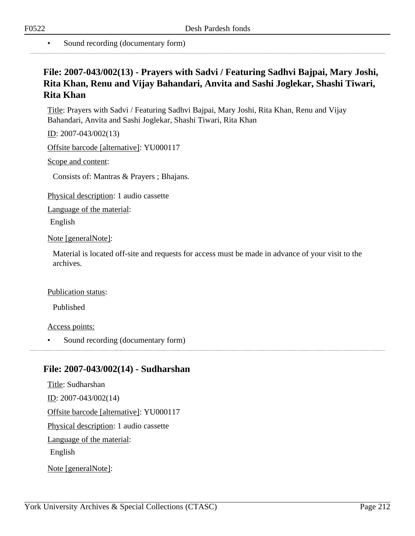# **File: 2007-043/002(13) - Prayers with Sadvi / Featuring Sadhvi Bajpai, Mary Joshi, Rita Khan, Renu and Vijay Bahandari, Anvita and Sashi Joglekar, Shashi Tiwari, Rita Khan**

Title: Prayers with Sadvi / Featuring Sadhvi Bajpai, Mary Joshi, Rita Khan, Renu and Vijay Bahandari, Anvita and Sashi Joglekar, Shashi Tiwari, Rita Khan

ID: 2007-043/002(13)

Offsite barcode [alternative]: YU000117

Scope and content:

Consists of: Mantras & Prayers ; Bhajans.

Physical description: 1 audio cassette

Language of the material:

English

Note [generalNote]:

Material is located off-site and requests for access must be made in advance of your visit to the archives.

#### Publication status:

Published

Access points:

Sound recording (documentary form)

### **File: 2007-043/002(14) - Sudharshan**

Title: Sudharshan ID: 2007-043/002(14) Offsite barcode [alternative]: YU000117 Physical description: 1 audio cassette Language of the material: English Note [generalNote]: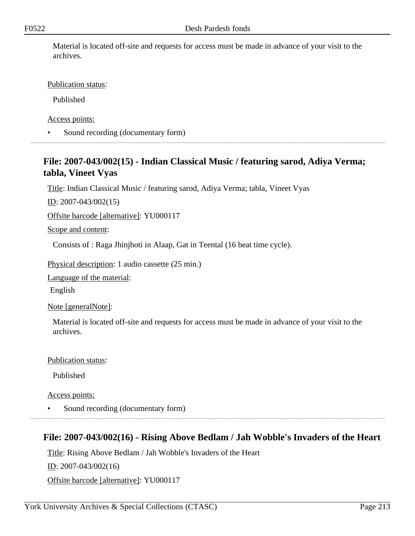Material is located off-site and requests for access must be made in advance of your visit to the archives.

Publication status:

Published

Access points:

• Sound recording (documentary form)

# **File: 2007-043/002(15) - Indian Classical Music / featuring sarod, Adiya Verma; tabla, Vineet Vyas**

Title: Indian Classical Music / featuring sarod, Adiya Verma; tabla, Vineet Vyas

ID: 2007-043/002(15)

Offsite barcode [alternative]: YU000117

Scope and content:

Consists of : Raga Jhinjhoti in Alaap, Gat in Teental (16 beat time cycle).

Physical description: 1 audio cassette (25 min.)

Language of the material:

English

Note [generalNote]:

Material is located off-site and requests for access must be made in advance of your visit to the archives.

Publication status:

Published

Access points:

• Sound recording (documentary form)

# **File: 2007-043/002(16) - Rising Above Bedlam / Jah Wobble's Invaders of the Heart**

Title: Rising Above Bedlam / Jah Wobble's Invaders of the Heart

ID: 2007-043/002(16)

Offsite barcode [alternative]: YU000117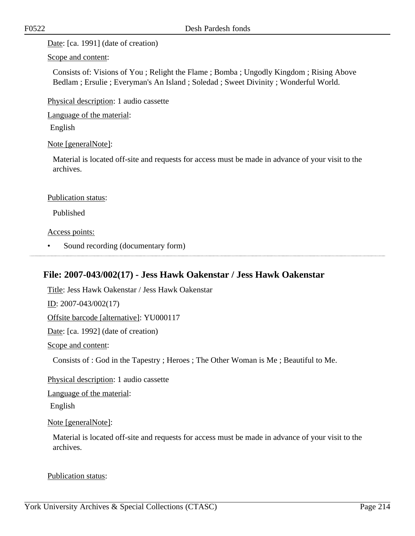Date: [ca. 1991] (date of creation)

Scope and content:

Consists of: Visions of You ; Relight the Flame ; Bomba ; Ungodly Kingdom ; Rising Above Bedlam ; Ersulie ; Everyman's An Island ; Soledad ; Sweet Divinity ; Wonderful World.

Physical description: 1 audio cassette

Language of the material:

English

Note [generalNote]:

Material is located off-site and requests for access must be made in advance of your visit to the archives.

### Publication status:

Published

Access points:

• Sound recording (documentary form)

# **File: 2007-043/002(17) - Jess Hawk Oakenstar / Jess Hawk Oakenstar**

Title: Jess Hawk Oakenstar / Jess Hawk Oakenstar <u>ID</u>: 2007-043/002(17) Offsite barcode [alternative]: YU000117 Date: [ca. 1992] (date of creation) Scope and content: Consists of : God in the Tapestry ; Heroes ; The Other Woman is Me ; Beautiful to Me.

Physical description: 1 audio cassette

Language of the material:

English

### Note [generalNote]:

Material is located off-site and requests for access must be made in advance of your visit to the archives.

#### Publication status: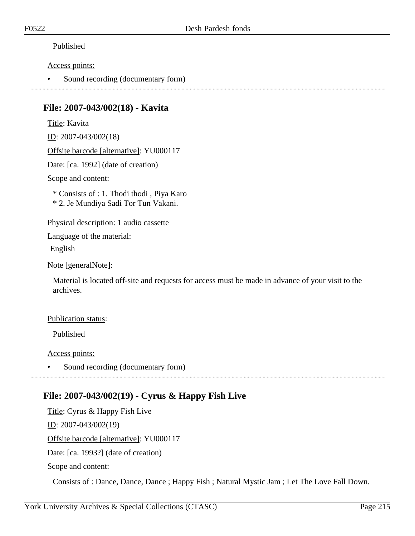### Published

### Access points:

• Sound recording (documentary form)

## **File: 2007-043/002(18) - Kavita**

Title: Kavita ID: 2007-043/002(18)

Offsite barcode [alternative]: YU000117

Date: [ca. 1992] (date of creation)

Scope and content:

\* Consists of : 1. Thodi thodi , Piya Karo

\* 2. Je Mundiya Sadi Tor Tun Vakani.

Physical description: 1 audio cassette

Language of the material:

English

Note [generalNote]:

Material is located off-site and requests for access must be made in advance of your visit to the archives.

### Publication status:

Published

Access points:

• Sound recording (documentary form)

# **File: 2007-043/002(19) - Cyrus & Happy Fish Live**

Title: Cyrus & Happy Fish Live ID: 2007-043/002(19) Offsite barcode [alternative]: YU000117 Date: [ca. 1993?] (date of creation)

Scope and content:

Consists of : Dance, Dance, Dance ; Happy Fish ; Natural Mystic Jam ; Let The Love Fall Down.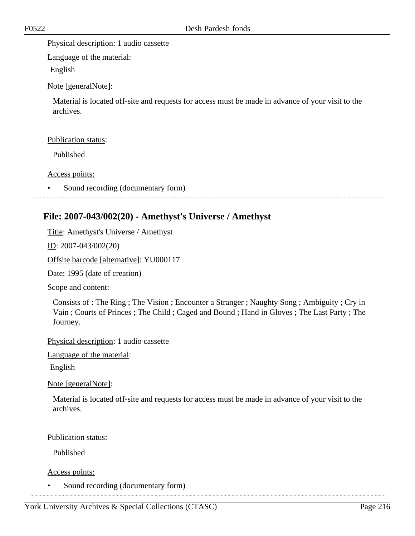Physical description: 1 audio cassette

Language of the material:

English

Note [generalNote]:

Material is located off-site and requests for access must be made in advance of your visit to the archives.

### Publication status:

Published

Access points:

Sound recording (documentary form)

# **File: 2007-043/002(20) - Amethyst's Universe / Amethyst**

Title: Amethyst's Universe / Amethyst

ID: 2007-043/002(20)

Offsite barcode [alternative]: YU000117

Date: 1995 (date of creation)

Scope and content:

Consists of : The Ring ; The Vision ; Encounter a Stranger ; Naughty Song ; Ambiguity ; Cry in Vain ; Courts of Princes ; The Child ; Caged and Bound ; Hand in Gloves ; The Last Party ; The Journey.

Physical description: 1 audio cassette

Language of the material:

English

Note [generalNote]:

Material is located off-site and requests for access must be made in advance of your visit to the archives.

Publication status:

Published

Access points:

• Sound recording (documentary form)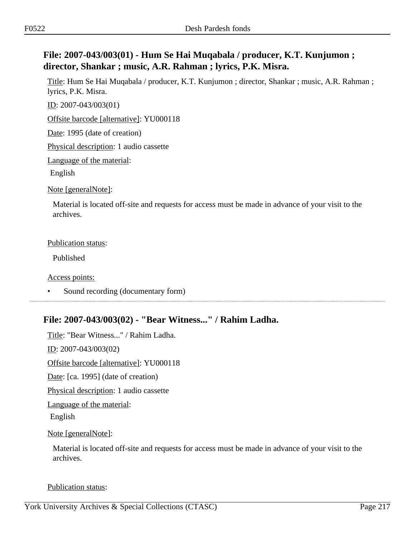# **File: 2007-043/003(01) - Hum Se Hai Muqabala / producer, K.T. Kunjumon ; director, Shankar ; music, A.R. Rahman ; lyrics, P.K. Misra.**

Title: Hum Se Hai Muqabala / producer, K.T. Kunjumon ; director, Shankar ; music, A.R. Rahman ; lyrics, P.K. Misra.

ID: 2007-043/003(01)

Offsite barcode [alternative]: YU000118

Date: 1995 (date of creation)

Physical description: 1 audio cassette

Language of the material:

English

Note [generalNote]:

Material is located off-site and requests for access must be made in advance of your visit to the archives.

#### Publication status:

Published

Access points:

• Sound recording (documentary form)

### **File: 2007-043/003(02) - "Bear Witness..." / Rahim Ladha.**

Title: "Bear Witness..." / Rahim Ladha. ID: 2007-043/003(02) Offsite barcode [alternative]: YU000118 Date: [ca. 1995] (date of creation) Physical description: 1 audio cassette Language of the material: English Note [generalNote]:

Material is located off-site and requests for access must be made in advance of your visit to the archives.

Publication status: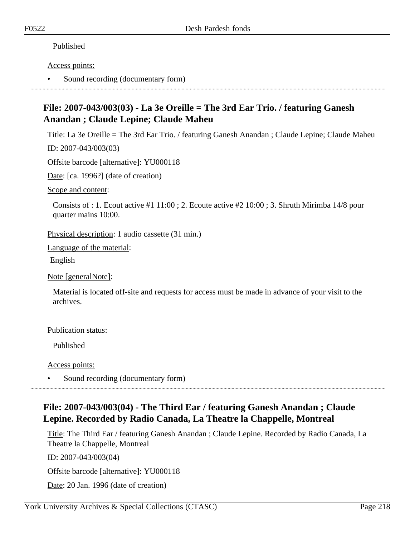### Published

#### Access points:

• Sound recording (documentary form)

# **File: 2007-043/003(03) - La 3e Oreille = The 3rd Ear Trio. / featuring Ganesh Anandan ; Claude Lepine; Claude Maheu**

Title: La 3e Oreille = The 3rd Ear Trio. / featuring Ganesh Anandan ; Claude Lepine; Claude Maheu

ID: 2007-043/003(03)

Offsite barcode [alternative]: YU000118

Date: [ca. 1996?] (date of creation)

Scope and content:

Consists of : 1. Ecout active #1 11:00 ; 2. Ecoute active #2 10:00 ; 3. Shruth Mirimba 14/8 pour quarter mains 10:00.

Physical description: 1 audio cassette (31 min.)

Language of the material:

English

Note [generalNote]:

Material is located off-site and requests for access must be made in advance of your visit to the archives.

### Publication status:

Published

Access points:

• Sound recording (documentary form)

# **File: 2007-043/003(04) - The Third Ear / featuring Ganesh Anandan ; Claude Lepine. Recorded by Radio Canada, La Theatre la Chappelle, Montreal**

Title: The Third Ear / featuring Ganesh Anandan ; Claude Lepine. Recorded by Radio Canada, La Theatre la Chappelle, Montreal

ID: 2007-043/003(04)

Offsite barcode [alternative]: YU000118

Date: 20 Jan. 1996 (date of creation)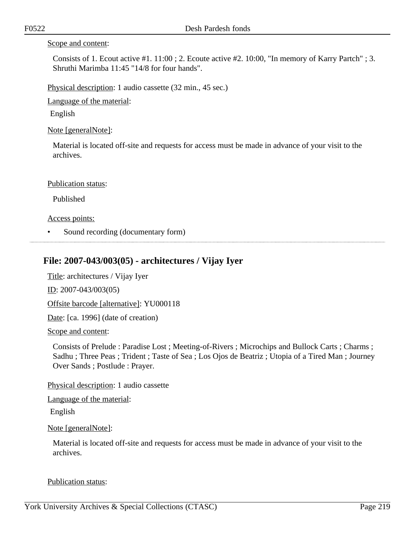#### Scope and content:

Consists of 1. Ecout active #1. 11:00 ; 2. Ecoute active #2. 10:00, "In memory of Karry Partch" ; 3. Shruthi Marimba 11:45 "14/8 for four hands".

Physical description: 1 audio cassette (32 min., 45 sec.)

Language of the material:

English

Note [generalNote]:

Material is located off-site and requests for access must be made in advance of your visit to the archives.

#### Publication status:

Published

Access points:

• Sound recording (documentary form)

### **File: 2007-043/003(05) - architectures / Vijay Iyer**

Title: architectures / Vijay Iyer

ID: 2007-043/003(05)

Offsite barcode [alternative]: YU000118

Date: [ca. 1996] (date of creation)

Scope and content:

Consists of Prelude : Paradise Lost ; Meeting-of-Rivers ; Microchips and Bullock Carts ; Charms ; Sadhu ; Three Peas ; Trident ; Taste of Sea ; Los Ojos de Beatriz ; Utopia of a Tired Man ; Journey Over Sands ; Postlude : Prayer.

Physical description: 1 audio cassette

Language of the material:

English

Note [generalNote]:

Material is located off-site and requests for access must be made in advance of your visit to the archives.

Publication status: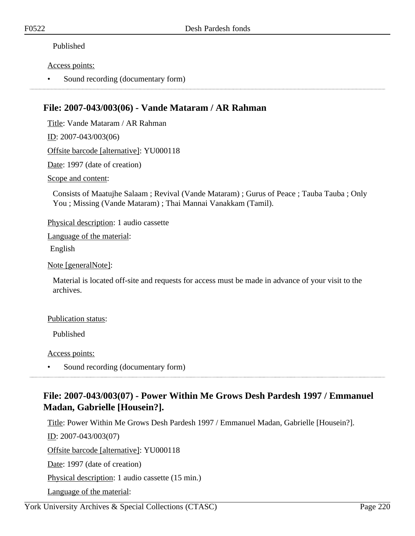### Published

### Access points:

• Sound recording (documentary form)

## **File: 2007-043/003(06) - Vande Mataram / AR Rahman**

Title: Vande Mataram / AR Rahman

ID: 2007-043/003(06)

Offsite barcode [alternative]: YU000118

Date: 1997 (date of creation)

Scope and content:

Consists of Maatujhe Salaam ; Revival (Vande Mataram) ; Gurus of Peace ; Tauba Tauba ; Only You ; Missing (Vande Mataram) ; Thai Mannai Vanakkam (Tamil).

Physical description: 1 audio cassette

Language of the material:

English

Note [generalNote]:

Material is located off-site and requests for access must be made in advance of your visit to the archives.

### Publication status:

Published

Access points:

• Sound recording (documentary form)

# **File: 2007-043/003(07) - Power Within Me Grows Desh Pardesh 1997 / Emmanuel Madan, Gabrielle [Housein?].**

Title: Power Within Me Grows Desh Pardesh 1997 / Emmanuel Madan, Gabrielle [Housein?].

ID: 2007-043/003(07)

Offsite barcode [alternative]: YU000118

Date: 1997 (date of creation)

Physical description: 1 audio cassette (15 min.)

Language of the material: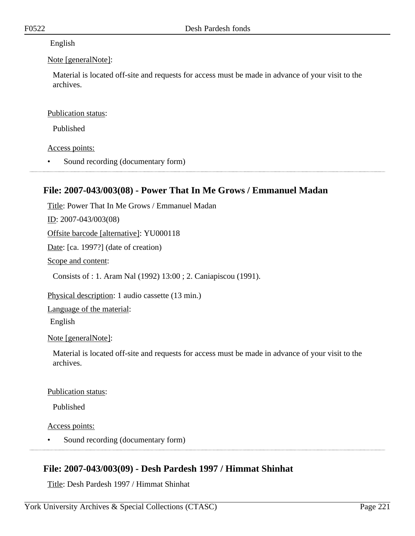### English

### Note [generalNote]:

Material is located off-site and requests for access must be made in advance of your visit to the archives.

### Publication status:

Published

Access points:

• Sound recording (documentary form)

# **File: 2007-043/003(08) - Power That In Me Grows / Emmanuel Madan**

Title: Power That In Me Grows / Emmanuel Madan ID: 2007-043/003(08) Offsite barcode [alternative]: YU000118 Date: [ca. 1997?] (date of creation) Scope and content: Consists of : 1. Aram Nal (1992) 13:00 ; 2. Caniapiscou (1991). Physical description: 1 audio cassette (13 min.)

Language of the material:

English

Note [generalNote]:

Material is located off-site and requests for access must be made in advance of your visit to the archives.

### Publication status:

Published

Access points:

• Sound recording (documentary form)

# **File: 2007-043/003(09) - Desh Pardesh 1997 / Himmat Shinhat**

Title: Desh Pardesh 1997 / Himmat Shinhat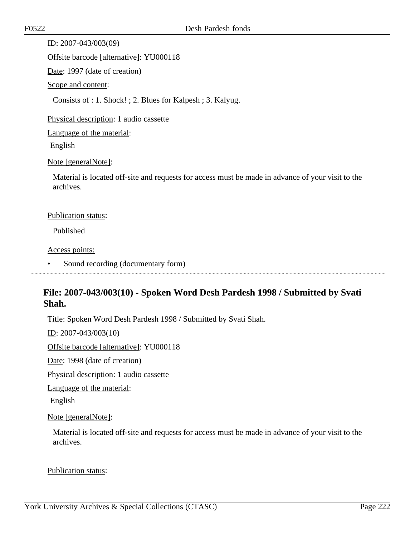ID: 2007-043/003(09)

Offsite barcode [alternative]: YU000118

Date: 1997 (date of creation)

Scope and content:

Consists of : 1. Shock! ; 2. Blues for Kalpesh ; 3. Kalyug.

Physical description: 1 audio cassette

Language of the material:

English

Note [generalNote]:

Material is located off-site and requests for access must be made in advance of your visit to the archives.

### Publication status:

Published

Access points:

• Sound recording (documentary form)

# **File: 2007-043/003(10) - Spoken Word Desh Pardesh 1998 / Submitted by Svati Shah.**

Title: Spoken Word Desh Pardesh 1998 / Submitted by Svati Shah.

ID: 2007-043/003(10)

Offsite barcode [alternative]: YU000118

Date: 1998 (date of creation)

Physical description: 1 audio cassette

Language of the material:

English

Note [generalNote]:

Material is located off-site and requests for access must be made in advance of your visit to the archives.

Publication status: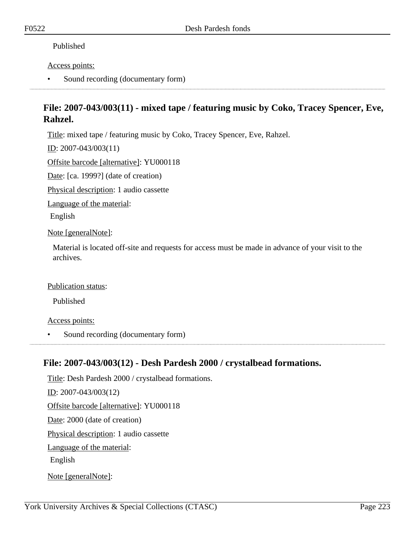### Published

### Access points:

• Sound recording (documentary form)

# **File: 2007-043/003(11) - mixed tape / featuring music by Coko, Tracey Spencer, Eve, Rahzel.**

Title: mixed tape / featuring music by Coko, Tracey Spencer, Eve, Rahzel.

ID: 2007-043/003(11)

Offsite barcode [alternative]: YU000118

Date: [ca. 1999?] (date of creation)

Physical description: 1 audio cassette

Language of the material:

English

Note [generalNote]:

Material is located off-site and requests for access must be made in advance of your visit to the archives.

### Publication status:

Published

Access points:

• Sound recording (documentary form)

# **File: 2007-043/003(12) - Desh Pardesh 2000 / crystalbead formations.**

Title: Desh Pardesh 2000 / crystalbead formations. ID: 2007-043/003(12) Offsite barcode [alternative]: YU000118 Date: 2000 (date of creation) Physical description: 1 audio cassette Language of the material: English Note [generalNote]: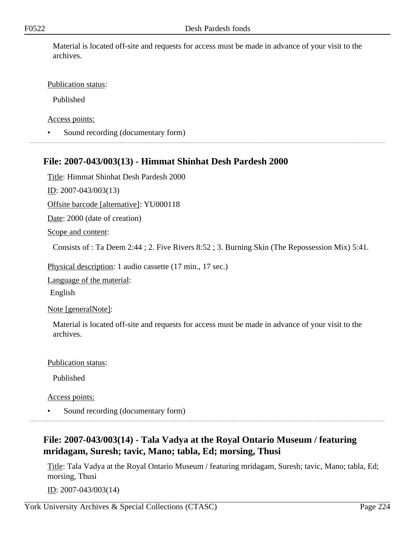Material is located off-site and requests for access must be made in advance of your visit to the archives.

### Publication status:

Published

Access points:

• Sound recording (documentary form)

## **File: 2007-043/003(13) - Himmat Shinhat Desh Pardesh 2000**

Title: Himmat Shinhat Desh Pardesh 2000

ID: 2007-043/003(13)

Offsite barcode [alternative]: YU000118

Date: 2000 (date of creation)

Scope and content:

Consists of : Ta Deem 2:44 ; 2. Five Rivers 8:52 ; 3. Burning Skin (The Repossession Mix) 5:41.

Physical description: 1 audio cassette (17 min., 17 sec.)

Language of the material:

English

Note [generalNote]:

Material is located off-site and requests for access must be made in advance of your visit to the archives.

Publication status:

Published

Access points:

• Sound recording (documentary form)

# **File: 2007-043/003(14) - Tala Vadya at the Royal Ontario Museum / featuring mridagam, Suresh; tavic, Mano; tabla, Ed; morsing, Thusi**

Title: Tala Vadya at the Royal Ontario Museum / featuring mridagam, Suresh; tavic, Mano; tabla, Ed; morsing, Thusi

<u>ID</u>: 2007-043/003(14)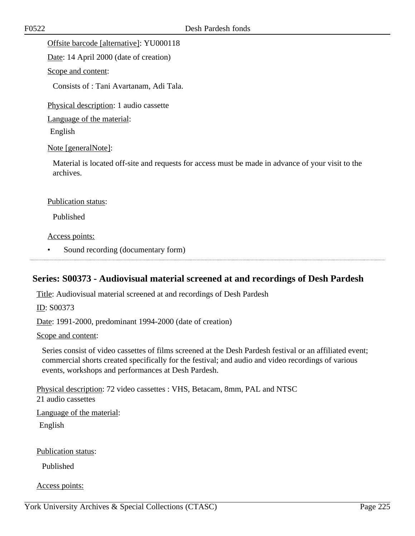Offsite barcode [alternative]: YU000118

Date: 14 April 2000 (date of creation)

### Scope and content:

Consists of : Tani Avartanam, Adi Tala.

Physical description: 1 audio cassette

Language of the material:

English

### Note [generalNote]:

Material is located off-site and requests for access must be made in advance of your visit to the archives.

#### Publication status:

Published

Access points:

• Sound recording (documentary form)

### **Series: S00373 - Audiovisual material screened at and recordings of Desh Pardesh**

Title: Audiovisual material screened at and recordings of Desh Pardesh

ID: S00373

Date: 1991-2000, predominant 1994-2000 (date of creation)

Scope and content:

Series consist of video cassettes of films screened at the Desh Pardesh festival or an affiliated event; commercial shorts created specifically for the festival; and audio and video recordings of various events, workshops and performances at Desh Pardesh.

Physical description: 72 video cassettes : VHS, Betacam, 8mm, PAL and NTSC 21 audio cassettes

Language of the material:

English

Publication status:

Published

Access points: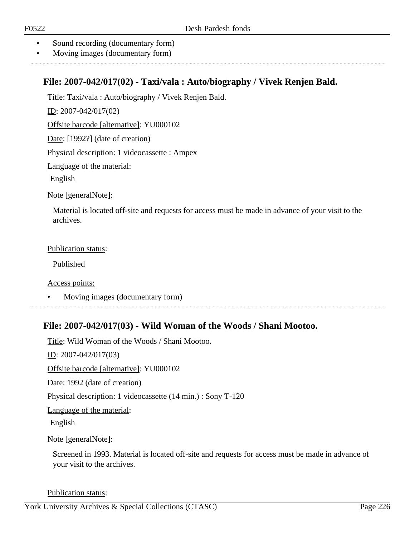- Sound recording (documentary form)
- Moving images (documentary form)

### **File: 2007-042/017(02) - Taxi/vala : Auto/biography / Vivek Renjen Bald.**

Title: Taxi/vala : Auto/biography / Vivek Renjen Bald.

ID: 2007-042/017(02)

Offsite barcode [alternative]: YU000102

Date: [1992?] (date of creation)

Physical description: 1 videocassette : Ampex

Language of the material:

English

Note [generalNote]:

Material is located off-site and requests for access must be made in advance of your visit to the archives.

#### Publication status:

Published

Access points:

• Moving images (documentary form)

# **File: 2007-042/017(03) - Wild Woman of the Woods / Shani Mootoo.**

Title: Wild Woman of the Woods / Shani Mootoo. ID: 2007-042/017(03) Offsite barcode [alternative]: YU000102 Date: 1992 (date of creation) Physical description: 1 videocassette (14 min.) : Sony T-120 Language of the material: English

Note [generalNote]:

Screened in 1993. Material is located off-site and requests for access must be made in advance of your visit to the archives.

Publication status: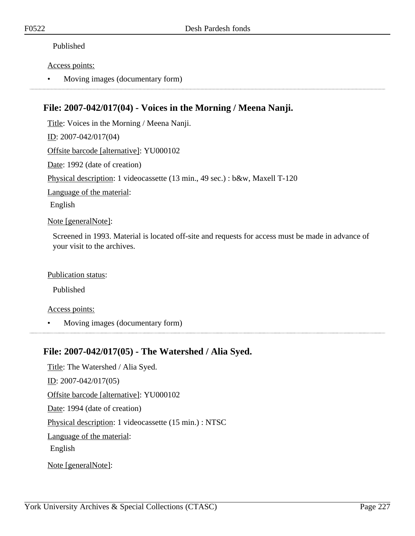### Published

### Access points:

• Moving images (documentary form)

# **File: 2007-042/017(04) - Voices in the Morning / Meena Nanji.**

Title: Voices in the Morning / Meena Nanji. ID: 2007-042/017(04) Offsite barcode [alternative]: YU000102 Date: 1992 (date of creation) Physical description: 1 videocassette (13 min., 49 sec.) : b&w, Maxell T-120 Language of the material: English

Note [generalNote]:

Screened in 1993. Material is located off-site and requests for access must be made in advance of your visit to the archives.

### Publication status:

Published

### Access points:

• Moving images (documentary form)

### **File: 2007-042/017(05) - The Watershed / Alia Syed.**

Title: The Watershed / Alia Syed. ID: 2007-042/017(05) Offsite barcode [alternative]: YU000102 Date: 1994 (date of creation) Physical description: 1 videocassette (15 min.) : NTSC Language of the material: English Note [generalNote]: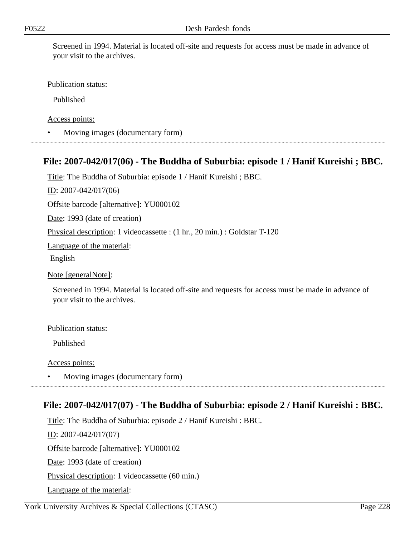Screened in 1994. Material is located off-site and requests for access must be made in advance of your visit to the archives.

### Publication status:

Published

Access points:

• Moving images (documentary form)

## **File: 2007-042/017(06) - The Buddha of Suburbia: episode 1 / Hanif Kureishi ; BBC.**

Title: The Buddha of Suburbia: episode 1 / Hanif Kureishi ; BBC.

ID: 2007-042/017(06)

Offsite barcode [alternative]: YU000102

Date: 1993 (date of creation)

Physical description: 1 videocassette : (1 hr., 20 min.) : Goldstar T-120

Language of the material:

English

Note [generalNote]:

Screened in 1994. Material is located off-site and requests for access must be made in advance of your visit to the archives.

#### Publication status:

Published

Access points:

• Moving images (documentary form)

### **File: 2007-042/017(07) - The Buddha of Suburbia: episode 2 / Hanif Kureishi : BBC.**

Title: The Buddha of Suburbia: episode 2 / Hanif Kureishi : BBC. ID: 2007-042/017(07) Offsite barcode [alternative]: YU000102 Date: 1993 (date of creation) Physical description: 1 videocassette (60 min.) Language of the material: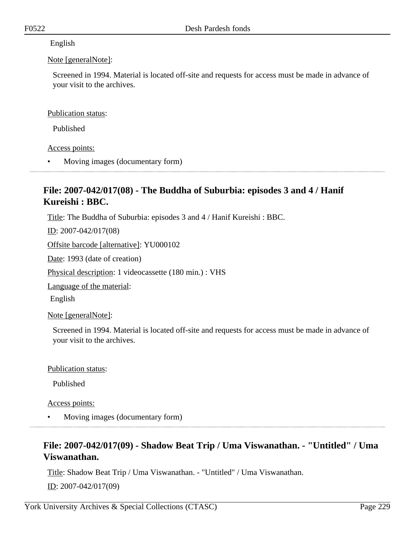### English

### Note [generalNote]:

Screened in 1994. Material is located off-site and requests for access must be made in advance of your visit to the archives.

### Publication status:

Published

Access points:

• Moving images (documentary form)

# **File: 2007-042/017(08) - The Buddha of Suburbia: episodes 3 and 4 / Hanif Kureishi : BBC.**

Title: The Buddha of Suburbia: episodes 3 and 4 / Hanif Kureishi : BBC.

ID: 2007-042/017(08)

Offsite barcode [alternative]: YU000102

Date: 1993 (date of creation)

Physical description: 1 videocassette (180 min.) : VHS

Language of the material:

English

Note [generalNote]:

Screened in 1994. Material is located off-site and requests for access must be made in advance of your visit to the archives.

### Publication status:

Published

Access points:

• Moving images (documentary form)

# **File: 2007-042/017(09) - Shadow Beat Trip / Uma Viswanathan. - "Untitled" / Uma Viswanathan.**

Title: Shadow Beat Trip / Uma Viswanathan. - "Untitled" / Uma Viswanathan. ID: 2007-042/017(09)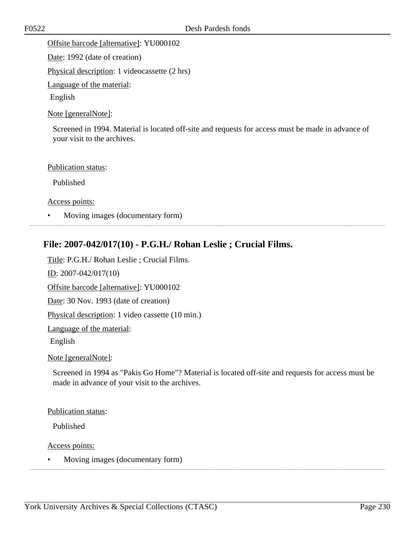Offsite barcode [alternative]: YU000102

Date: 1992 (date of creation)

Physical description: 1 videocassette (2 hrs)

Language of the material:

English

Note [generalNote]:

Screened in 1994. Material is located off-site and requests for access must be made in advance of your visit to the archives.

Publication status:

Published

Access points:

• Moving images (documentary form)

# **File: 2007-042/017(10) - P.G.H./ Rohan Leslie ; Crucial Films.**

Title: P.G.H./ Rohan Leslie ; Crucial Films. ID: 2007-042/017(10) Offsite barcode [alternative]: YU000102 Date: 30 Nov. 1993 (date of creation) Physical description: 1 video cassette (10 min.) Language of the material: English

Note [generalNote]:

Screened in 1994 as "Pakis Go Home"? Material is located off-site and requests for access must be made in advance of your visit to the archives.

Publication status:

Published

Access points:

• Moving images (documentary form)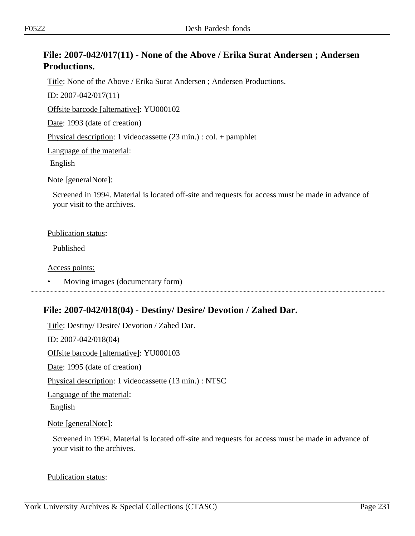# **File: 2007-042/017(11) - None of the Above / Erika Surat Andersen ; Andersen Productions.**

Title: None of the Above / Erika Surat Andersen ; Andersen Productions.

ID: 2007-042/017(11)

Offsite barcode [alternative]: YU000102

Date: 1993 (date of creation)

Physical description: 1 videocassette (23 min.) : col. + pamphlet

Language of the material:

English

Note [generalNote]:

Screened in 1994. Material is located off-site and requests for access must be made in advance of your visit to the archives.

#### Publication status:

Published

Access points:

# **File: 2007-042/018(04) - Destiny/ Desire/ Devotion / Zahed Dar.**

Title: Destiny/ Desire/ Devotion / Zahed Dar. ID: 2007-042/018(04) Offsite barcode [alternative]: YU000103 Date: 1995 (date of creation) Physical description: 1 videocassette (13 min.) : NTSC Language of the material: English Note [generalNote]:

Screened in 1994. Material is located off-site and requests for access must be made in advance of your visit to the archives.

Publication status:

<sup>•</sup> Moving images (documentary form)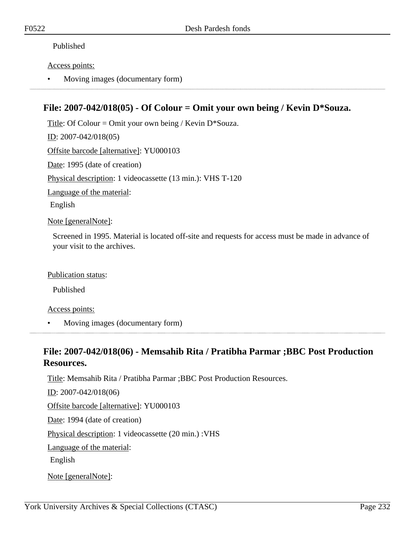### Published

### Access points:

• Moving images (documentary form)

# **File: 2007-042/018(05) - Of Colour = Omit your own being / Kevin D\*Souza.**

Title: Of Colour = Omit your own being / Kevin  $D*Souza$ . ID: 2007-042/018(05) Offsite barcode [alternative]: YU000103 Date: 1995 (date of creation) Physical description: 1 videocassette (13 min.): VHS T-120 Language of the material: English

Note [generalNote]:

Screened in 1995. Material is located off-site and requests for access must be made in advance of your visit to the archives.

Publication status:

Published

Access points:

• Moving images (documentary form)

## **File: 2007-042/018(06) - Memsahib Rita / Pratibha Parmar ;BBC Post Production Resources.**

Title: Memsahib Rita / Pratibha Parmar ;BBC Post Production Resources.

ID: 2007-042/018(06)

Offsite barcode [alternative]: YU000103

Date: 1994 (date of creation)

Physical description: 1 videocassette (20 min.) :VHS

Language of the material:

English

Note [generalNote]: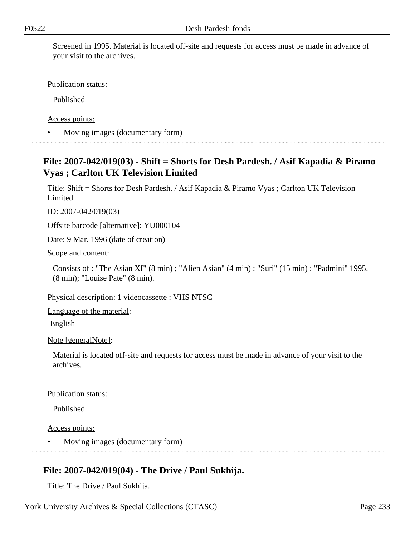Screened in 1995. Material is located off-site and requests for access must be made in advance of your visit to the archives.

Publication status:

Published

Access points:

• Moving images (documentary form)

# **File: 2007-042/019(03) - Shift = Shorts for Desh Pardesh. / Asif Kapadia & Piramo Vyas ; Carlton UK Television Limited**

Title: Shift = Shorts for Desh Pardesh. / Asif Kapadia & Piramo Vyas ; Carlton UK Television Limited

ID: 2007-042/019(03)

Offsite barcode [alternative]: YU000104

Date: 9 Mar. 1996 (date of creation)

Scope and content:

Consists of : "The Asian XI" (8 min) ; "Alien Asian" (4 min) ; "Suri" (15 min) ; "Padmini" 1995. (8 min); "Louise Pate" (8 min).

Physical description: 1 videocassette : VHS NTSC

Language of the material:

English

Note [generalNote]:

Material is located off-site and requests for access must be made in advance of your visit to the archives.

Publication status:

Published

Access points:

• Moving images (documentary form)

# **File: 2007-042/019(04) - The Drive / Paul Sukhija.**

Title: The Drive / Paul Sukhija.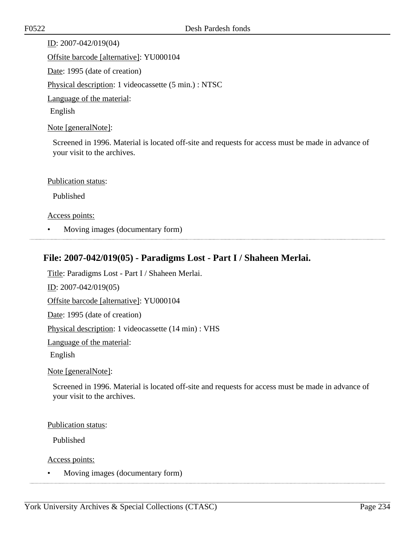ID: 2007-042/019(04) Offsite barcode [alternative]: YU000104 Date: 1995 (date of creation) Physical description: 1 videocassette (5 min.) : NTSC Language of the material: English

Note [generalNote]:

Screened in 1996. Material is located off-site and requests for access must be made in advance of your visit to the archives.

Publication status:

Published

Access points:

• Moving images (documentary form)

# **File: 2007-042/019(05) - Paradigms Lost - Part I / Shaheen Merlai.**

Title: Paradigms Lost - Part I / Shaheen Merlai.

ID: 2007-042/019(05)

Offsite barcode [alternative]: YU000104

Date: 1995 (date of creation)

Physical description: 1 videocassette (14 min) : VHS

Language of the material:

English

Note [generalNote]:

Screened in 1996. Material is located off-site and requests for access must be made in advance of your visit to the archives.

Publication status:

Published

Access points:

• Moving images (documentary form)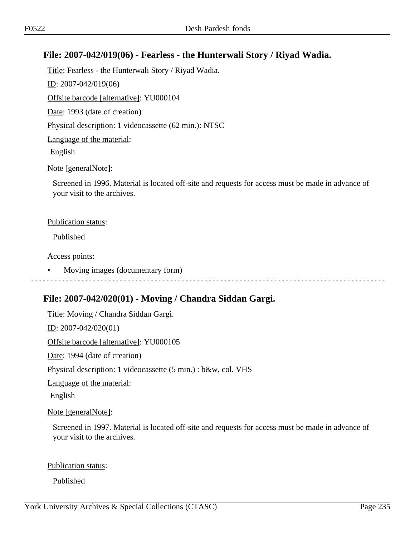## **File: 2007-042/019(06) - Fearless - the Hunterwali Story / Riyad Wadia.**

Title: Fearless - the Hunterwali Story / Riyad Wadia. ID: 2007-042/019(06) Offsite barcode [alternative]: YU000104 Date: 1993 (date of creation) Physical description: 1 videocassette (62 min.): NTSC Language of the material: English Note [generalNote]:

Screened in 1996. Material is located off-site and requests for access must be made in advance of your visit to the archives.

#### Publication status:

Published

Access points:

• Moving images (documentary form) 

# **File: 2007-042/020(01) - Moving / Chandra Siddan Gargi.**

Title: Moving / Chandra Siddan Gargi. ID: 2007-042/020(01) Offsite barcode [alternative]: YU000105 Date: 1994 (date of creation) Physical description: 1 videocassette (5 min.) : b&w, col. VHS Language of the material: English Note [generalNote]:

Screened in 1997. Material is located off-site and requests for access must be made in advance of your visit to the archives.

### Publication status:

Published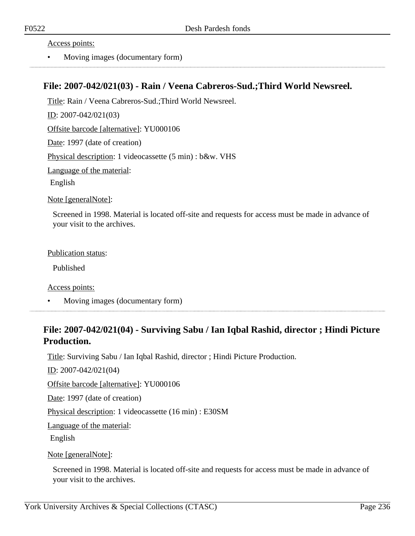Access points:

• Moving images (documentary form)

### **File: 2007-042/021(03) - Rain / Veena Cabreros-Sud.;Third World Newsreel.**

Title: Rain / Veena Cabreros-Sud.;Third World Newsreel.

ID: 2007-042/021(03)

Offsite barcode [alternative]: YU000106

Date: 1997 (date of creation)

Physical description: 1 videocassette (5 min) : b&w. VHS

Language of the material:

English

Note [generalNote]:

Screened in 1998. Material is located off-site and requests for access must be made in advance of your visit to the archives.

Publication status:

Published

Access points:

• Moving images (documentary form)

# **File: 2007-042/021(04) - Surviving Sabu / Ian Iqbal Rashid, director ; Hindi Picture Production.**

Title: Surviving Sabu / Ian Iqbal Rashid, director ; Hindi Picture Production.

ID: 2007-042/021(04)

Offsite barcode [alternative]: YU000106

Date: 1997 (date of creation)

Physical description: 1 videocassette (16 min) : E30SM

Language of the material:

English

Note [generalNote]:

Screened in 1998. Material is located off-site and requests for access must be made in advance of your visit to the archives.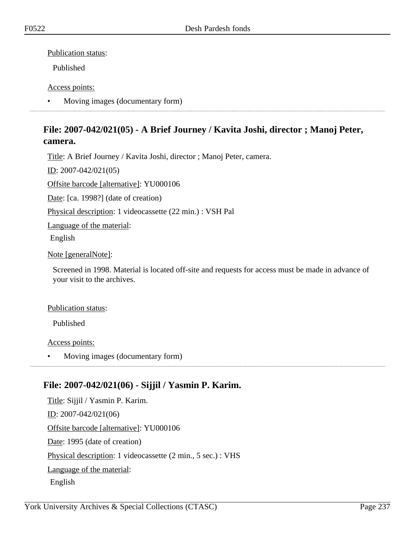Publication status:

Published

### Access points:

• Moving images (documentary form)

# **File: 2007-042/021(05) - A Brief Journey / Kavita Joshi, director ; Manoj Peter, camera.**

Title: A Brief Journey / Kavita Joshi, director ; Manoj Peter, camera.

ID: 2007-042/021(05)

Offsite barcode [alternative]: YU000106

Date: [ca. 1998?] (date of creation)

Physical description: 1 videocassette (22 min.) : VSH Pal

Language of the material:

English

Note [generalNote]:

Screened in 1998. Material is located off-site and requests for access must be made in advance of your visit to the archives.

Publication status:

Published

Access points:

• Moving images (documentary form)

# **File: 2007-042/021(06) - Sijjil / Yasmin P. Karim.**

Title: Sijjil / Yasmin P. Karim. ID: 2007-042/021(06) Offsite barcode [alternative]: YU000106 Date: 1995 (date of creation) Physical description: 1 videocassette (2 min., 5 sec.) : VHS Language of the material: English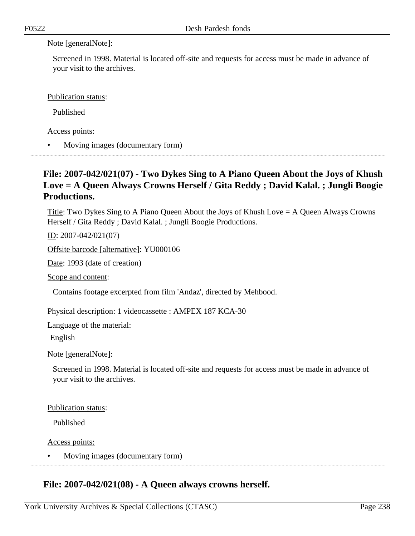### Note [generalNote]:

Screened in 1998. Material is located off-site and requests for access must be made in advance of your visit to the archives.

Publication status:

Published

Access points:

• Moving images (documentary form)

# **File: 2007-042/021(07) - Two Dykes Sing to A Piano Queen About the Joys of Khush Love = A Queen Always Crowns Herself / Gita Reddy ; David Kalal. ; Jungli Boogie Productions.**

Title: Two Dykes Sing to A Piano Queen About the Joys of Khush Love = A Queen Always Crowns Herself / Gita Reddy ; David Kalal. ; Jungli Boogie Productions.

ID: 2007-042/021(07)

Offsite barcode [alternative]: YU000106

Date: 1993 (date of creation)

Scope and content:

Contains footage excerpted from film 'Andaz', directed by Mehbood.

Physical description: 1 videocassette : AMPEX 187 KCA-30

Language of the material:

English

Note [generalNote]:

Screened in 1998. Material is located off-site and requests for access must be made in advance of your visit to the archives.

Publication status:

Published

Access points:

• Moving images (documentary form)

# **File: 2007-042/021(08) - A Queen always crowns herself.**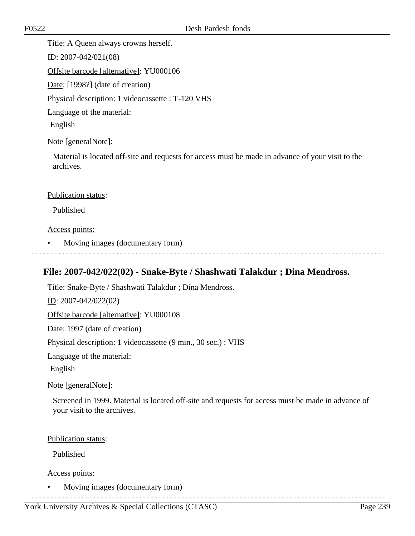Title: A Queen always crowns herself.

ID: 2007-042/021(08)

Offsite barcode [alternative]: YU000106

Date: [1998?] (date of creation)

Physical description: 1 videocassette : T-120 VHS

Language of the material:

English

Note [generalNote]:

Material is located off-site and requests for access must be made in advance of your visit to the archives.

### Publication status:

Published

### Access points:

• Moving images (documentary form)

# **File: 2007-042/022(02) - Snake-Byte / Shashwati Talakdur ; Dina Mendross.**

Title: Snake-Byte / Shashwati Talakdur ; Dina Mendross. ID: 2007-042/022(02) Offsite barcode [alternative]: YU000108 Date: 1997 (date of creation) Physical description: 1 videocassette (9 min., 30 sec.) : VHS Language of the material: English Note [generalNote]:

Screened in 1999. Material is located off-site and requests for access must be made in advance of your visit to the archives.

### Publication status:

Published

Access points:

• Moving images (documentary form)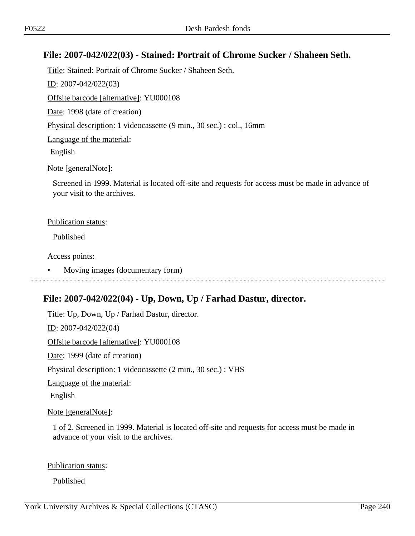### **File: 2007-042/022(03) - Stained: Portrait of Chrome Sucker / Shaheen Seth.**

Title: Stained: Portrait of Chrome Sucker / Shaheen Seth. ID: 2007-042/022(03) Offsite barcode [alternative]: YU000108 Date: 1998 (date of creation) Physical description: 1 videocassette (9 min., 30 sec.) : col., 16mm Language of the material: English Note [generalNote]:

Screened in 1999. Material is located off-site and requests for access must be made in advance of your visit to the archives.

#### Publication status:

Published

Access points:

• Moving images (documentary form)

# **File: 2007-042/022(04) - Up, Down, Up / Farhad Dastur, director.**

Title: Up, Down, Up / Farhad Dastur, director. ID: 2007-042/022(04) Offsite barcode [alternative]: YU000108 Date: 1999 (date of creation) Physical description: 1 videocassette (2 min., 30 sec.) : VHS Language of the material: English

Note [generalNote]:

1 of 2. Screened in 1999. Material is located off-site and requests for access must be made in advance of your visit to the archives.

### Publication status:

Published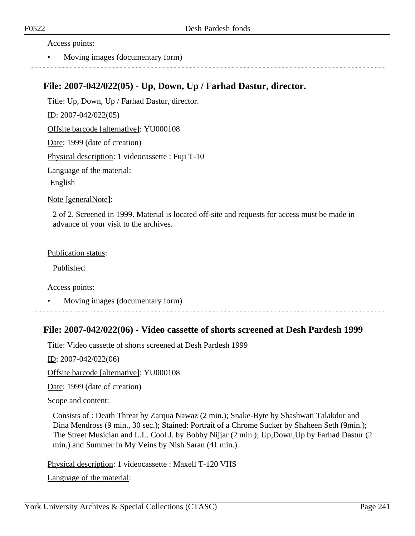Access points:

• Moving images (documentary form)

## **File: 2007-042/022(05) - Up, Down, Up / Farhad Dastur, director.**

Title: Up, Down, Up / Farhad Dastur, director. ID: 2007-042/022(05) Offsite barcode [alternative]: YU000108 Date: 1999 (date of creation) Physical description: 1 videocassette : Fuji T-10 Language of the material: English

Note [generalNote]:

2 of 2. Screened in 1999. Material is located off-site and requests for access must be made in advance of your visit to the archives.

Publication status:

Published

Access points:

• Moving images (documentary form)

### **File: 2007-042/022(06) - Video cassette of shorts screened at Desh Pardesh 1999**

Title: Video cassette of shorts screened at Desh Pardesh 1999

<u>ID</u>: 2007-042/022(06)

Offsite barcode [alternative]: YU000108

Date: 1999 (date of creation)

Scope and content:

Consists of : Death Threat by Zarqua Nawaz (2 min.); Snake-Byte by Shashwati Talakdur and Dina Mendross (9 min., 30 sec.); Stained: Portrait of a Chrome Sucker by Shaheen Seth (9min.); The Street Musician and L.L. Cool J. by Bobby Nijjar (2 min.); Up,Down,Up by Farhad Dastur (2 min.) and Summer In My Veins by Nish Saran (41 min.).

Physical description: 1 videocassette : Maxell T-120 VHS

Language of the material: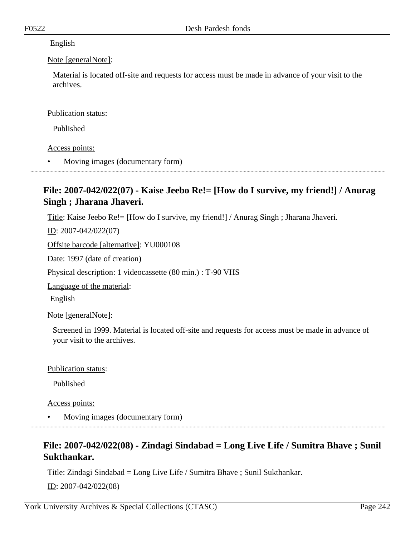### English

### Note [generalNote]:

Material is located off-site and requests for access must be made in advance of your visit to the archives.

### Publication status:

Published

### Access points:

• Moving images (documentary form)

# **File: 2007-042/022(07) - Kaise Jeebo Re!= [How do I survive, my friend!] / Anurag Singh ; Jharana Jhaveri.**

Title: Kaise Jeebo Re!= [How do I survive, my friend!] / Anurag Singh ; Jharana Jhaveri.

ID: 2007-042/022(07)

Offsite barcode [alternative]: YU000108

Date: 1997 (date of creation)

Physical description: 1 videocassette (80 min.) : T-90 VHS

Language of the material:

English

Note [generalNote]:

Screened in 1999. Material is located off-site and requests for access must be made in advance of your visit to the archives.

### Publication status:

Published

Access points:

• Moving images (documentary form)

# **File: 2007-042/022(08) - Zindagi Sindabad = Long Live Life / Sumitra Bhave ; Sunil Sukthankar.**

Title: Zindagi Sindabad = Long Live Life / Sumitra Bhave ; Sunil Sukthankar.

ID: 2007-042/022(08)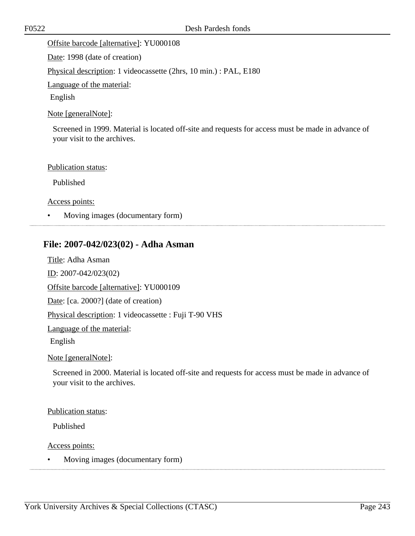### Offsite barcode [alternative]: YU000108

Date: 1998 (date of creation)

Physical description: 1 videocassette (2hrs, 10 min.) : PAL, E180

Language of the material:

English

### Note [generalNote]:

Screened in 1999. Material is located off-site and requests for access must be made in advance of your visit to the archives.

### Publication status:

Published

Access points:

• Moving images (documentary form)

### **File: 2007-042/023(02) - Adha Asman**

Title: Adha Asman ID: 2007-042/023(02) Offsite barcode [alternative]: YU000109 Date: [ca. 2000?] (date of creation) Physical description: 1 videocassette : Fuji T-90 VHS Language of the material: English

Note [generalNote]:

Screened in 2000. Material is located off-site and requests for access must be made in advance of your visit to the archives.

### Publication status:

Published

Access points:

• Moving images (documentary form)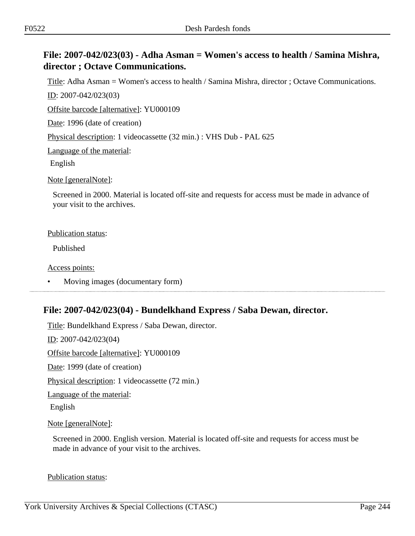# **File: 2007-042/023(03) - Adha Asman = Women's access to health / Samina Mishra, director ; Octave Communications.**

Title: Adha Asman = Women's access to health / Samina Mishra, director ; Octave Communications. ID: 2007-042/023(03)

Offsite barcode [alternative]: YU000109

Date: 1996 (date of creation)

Physical description: 1 videocassette (32 min.) : VHS Dub - PAL 625

Language of the material:

English

Note [generalNote]:

Screened in 2000. Material is located off-site and requests for access must be made in advance of your visit to the archives.

#### Publication status:

Published

Access points:

• Moving images (documentary form)

# **File: 2007-042/023(04) - Bundelkhand Express / Saba Dewan, director.**

Title: Bundelkhand Express / Saba Dewan, director. ID: 2007-042/023(04) Offsite barcode [alternative]: YU000109 Date: 1999 (date of creation) Physical description: 1 videocassette (72 min.) Language of the material: English Note [generalNote]:

Screened in 2000. English version. Material is located off-site and requests for access must be made in advance of your visit to the archives.

Publication status: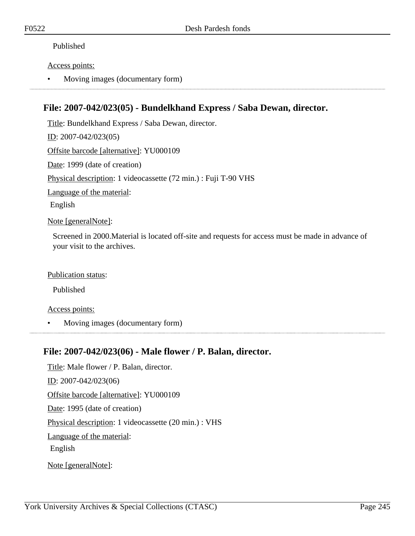### Published

### Access points:

• Moving images (documentary form)

# **File: 2007-042/023(05) - Bundelkhand Express / Saba Dewan, director.**

Title: Bundelkhand Express / Saba Dewan, director. ID: 2007-042/023(05) Offsite barcode [alternative]: YU000109 Date: 1999 (date of creation) Physical description: 1 videocassette (72 min.) : Fuji T-90 VHS Language of the material: English Note [generalNote]:

Screened in 2000.Material is located off-site and requests for access must be made in advance of your visit to the archives.

### Publication status:

Published

### Access points:

• Moving images (documentary form)

### **File: 2007-042/023(06) - Male flower / P. Balan, director.**

Title: Male flower / P. Balan, director. ID: 2007-042/023(06) Offsite barcode [alternative]: YU000109 Date: 1995 (date of creation) Physical description: 1 videocassette (20 min.) : VHS Language of the material: English Note [generalNote]: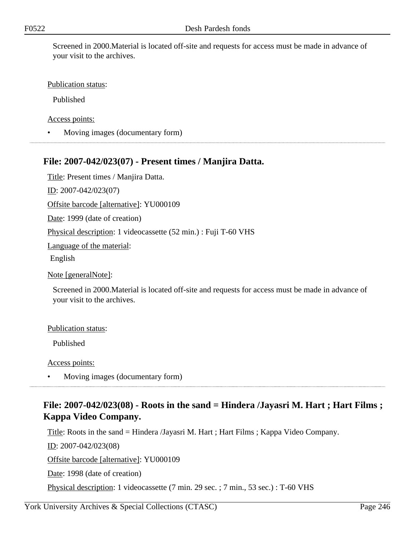Screened in 2000.Material is located off-site and requests for access must be made in advance of your visit to the archives.

#### Publication status:

Published

Access points:

• Moving images (documentary form)

### **File: 2007-042/023(07) - Present times / Manjira Datta.**

Title: Present times / Manjira Datta.

ID: 2007-042/023(07)

Offsite barcode [alternative]: YU000109

Date: 1999 (date of creation)

Physical description: 1 videocassette (52 min.) : Fuji T-60 VHS

Language of the material:

English

Note [generalNote]:

Screened in 2000.Material is located off-site and requests for access must be made in advance of your visit to the archives.

#### Publication status:

Published

Access points:

• Moving images (documentary form)

## **File: 2007-042/023(08) - Roots in the sand = Hindera /Jayasri M. Hart ; Hart Films ; Kappa Video Company.**

Title: Roots in the sand = Hindera /Jayasri M. Hart ; Hart Films ; Kappa Video Company.

ID: 2007-042/023(08)

Offsite barcode [alternative]: YU000109

Date: 1998 (date of creation)

Physical description: 1 videocassette (7 min. 29 sec. ; 7 min., 53 sec.) : T-60 VHS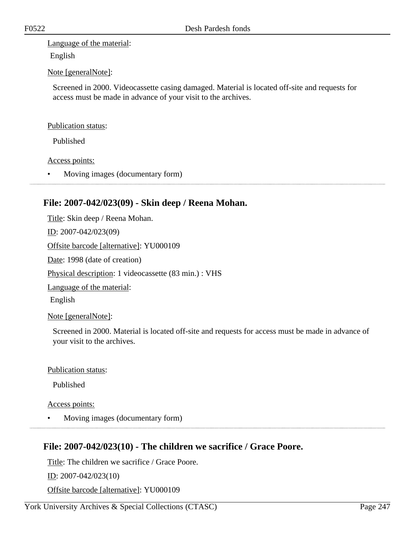Language of the material: English

### Note [generalNote]:

Screened in 2000. Videocassette casing damaged. Material is located off-site and requests for access must be made in advance of your visit to the archives.

#### Publication status:

Published

#### Access points:

• Moving images (documentary form)

### **File: 2007-042/023(09) - Skin deep / Reena Mohan.**

Title: Skin deep / Reena Mohan. ID: 2007-042/023(09) Offsite barcode [alternative]: YU000109 Date: 1998 (date of creation) Physical description: 1 videocassette (83 min.) : VHS Language of the material: English Note [generalNote]:

Screened in 2000. Material is located off-site and requests for access must be made in advance of your visit to the archives.

### Publication status:

Published

Access points:

• Moving images (documentary form)

### **File: 2007-042/023(10) - The children we sacrifice / Grace Poore.**

Title: The children we sacrifice / Grace Poore. ID: 2007-042/023(10) Offsite barcode [alternative]: YU000109

York University Archives & Special Collections (CTASC) Page 247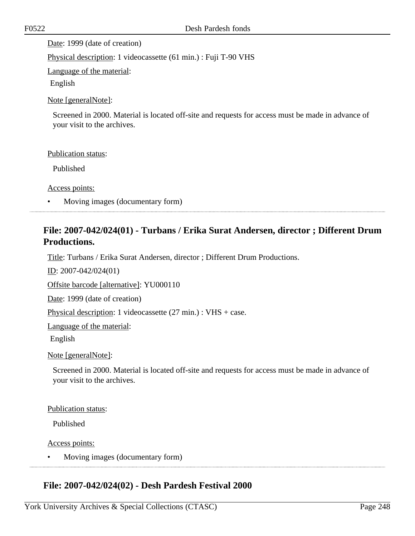Date: 1999 (date of creation)

Physical description: 1 videocassette (61 min.) : Fuji T-90 VHS

Language of the material:

English

Note [generalNote]:

Screened in 2000. Material is located off-site and requests for access must be made in advance of your visit to the archives.

Publication status:

Published

Access points:

• Moving images (documentary form)

# **File: 2007-042/024(01) - Turbans / Erika Surat Andersen, director ; Different Drum Productions.**

Title: Turbans / Erika Surat Andersen, director ; Different Drum Productions.

ID: 2007-042/024(01)

Offsite barcode [alternative]: YU000110

Date: 1999 (date of creation)

Physical description: 1 videocassette (27 min.) : VHS + case.

Language of the material:

English

Note [generalNote]:

Screened in 2000. Material is located off-site and requests for access must be made in advance of your visit to the archives.

Publication status:

Published

Access points:

• Moving images (documentary form)

### **File: 2007-042/024(02) - Desh Pardesh Festival 2000**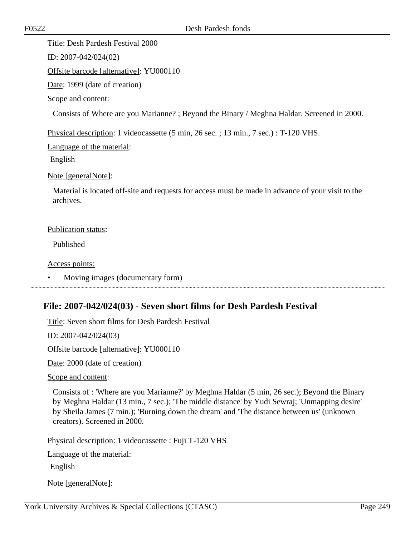Title: Desh Pardesh Festival 2000

ID: 2007-042/024(02)

Offsite barcode [alternative]: YU000110

Date: 1999 (date of creation)

Scope and content:

Consists of Where are you Marianne? ; Beyond the Binary / Meghna Haldar. Screened in 2000.

Physical description: 1 videocassette (5 min, 26 sec. ; 13 min., 7 sec.) : T-120 VHS.

Language of the material:

English

Note [generalNote]:

Material is located off-site and requests for access must be made in advance of your visit to the archives.

### Publication status:

Published

Access points:

• Moving images (documentary form)

# **File: 2007-042/024(03) - Seven short films for Desh Pardesh Festival**

Title: Seven short films for Desh Pardesh Festival

ID: 2007-042/024(03)

Offsite barcode [alternative]: YU000110

Date: 2000 (date of creation)

Scope and content:

Consists of : 'Where are you Marianne?' by Meghna Haldar (5 min, 26 sec.); Beyond the Binary by Meghna Haldar (13 min., 7 sec.); 'The middle distance' by Yudi Sewraj; 'Unmapping desire' by Sheila James (7 min.); 'Burning down the dream' and 'The distance between us' (unknown creators). Screened in 2000.

Physical description: 1 videocassette : Fuji T-120 VHS

Language of the material:

English

Note [generalNote]: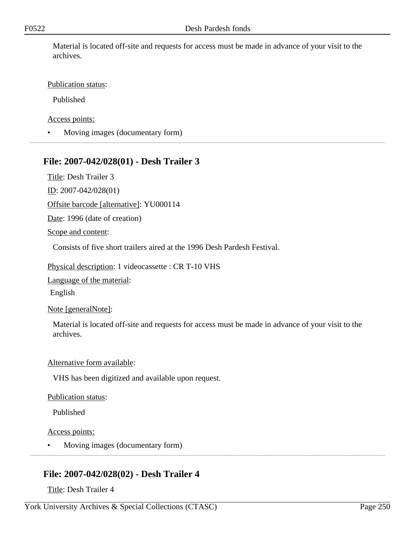Material is located off-site and requests for access must be made in advance of your visit to the archives.

### Publication status:

Published

Access points:

• Moving images (documentary form)

## **File: 2007-042/028(01) - Desh Trailer 3**

Title: Desh Trailer 3

ID: 2007-042/028(01)

Offsite barcode [alternative]: YU000114

Date: 1996 (date of creation)

Scope and content:

Consists of five short trailers aired at the 1996 Desh Pardesh Festival.

Physical description: 1 videocassette : CR T-10 VHS

Language of the material:

English

Note [generalNote]:

Material is located off-site and requests for access must be made in advance of your visit to the archives.

### Alternative form available:

VHS has been digitized and available upon request.

### Publication status:

Published

Access points:

• Moving images (documentary form)

# **File: 2007-042/028(02) - Desh Trailer 4**

Title: Desh Trailer 4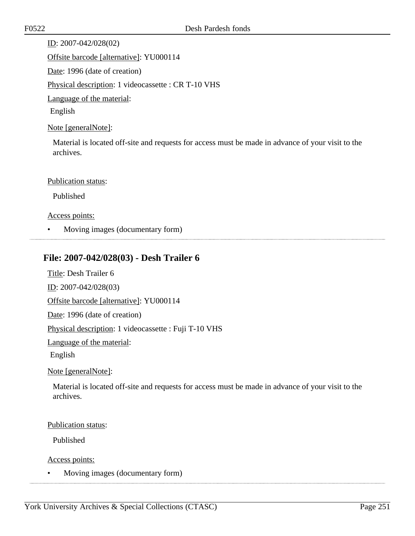ID: 2007-042/028(02) Offsite barcode [alternative]: YU000114 Date: 1996 (date of creation) Physical description: 1 videocassette : CR T-10 VHS Language of the material: English

Note [generalNote]:

Material is located off-site and requests for access must be made in advance of your visit to the archives.

### Publication status:

Published

### Access points:

• Moving images (documentary form)

# **File: 2007-042/028(03) - Desh Trailer 6**

Title: Desh Trailer 6

ID: 2007-042/028(03)

Offsite barcode [alternative]: YU000114

Date: 1996 (date of creation)

Physical description: 1 videocassette : Fuji T-10 VHS

Language of the material:

English

Note [generalNote]:

Material is located off-site and requests for access must be made in advance of your visit to the archives.

### Publication status:

Published

Access points:

• Moving images (documentary form)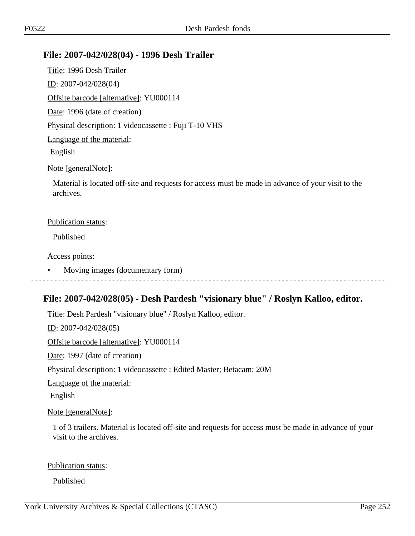### **File: 2007-042/028(04) - 1996 Desh Trailer**

Title: 1996 Desh Trailer ID: 2007-042/028(04) Offsite barcode [alternative]: YU000114 Date: 1996 (date of creation) Physical description: 1 videocassette : Fuji T-10 VHS Language of the material: English Note [generalNote]:

Material is located off-site and requests for access must be made in advance of your visit to the archives.

#### Publication status:

Published

Access points:

• Moving images (documentary form) 

# **File: 2007-042/028(05) - Desh Pardesh "visionary blue" / Roslyn Kalloo, editor.**

Title: Desh Pardesh "visionary blue" / Roslyn Kalloo, editor.

ID: 2007-042/028(05)

Offsite barcode [alternative]: YU000114

Date: 1997 (date of creation)

Physical description: 1 videocassette : Edited Master; Betacam; 20M

Language of the material:

English

Note [generalNote]:

1 of 3 trailers. Material is located off-site and requests for access must be made in advance of your visit to the archives.

### Publication status:

Published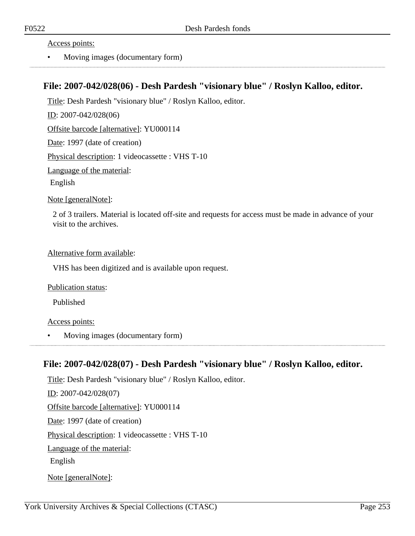#### Access points:

• Moving images (documentary form)

### **File: 2007-042/028(06) - Desh Pardesh "visionary blue" / Roslyn Kalloo, editor.**

Title: Desh Pardesh "visionary blue" / Roslyn Kalloo, editor.

ID: 2007-042/028(06)

Offsite barcode [alternative]: YU000114

Date: 1997 (date of creation)

Physical description: 1 videocassette : VHS T-10

Language of the material:

English

Note [generalNote]:

2 of 3 trailers. Material is located off-site and requests for access must be made in advance of your visit to the archives.

#### Alternative form available:

VHS has been digitized and is available upon request.

Publication status:

Published

#### Access points:

• Moving images (documentary form)

## **File: 2007-042/028(07) - Desh Pardesh "visionary blue" / Roslyn Kalloo, editor.**

Title: Desh Pardesh "visionary blue" / Roslyn Kalloo, editor. ID: 2007-042/028(07) Offsite barcode [alternative]: YU000114 Date: 1997 (date of creation) Physical description: 1 videocassette : VHS T-10 Language of the material: English Note [generalNote]: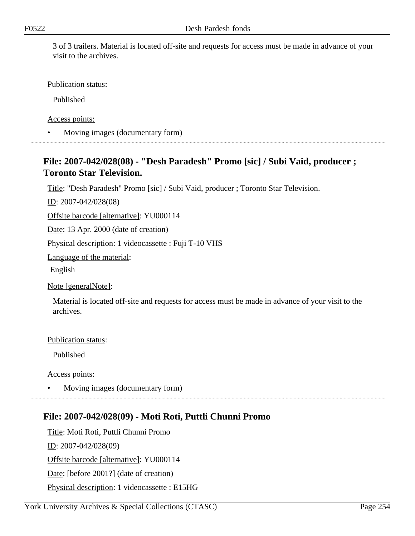3 of 3 trailers. Material is located off-site and requests for access must be made in advance of your visit to the archives.

Publication status:

Published

Access points:

• Moving images (documentary form)

## **File: 2007-042/028(08) - "Desh Paradesh" Promo [sic] / Subi Vaid, producer ; Toronto Star Television.**

Title: "Desh Paradesh" Promo [sic] / Subi Vaid, producer ; Toronto Star Television.

ID: 2007-042/028(08)

Offsite barcode [alternative]: YU000114

Date: 13 Apr. 2000 (date of creation)

Physical description: 1 videocassette : Fuji T-10 VHS

Language of the material:

English

Note [generalNote]:

Material is located off-site and requests for access must be made in advance of your visit to the archives.

Publication status:

Published

Access points:

• Moving images (documentary form)

# **File: 2007-042/028(09) - Moti Roti, Puttli Chunni Promo**

Title: Moti Roti, Puttli Chunni Promo  $ID: 2007-042/028(09)$ Offsite barcode [alternative]: YU000114 Date: [before 2001?] (date of creation) Physical description: 1 videocassette : E15HG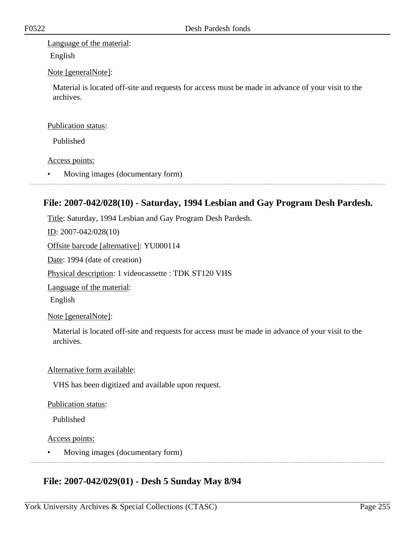Language of the material:

English

### Note [generalNote]:

Material is located off-site and requests for access must be made in advance of your visit to the archives.

#### Publication status:

Published

#### Access points:

• Moving images (documentary form)

## **File: 2007-042/028(10) - Saturday, 1994 Lesbian and Gay Program Desh Pardesh.**

Title: Saturday, 1994 Lesbian and Gay Program Desh Pardesh.

ID: 2007-042/028(10)

Offsite barcode [alternative]: YU000114

Date: 1994 (date of creation)

Physical description: 1 videocassette : TDK ST120 VHS

Language of the material:

English

Note [generalNote]:

Material is located off-site and requests for access must be made in advance of your visit to the archives.

### Alternative form available:

VHS has been digitized and available upon request.

#### Publication status:

Published

#### Access points:

• Moving images (documentary form)

# **File: 2007-042/029(01) - Desh 5 Sunday May 8/94**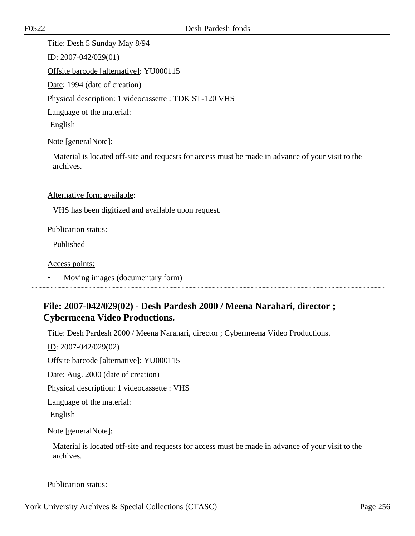Title: Desh 5 Sunday May 8/94 ID: 2007-042/029(01) Offsite barcode [alternative]: YU000115 Date: 1994 (date of creation) Physical description: 1 videocassette : TDK ST-120 VHS Language of the material: English

Note [generalNote]:

Material is located off-site and requests for access must be made in advance of your visit to the archives.

Alternative form available:

VHS has been digitized and available upon request.

#### Publication status:

Published

Access points:

• Moving images (documentary form)

## **File: 2007-042/029(02) - Desh Pardesh 2000 / Meena Narahari, director ; Cybermeena Video Productions.**

Title: Desh Pardesh 2000 / Meena Narahari, director ; Cybermeena Video Productions.

ID: 2007-042/029(02)

Offsite barcode [alternative]: YU000115

Date: Aug. 2000 (date of creation)

Physical description: 1 videocassette : VHS

Language of the material:

English

Note [generalNote]:

Material is located off-site and requests for access must be made in advance of your visit to the archives.

Publication status: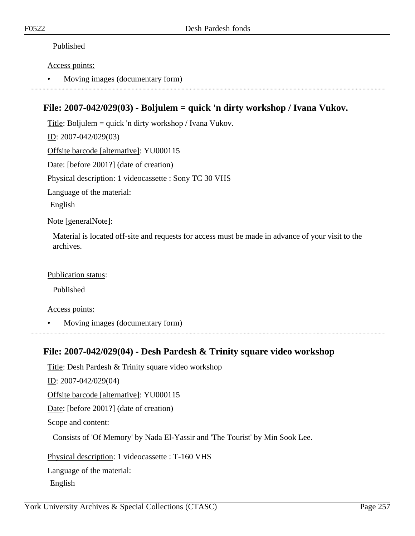### Published

### Access points:

• Moving images (documentary form)

## **File: 2007-042/029(03) - Boljulem = quick 'n dirty workshop / Ivana Vukov.**

Title: Boljulem = quick 'n dirty workshop / Ivana Vukov. ID: 2007-042/029(03) Offsite barcode [alternative]: YU000115 Date: [before 2001?] (date of creation) Physical description: 1 videocassette : Sony TC 30 VHS Language of the material: English

Note [generalNote]:

Material is located off-site and requests for access must be made in advance of your visit to the archives.

### Publication status:

Published

Access points:

• Moving images (documentary form)

## **File: 2007-042/029(04) - Desh Pardesh & Trinity square video workshop**

Title: Desh Pardesh & Trinity square video workshop ID: 2007-042/029(04) Offsite barcode [alternative]: YU000115 Date: [before 2001?] (date of creation) Scope and content: Consists of 'Of Memory' by Nada El-Yassir and 'The Tourist' by Min Sook Lee. Physical description: 1 videocassette : T-160 VHS Language of the material: English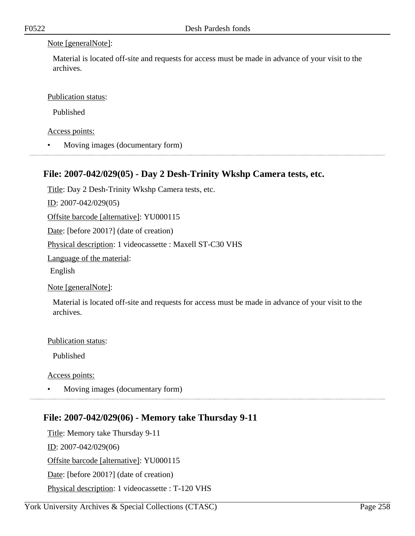#### Note [generalNote]:

Material is located off-site and requests for access must be made in advance of your visit to the archives.

Publication status:

Published

Access points:

• Moving images (documentary form)

## **File: 2007-042/029(05) - Day 2 Desh-Trinity Wkshp Camera tests, etc.**

Title: Day 2 Desh-Trinity Wkshp Camera tests, etc.

ID: 2007-042/029(05)

Offsite barcode [alternative]: YU000115

Date: [before 2001?] (date of creation)

Physical description: 1 videocassette : Maxell ST-C30 VHS

Language of the material:

English

Note [generalNote]:

Material is located off-site and requests for access must be made in advance of your visit to the archives.

Publication status:

Published

Access points:

• Moving images (documentary form)

## **File: 2007-042/029(06) - Memory take Thursday 9-11**

Title: Memory take Thursday 9-11 ID: 2007-042/029(06) Offsite barcode [alternative]: YU000115 Date: [before 2001?] (date of creation) Physical description: 1 videocassette : T-120 VHS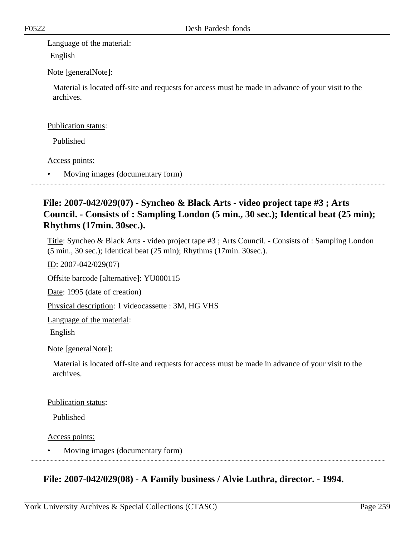Language of the material:

English

### Note [generalNote]:

Material is located off-site and requests for access must be made in advance of your visit to the archives.

#### Publication status:

Published

### Access points:

• Moving images (documentary form)

## **File: 2007-042/029(07) - Syncheo & Black Arts - video project tape #3 ; Arts Council. - Consists of : Sampling London (5 min., 30 sec.); Identical beat (25 min); Rhythms (17min. 30sec.).**

Title: Syncheo & Black Arts - video project tape #3 ; Arts Council. - Consists of : Sampling London (5 min., 30 sec.); Identical beat (25 min); Rhythms (17min. 30sec.).

ID: 2007-042/029(07)

Offsite barcode [alternative]: YU000115

Date: 1995 (date of creation)

Physical description: 1 videocassette : 3M, HG VHS

Language of the material:

English

### Note [generalNote]:

Material is located off-site and requests for access must be made in advance of your visit to the archives.

#### Publication status:

Published

Access points:

• Moving images (documentary form)

# **File: 2007-042/029(08) - A Family business / Alvie Luthra, director. - 1994.**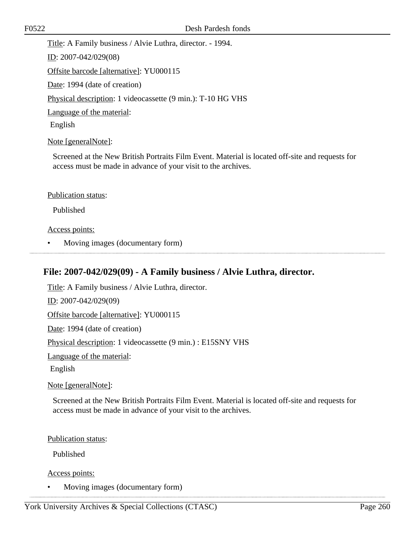Title: A Family business / Alvie Luthra, director. - 1994. ID: 2007-042/029(08) Offsite barcode [alternative]: YU000115 Date: 1994 (date of creation) Physical description: 1 videocassette (9 min.): T-10 HG VHS Language of the material: English

Note [generalNote]:

Screened at the New British Portraits Film Event. Material is located off-site and requests for access must be made in advance of your visit to the archives.

#### Publication status:

Published

#### Access points:

• Moving images (documentary form)

### **File: 2007-042/029(09) - A Family business / Alvie Luthra, director.**

Title: A Family business / Alvie Luthra, director. ID: 2007-042/029(09) Offsite barcode [alternative]: YU000115 Date: 1994 (date of creation) Physical description: 1 videocassette (9 min.) : E15SNY VHS Language of the material: English Note [generalNote]:

Screened at the New British Portraits Film Event. Material is located off-site and requests for access must be made in advance of your visit to the archives.

Publication status:

Published

Access points:

• Moving images (documentary form)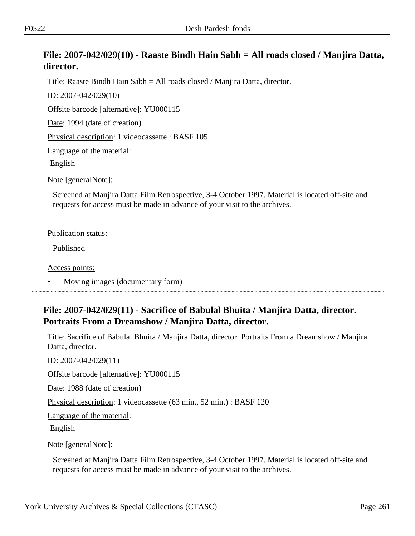## **File: 2007-042/029(10) - Raaste Bindh Hain Sabh = All roads closed / Manjira Datta, director.**

Title: Raaste Bindh Hain Sabh = All roads closed / Manjira Datta, director.

ID: 2007-042/029(10)

Offsite barcode [alternative]: YU000115

Date: 1994 (date of creation)

Physical description: 1 videocassette : BASF 105.

Language of the material:

English

Note [generalNote]:

Screened at Manjira Datta Film Retrospective, 3-4 October 1997. Material is located off-site and requests for access must be made in advance of your visit to the archives.

#### Publication status:

Published

Access points:

• Moving images (documentary form)

## **File: 2007-042/029(11) - Sacrifice of Babulal Bhuita / Manjira Datta, director. Portraits From a Dreamshow / Manjira Datta, director.**

Title: Sacrifice of Babulal Bhuita / Manjira Datta, director. Portraits From a Dreamshow / Manjira Datta, director.

ID: 2007-042/029(11) Offsite barcode [alternative]: YU000115

Date: 1988 (date of creation)

Physical description: 1 videocassette (63 min., 52 min.) : BASF 120

Language of the material:

English

Note [generalNote]:

Screened at Manjira Datta Film Retrospective, 3-4 October 1997. Material is located off-site and requests for access must be made in advance of your visit to the archives.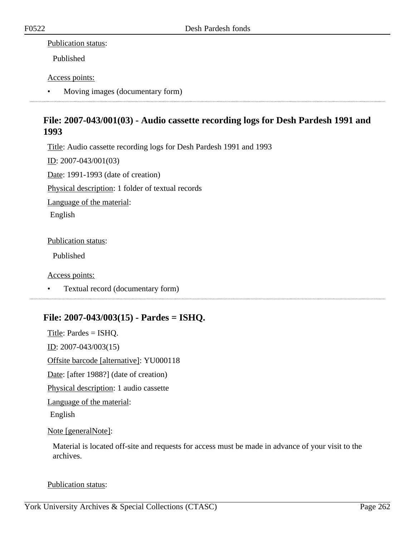### Publication status:

Published

### Access points:

• Moving images (documentary form)

## **File: 2007-043/001(03) - Audio cassette recording logs for Desh Pardesh 1991 and 1993**

Title: Audio cassette recording logs for Desh Pardesh 1991 and 1993

ID: 2007-043/001(03)

Date: 1991-1993 (date of creation)

Physical description: 1 folder of textual records

Language of the material:

English

### Publication status:

Published

Access points:

• Textual record (documentary form)

## **File: 2007-043/003(15) - Pardes = ISHQ.**

Title: Pardes = ISHQ. ID: 2007-043/003(15) Offsite barcode [alternative]: YU000118 Date: [after 1988?] (date of creation) Physical description: 1 audio cassette Language of the material: English

### Note [generalNote]:

Material is located off-site and requests for access must be made in advance of your visit to the archives.

Publication status: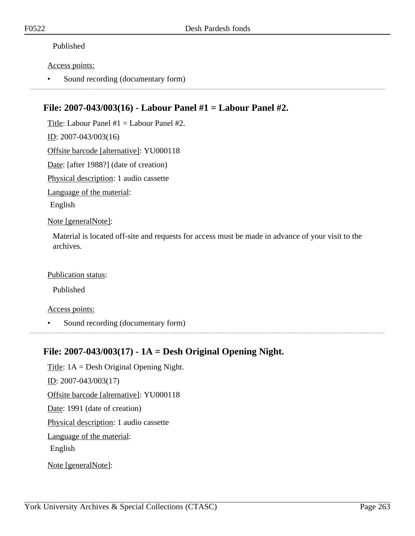### Published

#### Access points:

• Sound recording (documentary form)

## **File: 2007-043/003(16) - Labour Panel #1 = Labour Panel #2.**

Title: Labour Panel #1 = Labour Panel #2.

ID: 2007-043/003(16)

Offsite barcode [alternative]: YU000118

Date: [after 1988?] (date of creation)

Physical description: 1 audio cassette

Language of the material:

English

Note [generalNote]:

Material is located off-site and requests for access must be made in advance of your visit to the archives.

### Publication status:

Published

Access points:

• Sound recording (documentary form)

## **File: 2007-043/003(17) - 1A = Desh Original Opening Night.**

Title: 1A = Desh Original Opening Night. ID: 2007-043/003(17) Offsite barcode [alternative]: YU000118 Date: 1991 (date of creation) Physical description: 1 audio cassette Language of the material: English Note [generalNote]: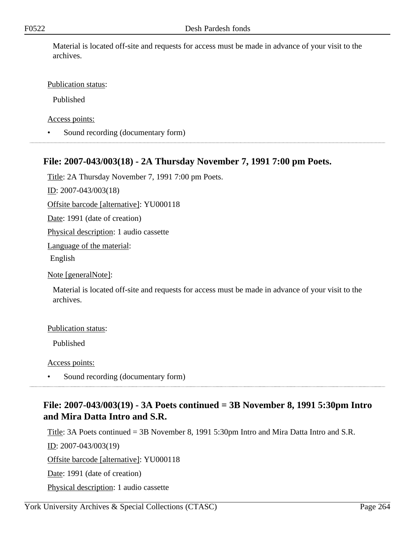Material is located off-site and requests for access must be made in advance of your visit to the archives.

### Publication status:

Published

Access points:

• Sound recording (documentary form)

## **File: 2007-043/003(18) - 2A Thursday November 7, 1991 7:00 pm Poets.**

Title: 2A Thursday November 7, 1991 7:00 pm Poets.

ID: 2007-043/003(18)

Offsite barcode [alternative]: YU000118

Date: 1991 (date of creation)

Physical description: 1 audio cassette

Language of the material:

English

Note [generalNote]:

Material is located off-site and requests for access must be made in advance of your visit to the archives.

#### Publication status:

Published

Access points:

• Sound recording (documentary form)

## **File: 2007-043/003(19) - 3A Poets continued = 3B November 8, 1991 5:30pm Intro and Mira Datta Intro and S.R.**

Title: 3A Poets continued = 3B November 8, 1991 5:30pm Intro and Mira Datta Intro and S.R.

ID: 2007-043/003(19)

Offsite barcode [alternative]: YU000118

Date: 1991 (date of creation)

Physical description: 1 audio cassette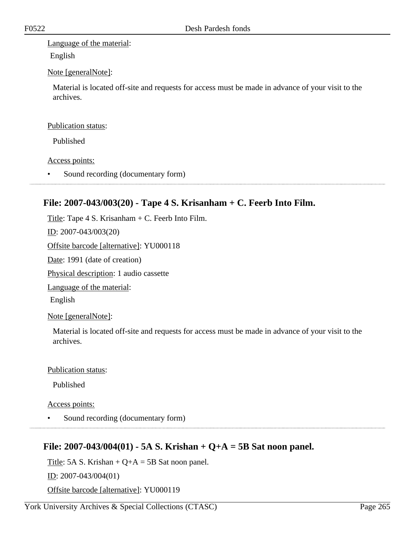Language of the material:

English

### Note [generalNote]:

Material is located off-site and requests for access must be made in advance of your visit to the archives.

### Publication status:

Published

### Access points:

Sound recording (documentary form)

## **File: 2007-043/003(20) - Tape 4 S. Krisanham + C. Feerb Into Film.**

Title: Tape  $4 S.$  Krisanham  $+ C.$  Feerb Into Film.

ID: 2007-043/003(20)

Offsite barcode [alternative]: YU000118

Date: 1991 (date of creation)

Physical description: 1 audio cassette

Language of the material:

English

Note [generalNote]:

Material is located off-site and requests for access must be made in advance of your visit to the archives.

#### Publication status:

Published

Access points:

• Sound recording (documentary form)

## **File: 2007-043/004(01) - 5A S. Krishan + Q+A = 5B Sat noon panel.**

Title: 5A S. Krishan +  $Q+A = 5B$  Sat noon panel.

ID: 2007-043/004(01)

Offsite barcode [alternative]: YU000119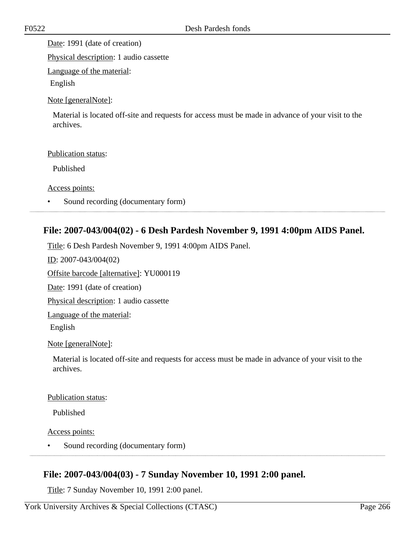Date: 1991 (date of creation)

Physical description: 1 audio cassette

Language of the material:

English

### Note [generalNote]:

Material is located off-site and requests for access must be made in advance of your visit to the archives.

### Publication status:

Published

Access points:

• Sound recording (documentary form)

## **File: 2007-043/004(02) - 6 Desh Pardesh November 9, 1991 4:00pm AIDS Panel.**

Title: 6 Desh Pardesh November 9, 1991 4:00pm AIDS Panel. ID: 2007-043/004(02) Offsite barcode [alternative]: YU000119 Date: 1991 (date of creation) Physical description: 1 audio cassette Language of the material: English Note [generalNote]: Material is located off-site and requests for access must be made in advance of your visit to the archives.

Publication status:

Published

Access points:

• Sound recording (documentary form)

# **File: 2007-043/004(03) - 7 Sunday November 10, 1991 2:00 panel.**

Title: 7 Sunday November 10, 1991 2:00 panel.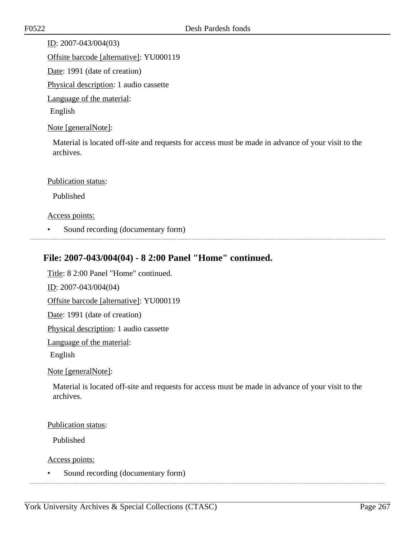ID: 2007-043/004(03) Offsite barcode [alternative]: YU000119 Date: 1991 (date of creation) Physical description: 1 audio cassette Language of the material: English

Note [generalNote]:

Material is located off-site and requests for access must be made in advance of your visit to the archives.

#### Publication status:

Published

Access points:

• Sound recording (documentary form)

## **File: 2007-043/004(04) - 8 2:00 Panel "Home" continued.**

Title: 8 2:00 Panel "Home" continued. ID: 2007-043/004(04) Offsite barcode [alternative]: YU000119 Date: 1991 (date of creation) Physical description: 1 audio cassette

Language of the material:

English

Note [generalNote]:

Material is located off-site and requests for access must be made in advance of your visit to the archives.

Publication status:

Published

Access points:

• Sound recording (documentary form)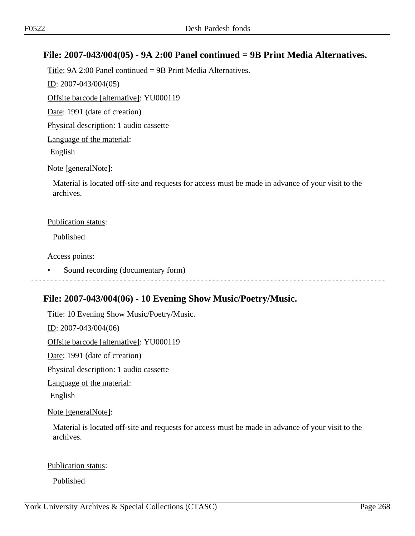## **File: 2007-043/004(05) - 9A 2:00 Panel continued = 9B Print Media Alternatives.**

Title: 9A 2:00 Panel continued = 9B Print Media Alternatives. ID: 2007-043/004(05) Offsite barcode [alternative]: YU000119 Date: 1991 (date of creation) Physical description: 1 audio cassette Language of the material: English Note [generalNote]:

Material is located off-site and requests for access must be made in advance of your visit to the archives.

#### Publication status:

Published

Access points:

Sound recording (documentary form) 

## **File: 2007-043/004(06) - 10 Evening Show Music/Poetry/Music.**

Title: 10 Evening Show Music/Poetry/Music.

ID: 2007-043/004(06)

Offsite barcode [alternative]: YU000119

Date: 1991 (date of creation)

Physical description: 1 audio cassette

Language of the material:

English

Note [generalNote]:

Material is located off-site and requests for access must be made in advance of your visit to the archives.

#### Publication status:

Published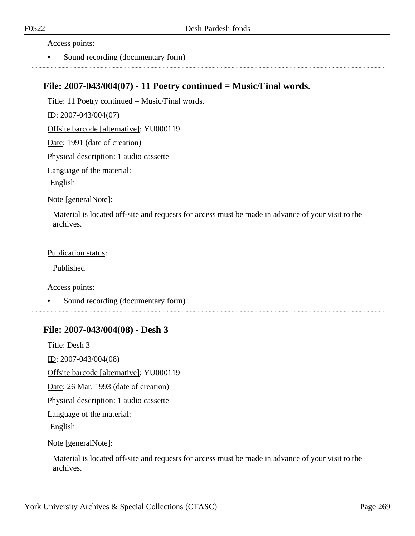Access points:

• Sound recording (documentary form)

### **File: 2007-043/004(07) - 11 Poetry continued = Music/Final words.**

Title: 11 Poetry continued = Music/Final words. ID: 2007-043/004(07) Offsite barcode [alternative]: YU000119

Date: 1991 (date of creation)

Physical description: 1 audio cassette

Language of the material:

English

Note [generalNote]:

Material is located off-site and requests for access must be made in advance of your visit to the archives.

Publication status:

Published

Access points:

Sound recording (documentary form)

### **File: 2007-043/004(08) - Desh 3**

Title: Desh 3 ID: 2007-043/004(08) Offsite barcode [alternative]: YU000119 Date: 26 Mar. 1993 (date of creation) Physical description: 1 audio cassette Language of the material: English

Note [generalNote]:

Material is located off-site and requests for access must be made in advance of your visit to the archives.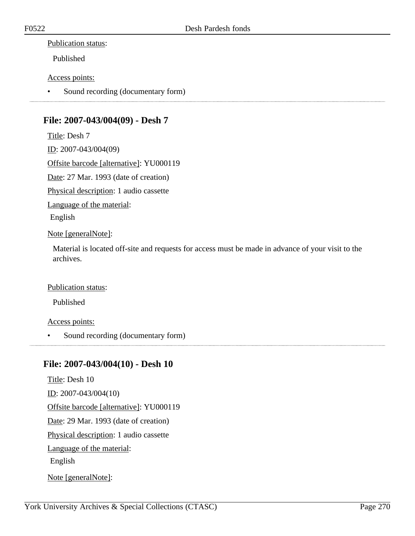### Publication status:

Published

### Access points:

• Sound recording (documentary form)

# **File: 2007-043/004(09) - Desh 7**

Title: Desh 7 ID: 2007-043/004(09) Offsite barcode [alternative]: YU000119 Date: 27 Mar. 1993 (date of creation) Physical description: 1 audio cassette Language of the material: English Note [generalNote]:

Material is located off-site and requests for access must be made in advance of your visit to the archives.

#### Publication status:

Published

#### Access points:

• Sound recording (documentary form)

## **File: 2007-043/004(10) - Desh 10**

Title: Desh 10 ID: 2007-043/004(10) Offsite barcode [alternative]: YU000119 Date: 29 Mar. 1993 (date of creation) Physical description: 1 audio cassette Language of the material: English Note [generalNote]: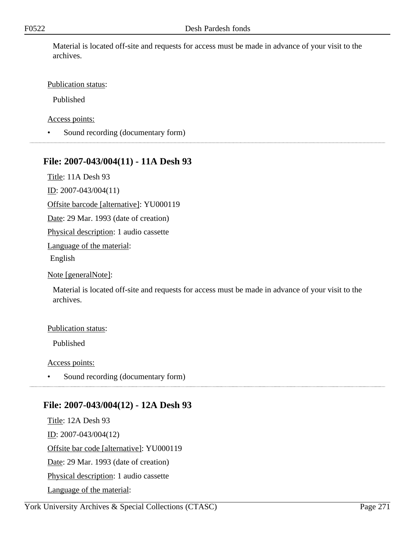Material is located off-site and requests for access must be made in advance of your visit to the archives.

### Publication status:

Published

Access points:

• Sound recording (documentary form)

## **File: 2007-043/004(11) - 11A Desh 93**

Title: 11A Desh 93

ID: 2007-043/004(11)

Offsite barcode [alternative]: YU000119

Date: 29 Mar. 1993 (date of creation)

Physical description: 1 audio cassette

Language of the material:

English

Note [generalNote]:

Material is located off-site and requests for access must be made in advance of your visit to the archives.

#### Publication status:

Published

Access points:

• Sound recording (documentary form)

## **File: 2007-043/004(12) - 12A Desh 93**

Title: 12A Desh 93 ID: 2007-043/004(12) Offsite bar code [alternative]: YU000119 Date: 29 Mar. 1993 (date of creation) Physical description: 1 audio cassette Language of the material: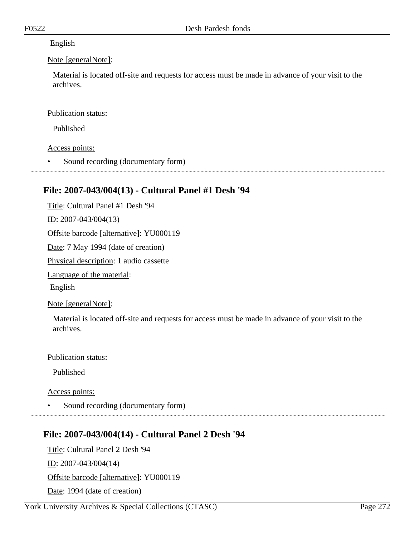### English

### Note [generalNote]:

Material is located off-site and requests for access must be made in advance of your visit to the archives.

### Publication status:

Published

### Access points:

• Sound recording (documentary form)

## **File: 2007-043/004(13) - Cultural Panel #1 Desh '94**

Title: Cultural Panel #1 Desh '94 ID: 2007-043/004(13) Offsite barcode [alternative]: YU000119 Date: 7 May 1994 (date of creation) Physical description: 1 audio cassette Language of the material: English

### Note [generalNote]:

Material is located off-site and requests for access must be made in advance of your visit to the archives.

#### Publication status:

Published

Access points:

Sound recording (documentary form)

# **File: 2007-043/004(14) - Cultural Panel 2 Desh '94**

Title: Cultural Panel 2 Desh '94 ID: 2007-043/004(14) Offsite barcode [alternative]: YU000119 Date: 1994 (date of creation)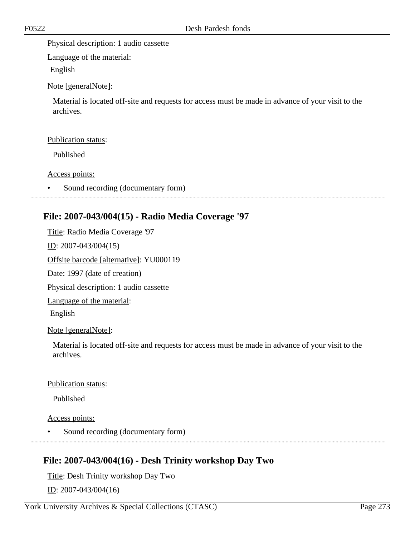Physical description: 1 audio cassette

Language of the material:

English

Note [generalNote]:

Material is located off-site and requests for access must be made in advance of your visit to the archives.

### Publication status:

Published

Access points:

Sound recording (documentary form)

## **File: 2007-043/004(15) - Radio Media Coverage '97**

Title: Radio Media Coverage '97

ID: 2007-043/004(15)

Offsite barcode [alternative]: YU000119

Date: 1997 (date of creation)

Physical description: 1 audio cassette

Language of the material:

English

Note [generalNote]:

Material is located off-site and requests for access must be made in advance of your visit to the archives.

#### Publication status:

Published

Access points:

• Sound recording (documentary form)

# **File: 2007-043/004(16) - Desh Trinity workshop Day Two**

Title: Desh Trinity workshop Day Two ID: 2007-043/004(16)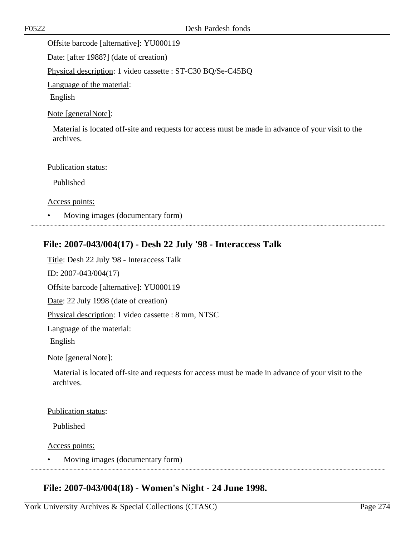Offsite barcode [alternative]: YU000119

Date: [after 1988?] (date of creation)

Physical description: 1 video cassette : ST-C30 BQ/Se-C45BQ

Language of the material:

English

### Note [generalNote]:

Material is located off-site and requests for access must be made in advance of your visit to the archives.

#### Publication status:

Published

Access points:

• Moving images (documentary form)

## **File: 2007-043/004(17) - Desh 22 July '98 - Interaccess Talk**

Title: Desh 22 July '98 - Interaccess Talk ID: 2007-043/004(17) Offsite barcode [alternative]: YU000119 Date: 22 July 1998 (date of creation) Physical description: 1 video cassette : 8 mm, NTSC Language of the material: English

Note [generalNote]:

Material is located off-site and requests for access must be made in advance of your visit to the archives.

#### Publication status:

Published

Access points:

• Moving images (documentary form)

# **File: 2007-043/004(18) - Women's Night - 24 June 1998.**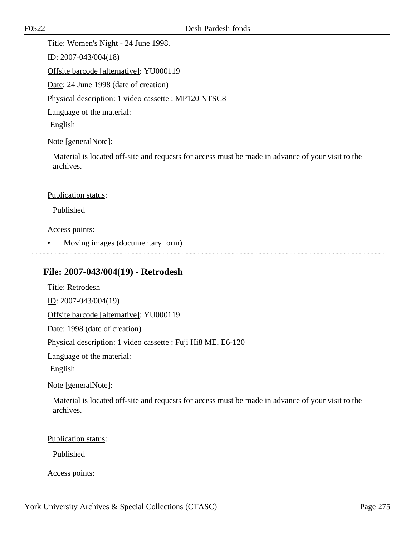Title: Women's Night - 24 June 1998.

ID: 2007-043/004(18)

Offsite barcode [alternative]: YU000119

Date: 24 June 1998 (date of creation)

Physical description: 1 video cassette : MP120 NTSC8

Language of the material:

English

### Note [generalNote]:

Material is located off-site and requests for access must be made in advance of your visit to the archives.

#### Publication status:

Published

### Access points:

• Moving images (documentary form)

## **File: 2007-043/004(19) - Retrodesh**

Title: Retrodesh ID: 2007-043/004(19) Offsite barcode [alternative]: YU000119 Date: 1998 (date of creation) Physical description: 1 video cassette : Fuji Hi8 ME, E6-120 Language of the material: English Note [generalNote]:

Material is located off-site and requests for access must be made in advance of your visit to the archives.

#### Publication status:

Published

#### Access points: